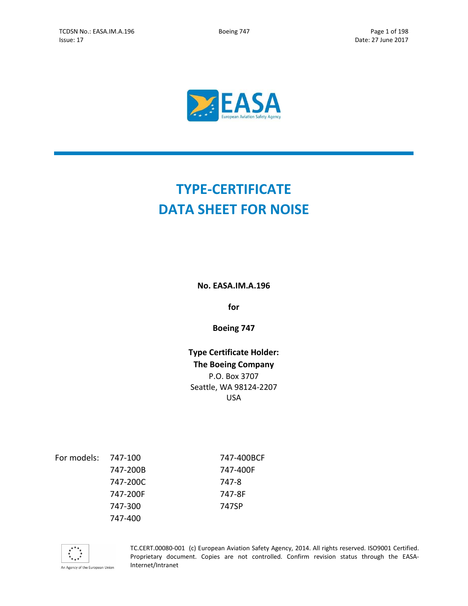

## **TYPE-CERTIFICATE DATA SHEET FOR NOISE**

**No. EASA.IM.A.196** 

**for** 

**Boeing 747** 

**Type Certificate Holder: The Boeing Company**  P.O. Box 3707 Seattle, WA 98124-2207 USA

For models: 747-100 747-400BCF 747-400

 747-200B 747-400F 747-200C 747-8 747-200F 747-8F 747-300 747SP

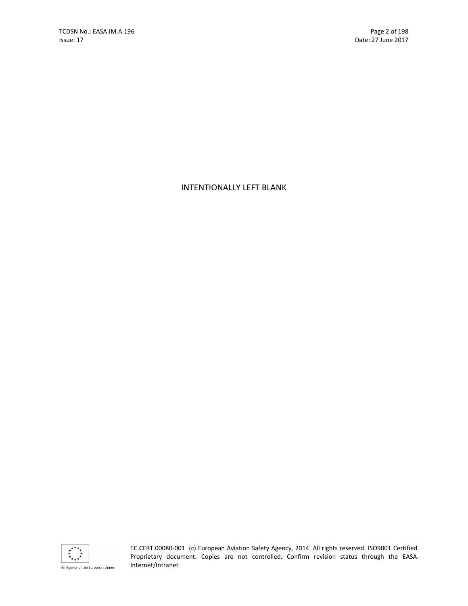## INTENTIONALLY LEFT BLANK

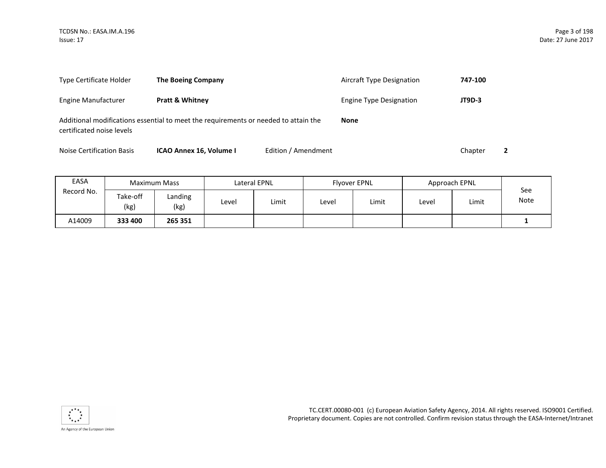| Type Certificate Holder   | The Boeing Company                                                                  |                     | Aircraft Type Designation      | 747-100 |              |
|---------------------------|-------------------------------------------------------------------------------------|---------------------|--------------------------------|---------|--------------|
| Engine Manufacturer       | <b>Pratt &amp; Whitney</b>                                                          |                     | <b>Engine Type Designation</b> | JT9D-3  |              |
| certificated noise levels | Additional modifications essential to meet the requirements or needed to attain the |                     | <b>None</b>                    |         |              |
| Noise Certification Basis | <b>ICAO Annex 16, Volume I</b>                                                      | Edition / Amendment |                                | Chapter | $\mathbf{2}$ |

| EASA       | <b>Maximum Mass</b> |                 | Lateral EPNL |       | <b>Flyover EPNL</b> |       | Approach EPNL |       | See         |
|------------|---------------------|-----------------|--------------|-------|---------------------|-------|---------------|-------|-------------|
| Record No. | Take-off<br>(kg)    | Landing<br>(kg) | ∟evel        | Limit | Level               | Limit | Level         | Limit | <b>Note</b> |
| A14009     | 333 400             | 265 351         |              |       |                     |       |               |       |             |

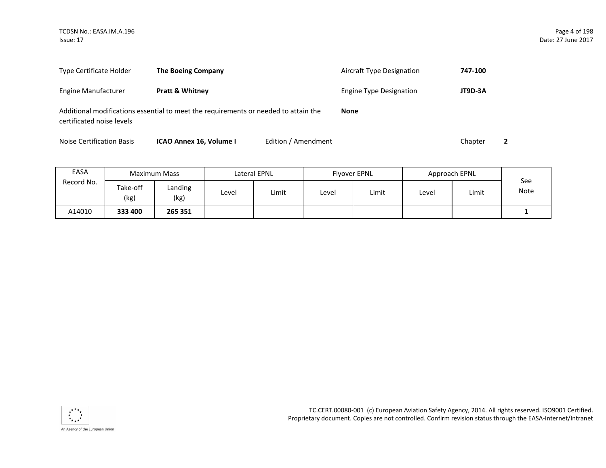TCDSN No.: EASA.IM.A.196 Page 4 of 198 Issue: 17 Date: 27 June 2017

| <b>Type Certificate Holder</b> | <b>The Boeing Company</b>                                                           |                     | Aircraft Type Designation      | 747-100 |              |
|--------------------------------|-------------------------------------------------------------------------------------|---------------------|--------------------------------|---------|--------------|
| Engine Manufacturer            | <b>Pratt &amp; Whitney</b>                                                          |                     | <b>Engine Type Designation</b> | JT9D-3A |              |
| certificated noise levels      | Additional modifications essential to meet the requirements or needed to attain the |                     | None                           |         |              |
| Noise Certification Basis      | <b>ICAO Annex 16, Volume I</b>                                                      | Edition / Amendment |                                | Chapter | $\mathbf{2}$ |

| EASA       | <b>Maximum Mass</b> |                 | Lateral EPNL |       | Flyover EPNL |       | Approach EPNL |       |                    |
|------------|---------------------|-----------------|--------------|-------|--------------|-------|---------------|-------|--------------------|
| Record No. | Take-off<br>(kg)    | Landing<br>(kg) | Level        | Limit | Level        | Limit | Level         | Limit | See<br><b>Note</b> |
| A14010     | 333 400             | 265 351         |              |       |              |       |               |       |                    |

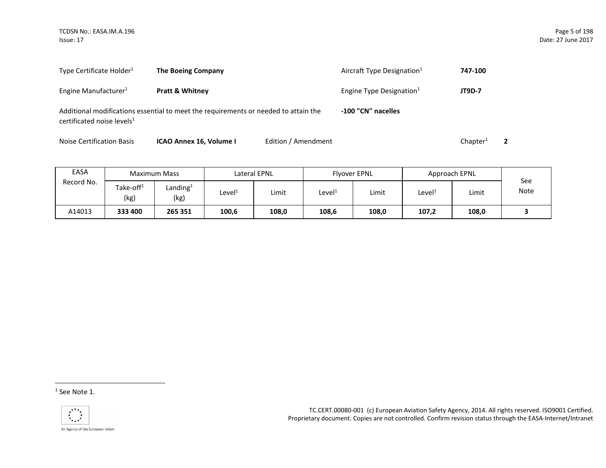TCDSN No.: EASA.IM.A.196 Page 5 of 198 Issue: 17 Date: 27 June 2017

| Type Certificate Holder <sup>1</sup>   | <b>The Boeing Company</b>                                                           |                     | Aircraft Type Designation <sup>1</sup> | 747-100              |                          |
|----------------------------------------|-------------------------------------------------------------------------------------|---------------------|----------------------------------------|----------------------|--------------------------|
| Engine Manufacturer <sup>1</sup>       | <b>Pratt &amp; Whitney</b>                                                          |                     | Engine Type Designation <sup>1</sup>   | <b>JT9D-7</b>        |                          |
| certificated noise levels <sup>1</sup> | Additional modifications essential to meet the requirements or needed to attain the |                     | -100 "CN" nacelles                     |                      |                          |
| Noise Certification Basis              | <b>ICAO Annex 16, Volume I</b>                                                      | Edition / Amendment |                                        | Chapter <sup>1</sup> | $\overline{\phantom{a}}$ |

| EASA       | <b>Maximum Mass</b>   |                              | Lateral EPNL     |       | <b>Flyover EPNL</b> |       | Approach EPNL      |       |                    |
|------------|-----------------------|------------------------------|------------------|-------|---------------------|-------|--------------------|-------|--------------------|
| Record No. | Take-off $^1$<br>(kg) | Landing <sup>1</sup><br>(kg) | Level $^{\rm 1}$ | Limit | Level $^{\rm 1}$    | Limit | Level <sup>1</sup> | Limit | See<br><b>Note</b> |
| A14013     | 333 400               | 265 351                      | 100,6            | 108,0 | 108,6               | 108,0 | 107,2              | 108,0 |                    |

 $1$  See Note 1.

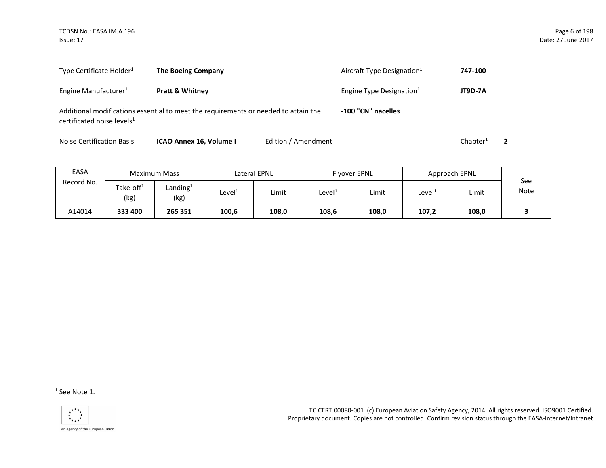TCDSN No.: EASA.IM.A.196 Page 6 of 198 Issue: 17 Date: 27 June 2017

| Type Certificate Holder <sup>1</sup>   | <b>The Boeing Company</b>                                                           |                     | Aircraft Type Designation <sup>1</sup> | 747-100              |                          |
|----------------------------------------|-------------------------------------------------------------------------------------|---------------------|----------------------------------------|----------------------|--------------------------|
| Engine Manufacturer <sup>1</sup>       | <b>Pratt &amp; Whitney</b>                                                          |                     | Engine Type Designation <sup>1</sup>   | JT9D-7A              |                          |
| certificated noise levels <sup>1</sup> | Additional modifications essential to meet the requirements or needed to attain the |                     | -100 "CN" nacelles                     |                      |                          |
| Noise Certification Basis              | <b>ICAO Annex 16, Volume I</b>                                                      | Edition / Amendment |                                        | Chapter <sup>1</sup> | $\overline{\phantom{a}}$ |

| EASA       | <b>Maximum Mass</b>   |                              | Lateral EPNL     |       | <b>Flyover EPNL</b> |       | Approach EPNL      |       |                    |
|------------|-----------------------|------------------------------|------------------|-------|---------------------|-------|--------------------|-------|--------------------|
| Record No. | Take-off $^1$<br>(kg) | Landing <sup>1</sup><br>(kg) | Level $^{\rm 1}$ | Limit | Level $^{\rm 1}$    | Limit | Level <sup>1</sup> | Limit | See<br><b>Note</b> |
| A14014     | 333 400               | 265 351                      | 100,6            | 108,0 | 108,6               | 108,0 | 107,2              | 108,0 |                    |

 $1$  See Note 1.

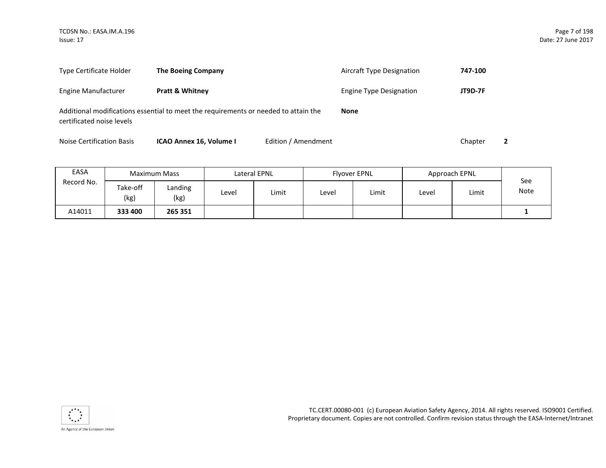TCDSN No.: EASA.IM.A.196 Page 7 of 198 Issue: 17 Date: 27 June 2017

| Type Certificate Holder   | <b>The Boeing Company</b>                                                           |                     | Aircraft Type Designation      | 747-100 |              |
|---------------------------|-------------------------------------------------------------------------------------|---------------------|--------------------------------|---------|--------------|
| Engine Manufacturer       | <b>Pratt &amp; Whitney</b>                                                          |                     | <b>Engine Type Designation</b> | JT9D-7F |              |
| certificated noise levels | Additional modifications essential to meet the requirements or needed to attain the |                     | <b>None</b>                    |         |              |
| Noise Certification Basis | <b>ICAO Annex 16, Volume I</b>                                                      | Edition / Amendment |                                | Chapter | $\mathbf{2}$ |

| EASA       | <b>Maximum Mass</b> |                 | Lateral EPNL |       | Flyover EPNL |       | Approach EPNL |       |                    |
|------------|---------------------|-----------------|--------------|-------|--------------|-------|---------------|-------|--------------------|
| Record No. | Take-off<br>(kg)    | Landing<br>(kg) | Level        | Limit | Level        | Limit | Level         | Limit | See<br><b>Note</b> |
| A14011     | 333 400             | 265 351         |              |       |              |       |               |       |                    |

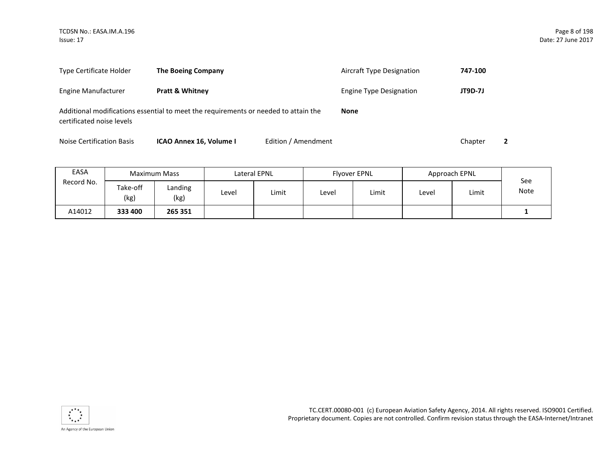TCDSN No.: EASA.IM.A.196 Page 8 of 198 Issue: 17 Date: 27 June 2017

| Type Certificate Holder   | <b>The Boeing Company</b>                                                           |                     | Aircraft Type Designation | 747-100        |              |
|---------------------------|-------------------------------------------------------------------------------------|---------------------|---------------------------|----------------|--------------|
| Engine Manufacturer       | <b>Pratt &amp; Whitney</b>                                                          |                     | Engine Type Designation   | <b>JT9D-7J</b> |              |
| certificated noise levels | Additional modifications essential to meet the requirements or needed to attain the |                     | <b>None</b>               |                |              |
| Noise Certification Basis | ICAO Annex 16, Volume I                                                             | Edition / Amendment |                           | Chapter        | $\mathbf{2}$ |

| EASA       | <b>Maximum Mass</b> |                 | Lateral EPNL |       | <b>Flyover EPNL</b> |       | Approach EPNL |       |                    |
|------------|---------------------|-----------------|--------------|-------|---------------------|-------|---------------|-------|--------------------|
| Record No. | Take-off<br>(kg)    | Landing<br>(kg) | Level        | Limit | Level               | Limit | Level         | Limit | See<br><b>Note</b> |
| A14012     | 333 400             | 265 351         |              |       |                     |       |               |       |                    |

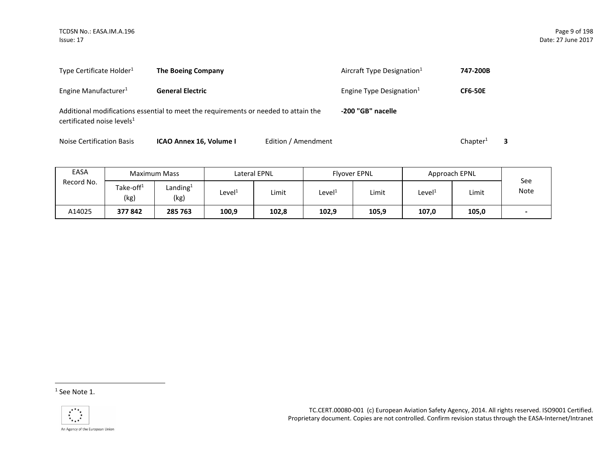TCDSN No.: EASA.IM.A.196 Page 9 of 198 Issue: 17 Date: 27 June 2017

| Type Certificate Holder <sup>1</sup>   | <b>The Boeing Company</b>                                                           |                     | Aircraft Type Designation <sup>1</sup> | 747-200B             |   |
|----------------------------------------|-------------------------------------------------------------------------------------|---------------------|----------------------------------------|----------------------|---|
| Engine Manufacturer <sup>1</sup>       | <b>General Electric</b>                                                             |                     | Engine Type Designation <sup>1</sup>   | <b>CF6-50E</b>       |   |
| certificated noise levels <sup>1</sup> | Additional modifications essential to meet the requirements or needed to attain the | -200 "GB" nacelle   |                                        |                      |   |
| Noise Certification Basis              | <b>ICAO Annex 16, Volume I</b>                                                      | Edition / Amendment |                                        | Chapter <sup>1</sup> | 3 |

| EASA       | <b>Maximum Mass</b>  |                              | Lateral EPNL |       | Flyover EPNL |       | Approach EPNL |       |                    |
|------------|----------------------|------------------------------|--------------|-------|--------------|-------|---------------|-------|--------------------|
| Record No. | Take-off $1$<br>(kg) | Landing <sup>1</sup><br>(kg) | Level'       | Limit | Level $^1$   | Limit | Level'        | Limit | See<br><b>Note</b> |
| A14025     | 377842               | 285 763                      | 100,9        | 102,8 | 102,9        | 105,9 | 107,0         | 105,0 |                    |

 $1$  See Note 1.

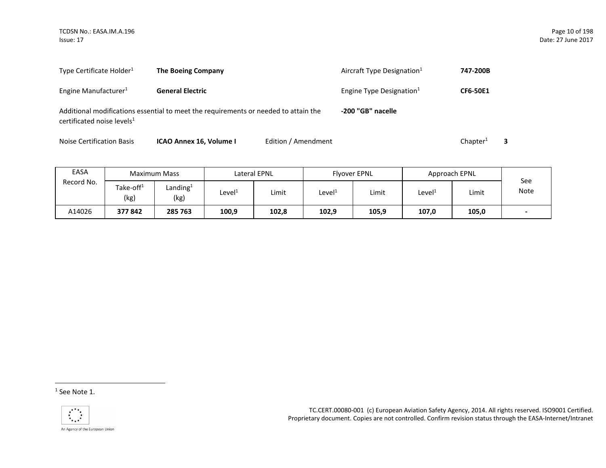TCDSN No.: EASA.IM.A.196 Page 10 of 198 Issue: 17 Date: 27 June 2017

| Type Certificate Holder <sup>1</sup>   | <b>The Boeing Company</b>                                                           |                     | Aircraft Type Designation <sup>1</sup> | 747-200B             |   |
|----------------------------------------|-------------------------------------------------------------------------------------|---------------------|----------------------------------------|----------------------|---|
| Engine Manufacturer <sup>1</sup>       | <b>General Electric</b>                                                             |                     | Engine Type Designation <sup>1</sup>   | <b>CF6-50E1</b>      |   |
| certificated noise levels <sup>1</sup> | Additional modifications essential to meet the requirements or needed to attain the |                     | -200 "GB" nacelle                      |                      |   |
| Noise Certification Basis              | <b>ICAO Annex 16, Volume I</b>                                                      | Edition / Amendment |                                        | Chapter <sup>1</sup> | 3 |

| EASA       | <b>Maximum Mass</b>  |                              | Lateral EPNL |       | Flyover EPNL |       | Approach EPNL |       |                    |
|------------|----------------------|------------------------------|--------------|-------|--------------|-------|---------------|-------|--------------------|
| Record No. | Take-off $1$<br>(kg) | Landing <sup>1</sup><br>(kg) | Level'       | Limit | Level $^1$   | Limit | Level'        | Limit | See<br><b>Note</b> |
| A14026     | 377842               | 285 763                      | 100,9        | 102,8 | 102,9        | 105,9 | 107,0         | 105,0 |                    |

 $1$  See Note 1.

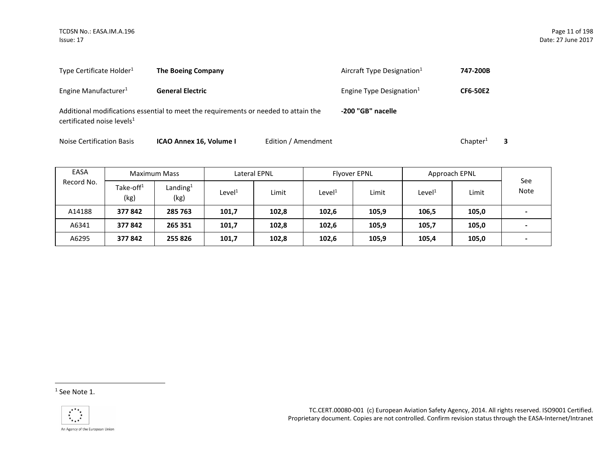TCDSN No.: EASA.IM.A.196 Page 11 of 198 Issue: 17 Date: 27 June 2017

| Type Certificate Holder <sup>1</sup>   | <b>The Boeing Company</b>                                                           | Aircraft Type Designation <sup>1</sup> | 747-200B        |
|----------------------------------------|-------------------------------------------------------------------------------------|----------------------------------------|-----------------|
| Engine Manufacturer <sup>1</sup>       | <b>General Electric</b>                                                             | Engine Type Designation <sup>1</sup>   | <b>CF6-50E2</b> |
| certificated noise levels <sup>1</sup> | Additional modifications essential to meet the requirements or needed to attain the | -200 "GB" nacelle                      |                 |

| <b>Noise Certification Basis</b><br><b>ICAO Annex 16. Volume I</b> |  | Edition / Amendment | Chapter <sup>1</sup> |  |
|--------------------------------------------------------------------|--|---------------------|----------------------|--|
|--------------------------------------------------------------------|--|---------------------|----------------------|--|

| EASA       | <b>Maximum Mass</b>           |                              | Lateral EPNL       |       | <b>Flyover EPNL</b> |       | Approach EPNL |       |             |
|------------|-------------------------------|------------------------------|--------------------|-------|---------------------|-------|---------------|-------|-------------|
| Record No. | Take-off <sup>1</sup><br>(kg) | Landing <sup>1</sup><br>(kg) | Level <sup>1</sup> | Limit | Level <sup>1</sup>  | Limit | Level $^1$    | Limit | See<br>Note |
| A14188     | 377842                        | 285 763                      | 101,7              | 102,8 | 102,6               | 105,9 | 106,5         | 105,0 |             |
| A6341      | 377 842                       | 265 351                      | 101,7              | 102,8 | 102,6               | 105,9 | 105,7         | 105,0 |             |
| A6295      | 377842                        | 255 826                      | 101,7              | 102,8 | 102,6               | 105,9 | 105,4         | 105,0 |             |

 $1$  See Note 1.



TC.CERT.00080-001 (c) European Aviation Safety Agency, 2014. All rights reserved. ISO9001 Certified. Proprietary document. Copies are not controlled. Confirm revision status through the EASA-Internet/Intranet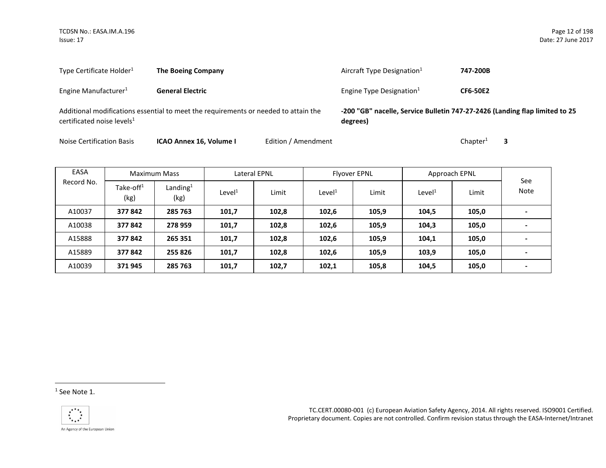TCDSN No.: EASA.IM.A.196 Page 12 of 198 Issue: 17 Date: 27 June 2017

| Type Certificate Holder <sup>1</sup>   | <b>The Boeing Company</b>                                                           |                     | Aircraft Type Designation <sup>1</sup>                                                  | 747-200B                                       |  |  |  |
|----------------------------------------|-------------------------------------------------------------------------------------|---------------------|-----------------------------------------------------------------------------------------|------------------------------------------------|--|--|--|
| Engine Manufacturer <sup>1</sup>       | <b>General Electric</b>                                                             |                     |                                                                                         | Engine Type Designation $1$<br><b>CF6-50E2</b> |  |  |  |
| certificated noise levels <sup>1</sup> | Additional modifications essential to meet the requirements or needed to attain the |                     | -200 "GB" nacelle, Service Bulletin 747-27-2426 (Landing flap limited to 25<br>degrees) |                                                |  |  |  |
| Noise Certification Basis              | <b>ICAO Annex 16, Volume I</b>                                                      | Edition / Amendment |                                                                                         | Chapter <sup>1</sup>                           |  |  |  |

| EASA       | <b>Maximum Mass</b>           |                     | Lateral EPNL       |       | <b>Flyover EPNL</b> |       | Approach EPNL      |       |                    |  |
|------------|-------------------------------|---------------------|--------------------|-------|---------------------|-------|--------------------|-------|--------------------|--|
| Record No. | Take-off <sup>1</sup><br>(kg) | Landing $1$<br>(kg) | Level <sup>1</sup> | Limit | Level <sup>1</sup>  | Limit | Level <sup>1</sup> | Limit | See<br><b>Note</b> |  |
| A10037     | 377 842                       | 285 763             | 101,7              | 102,8 | 102,6               | 105,9 | 104,5              | 105,0 |                    |  |
| A10038     | 377842                        | 278 959             | 101,7              | 102,8 | 102,6               | 105,9 | 104,3              | 105,0 |                    |  |
| A15888     | 377842                        | 265 351             | 101,7              | 102,8 | 102,6               | 105,9 | 104,1              | 105,0 |                    |  |
| A15889     | 377842                        | 255 826             | 101,7              | 102,8 | 102,6               | 105,9 | 103,9              | 105,0 |                    |  |
| A10039     | 371945                        | 285 763             | 101,7              | 102,7 | 102,1               | 105,8 | 104,5              | 105,0 |                    |  |

 $1$  See Note 1.

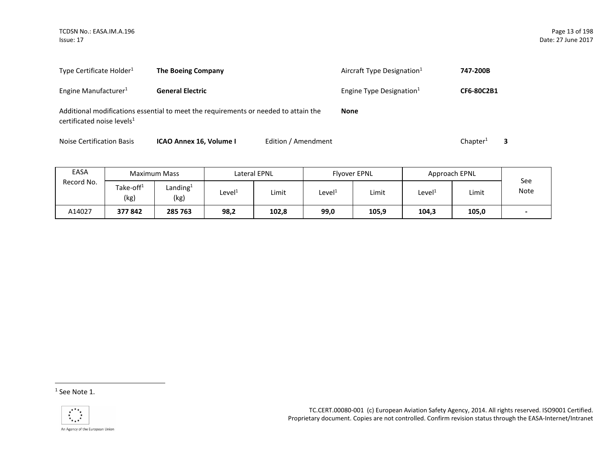TCDSN No.: EASA.IM.A.196 Page 13 of 198 Issue: 17 Date: 27 June 2017

| Type Certificate Holder <sup>1</sup>   | <b>The Boeing Company</b>                                                           |                     | Aircraft Type Designation <sup>1</sup> | 747-200B             |  |
|----------------------------------------|-------------------------------------------------------------------------------------|---------------------|----------------------------------------|----------------------|--|
| Engine Manufacturer <sup>1</sup>       | <b>General Electric</b>                                                             |                     | Engine Type Designation $1$            | <b>CF6-80C2B1</b>    |  |
| certificated noise levels <sup>1</sup> | Additional modifications essential to meet the requirements or needed to attain the | <b>None</b>         |                                        |                      |  |
| Noise Certification Basis              | <b>ICAO Annex 16, Volume I</b>                                                      | Edition / Amendment |                                        | Chapter <sup>1</sup> |  |

| EASA       | <b>Maximum Mass</b>  |                     | Lateral EPNL     |       | <b>Flyover EPNL</b> |       | Approach EPNL |       |                    |
|------------|----------------------|---------------------|------------------|-------|---------------------|-------|---------------|-------|--------------------|
| Record No. | Take-off $1$<br>(kg) | Landing $1$<br>(kg) | Level $^{\rm 1}$ | Limit | Level $^1$          | Limit | Level'        | Limit | See<br><b>Note</b> |
| A14027     | 377842               | 285 763             | 98,2             | 102,8 | 99,0                | 105,9 | 104,3         | 105,0 |                    |

<sup>1</sup> See Note 1.

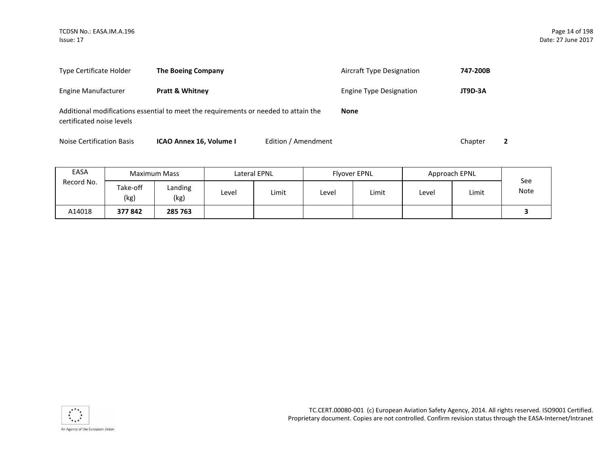TCDSN No.: EASA.IM.A.196 Page 14 of 198 Issue: 17 Date: 27 June 2017

| Type Certificate Holder   | <b>The Boeing Company</b>                                                           |                     | Aircraft Type Designation      | 747-200B |  |
|---------------------------|-------------------------------------------------------------------------------------|---------------------|--------------------------------|----------|--|
| Engine Manufacturer       | <b>Pratt &amp; Whitney</b>                                                          |                     | <b>Engine Type Designation</b> | JT9D-3A  |  |
| certificated noise levels | Additional modifications essential to meet the requirements or needed to attain the | <b>None</b>         |                                |          |  |
| Noise Certification Basis | <b>ICAO Annex 16, Volume I</b>                                                      | Edition / Amendment |                                | Chapter  |  |

| EASA       | <b>Maximum Mass</b> |                 | Lateral EPNL |       | <b>Flyover EPNL</b> |       | Approach EPNL |       | See         |
|------------|---------------------|-----------------|--------------|-------|---------------------|-------|---------------|-------|-------------|
| Record No. | Take-off<br>(kg)    | Landing<br>(kg) | Level        | Limit | Level               | Limit | Level         | Limit | <b>Note</b> |
| A14018     | 377842              | 285 763         |              |       |                     |       |               |       |             |

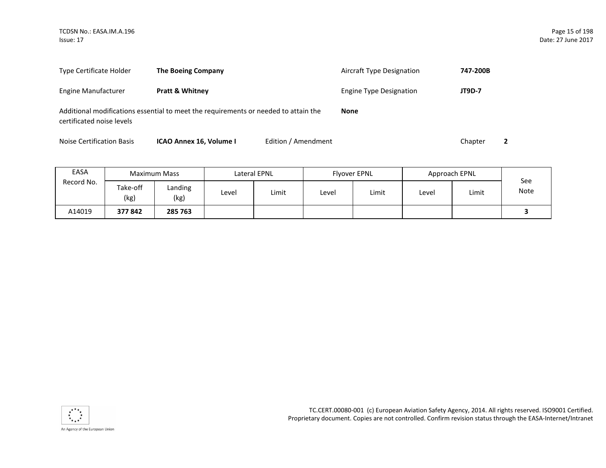TCDSN No.: EASA.IM.A.196 Page 15 of 198 Issue: 17 Date: 27 June 2017

| Type Certificate Holder   | <b>The Boeing Company</b>                                                           |                     | Aircraft Type Designation      | 747-200B      |  |
|---------------------------|-------------------------------------------------------------------------------------|---------------------|--------------------------------|---------------|--|
| Engine Manufacturer       | <b>Pratt &amp; Whitney</b>                                                          |                     | <b>Engine Type Designation</b> | <b>JT9D-7</b> |  |
| certificated noise levels | Additional modifications essential to meet the requirements or needed to attain the |                     | <b>None</b>                    |               |  |
| Noise Certification Basis | <b>ICAO Annex 16, Volume I</b>                                                      | Edition / Amendment |                                | Chapter       |  |

| EASA       | <b>Maximum Mass</b> |                 | Lateral EPNL |       | Flyover EPNL |       | Approach EPNL |       |                    |
|------------|---------------------|-----------------|--------------|-------|--------------|-------|---------------|-------|--------------------|
| Record No. | Take-off<br>(kg)    | Landing<br>(kg) | Level        | Limit | Level        | Limit | Level         | Limit | See<br><b>Note</b> |
| A14019     | 377842              | 285 763         |              |       |              |       |               |       |                    |

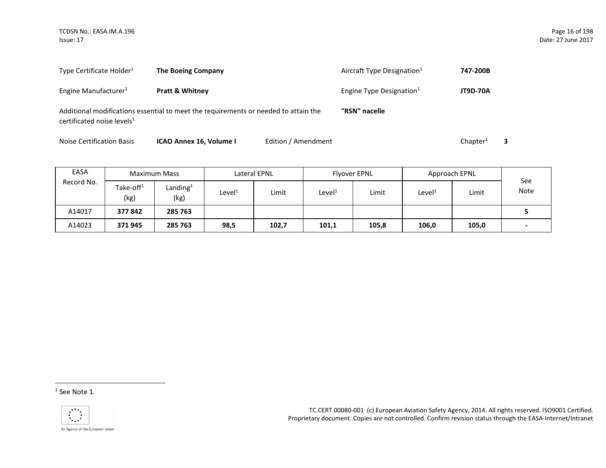TCDSN No.: EASA.IM.A.196 Page 16 of 198 Issue: 17 Date: 27 June 2017

| Type Certificate Holder <sup>1</sup>   | <b>The Boeing Company</b>                                                           | Aircraft Type Designation <sup>1</sup> | 747-200B        |
|----------------------------------------|-------------------------------------------------------------------------------------|----------------------------------------|-----------------|
| Engine Manufacturer <sup>1</sup>       | <b>Pratt &amp; Whitney</b>                                                          | Engine Type Designation <sup>1</sup>   | <b>JT9D-70A</b> |
| certificated noise levels <sup>1</sup> | Additional modifications essential to meet the requirements or needed to attain the | "RSN" nacelle                          |                 |

Noise Certification Basis **ICAO Annex 16, Volume I Edition / Amendment** Chapter<sup>1</sup> **3** 

| EASA<br><b>Maximum Mass</b> |                               | Lateral EPNL                 |            | Flyover EPNL |                    | Approach EPNL |            |       |                    |
|-----------------------------|-------------------------------|------------------------------|------------|--------------|--------------------|---------------|------------|-------|--------------------|
| Record No.                  | Take-off <sup>1</sup><br>(kg) | Landing <sup>1</sup><br>(kg) | Level $^1$ | Limit        | Level <sup>1</sup> | Limit         | Level $^1$ | Limit | See<br><b>Note</b> |
| A14017                      | 377842                        | 285 763                      |            |              |                    |               |            |       |                    |
| A14023                      | 371945                        | 285 763                      | 98,5       | 102,7        | 101,1              | 105,8         | 106,0      | 105,0 |                    |

 $1$  See Note 1.

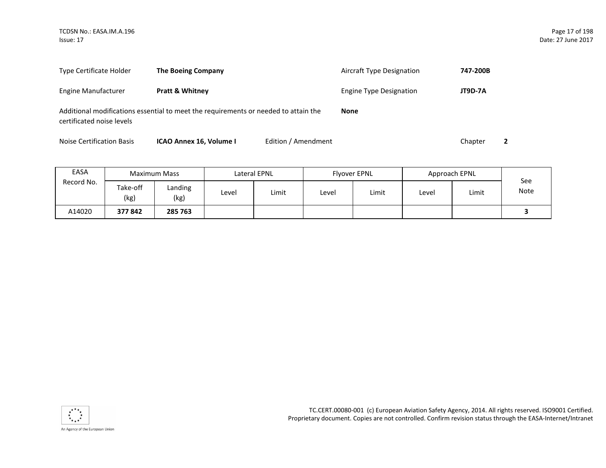TCDSN No.: EASA.IM.A.196 Page 17 of 198 Issue: 17 Date: 27 June 2017

| Type Certificate Holder   | <b>The Boeing Company</b>                                                           |                     | <b>Aircraft Type Designation</b> | 747-200B |  |
|---------------------------|-------------------------------------------------------------------------------------|---------------------|----------------------------------|----------|--|
| Engine Manufacturer       | <b>Pratt &amp; Whitney</b>                                                          |                     | Engine Type Designation          | JT9D-7A  |  |
| certificated noise levels | Additional modifications essential to meet the requirements or needed to attain the |                     | None                             |          |  |
| Noise Certification Basis | <b>ICAO Annex 16, Volume I</b>                                                      | Edition / Amendment |                                  | Chapter  |  |

| EASA       | <b>Maximum Mass</b> |                 | Lateral EPNL |       | <b>Flyover EPNL</b> |       | Approach EPNL |       | See         |
|------------|---------------------|-----------------|--------------|-------|---------------------|-------|---------------|-------|-------------|
| Record No. | Take-off<br>(kg)    | Landing<br>(kg) | Level        | Limit | Level               | Limit | Level         | Limit | <b>Note</b> |
| A14020     | 377842              | 285 763         |              |       |                     |       |               |       |             |

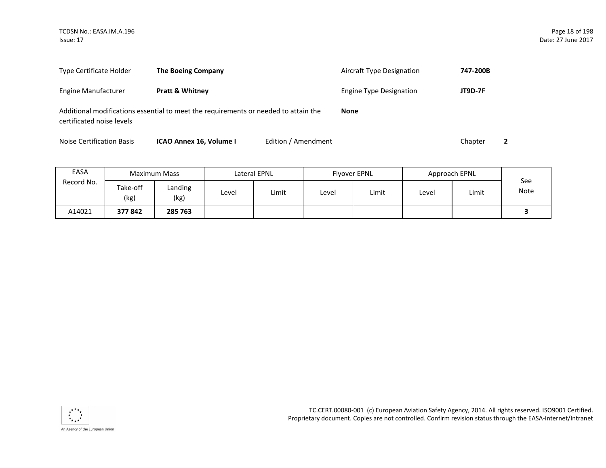TCDSN No.: EASA.IM.A.196 Page 18 of 198 Issue: 17 Date: 27 June 2017

| Type Certificate Holder   | The Boeing Company                                                                  |                     | Aircraft Type Designation | 747-200B |  |
|---------------------------|-------------------------------------------------------------------------------------|---------------------|---------------------------|----------|--|
| Engine Manufacturer       | <b>Pratt &amp; Whitney</b>                                                          |                     | Engine Type Designation   | JT9D-7F  |  |
| certificated noise levels | Additional modifications essential to meet the requirements or needed to attain the |                     | <b>None</b>               |          |  |
| Noise Certification Basis | <b>ICAO Annex 16, Volume I</b>                                                      | Edition / Amendment |                           | Chapter  |  |

| EASA       | <b>Maximum Mass</b> |                 | Lateral EPNL |       | Flyover EPNL |       | Approach EPNL |       |                    |
|------------|---------------------|-----------------|--------------|-------|--------------|-------|---------------|-------|--------------------|
| Record No. | Take-off<br>(kg)    | Landing<br>(kg) | Level        | Limit | Level        | Limit | Level         | Limit | See<br><b>Note</b> |
| A14021     | 377842              | 285 763         |              |       |              |       |               |       |                    |

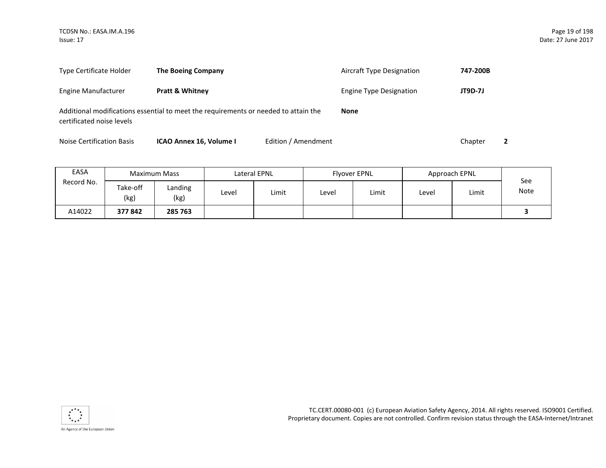TCDSN No.: EASA.IM.A.196 Page 19 of 198 Issue: 17 Date: 27 June 2017

| Type Certificate Holder   | <b>The Boeing Company</b>                                                           |                     | <b>Aircraft Type Designation</b> | 747-200B |  |
|---------------------------|-------------------------------------------------------------------------------------|---------------------|----------------------------------|----------|--|
| Engine Manufacturer       | <b>Pratt &amp; Whitney</b>                                                          |                     | Engine Type Designation          | JT9D-7J  |  |
| certificated noise levels | Additional modifications essential to meet the requirements or needed to attain the |                     | None                             |          |  |
| Noise Certification Basis | <b>ICAO Annex 16, Volume I</b>                                                      | Edition / Amendment |                                  | Chapter  |  |

| EASA       | <b>Maximum Mass</b> |                 | Lateral EPNL |       | <b>Flyover EPNL</b> |       | Approach EPNL |       |             |
|------------|---------------------|-----------------|--------------|-------|---------------------|-------|---------------|-------|-------------|
| Record No. | Take-off<br>(kg)    | Landing<br>(kg) | Level        | Limit | Level               | Limit | Level         | Limit | See<br>Note |
| A14022     | 377842              | 285 763         |              |       |                     |       |               |       |             |

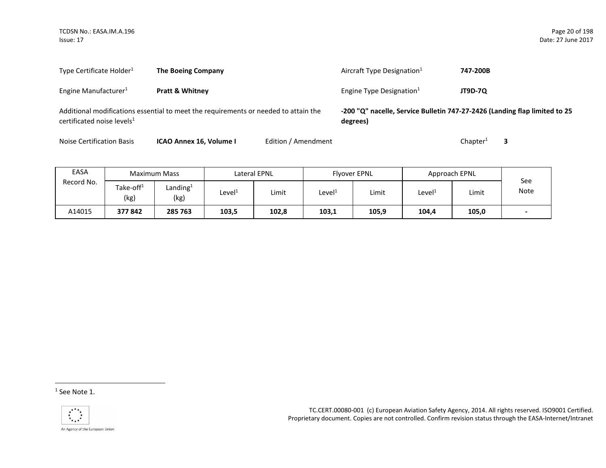TCDSN No.: EASA.IM.A.196 Page 20 of 198 Issue: 17 Date: 27 June 2017

| Type Certificate Holder <sup>1</sup>   | <b>The Boeing Company</b>                                                           |                     | Aircraft Type Designation <sup>1</sup>                                                 | 747-200B             |  |
|----------------------------------------|-------------------------------------------------------------------------------------|---------------------|----------------------------------------------------------------------------------------|----------------------|--|
| Engine Manufacturer <sup>1</sup>       | <b>Pratt &amp; Whitney</b>                                                          |                     | Engine Type Designation <sup>1</sup>                                                   | JT9D-7Q              |  |
| certificated noise levels <sup>1</sup> | Additional modifications essential to meet the requirements or needed to attain the |                     | -200 "Q" nacelle, Service Bulletin 747-27-2426 (Landing flap limited to 25<br>degrees) |                      |  |
| Noise Certification Basis              | <b>ICAO Annex 16, Volume I</b>                                                      | Edition / Amendment |                                                                                        | Chapter <sup>1</sup> |  |

| EASA       | <b>Maximum Mass</b>           |                     | Lateral EPNL     |       | <b>Flyover EPNL</b> |       | Approach EPNL |       |                    |
|------------|-------------------------------|---------------------|------------------|-------|---------------------|-------|---------------|-------|--------------------|
| Record No. | Take-off <sup>1</sup><br>(kg) | Landing $1$<br>(kg) | Level $^{\rm 1}$ | Limit | Level <sup>1</sup>  | Limit | Level'        | Limit | See<br><b>Note</b> |
| A14015     | 377 842                       | 285 763             | 103,5            | 102,8 | 103,1               | 105,9 | 104,4         | 105,0 |                    |

 $1$  See Note 1.



TC.CERT.00080-001 (c) European Aviation Safety Agency, 2014. All rights reserved. ISO9001 Certified. Proprietary document. Copies are not controlled. Confirm revision status through the EASA-Internet/Intranet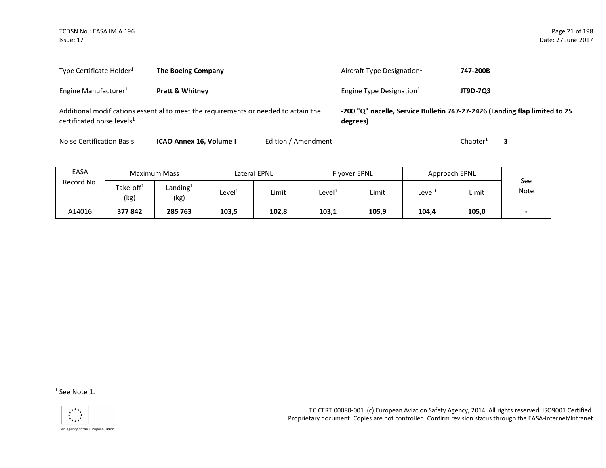TCDSN No.: EASA.IM.A.196 Page 21 of 198 Issue: 17 Date: 27 June 2017

| Type Certificate Holder <sup>1</sup><br><b>The Boeing Company</b> |                                                                                     |                                                  | Aircraft Type Designation <sup>1</sup>                                                 | 747-200B             |  |
|-------------------------------------------------------------------|-------------------------------------------------------------------------------------|--------------------------------------------------|----------------------------------------------------------------------------------------|----------------------|--|
| Engine Manufacturer <sup>1</sup>                                  | <b>Pratt &amp; Whitney</b>                                                          | Engine Type Designation <sup>1</sup><br>JT9D-7Q3 |                                                                                        |                      |  |
| certificated noise levels <sup>1</sup>                            | Additional modifications essential to meet the requirements or needed to attain the |                                                  | -200 "Q" nacelle, Service Bulletin 747-27-2426 (Landing flap limited to 25<br>degrees) |                      |  |
| Noise Certification Basis                                         | <b>ICAO Annex 16, Volume I</b>                                                      | Edition / Amendment                              |                                                                                        | Chapter <sup>1</sup> |  |

| EASA       | <b>Maximum Mass</b>           |                     | Lateral EPNL     |       | Flyover EPNL |       | Approach EPNL      |       |                    |
|------------|-------------------------------|---------------------|------------------|-------|--------------|-------|--------------------|-------|--------------------|
| Record No. | Take-off <sup>1</sup><br>(kg) | Landing $1$<br>(kg) | Level $^{\rm 1}$ | Limit | Level $^1$   | Limit | Level <sup>1</sup> | Limit | See<br><b>Note</b> |
| A14016     | 377842                        | 285 763             | 103,5            | 102,8 | 103,1        | 105,9 | 104,4              | 105,0 |                    |

 $1$  See Note 1.



TC.CERT.00080-001 (c) European Aviation Safety Agency, 2014. All rights reserved. ISO9001 Certified. Proprietary document. Copies are not controlled. Confirm revision status through the EASA-Internet/Intranet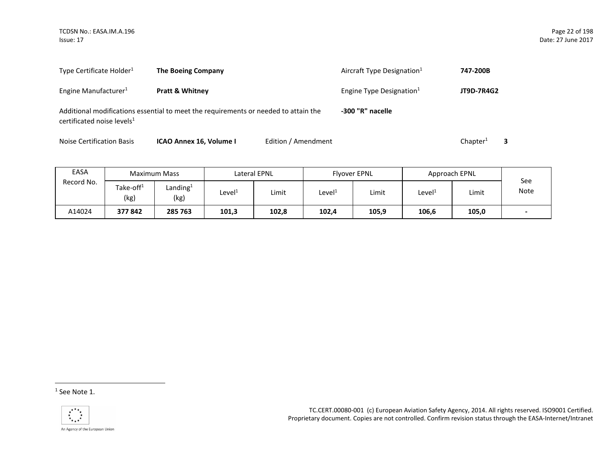TCDSN No.: EASA.IM.A.196 Page 22 of 198 Issue: 17 Date: 27 June 2017

| Type Certificate Holder <sup>1</sup>   | <b>The Boeing Company</b>                                                           |                     | Aircraft Type Designation <sup>1</sup> | 747-200B             |  |
|----------------------------------------|-------------------------------------------------------------------------------------|---------------------|----------------------------------------|----------------------|--|
| Engine Manufacturer <sup>1</sup>       | <b>Pratt &amp; Whitney</b>                                                          |                     | Engine Type Designation $1$            | <b>JT9D-7R4G2</b>    |  |
| certificated noise levels <sup>1</sup> | Additional modifications essential to meet the requirements or needed to attain the |                     | -300 "R" nacelle                       |                      |  |
| Noise Certification Basis              | <b>ICAO Annex 16, Volume I</b>                                                      | Edition / Amendment |                                        | Chapter <sup>1</sup> |  |

| EASA       | <b>Maximum Mass</b>  |                              | Lateral EPNL |       | Flyover EPNL |       | Approach EPNL |       |                    |
|------------|----------------------|------------------------------|--------------|-------|--------------|-------|---------------|-------|--------------------|
| Record No. | Take-off $1$<br>(kg) | Landing <sup>1</sup><br>(kg) | Level'       | Limit | Level $^1$   | Limit | Level'        | Limit | See<br><b>Note</b> |
| A14024     | 377842               | 285 763                      | 101,3        | 102,8 | 102,4        | 105,9 | 106,6         | 105,0 |                    |

 $1$  See Note 1.

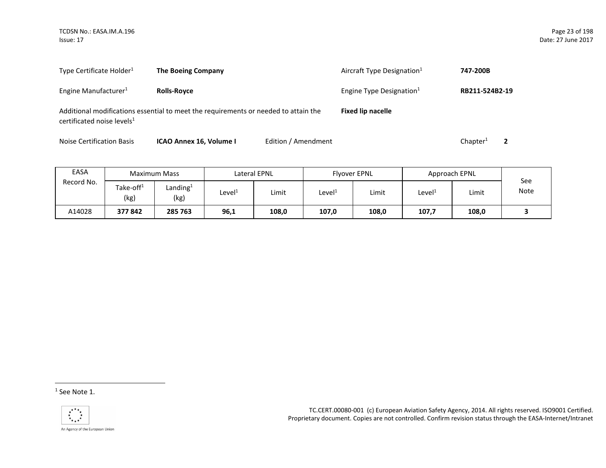TCDSN No.: EASA.IM.A.196 Page 23 of 198 Issue: 17 Date: 27 June 2017

| Type Certificate Holder <sup>1</sup>   | The Boeing Company                                                                  |                             | Aircraft Type Designation <sup>1</sup> | 747-200B             |
|----------------------------------------|-------------------------------------------------------------------------------------|-----------------------------|----------------------------------------|----------------------|
| Engine Manufacturer <sup>1</sup>       | <b>Rolls-Royce</b>                                                                  | Engine Type Designation $1$ | RB211-524B2-19                         |                      |
| certificated noise levels <sup>1</sup> | Additional modifications essential to meet the requirements or needed to attain the |                             | <b>Fixed lip nacelle</b>               |                      |
| Noise Certification Basis              | <b>ICAO Annex 16, Volume I</b>                                                      | Edition / Amendment         |                                        | Chapter <sup>1</sup> |

| EASA       | <b>Maximum Mass</b>  |                              | Lateral EPNL     |       | Flyover EPNL       |       | Approach EPNL |       |                    |
|------------|----------------------|------------------------------|------------------|-------|--------------------|-------|---------------|-------|--------------------|
| Record No. | Take-off $1$<br>(kg) | Landing <sup>1</sup><br>(kg) | Level $^{\rm 1}$ | Limit | Level <sup>1</sup> | Limit | Level'        | Limit | See<br><b>Note</b> |
| A14028     | 377842               | 285 763                      | 96,1             | 108,0 | 107,0              | 108,0 | 107,7         | 108,0 |                    |

 $1$  See Note 1.

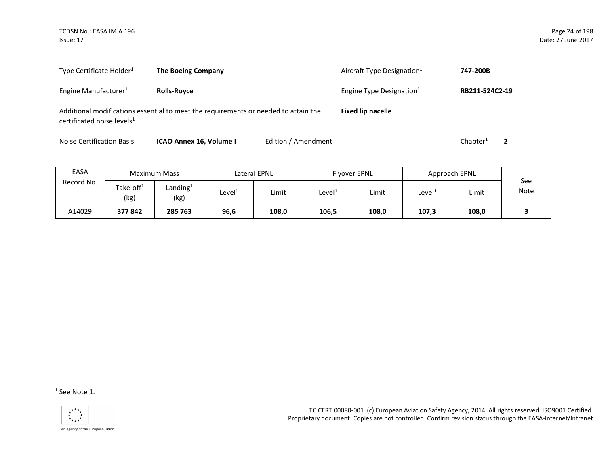TCDSN No.: EASA.IM.A.196 Page 24 of 198 Issue: 17 Date: 27 June 2017

| Type Certificate Holder <sup>1</sup>   | The Boeing Company                                                                  |                                      | Aircraft Type Designation <sup>1</sup> | 747-200B             |  |
|----------------------------------------|-------------------------------------------------------------------------------------|--------------------------------------|----------------------------------------|----------------------|--|
| Engine Manufacturer <sup>1</sup>       | <b>Rolls-Royce</b>                                                                  | Engine Type Designation <sup>1</sup> | RB211-524C2-19                         |                      |  |
| certificated noise levels <sup>1</sup> | Additional modifications essential to meet the requirements or needed to attain the |                                      | <b>Fixed lip nacelle</b>               |                      |  |
| Noise Certification Basis              | <b>ICAO Annex 16, Volume I</b>                                                      | Edition / Amendment                  |                                        | Chapter <sup>1</sup> |  |

| EASA       | <b>Maximum Mass</b>           |                              | Lateral EPNL |       | Flyover EPNL                    |       | Approach EPNL    |       |                    |
|------------|-------------------------------|------------------------------|--------------|-------|---------------------------------|-------|------------------|-------|--------------------|
| Record No. | Take-off <sup>1</sup><br>(kg) | Landing <sup>1</sup><br>(kg) | Level'       | Limit | Level $^{\scriptscriptstyle 1}$ | Limit | Level $^{\rm l}$ | Limit | See<br><b>Note</b> |
| A14029     | 377842                        | 285 763                      | 96,6         | 108,0 | 106,5                           | 108,0 | 107,3            | 108,0 |                    |

 $1$  See Note 1.

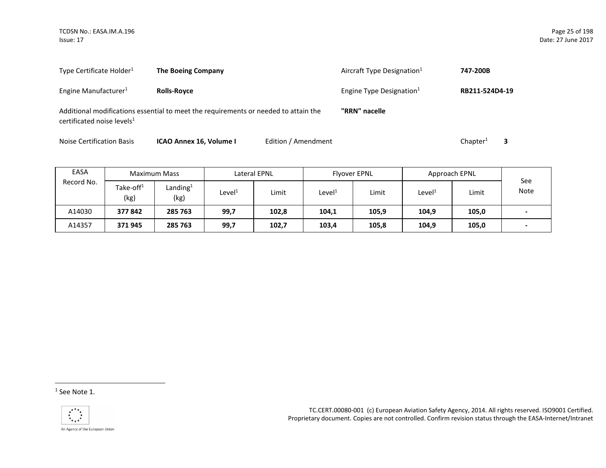TCDSN No.: EASA.IM.A.196 Page 25 of 198 Issue: 17 Date: 27 June 2017

| Type Certificate Holder <sup>1</sup>   | The Boeing Company                                                                  | Aircraft Type Designation <sup>1</sup> | 747-200B       |
|----------------------------------------|-------------------------------------------------------------------------------------|----------------------------------------|----------------|
| Engine Manufacturer <sup>1</sup>       | <b>Rolls-Royce</b>                                                                  | Engine Type Designation <sup>1</sup>   | RB211-524D4-19 |
| certificated noise levels <sup>1</sup> | Additional modifications essential to meet the requirements or needed to attain the | "RRN" nacelle                          |                |

Noise Certification Basis **ICAO Annex 16, Volume I Edition / Amendment** Chapter<sup>1</sup> **3** 

| EASA       | Maximum Mass                  |                              | Lateral EPNL     |       | <b>Flyover EPNL</b> |       | Approach EPNL |       |                    |
|------------|-------------------------------|------------------------------|------------------|-------|---------------------|-------|---------------|-------|--------------------|
| Record No. | Take-off <sup>1</sup><br>(kg) | Landing <sup>1</sup><br>(kg) | Level $^{\rm 1}$ | Limit | Level <sup>1</sup>  | Limit | Level $^1$    | Limit | See<br><b>Note</b> |
| A14030     | 377842                        | 285 763                      | 99,7             | 102,8 | 104,1               | 105,9 | 104,9         | 105,0 |                    |
| A14357     | 371945                        | 285 763                      | 99,7             | 102,7 | 103,4               | 105,8 | 104,9         | 105,0 |                    |

 $1$  See Note 1.



TC.CERT.00080-001 (c) European Aviation Safety Agency, 2014. All rights reserved. ISO9001 Certified. Proprietary document. Copies are not controlled. Confirm revision status through the EASA-Internet/Intranet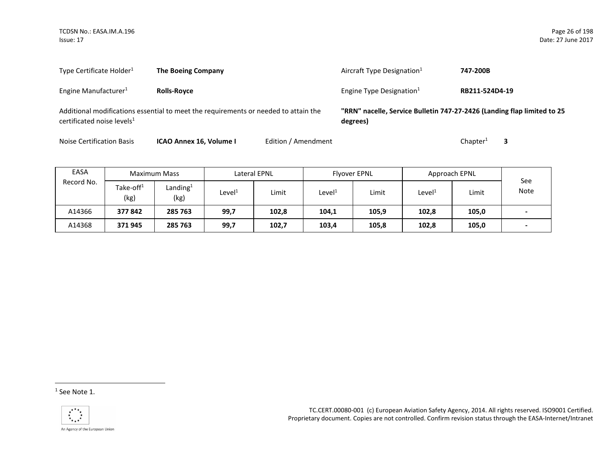TCDSN No.: EASA.IM.A.196 Page 26 of 198 Issue: 17 Date: 27 June 2017

| Type Certificate Holder <sup>1</sup><br><b>The Boeing Company</b> |                                                                                     |                     | Aircraft Type Designation <sup>1</sup>                                              | 747-200B             |  |
|-------------------------------------------------------------------|-------------------------------------------------------------------------------------|---------------------|-------------------------------------------------------------------------------------|----------------------|--|
| Engine Manufacturer <sup>1</sup>                                  | <b>Rolls-Rovce</b>                                                                  |                     | Engine Type Designation $1$                                                         | RB211-524D4-19       |  |
| certificated noise levels <sup>1</sup>                            | Additional modifications essential to meet the requirements or needed to attain the |                     | "RRN" nacelle, Service Bulletin 747-27-2426 (Landing flap limited to 25<br>degrees) |                      |  |
| Noise Certification Basis                                         | <b>ICAO Annex 16, Volume I</b>                                                      | Edition / Amendment |                                                                                     | Chapter <sup>1</sup> |  |

| EASA       | <b>Maximum Mass</b>  |                     | Lateral EPNL |       | <b>Flyover EPNL</b> |       | Approach EPNL |       |                    |
|------------|----------------------|---------------------|--------------|-------|---------------------|-------|---------------|-------|--------------------|
| Record No. | Take-off $1$<br>(kg) | Landing $1$<br>(kg) | Level $1$    | Limit | Level <sup>1</sup>  | Limit | Level $1$     | Limit | See<br><b>Note</b> |
| A14366     | 377842               | 285 763             | 99,7         | 102,8 | 104,1               | 105,9 | 102,8         | 105,0 |                    |
| A14368     | 371945               | 285 763             | 99,7         | 102,7 | 103,4               | 105,8 | 102,8         | 105,0 |                    |

<sup>1</sup> See Note 1.



TC.CERT.00080-001 (c) European Aviation Safety Agency, 2014. All rights reserved. ISO9001 Certified. Proprietary document. Copies are not controlled. Confirm revision status through the EASA-Internet/Intranet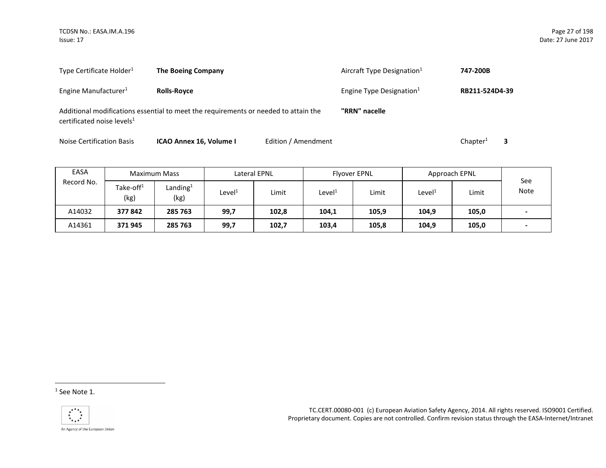TCDSN No.: EASA.IM.A.196 Page 27 of 198 Issue: 17 Date: 27 June 2017

| Type Certificate Holder <sup>1</sup>   | The Boeing Company                                                                  | Aircraft Type Designation <sup>1</sup> | 747-200B       |
|----------------------------------------|-------------------------------------------------------------------------------------|----------------------------------------|----------------|
| Engine Manufacturer <sup>1</sup>       | <b>Rolls-Royce</b>                                                                  | Engine Type Designation <sup>1</sup>   | RB211-524D4-39 |
| certificated noise levels <sup>1</sup> | Additional modifications essential to meet the requirements or needed to attain the | "RRN" nacelle                          |                |

Noise Certification Basis **ICAO Annex 16, Volume I Edition / Amendment** Chapter<sup>1</sup> **3** 

| EASA       | Maximum Mass                  |                              | Lateral EPNL |       | <b>Flyover EPNL</b> |       | Approach EPNL |       |                    |
|------------|-------------------------------|------------------------------|--------------|-------|---------------------|-------|---------------|-------|--------------------|
| Record No. | Take-off <sup>1</sup><br>(kg) | Landing <sup>1</sup><br>(kg) | Level $1$    | Limit | Level <sup>1</sup>  | Limit | Level $^1$    | Limit | See<br><b>Note</b> |
| A14032     | 377842                        | 285 763                      | 99,7         | 102,8 | 104,1               | 105,9 | 104,9         | 105,0 |                    |
| A14361     | 371945                        | 285 763                      | 99,7         | 102,7 | 103,4               | 105,8 | 104,9         | 105,0 |                    |

 $1$  See Note 1.



TC.CERT.00080-001 (c) European Aviation Safety Agency, 2014. All rights reserved. ISO9001 Certified. Proprietary document. Copies are not controlled. Confirm revision status through the EASA-Internet/Intranet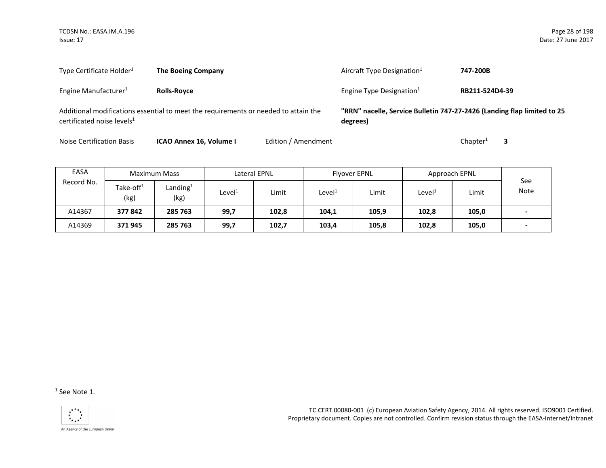TCDSN No.: EASA.IM.A.196 Page 28 of 198 Issue: 17 Date: 27 June 2017

| Type Certificate Holder <sup>1</sup>   | <b>The Boeing Company</b>                                                           |                     | Aircraft Type Designation <sup>1</sup>                                              | 747-200B             |  |
|----------------------------------------|-------------------------------------------------------------------------------------|---------------------|-------------------------------------------------------------------------------------|----------------------|--|
| Engine Manufacturer <sup>1</sup>       | <b>Rolls-Rovce</b>                                                                  |                     | Engine Type Designation $1$                                                         | RB211-524D4-39       |  |
| certificated noise levels <sup>1</sup> | Additional modifications essential to meet the requirements or needed to attain the |                     | "RRN" nacelle, Service Bulletin 747-27-2426 (Landing flap limited to 25<br>degrees) |                      |  |
| Noise Certification Basis              | <b>ICAO Annex 16, Volume I</b>                                                      | Edition / Amendment |                                                                                     | Chapter <sup>1</sup> |  |

| EASA<br>Record No. | <b>Maximum Mass</b>           |                              | Lateral EPNL |       | <b>Flyover EPNL</b> |       | Approach EPNL |       |                    |
|--------------------|-------------------------------|------------------------------|--------------|-------|---------------------|-------|---------------|-------|--------------------|
|                    | Take-off <sup>1</sup><br>(kg) | Landing <sup>1</sup><br>(kg) | Level $^1$   | Limit | Level <sup>1</sup>  | Limit | Level $^1$    | Limit | See<br><b>Note</b> |
| A14367             | 377842                        | 285 763                      | 99,7         | 102,8 | 104,1               | 105,9 | 102,8         | 105,0 |                    |
| A14369             | 371945                        | 285 763                      | 99,7         | 102,7 | 103,4               | 105,8 | 102,8         | 105,0 |                    |

<sup>1</sup> See Note 1.

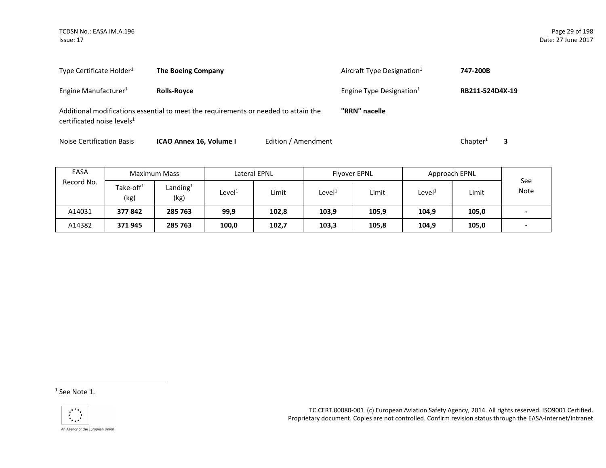TCDSN No.: EASA.IM.A.196 Page 29 of 198 Issue: 17 Date: 27 June 2017

| Type Certificate Holder <sup>1</sup>   | The Boeing Company                                                                  | Aircraft Type Designation <sup>1</sup> | 747-200B        |
|----------------------------------------|-------------------------------------------------------------------------------------|----------------------------------------|-----------------|
| Engine Manufacturer <sup>1</sup>       | <b>Rolls-Royce</b>                                                                  | Engine Type Designation $1$            | RB211-524D4X-19 |
| certificated noise levels <sup>1</sup> | Additional modifications essential to meet the requirements or needed to attain the | "RRN" nacelle                          |                 |

Noise Certification Basis **ICAO Annex 16, Volume I Edition / Amendment** Chapter<sup>1</sup> **3** 

| EASA       | Maximum Mass                  |                              | Lateral EPNL |       | <b>Flyover EPNL</b> |       | Approach EPNL |       |                    |
|------------|-------------------------------|------------------------------|--------------|-------|---------------------|-------|---------------|-------|--------------------|
| Record No. | Take-off <sup>1</sup><br>(kg) | Landing <sup>1</sup><br>(kg) | Level $1$    | Limit | Level <sup>1</sup>  | Limit | Level $^1$    | Limit | See<br><b>Note</b> |
| A14031     | 377842                        | 285 763                      | 99,9         | 102,8 | 103,9               | 105,9 | 104,9         | 105,0 |                    |
| A14382     | 371945                        | 285 763                      | 100,0        | 102,7 | 103,3               | 105,8 | 104,9         | 105,0 |                    |

 $1$  See Note 1.



TC.CERT.00080-001 (c) European Aviation Safety Agency, 2014. All rights reserved. ISO9001 Certified. Proprietary document. Copies are not controlled. Confirm revision status through the EASA-Internet/Intranet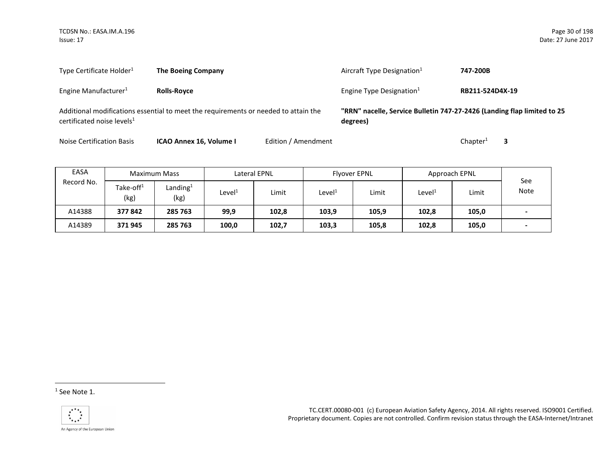TCDSN No.: EASA.IM.A.196 Page 30 of 198 Issue: 17 Date: 27 June 2017

| Type Certificate Holder <sup>1</sup>   | <b>The Boeing Company</b>                                                           |                     | Aircraft Type Designation <sup>1</sup>                                              | 747-200B             |  |
|----------------------------------------|-------------------------------------------------------------------------------------|---------------------|-------------------------------------------------------------------------------------|----------------------|--|
| Engine Manufacturer <sup>1</sup>       | <b>Rolls-Rovce</b>                                                                  |                     | Engine Type Designation $1$                                                         | RB211-524D4X-19      |  |
| certificated noise levels <sup>1</sup> | Additional modifications essential to meet the requirements or needed to attain the |                     | "RRN" nacelle, Service Bulletin 747-27-2426 (Landing flap limited to 25<br>degrees) |                      |  |
| Noise Certification Basis              | <b>ICAO Annex 16, Volume I</b>                                                      | Edition / Amendment |                                                                                     | Chapter <sup>1</sup> |  |

| EASA       | <b>Maximum Mass</b>           |                     | Lateral EPNL |       | <b>Flyover EPNL</b> |       | Approach EPNL |       |                    |
|------------|-------------------------------|---------------------|--------------|-------|---------------------|-------|---------------|-------|--------------------|
| Record No. | Take-off <sup>1</sup><br>(kg) | Landing $1$<br>(kg) | Level $1$    | Limit | Level <sup>1</sup>  | Limit | Level $1$     | Limit | See<br><b>Note</b> |
| A14388     | 377842                        | 285 763             | 99,9         | 102,8 | 103,9               | 105,9 | 102,8         | 105,0 |                    |
| A14389     | 371945                        | 285 763             | 100,0        | 102,7 | 103,3               | 105,8 | 102,8         | 105,0 |                    |

 $1$  See Note 1.

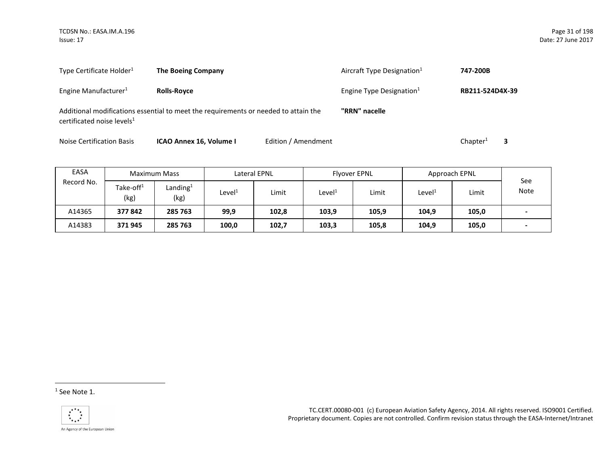TCDSN No.: EASA.IM.A.196 Page 31 of 198 Issue: 17 Date: 27 June 2017

| Type Certificate Holder <sup>1</sup>   | <b>The Boeing Company</b>                                                           | Aircraft Type Designation <sup>1</sup> | 747-200B        |
|----------------------------------------|-------------------------------------------------------------------------------------|----------------------------------------|-----------------|
| Engine Manufacturer <sup>1</sup>       | <b>Rolls-Royce</b>                                                                  | Engine Type Designation <sup>1</sup>   | RB211-524D4X-39 |
| certificated noise levels <sup>1</sup> | Additional modifications essential to meet the requirements or needed to attain the | "RRN" nacelle                          |                 |

Noise Certification Basis **ICAO Annex 16, Volume I Edition / Amendment** Chapter<sup>1</sup> **3** 

| EASA       | Maximum Mass                  |                     | Lateral EPNL |       | <b>Flyover EPNL</b> |       | Approach EPNL    |       |                    |
|------------|-------------------------------|---------------------|--------------|-------|---------------------|-------|------------------|-------|--------------------|
| Record No. | Take-off <sup>1</sup><br>(kg) | Landing $1$<br>(kg) | Level $^1$   | Limit | Level <sup>1</sup>  | Limit | Level $^{\rm 1}$ | Limit | See<br><b>Note</b> |
| A14365     | 377842                        | 285 763             | 99,9         | 102,8 | 103,9               | 105,9 | 104,9            | 105,0 |                    |
| A14383     | 371945                        | 285 763             | 100,0        | 102,7 | 103,3               | 105,8 | 104,9            | 105,0 |                    |

 $1$  See Note 1.



TC.CERT.00080-001 (c) European Aviation Safety Agency, 2014. All rights reserved. ISO9001 Certified. Proprietary document. Copies are not controlled. Confirm revision status through the EASA-Internet/Intranet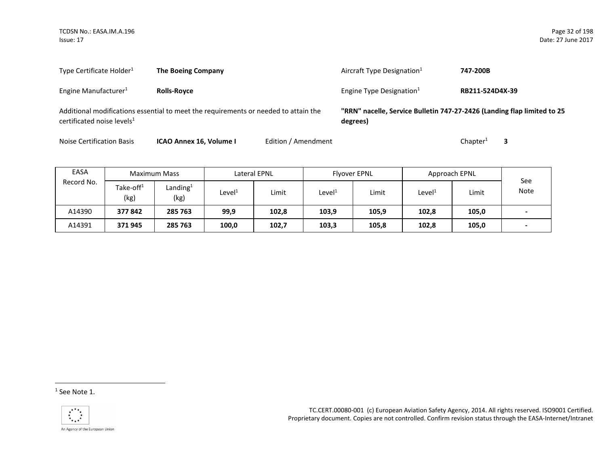TCDSN No.: EASA.IM.A.196 Page 32 of 198 Issue: 17 Date: 27 June 2017

| Type Certificate Holder <sup>1</sup>   | <b>The Boeing Company</b>                                                           |                     | Aircraft Type Designation <sup>1</sup>                                              | 747-200B             |  |
|----------------------------------------|-------------------------------------------------------------------------------------|---------------------|-------------------------------------------------------------------------------------|----------------------|--|
| Engine Manufacturer <sup>1</sup>       | <b>Rolls-Rovce</b>                                                                  |                     | Engine Type Designation $1$                                                         | RB211-524D4X-39      |  |
| certificated noise levels <sup>1</sup> | Additional modifications essential to meet the requirements or needed to attain the |                     | "RRN" nacelle, Service Bulletin 747-27-2426 (Landing flap limited to 25<br>degrees) |                      |  |
| Noise Certification Basis              | <b>ICAO Annex 16, Volume I</b>                                                      | Edition / Amendment |                                                                                     | Chapter <sup>1</sup> |  |

| EASA       | <b>Maximum Mass</b>  |                     | Lateral EPNL |       | <b>Flyover EPNL</b> |       | Approach EPNL    |       |                    |  |
|------------|----------------------|---------------------|--------------|-------|---------------------|-------|------------------|-------|--------------------|--|
| Record No. | Take-off $1$<br>(kg) | Landing $1$<br>(kg) | Level $^1$   | Limit | Level <sup>1</sup>  | Limit | Level $^{\rm 1}$ | Limit | See<br><b>Note</b> |  |
| A14390     | 377842               | 285 763             | 99,9         | 102,8 | 103,9               | 105,9 | 102,8            | 105,0 |                    |  |
| A14391     | 371945               | 285 763             | 100,0        | 102,7 | 103,3               | 105,8 | 102,8            | 105,0 |                    |  |

 $1$  See Note 1.

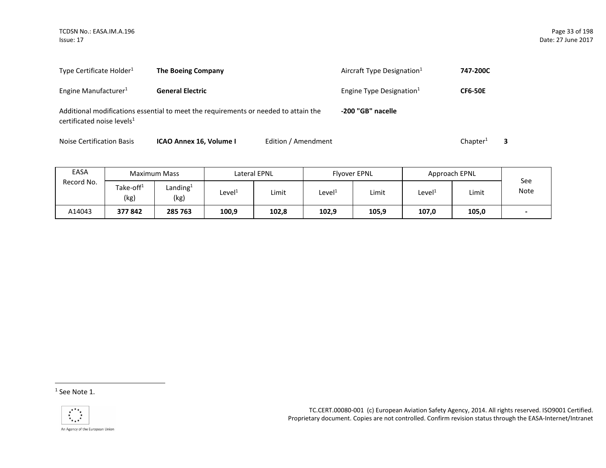TCDSN No.: EASA.IM.A.196 Page 33 of 198 Issue: 17 Date: 27 June 2017

| Type Certificate Holder <sup>1</sup>   | <b>The Boeing Company</b>                                                           |                                                        | Aircraft Type Designation <sup>1</sup> | 747-200C             |   |
|----------------------------------------|-------------------------------------------------------------------------------------|--------------------------------------------------------|----------------------------------------|----------------------|---|
| Engine Manufacturer <sup>1</sup>       | <b>General Electric</b>                                                             | Engine Type Designation <sup>1</sup><br><b>CF6-50E</b> |                                        |                      |   |
| certificated noise levels <sup>1</sup> | Additional modifications essential to meet the requirements or needed to attain the |                                                        | -200 "GB" nacelle                      |                      |   |
| Noise Certification Basis              | <b>ICAO Annex 16, Volume I</b>                                                      | Edition / Amendment                                    |                                        | Chapter <sup>1</sup> | 3 |

| EASA       |                               | <b>Maximum Mass</b> |           | Lateral EPNL | Flyover EPNL       |       |                    | Approach EPNL |                    |
|------------|-------------------------------|---------------------|-----------|--------------|--------------------|-------|--------------------|---------------|--------------------|
| Record No. | Take-off <sup>1</sup><br>(kg) | Landing $1$<br>(kg) | Level $1$ | Limit        | Level <sup>1</sup> | Limit | Level <sup>1</sup> | Limit         | See<br><b>Note</b> |
| A14043     | 377842                        | 285 763             | 100,9     | 102,8        | 102,9              | 105,9 | 107,0              | 105,0         |                    |

 $1$  See Note 1.

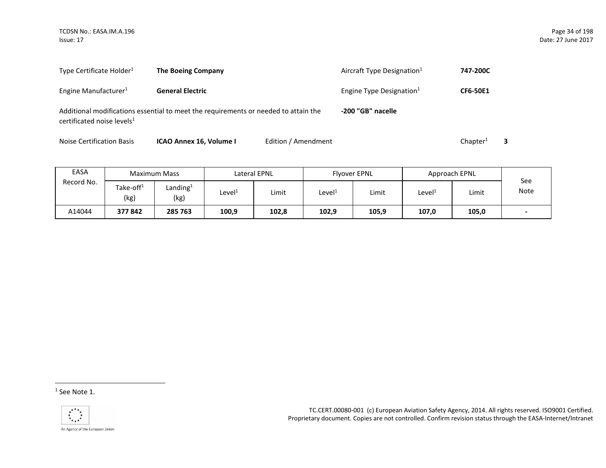TCDSN No.: EASA.IM.A.196 Page 34 of 198 Issue: 17 Date: 27 June 2017

| Type Certificate Holder <sup>1</sup>   | <b>The Boeing Company</b>                                                           |                     | Aircraft Type Designation <sup>1</sup> | 747-200C             |   |
|----------------------------------------|-------------------------------------------------------------------------------------|---------------------|----------------------------------------|----------------------|---|
| Engine Manufacturer <sup>1</sup>       | <b>General Electric</b>                                                             |                     | Engine Type Designation <sup>1</sup>   | <b>CF6-50E1</b>      |   |
| certificated noise levels <sup>1</sup> | Additional modifications essential to meet the requirements or needed to attain the |                     | -200 "GB" nacelle                      |                      |   |
| Noise Certification Basis              | <b>ICAO Annex 16, Volume I</b>                                                      | Edition / Amendment |                                        | Chapter <sup>1</sup> | 3 |

| EASA       | <b>Maximum Mass</b>  |                              | Lateral EPNL |       | Flyover EPNL |       | Approach EPNL |       |                    |  |
|------------|----------------------|------------------------------|--------------|-------|--------------|-------|---------------|-------|--------------------|--|
| Record No. | Take-off $1$<br>(kg) | Landing <sup>1</sup><br>(kg) | Level'       | Limit | Level $^1$   | Limit | Level'        | Limit | See<br><b>Note</b> |  |
| A14044     | 377842               | 285 763                      | 100,9        | 102,8 | 102,9        | 105,9 | 107,0         | 105,0 |                    |  |

 $1$  See Note 1.

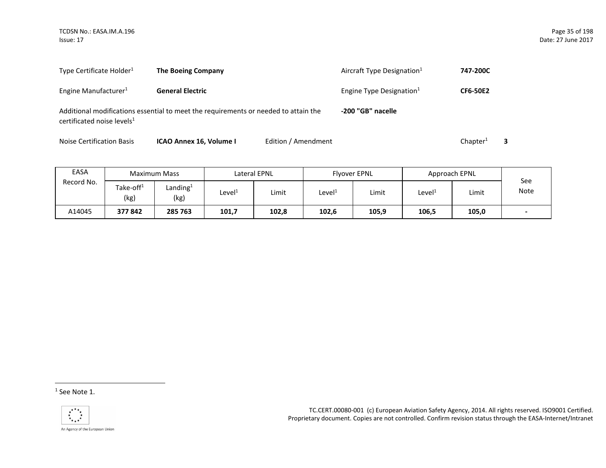TCDSN No.: EASA.IM.A.196 Page 35 of 198 Issue: 17 Date: 27 June 2017

| Type Certificate Holder <sup>1</sup>   | <b>The Boeing Company</b>                                                           |                     | Aircraft Type Designation <sup>1</sup> | 747-200C             |   |
|----------------------------------------|-------------------------------------------------------------------------------------|---------------------|----------------------------------------|----------------------|---|
| Engine Manufacturer <sup>1</sup>       | <b>General Electric</b>                                                             |                     | Engine Type Designation <sup>1</sup>   | <b>CF6-50E2</b>      |   |
| certificated noise levels <sup>1</sup> | Additional modifications essential to meet the requirements or needed to attain the |                     | -200 "GB" nacelle                      |                      |   |
| Noise Certification Basis              | <b>ICAO Annex 16, Volume I</b>                                                      | Edition / Amendment |                                        | Chapter <sup>1</sup> | 3 |

| EASA       |                      | <b>Maximum Mass</b> |                  | Lateral EPNL |            | <b>Flyover EPNL</b> |        | Approach EPNL |                    |
|------------|----------------------|---------------------|------------------|--------------|------------|---------------------|--------|---------------|--------------------|
| Record No. | Take-off $1$<br>(kg) | Landing $1$<br>(kg) | Level $^{\rm 1}$ | Limit        | Level $^1$ | Limit               | Level' | Limit         | See<br><b>Note</b> |
| A14045     | 377842               | 285 763             | 101,7            | 102,8        | 102,6      | 105,9               | 106,5  | 105,0         |                    |

 $1$  See Note 1.

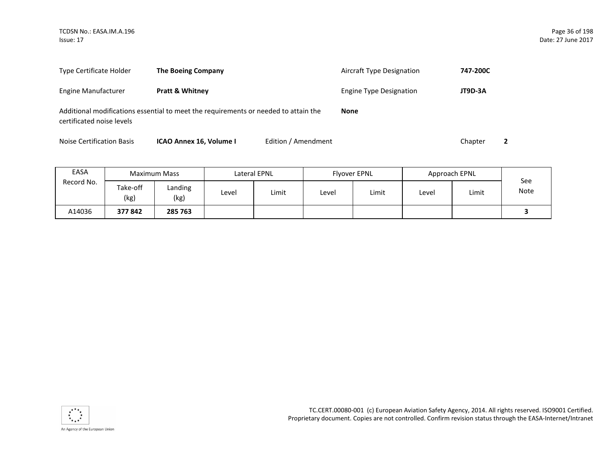TCDSN No.: EASA.IM.A.196 Page 36 of 198 Issue: 17 Date: 27 June 2017

| Type Certificate Holder   | <b>The Boeing Company</b>                                                           |                     | <b>Aircraft Type Designation</b> | 747-200C |  |
|---------------------------|-------------------------------------------------------------------------------------|---------------------|----------------------------------|----------|--|
| Engine Manufacturer       | <b>Pratt &amp; Whitney</b>                                                          |                     | Engine Type Designation          | JT9D-3A  |  |
| certificated noise levels | Additional modifications essential to meet the requirements or needed to attain the |                     | None                             |          |  |
| Noise Certification Basis | <b>ICAO Annex 16, Volume I</b>                                                      | Edition / Amendment |                                  | Chapter  |  |

| EASA       | <b>Maximum Mass</b> |                 |       | Lateral EPNL |       | <b>Flyover EPNL</b> |       | Approach EPNL |             |
|------------|---------------------|-----------------|-------|--------------|-------|---------------------|-------|---------------|-------------|
| Record No. | Take-off<br>(kg)    | Landing<br>(kg) | Level | Limit        | Level | Limit               | Level | Limit         | See<br>Note |
| A14036     | 377842              | 285 763         |       |              |       |                     |       |               |             |

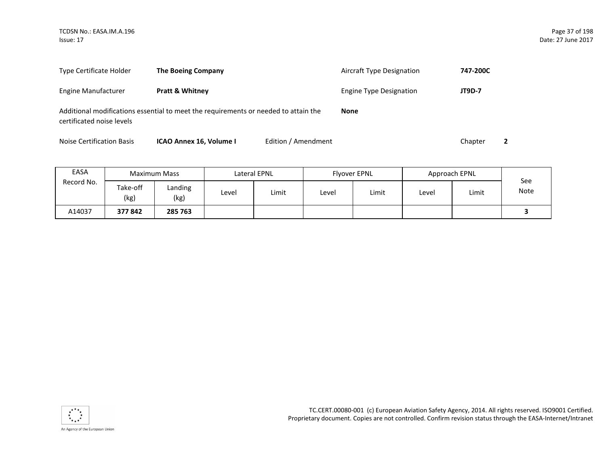TCDSN No.: EASA.IM.A.196 Page 37 of 198 Issue: 17 Date: 27 June 2017

| Type Certificate Holder   | <b>The Boeing Company</b>                                                           |                     | Aircraft Type Designation | 747-200C      |  |
|---------------------------|-------------------------------------------------------------------------------------|---------------------|---------------------------|---------------|--|
| Engine Manufacturer       | <b>Pratt &amp; Whitney</b>                                                          |                     | Engine Type Designation   | <b>JT9D-7</b> |  |
| certificated noise levels | Additional modifications essential to meet the requirements or needed to attain the |                     | <b>None</b>               |               |  |
| Noise Certification Basis | <b>ICAO Annex 16, Volume I</b>                                                      | Edition / Amendment |                           | Chapter       |  |

| EASA       | <b>Maximum Mass</b> |                 |       | Lateral EPNL |       | <b>Flyover EPNL</b> |       | Approach EPNL |                    |
|------------|---------------------|-----------------|-------|--------------|-------|---------------------|-------|---------------|--------------------|
| Record No. | Take-off<br>(kg)    | Landing<br>(kg) | Level | Limit        | Level | Limit               | Level | Limit         | See<br><b>Note</b> |
| A14037     | 377842              | 285 763         |       |              |       |                     |       |               |                    |

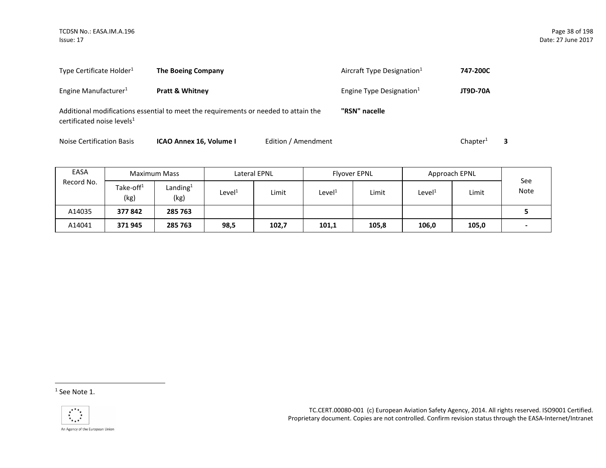TCDSN No.: EASA.IM.A.196 Page 38 of 198 Issue: 17 Date: 27 June 2017

| Type Certificate Holder <sup>1</sup>   | The Boeing Company                                                                  | Aircraft Type Designation $1$        | 747-200C        |
|----------------------------------------|-------------------------------------------------------------------------------------|--------------------------------------|-----------------|
| Engine Manufacturer <sup>1</sup>       | <b>Pratt &amp; Whitney</b>                                                          | Engine Type Designation <sup>1</sup> | <b>JT9D-70A</b> |
| certificated noise levels <sup>1</sup> | Additional modifications essential to meet the requirements or needed to attain the | "RSN" nacelle                        |                 |

Noise Certification Basis **ICAO Annex 16, Volume I Edition / Amendment** Chapter<sup>1</sup> **3** 

| EASA       |                               | Maximum Mass        |            | Lateral EPNL |            | Flyover EPNL |            | Approach EPNL |                    |
|------------|-------------------------------|---------------------|------------|--------------|------------|--------------|------------|---------------|--------------------|
| Record No. | Take-off <sup>1</sup><br>(kg) | Landing $1$<br>(kg) | Level $^1$ | Limit        | Level $^1$ | Limit        | Level $^1$ | Limit         | See<br><b>Note</b> |
| A14035     | 377842                        | 285 763             |            |              |            |              |            |               |                    |
| A14041     | 371945                        | 285 763             | 98,5       | 102,7        | 101,1      | 105,8        | 106,0      | 105,0         |                    |

 $1$  See Note 1.

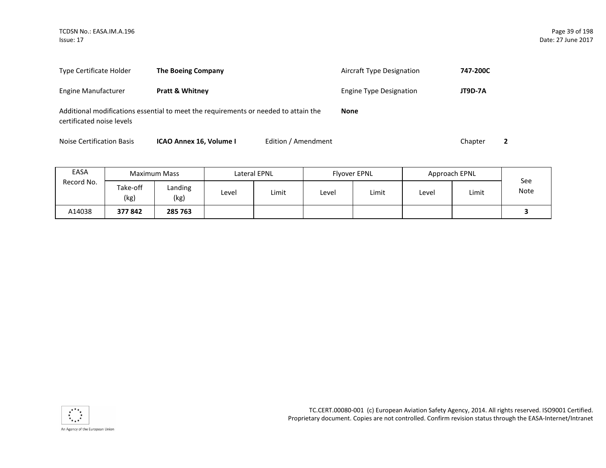TCDSN No.: EASA.IM.A.196 Page 39 of 198 Issue: 17 Date: 27 June 2017

| Type Certificate Holder   | <b>The Boeing Company</b>                                                           |                     | <b>Aircraft Type Designation</b> | 747-200C |  |
|---------------------------|-------------------------------------------------------------------------------------|---------------------|----------------------------------|----------|--|
| Engine Manufacturer       | <b>Pratt &amp; Whitney</b>                                                          |                     | Engine Type Designation          | JT9D-7A  |  |
| certificated noise levels | Additional modifications essential to meet the requirements or needed to attain the |                     | None                             |          |  |
| Noise Certification Basis | <b>ICAO Annex 16, Volume I</b>                                                      | Edition / Amendment |                                  | Chapter  |  |

| EASA       | Maximum Mass     |                 |       | Lateral EPNL | <b>Flyover EPNL</b> |       | Approach EPNL |       | See         |
|------------|------------------|-----------------|-------|--------------|---------------------|-------|---------------|-------|-------------|
| Record No. | Take-off<br>(kg) | Landing<br>(kg) | Level | Limit        | Level               | Limit | Level         | Limit | <b>Note</b> |
| A14038     | 377842           | 285 763         |       |              |                     |       |               |       |             |

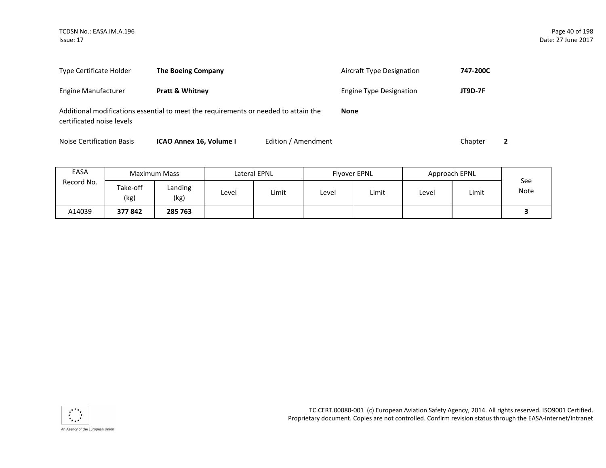TCDSN No.: EASA.IM.A.196 Page 40 of 198 Issue: 17 Date: 27 June 2017

| Type Certificate Holder   | <b>The Boeing Company</b>                                                           |                     | Aircraft Type Designation      | 747-200C |  |
|---------------------------|-------------------------------------------------------------------------------------|---------------------|--------------------------------|----------|--|
| Engine Manufacturer       | <b>Pratt &amp; Whitney</b>                                                          |                     | <b>Engine Type Designation</b> | JT9D-7F  |  |
| certificated noise levels | Additional modifications essential to meet the requirements or needed to attain the |                     | <b>None</b>                    |          |  |
| Noise Certification Basis | <b>ICAO Annex 16, Volume I</b>                                                      | Edition / Amendment |                                | Chapter  |  |

| EASA       | <b>Maximum Mass</b> |                 |       | Lateral EPNL | <b>Flyover EPNL</b> |       | Approach EPNL |       |                    |
|------------|---------------------|-----------------|-------|--------------|---------------------|-------|---------------|-------|--------------------|
| Record No. | Take-off<br>(kg)    | Landing<br>(kg) | Level | Limit        | Level               | Limit | Level         | Limit | See<br><b>Note</b> |
| A14039     | 377842              | 285 763         |       |              |                     |       |               |       |                    |

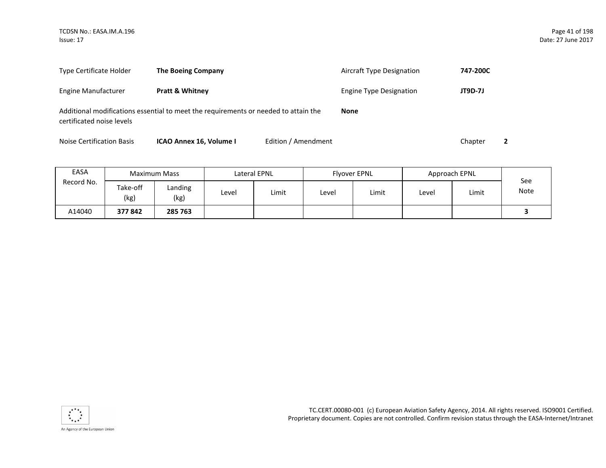TCDSN No.: EASA.IM.A.196 Page 41 of 198 Issue: 17 Date: 27 June 2017

| Type Certificate Holder   | <b>The Boeing Company</b>                                                           |                     | Aircraft Type Designation      | 747-200C |  |
|---------------------------|-------------------------------------------------------------------------------------|---------------------|--------------------------------|----------|--|
| Engine Manufacturer       | <b>Pratt &amp; Whitney</b>                                                          |                     | <b>Engine Type Designation</b> | JT9D-7J  |  |
| certificated noise levels | Additional modifications essential to meet the requirements or needed to attain the |                     | <b>None</b>                    |          |  |
| Noise Certification Basis | <b>ICAO Annex 16, Volume I</b>                                                      | Edition / Amendment |                                | Chapter  |  |

| EASA       | <b>Maximum Mass</b> |                 |       | Lateral EPNL | <b>Flyover EPNL</b> |       | Approach EPNL |       | See         |
|------------|---------------------|-----------------|-------|--------------|---------------------|-------|---------------|-------|-------------|
| Record No. | Take-off<br>(kg)    | Landing<br>(kg) | Level | Limit        | Level               | Limit | Level         | Limit | <b>Note</b> |
| A14040     | 377842              | 285 763         |       |              |                     |       |               |       |             |

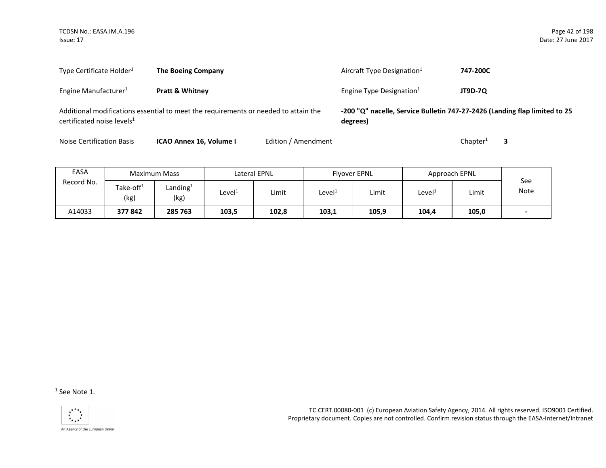TCDSN No.: EASA.IM.A.196 Page 42 of 198 Issue: 17 Date: 27 June 2017

| Type Certificate Holder <sup>1</sup>   | <b>The Boeing Company</b>                                                           |                     | Aircraft Type Designation <sup>1</sup>                                                 | 747-200C             |  |
|----------------------------------------|-------------------------------------------------------------------------------------|---------------------|----------------------------------------------------------------------------------------|----------------------|--|
| Engine Manufacturer <sup>1</sup>       | <b>Pratt &amp; Whitney</b>                                                          |                     | Engine Type Designation $1$                                                            | JT9D-7Q              |  |
| certificated noise levels <sup>1</sup> | Additional modifications essential to meet the requirements or needed to attain the |                     | -200 "Q" nacelle, Service Bulletin 747-27-2426 (Landing flap limited to 25<br>degrees) |                      |  |
| Noise Certification Basis              | <b>ICAO Annex 16, Volume I</b>                                                      | Edition / Amendment |                                                                                        | Chapter <sup>1</sup> |  |

| EASA       |                      | <b>Maximum Mass</b>             | Lateral EPNL     |       | Flyover EPNL |       | Approach EPNL |       |                    |
|------------|----------------------|---------------------------------|------------------|-------|--------------|-------|---------------|-------|--------------------|
| Record No. | Take-off $1$<br>(kg) | $L$ anding <sup>1</sup><br>(kg) | Level $^{\rm 1}$ | Limit | Level $^1$   | Limit | Level $^1$    | Limit | See<br><b>Note</b> |
| A14033     | 377842               | 285 763                         | 103,5            | 102,8 | 103,1        | 105,9 | 104,4         | 105,0 |                    |

 $1$  See Note 1.

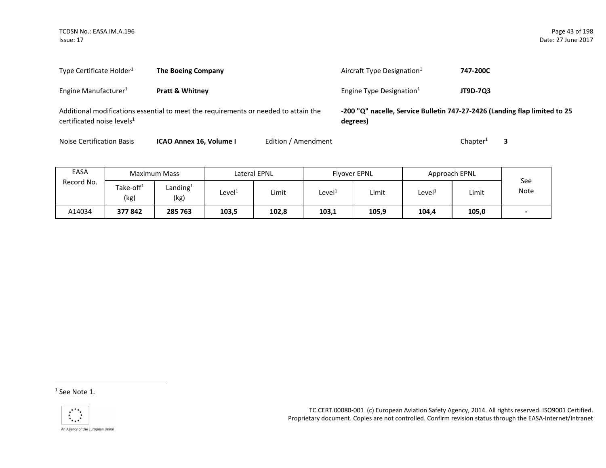TCDSN No.: EASA.IM.A.196 Page 43 of 198 Issue: 17 Date: 27 June 2017

| Type Certificate Holder <sup>1</sup>   | <b>The Boeing Company</b>                                                           |                     | Aircraft Type Designation <sup>1</sup>                                                 | 747-200C             |  |  |
|----------------------------------------|-------------------------------------------------------------------------------------|---------------------|----------------------------------------------------------------------------------------|----------------------|--|--|
| Engine Manufacturer <sup>1</sup>       | <b>Pratt &amp; Whitney</b>                                                          |                     | Engine Type Designation <sup>1</sup>                                                   | JT9D-7Q3             |  |  |
| certificated noise levels <sup>1</sup> | Additional modifications essential to meet the requirements or needed to attain the |                     | -200 "Q" nacelle, Service Bulletin 747-27-2426 (Landing flap limited to 25<br>degrees) |                      |  |  |
| Noise Certification Basis              | <b>ICAO Annex 16, Volume I</b>                                                      | Edition / Amendment |                                                                                        | Chapter <sup>1</sup> |  |  |

| EASA       | <b>Maximum Mass</b>           |                     | Lateral EPNL     |       | Flyover EPNL |       | Approach EPNL      |       |                    |
|------------|-------------------------------|---------------------|------------------|-------|--------------|-------|--------------------|-------|--------------------|
| Record No. | Take-off <sup>1</sup><br>(kg) | Landing $1$<br>(kg) | Level $^{\rm 1}$ | Limit | Level $^1$   | Limit | Level <sup>1</sup> | Limit | See<br><b>Note</b> |
| A14034     | 377842                        | 285 763             | 103,5            | 102,8 | 103,1        | 105,9 | 104,4              | 105,0 |                    |

 $1$  See Note 1.

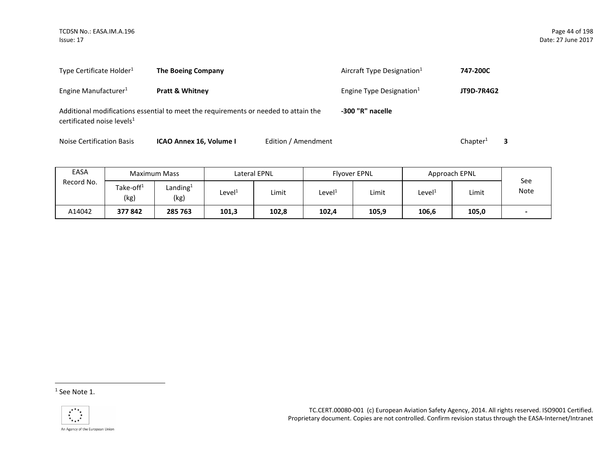TCDSN No.: EASA.IM.A.196 Page 44 of 198 Issue: 17 Date: 27 June 2017

| Type Certificate Holder <sup>1</sup>   | The Boeing Company                                                                  |                     | Aircraft Type Designation <sup>1</sup> | 747-200C             |                   |  |
|----------------------------------------|-------------------------------------------------------------------------------------|---------------------|----------------------------------------|----------------------|-------------------|--|
| Engine Manufacturer <sup>1</sup>       | <b>Pratt &amp; Whitney</b>                                                          |                     | Engine Type Designation $1$            |                      | <b>JT9D-7R4G2</b> |  |
| certificated noise levels <sup>1</sup> | Additional modifications essential to meet the requirements or needed to attain the |                     | -300 "R" nacelle                       |                      |                   |  |
| Noise Certification Basis              | <b>ICAO Annex 16, Volume I</b>                                                      | Edition / Amendment |                                        | Chapter <sup>1</sup> |                   |  |

| EASA       | <b>Maximum Mass</b>  |                              | Lateral EPNL |       | Flyover EPNL |       | Approach EPNL |       |                    |
|------------|----------------------|------------------------------|--------------|-------|--------------|-------|---------------|-------|--------------------|
| Record No. | Take-off $1$<br>(kg) | Landing <sup>1</sup><br>(kg) | Level'       | Limit | Level $^1$   | Limit | Level'        | Limit | See<br><b>Note</b> |
| A14042     | 377842               | 285 763                      | 101,3        | 102,8 | 102,4        | 105,9 | 106,6         | 105,0 |                    |

 $1$  See Note 1.

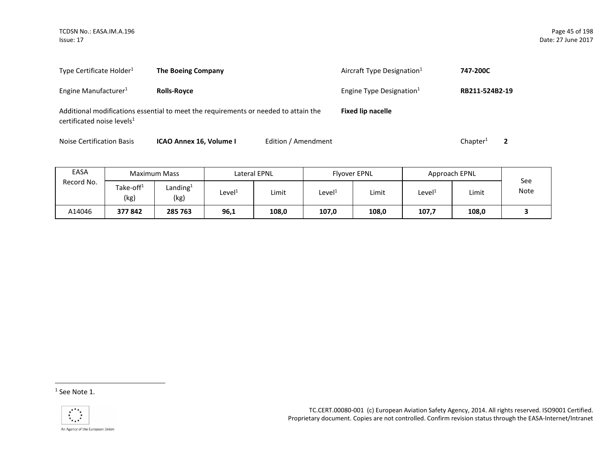TCDSN No.: EASA.IM.A.196 Page 45 of 198 Issue: 17 Date: 27 June 2017

| Type Certificate Holder <sup>1</sup>   | The Boeing Company                                                                  |                     | Aircraft Type Designation <sup>1</sup> | 747-200C             |
|----------------------------------------|-------------------------------------------------------------------------------------|---------------------|----------------------------------------|----------------------|
| Engine Manufacturer <sup>1</sup>       | <b>Rolls-Royce</b>                                                                  |                     | Engine Type Designation $1$            | RB211-524B2-19       |
| certificated noise levels <sup>1</sup> | Additional modifications essential to meet the requirements or needed to attain the |                     | <b>Fixed lip nacelle</b>               |                      |
| Noise Certification Basis              | <b>ICAO Annex 16, Volume I</b>                                                      | Edition / Amendment |                                        | Chapter <sup>1</sup> |

| EASA       | <b>Maximum Mass</b>           |                      | Lateral EPNL       |       | Flyover EPNL |       | Approach EPNL |       |                    |
|------------|-------------------------------|----------------------|--------------------|-------|--------------|-------|---------------|-------|--------------------|
| Record No. | Take-off <sup>1</sup><br>(kg) | Landing $^1$<br>(kg) | Level <del>'</del> | Limit | Level $^1$   | Limit | Level'        | Limit | See<br><b>Note</b> |
| A14046     | 377842                        | 285 763              | 96,1               | 108,0 | 107,0        | 108,0 | 107,7         | 108,0 |                    |

 $1$  See Note 1.

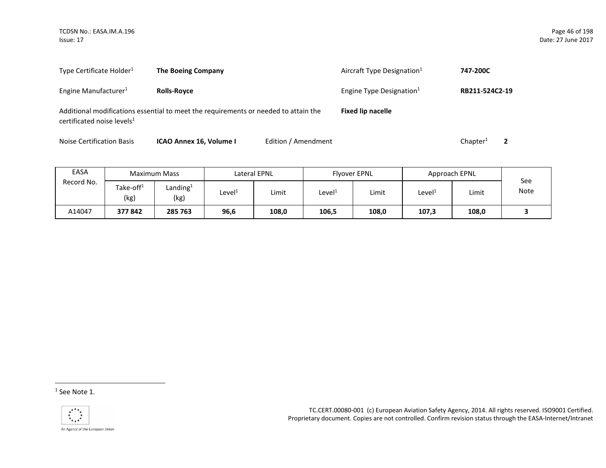TCDSN No.: EASA.IM.A.196 Page 46 of 198 Issue: 17 Date: 27 June 2017

| Type Certificate Holder <sup>1</sup>   | The Boeing Company                                                                  |                             | Aircraft Type Designation <sup>1</sup> | 747-200C             |
|----------------------------------------|-------------------------------------------------------------------------------------|-----------------------------|----------------------------------------|----------------------|
| Engine Manufacturer <sup>1</sup>       | <b>Rolls-Royce</b>                                                                  | Engine Type Designation $1$ | RB211-524C2-19                         |                      |
| certificated noise levels <sup>1</sup> | Additional modifications essential to meet the requirements or needed to attain the |                             | <b>Fixed lip nacelle</b>               |                      |
| Noise Certification Basis              | <b>ICAO Annex 16, Volume I</b>                                                      | Edition / Amendment         |                                        | Chapter <sup>1</sup> |

| EASA       | <b>Maximum Mass</b>  |                              | Lateral EPNL     |       | Flyover EPNL       |       | Approach EPNL |       |                    |
|------------|----------------------|------------------------------|------------------|-------|--------------------|-------|---------------|-------|--------------------|
| Record No. | Take-off $1$<br>(kg) | Landing <sup>1</sup><br>(kg) | Level $^{\rm 1}$ | Limit | Level <sup>1</sup> | Limit | Level'        | Limit | See<br><b>Note</b> |
| A14047     | 377842               | 285 763                      | 96,6             | 108,0 | 106,5              | 108,0 | 107,3         | 108,0 |                    |

 $1$  See Note 1.

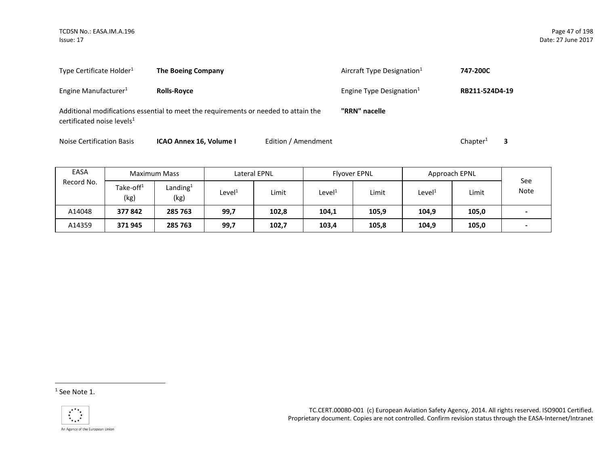TCDSN No.: EASA.IM.A.196 Page 47 of 198 Issue: 17 Date: 27 June 2017

| Type Certificate Holder <sup>1</sup>   | The Boeing Company                                                                  | Aircraft Type Designation <sup>1</sup> | 747-200C       |
|----------------------------------------|-------------------------------------------------------------------------------------|----------------------------------------|----------------|
| Engine Manufacturer <sup>1</sup>       | <b>Rolls-Royce</b>                                                                  | Engine Type Designation <sup>1</sup>   | RB211-524D4-19 |
| certificated noise levels <sup>1</sup> | Additional modifications essential to meet the requirements or needed to attain the | "RRN" nacelle                          |                |

Noise Certification Basis **ICAO Annex 16, Volume I Edition / Amendment** Chapter<sup>1</sup> **3** 

| EASA       | Maximum Mass                  |                     | Lateral EPNL |       | <b>Flyover EPNL</b> |       | Approach EPNL |       |                    |
|------------|-------------------------------|---------------------|--------------|-------|---------------------|-------|---------------|-------|--------------------|
| Record No. | Take-off <sup>1</sup><br>(kg) | Landing $1$<br>(kg) | Level $^1$   | Limit | Level $^1$          | Limit | Level $^1$    | Limit | See<br><b>Note</b> |
| A14048     | 377842                        | 285 763             | 99,7         | 102,8 | 104,1               | 105,9 | 104,9         | 105,0 |                    |
| A14359     | 371945                        | 285 763             | 99,7         | 102,7 | 103,4               | 105,8 | 104,9         | 105,0 |                    |

 $1$  See Note 1.

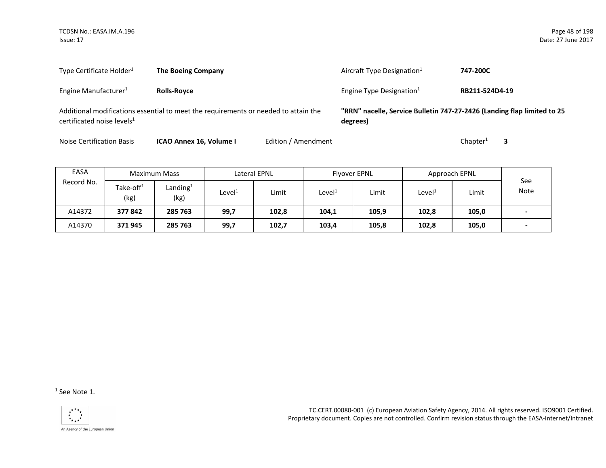TCDSN No.: EASA.IM.A.196 Page 48 of 198 Issue: 17 Date: 27 June 2017

| Type Certificate Holder <sup>1</sup><br><b>The Boeing Company</b> |                                                                                     |                     | Aircraft Type Designation <sup>1</sup>                                              | 747-200C             |  |  |
|-------------------------------------------------------------------|-------------------------------------------------------------------------------------|---------------------|-------------------------------------------------------------------------------------|----------------------|--|--|
| Engine Manufacturer <sup>1</sup>                                  | <b>Rolls-Rovce</b>                                                                  |                     | Engine Type Designation $1$                                                         | RB211-524D4-19       |  |  |
| certificated noise levels <sup>1</sup>                            | Additional modifications essential to meet the requirements or needed to attain the |                     | "RRN" nacelle, Service Bulletin 747-27-2426 (Landing flap limited to 25<br>degrees) |                      |  |  |
| Noise Certification Basis                                         | <b>ICAO Annex 16, Volume I</b>                                                      | Edition / Amendment |                                                                                     | Chapter <sup>1</sup> |  |  |

| EASA       |                               | <b>Maximum Mass</b>          |            | Lateral EPNL |                    | <b>Flyover EPNL</b> |            | Approach EPNL |                    |
|------------|-------------------------------|------------------------------|------------|--------------|--------------------|---------------------|------------|---------------|--------------------|
| Record No. | Take-off <sup>1</sup><br>(kg) | Landing <sup>1</sup><br>(kg) | Level $^1$ | Limit        | Level <sup>1</sup> | Limit               | Level $^1$ | Limit         | See<br><b>Note</b> |
| A14372     | 377842                        | 285 763                      | 99,7       | 102,8        | 104,1              | 105,9               | 102,8      | 105,0         |                    |
| A14370     | 371945                        | 285 763                      | 99,7       | 102,7        | 103,4              | 105,8               | 102,8      | 105,0         |                    |

<sup>1</sup> See Note 1.

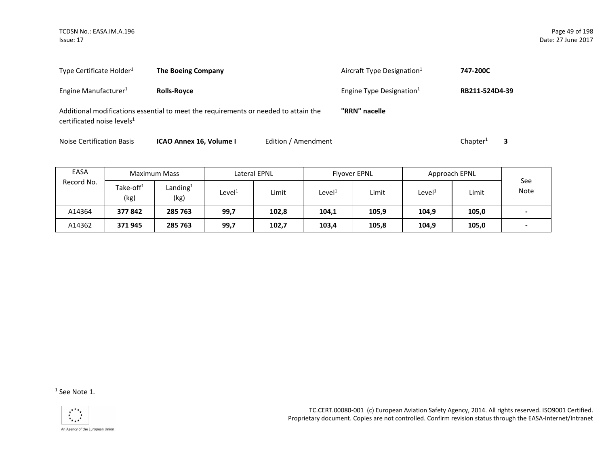TCDSN No.: EASA.IM.A.196 Page 49 of 198 Issue: 17 Date: 27 June 2017

| Type Certificate Holder <sup>1</sup>   | The Boeing Company                                                                  | Aircraft Type Designation <sup>1</sup> | 747-200C       |
|----------------------------------------|-------------------------------------------------------------------------------------|----------------------------------------|----------------|
| Engine Manufacturer <sup>1</sup>       | <b>Rolls-Royce</b>                                                                  | Engine Type Designation <sup>1</sup>   | RB211-524D4-39 |
| certificated noise levels <sup>1</sup> | Additional modifications essential to meet the requirements or needed to attain the | "RRN" nacelle                          |                |

Noise Certification Basis **ICAO Annex 16, Volume I Edition / Amendment** Chapter<sup>1</sup> **3** 

| EASA       | Maximum Mass                  |                              | Lateral EPNL |       | <b>Flyover EPNL</b> |       | Approach EPNL |       |                    |
|------------|-------------------------------|------------------------------|--------------|-------|---------------------|-------|---------------|-------|--------------------|
| Record No. | Take-off <sup>1</sup><br>(kg) | Landing <sup>1</sup><br>(kg) | Level $1$    | Limit | Level <sup>1</sup>  | Limit | Level $^1$    | Limit | See<br><b>Note</b> |
| A14364     | 377842                        | 285 763                      | 99,7         | 102,8 | 104,1               | 105,9 | 104,9         | 105,0 |                    |
| A14362     | 371945                        | 285 763                      | 99,7         | 102,7 | 103,4               | 105,8 | 104,9         | 105,0 |                    |

 $1$  See Note 1.



TC.CERT.00080-001 (c) European Aviation Safety Agency, 2014. All rights reserved. ISO9001 Certified. Proprietary document. Copies are not controlled. Confirm revision status through the EASA-Internet/Intranet

An Agency of the European Union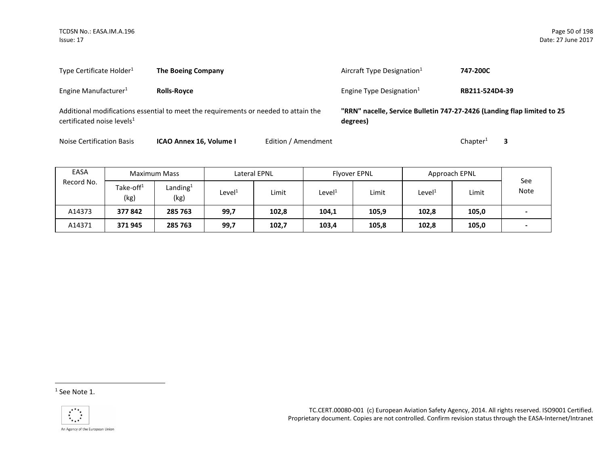TCDSN No.: EASA.IM.A.196 Page 50 of 198 Issue: 17 Date: 27 June 2017

| Type Certificate Holder <sup>1</sup><br><b>The Boeing Company</b> |                                                                                     |                     | Aircraft Type Designation <sup>1</sup><br>747-200C                                  |                      |  |
|-------------------------------------------------------------------|-------------------------------------------------------------------------------------|---------------------|-------------------------------------------------------------------------------------|----------------------|--|
| Engine Manufacturer <sup>1</sup>                                  | <b>Rolls-Rovce</b>                                                                  |                     | Engine Type Designation $1$                                                         | RB211-524D4-39       |  |
| certificated noise levels <sup>1</sup>                            | Additional modifications essential to meet the requirements or needed to attain the |                     | "RRN" nacelle, Service Bulletin 747-27-2426 (Landing flap limited to 25<br>degrees) |                      |  |
| Noise Certification Basis                                         | <b>ICAO Annex 16, Volume I</b>                                                      | Edition / Amendment |                                                                                     | Chapter <sup>1</sup> |  |

| EASA       |                      | <b>Maximum Mass</b> |           | Lateral EPNL<br><b>Flyover EPNL</b> |                    |       | Approach EPNL |       |                    |
|------------|----------------------|---------------------|-----------|-------------------------------------|--------------------|-------|---------------|-------|--------------------|
| Record No. | Take-off $1$<br>(kg) | Landing $1$<br>(kg) | Level $1$ | Limit                               | Level <sup>1</sup> | Limit | Level $1$     | Limit | See<br><b>Note</b> |
| A14373     | 377842               | 285 763             | 99,7      | 102,8                               | 104,1              | 105,9 | 102,8         | 105,0 |                    |
| A14371     | 371945               | 285 763             | 99,7      | 102,7                               | 103,4              | 105,8 | 102,8         | 105,0 |                    |

<sup>1</sup> See Note 1.

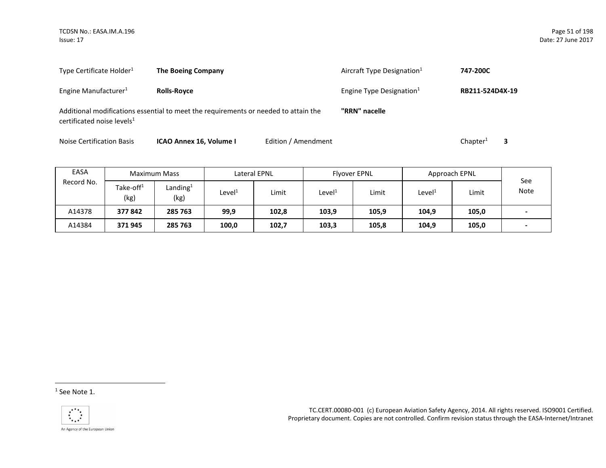TCDSN No.: EASA.IM.A.196 Page 51 of 198 Issue: 17 Date: 27 June 2017

| Type Certificate Holder <sup>1</sup>   | The Boeing Company                                                                  | Aircraft Type Designation <sup>1</sup> | 747-200C        |
|----------------------------------------|-------------------------------------------------------------------------------------|----------------------------------------|-----------------|
| Engine Manufacturer <sup>1</sup>       | <b>Rolls-Royce</b>                                                                  | Engine Type Designation <sup>1</sup>   | RB211-524D4X-19 |
| certificated noise levels <sup>1</sup> | Additional modifications essential to meet the requirements or needed to attain the | "RRN" nacelle                          |                 |

Noise Certification Basis **ICAO Annex 16, Volume I Edition / Amendment** Chapter<sup>1</sup> **3** 

| EASA<br>Maximum Mass |                               |                              | Lateral EPNL     |       | <b>Flyover EPNL</b> |       | Approach EPNL |       |                    |
|----------------------|-------------------------------|------------------------------|------------------|-------|---------------------|-------|---------------|-------|--------------------|
| Record No.           | Take-off <sup>1</sup><br>(kg) | Landing <sup>1</sup><br>(kg) | Level $^{\rm 1}$ | Limit | Level <sup>1</sup>  | Limit | Level $^1$    | Limit | See<br><b>Note</b> |
| A14378               | 377842                        | 285 763                      | 99,9             | 102,8 | 103,9               | 105,9 | 104,9         | 105,0 |                    |
| A14384               | 371945                        | 285 763                      | 100,0            | 102,7 | 103,3               | 105,8 | 104,9         | 105,0 |                    |

 $1$  See Note 1.

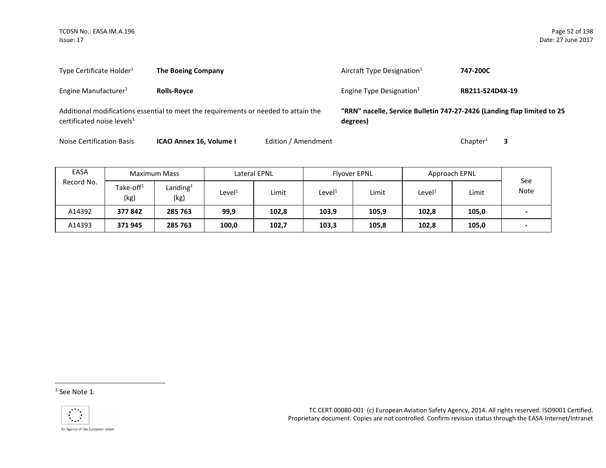TCDSN No.: EASA.IM.A.196 Page 52 of 198 Issue: 17 Date: 27 June 2017

| Type Certificate Holder <sup>1</sup><br><b>The Boeing Company</b> |                                                                                     |                     | Aircraft Type Designation <sup>1</sup><br>747-200C                                  |                      |  |
|-------------------------------------------------------------------|-------------------------------------------------------------------------------------|---------------------|-------------------------------------------------------------------------------------|----------------------|--|
| Engine Manufacturer <sup>1</sup>                                  | <b>Rolls-Rovce</b>                                                                  |                     | Engine Type Designation $1$                                                         | RB211-524D4X-19      |  |
| certificated noise levels <sup>1</sup>                            | Additional modifications essential to meet the requirements or needed to attain the |                     | "RRN" nacelle, Service Bulletin 747-27-2426 (Landing flap limited to 25<br>degrees) |                      |  |
| Noise Certification Basis                                         | <b>ICAO Annex 16, Volume I</b>                                                      | Edition / Amendment |                                                                                     | Chapter <sup>1</sup> |  |

| EASA       |                      | <b>Maximum Mass</b> |            | Lateral EPNL<br><b>Flyover EPNL</b> |                    |       |                  | Approach EPNL |                    |
|------------|----------------------|---------------------|------------|-------------------------------------|--------------------|-------|------------------|---------------|--------------------|
| Record No. | Take-off $1$<br>(kg) | Landing $1$<br>(kg) | Level $^1$ | Limit                               | Level <sup>1</sup> | Limit | Level $^{\rm 1}$ | Limit         | See<br><b>Note</b> |
| A14392     | 377842               | 285 763             | 99,9       | 102,8                               | 103,9              | 105,9 | 102,8            | 105,0         |                    |
| A14393     | 371945               | 285 763             | 100,0      | 102,7                               | 103,3              | 105,8 | 102,8            | 105,0         |                    |

 $1$  See Note 1.

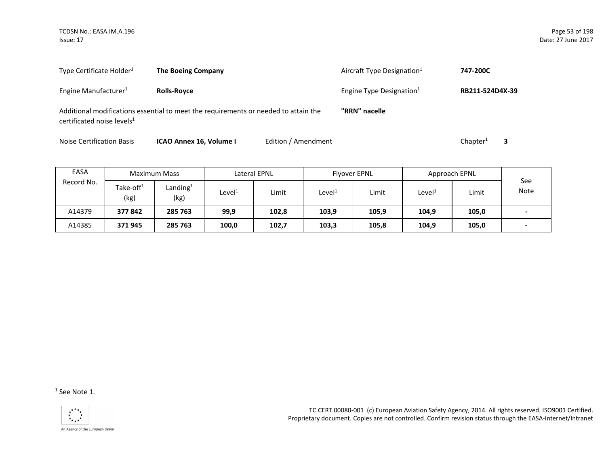TCDSN No.: EASA.IM.A.196 Page 53 of 198 Issue: 17 Date: 27 June 2017

| Type Certificate Holder <sup>1</sup>   | The Boeing Company                                                                  | Aircraft Type Designation <sup>1</sup> | 747-200C        |
|----------------------------------------|-------------------------------------------------------------------------------------|----------------------------------------|-----------------|
| Engine Manufacturer <sup>1</sup>       | <b>Rolls-Royce</b>                                                                  | Engine Type Designation <sup>1</sup>   | RB211-524D4X-39 |
| certificated noise levels <sup>1</sup> | Additional modifications essential to meet the requirements or needed to attain the | "RRN" nacelle                          |                 |

Noise Certification Basis **ICAO Annex 16, Volume I Edition / Amendment** Chapter<sup>1</sup> **3** 

| EASA<br>Maximum Mass |                               |                              | Lateral EPNL     |       | <b>Flyover EPNL</b> |       | Approach EPNL |       |                    |
|----------------------|-------------------------------|------------------------------|------------------|-------|---------------------|-------|---------------|-------|--------------------|
| Record No.           | Take-off <sup>1</sup><br>(kg) | Landing <sup>1</sup><br>(kg) | Level $^{\rm 1}$ | Limit | Level <sup>1</sup>  | Limit | Level $^1$    | Limit | See<br><b>Note</b> |
| A14379               | 377842                        | 285 763                      | 99,9             | 102,8 | 103,9               | 105,9 | 104,9         | 105,0 |                    |
| A14385               | 371945                        | 285 763                      | 100,0            | 102,7 | 103,3               | 105,8 | 104,9         | 105,0 |                    |

 $1$  See Note 1.



TC.CERT.00080-001 (c) European Aviation Safety Agency, 2014. All rights reserved. ISO9001 Certified. Proprietary document. Copies are not controlled. Confirm revision status through the EASA-Internet/Intranet

An Agency of the European Union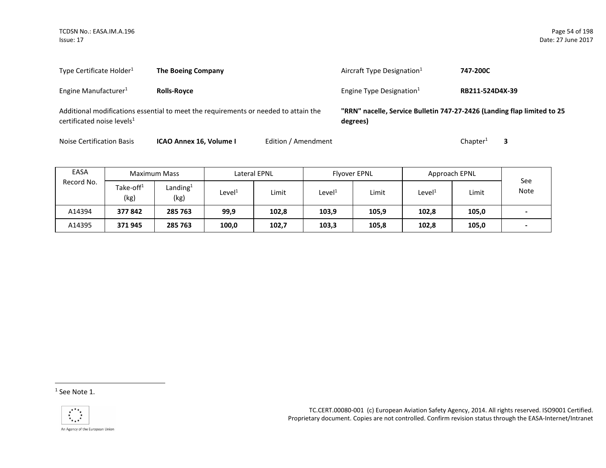TCDSN No.: EASA.IM.A.196 Page 54 of 198 Issue: 17 Date: 27 June 2017

| Type Certificate Holder <sup>1</sup><br><b>The Boeing Company</b> |                                                                                     |                     | Aircraft Type Designation <sup>1</sup><br>747-200C                                  |                      |  |
|-------------------------------------------------------------------|-------------------------------------------------------------------------------------|---------------------|-------------------------------------------------------------------------------------|----------------------|--|
| Engine Manufacturer <sup>1</sup>                                  | <b>Rolls-Rovce</b>                                                                  |                     | Engine Type Designation $1$                                                         | RB211-524D4X-39      |  |
| certificated noise levels <sup>1</sup>                            | Additional modifications essential to meet the requirements or needed to attain the |                     | "RRN" nacelle, Service Bulletin 747-27-2426 (Landing flap limited to 25<br>degrees) |                      |  |
| Noise Certification Basis                                         | <b>ICAO Annex 16, Volume I</b>                                                      | Edition / Amendment |                                                                                     | Chapter <sup>1</sup> |  |

| EASA       | <b>Maximum Mass</b>  |                     | Lateral EPNL |       | <b>Flyover EPNL</b> |       | Approach EPNL    |       |                    |
|------------|----------------------|---------------------|--------------|-------|---------------------|-------|------------------|-------|--------------------|
| Record No. | Take-off $1$<br>(kg) | Landing $1$<br>(kg) | Level $^1$   | Limit | Level <sup>1</sup>  | Limit | Level $^{\rm 1}$ | Limit | See<br><b>Note</b> |
| A14394     | 377842               | 285 763             | 99,9         | 102,8 | 103,9               | 105,9 | 102,8            | 105,0 |                    |
| A14395     | 371945               | 285 763             | 100,0        | 102,7 | 103,3               | 105,8 | 102,8            | 105,0 |                    |

 $1$  See Note 1.

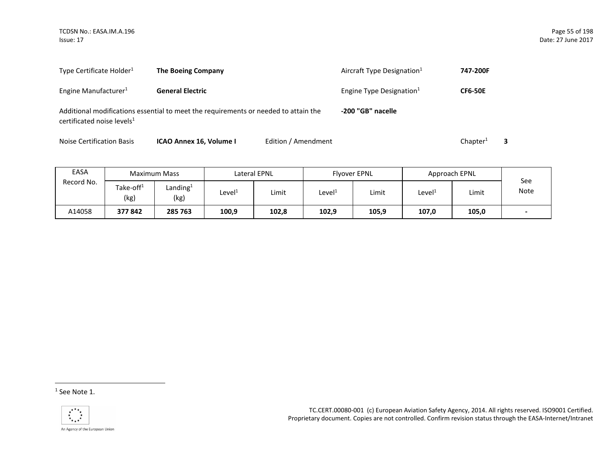TCDSN No.: EASA.IM.A.196 Page 55 of 198 Issue: 17 Date: 27 June 2017

| Type Certificate Holder <sup>1</sup>   | <b>The Boeing Company</b>                                                           |                     | Aircraft Type Designation <sup>1</sup> | 747-200F             |   |
|----------------------------------------|-------------------------------------------------------------------------------------|---------------------|----------------------------------------|----------------------|---|
| Engine Manufacturer <sup>1</sup>       | <b>General Electric</b>                                                             |                     | Engine Type Designation <sup>1</sup>   | <b>CF6-50E</b>       |   |
| certificated noise levels <sup>1</sup> | Additional modifications essential to meet the requirements or needed to attain the |                     | -200 "GB" nacelle                      |                      |   |
| Noise Certification Basis              | <b>ICAO Annex 16, Volume I</b>                                                      | Edition / Amendment |                                        | Chapter <sup>1</sup> | 3 |

| EASA       |                               | <b>Maximum Mass</b> | Lateral EPNL |       | Flyover EPNL       |       | Approach EPNL      |       |                    |
|------------|-------------------------------|---------------------|--------------|-------|--------------------|-------|--------------------|-------|--------------------|
| Record No. | Take-off <sup>1</sup><br>(kg) | Landing $1$<br>(kg) | Level $1$    | Limit | Level <sup>1</sup> | Limit | Level <sup>1</sup> | Limit | See<br><b>Note</b> |
| A14058     | 377842                        | 285 763             | 100,9        | 102,8 | 102,9              | 105,9 | 107,0              | 105,0 |                    |

 $1$  See Note 1.

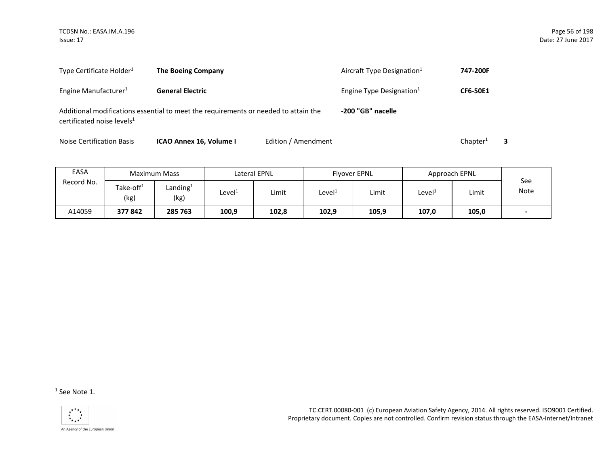TCDSN No.: EASA.IM.A.196 Page 56 of 198 Issue: 17 Date: 27 June 2017

| Type Certificate Holder <sup>1</sup>   | <b>The Boeing Company</b>                                                           |                     | Aircraft Type Designation <sup>1</sup> | 747-200F             |   |
|----------------------------------------|-------------------------------------------------------------------------------------|---------------------|----------------------------------------|----------------------|---|
| Engine Manufacturer <sup>1</sup>       | <b>General Electric</b>                                                             |                     | Engine Type Designation <sup>1</sup>   | <b>CF6-50E1</b>      |   |
| certificated noise levels <sup>1</sup> | Additional modifications essential to meet the requirements or needed to attain the |                     | -200 "GB" nacelle                      |                      |   |
| Noise Certification Basis              | <b>ICAO Annex 16, Volume I</b>                                                      | Edition / Amendment |                                        | Chapter <sup>1</sup> | 3 |

| EASA       |                      | <b>Maximum Mass</b>          |        | Lateral EPNL |            | Flyover EPNL |        | Approach EPNL |                    |
|------------|----------------------|------------------------------|--------|--------------|------------|--------------|--------|---------------|--------------------|
| Record No. | Take-off $1$<br>(kg) | Landing <sup>1</sup><br>(kg) | Level' | Limit        | Level $^1$ | Limit        | Level' | Limit         | See<br><b>Note</b> |
| A14059     | 377842               | 285 763                      | 100,9  | 102,8        | 102,9      | 105,9        | 107,0  | 105,0         |                    |

 $1$  See Note 1.

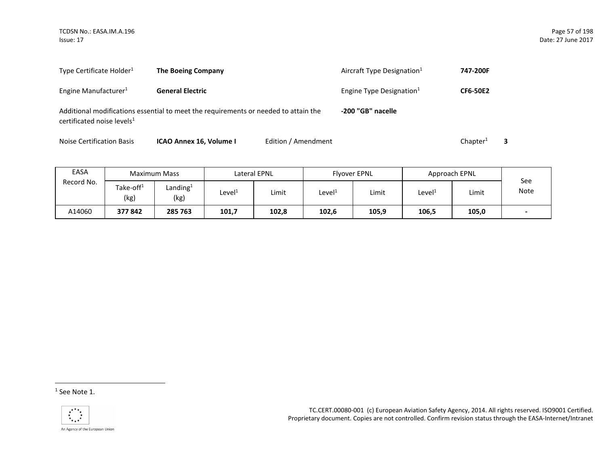TCDSN No.: EASA.IM.A.196 Page 57 of 198 Issue: 17 Date: 27 June 2017

| Type Certificate Holder <sup>1</sup>   | <b>The Boeing Company</b>                                                           |                     | Aircraft Type Designation <sup>1</sup> | 747-200F             |   |
|----------------------------------------|-------------------------------------------------------------------------------------|---------------------|----------------------------------------|----------------------|---|
| Engine Manufacturer <sup>1</sup>       | <b>General Electric</b>                                                             |                     | Engine Type Designation <sup>1</sup>   | <b>CF6-50E2</b>      |   |
| certificated noise levels <sup>1</sup> | Additional modifications essential to meet the requirements or needed to attain the |                     | -200 "GB" nacelle                      |                      |   |
| Noise Certification Basis              | <b>ICAO Annex 16, Volume I</b>                                                      | Edition / Amendment |                                        | Chapter <sup>1</sup> | 3 |

| EASA       |                      | <b>Maximum Mass</b>          |        | Lateral EPNL |            | Flyover EPNL | Approach EPNL |       |                    |
|------------|----------------------|------------------------------|--------|--------------|------------|--------------|---------------|-------|--------------------|
| Record No. | Take-off $1$<br>(kg) | Landing <sup>1</sup><br>(kg) | Level' | Limit        | Level $^1$ | Limit        | Level'        | Limit | See<br><b>Note</b> |
| A14060     | 377842               | 285 763                      | 101,7  | 102,8        | 102,6      | 105,9        | 106,5         | 105,0 |                    |

 $1$  See Note 1.

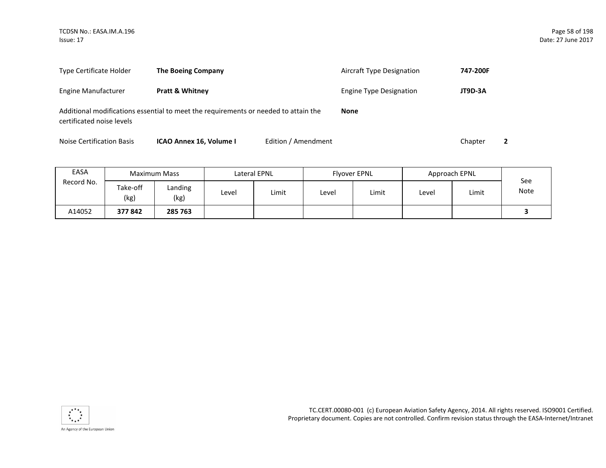TCDSN No.: EASA.IM.A.196 Page 58 of 198 Issue: 17 Date: 27 June 2017

| Type Certificate Holder   | <b>The Boeing Company</b>                                                           |                     | Aircraft Type Designation      | 747-200F |  |
|---------------------------|-------------------------------------------------------------------------------------|---------------------|--------------------------------|----------|--|
| Engine Manufacturer       | <b>Pratt &amp; Whitney</b>                                                          |                     | <b>Engine Type Designation</b> | JT9D-3A  |  |
| certificated noise levels | Additional modifications essential to meet the requirements or needed to attain the |                     | <b>None</b>                    |          |  |
| Noise Certification Basis | <b>ICAO Annex 16, Volume I</b>                                                      | Edition / Amendment |                                | Chapter  |  |

| EASA       | Maximum Mass     |                 | Lateral EPNL |       | <b>Flyover EPNL</b> |       | Approach EPNL |       | See         |
|------------|------------------|-----------------|--------------|-------|---------------------|-------|---------------|-------|-------------|
| Record No. | Take-off<br>(kg) | Landing<br>(kg) | Level        | Limit | Level               | Limit | Level         | Limit | <b>Note</b> |
| A14052     | 377842           | 285 763         |              |       |                     |       |               |       |             |

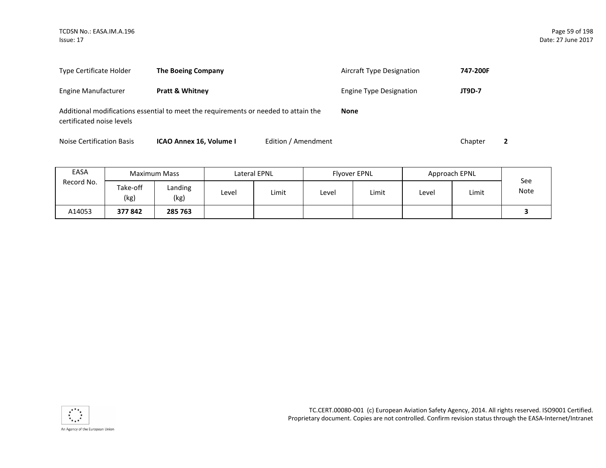TCDSN No.: EASA.IM.A.196 Page 59 of 198 Issue: 17 Date: 27 June 2017

| Type Certificate Holder   | <b>The Boeing Company</b>                                                           |                     | Aircraft Type Designation      | 747-200F      |  |
|---------------------------|-------------------------------------------------------------------------------------|---------------------|--------------------------------|---------------|--|
| Engine Manufacturer       | <b>Pratt &amp; Whitney</b>                                                          |                     | <b>Engine Type Designation</b> | <b>JT9D-7</b> |  |
| certificated noise levels | Additional modifications essential to meet the requirements or needed to attain the |                     | <b>None</b>                    |               |  |
| Noise Certification Basis | ICAO Annex 16, Volume I                                                             | Edition / Amendment |                                | Chapter       |  |

| EASA       |                  | <b>Maximum Mass</b> |       | Lateral EPNL |       | <b>Flyover EPNL</b> |       | Approach EPNL |                    |
|------------|------------------|---------------------|-------|--------------|-------|---------------------|-------|---------------|--------------------|
| Record No. | Take-off<br>(kg) | Landing<br>(kg)     | Level | Limit        | Level | Limit               | Level | Limit         | See<br><b>Note</b> |
| A14053     | 377842           | 285 763             |       |              |       |                     |       |               |                    |

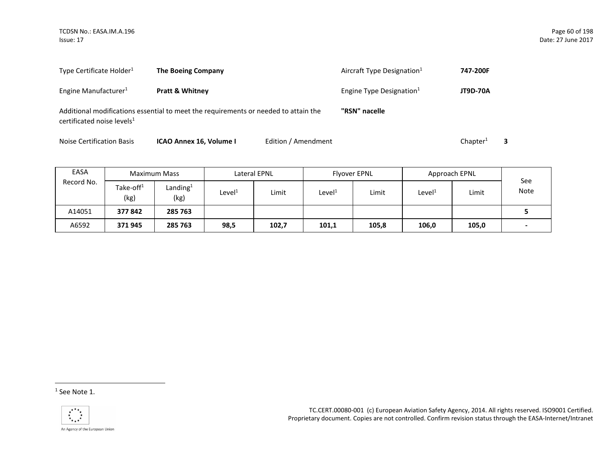TCDSN No.: EASA.IM.A.196 Page 60 of 198 Issue: 17 Date: 27 June 2017

| Type Certificate Holder <sup>1</sup>   | The Boeing Company                                                                  | Aircraft Type Designation <sup>1</sup> | 747-200F        |
|----------------------------------------|-------------------------------------------------------------------------------------|----------------------------------------|-----------------|
| Engine Manufacturer <sup>1</sup>       | <b>Pratt &amp; Whitney</b>                                                          | Engine Type Designation <sup>1</sup>   | <b>JT9D-70A</b> |
| certificated noise levels <sup>1</sup> | Additional modifications essential to meet the requirements or needed to attain the | "RSN" nacelle                          |                 |

Noise Certification Basis **ICAO Annex 16, Volume I Edition / Amendment** Chapter<sup>1</sup> **3** 

| EASA       |                               | Maximum Mass                 | Lateral EPNL |       | Flyover EPNL |       | Approach EPNL    |       |                    |
|------------|-------------------------------|------------------------------|--------------|-------|--------------|-------|------------------|-------|--------------------|
| Record No. | Take-off <sup>1</sup><br>(kg) | Landing <sup>1</sup><br>(kg) | Level $^1$   | Limit | Level $^1$   | Limit | Level $^{\rm 1}$ | Limit | See<br><b>Note</b> |
| A14051     | 377842                        | 285 763                      |              |       |              |       |                  |       |                    |
| A6592      | 371945                        | 285 763                      | 98,5         | 102,7 | 101,1        | 105,8 | 106,0            | 105,0 |                    |

 $1$  See Note 1.

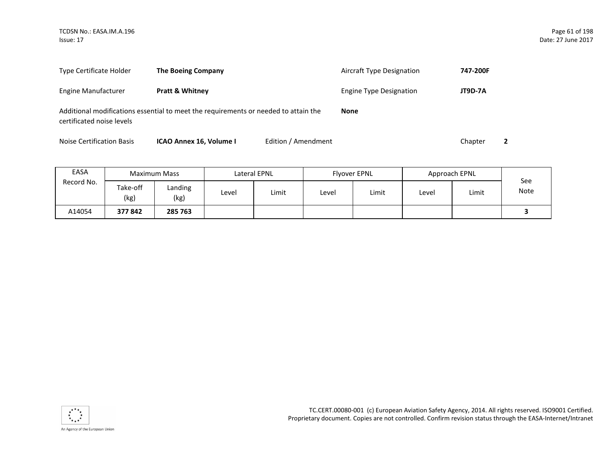TCDSN No.: EASA.IM.A.196 Page 61 of 198 Issue: 17 Date: 27 June 2017

| Type Certificate Holder   | The Boeing Company                                                                  |                     | Aircraft Type Designation      | 747-200F |  |
|---------------------------|-------------------------------------------------------------------------------------|---------------------|--------------------------------|----------|--|
| Engine Manufacturer       | <b>Pratt &amp; Whitney</b>                                                          |                     | <b>Engine Type Designation</b> | JT9D-7A  |  |
| certificated noise levels | Additional modifications essential to meet the requirements or needed to attain the |                     | <b>None</b>                    |          |  |
| Noise Certification Basis | <b>ICAO Annex 16, Volume I</b>                                                      | Edition / Amendment |                                | Chapter  |  |

| EASA       | <b>Maximum Mass</b> |                 | Lateral EPNL |       | <b>Flyover EPNL</b> |       | Approach EPNL |       | See         |
|------------|---------------------|-----------------|--------------|-------|---------------------|-------|---------------|-------|-------------|
| Record No. | Take-off<br>(kg)    | Landing<br>(kg) | Level        | Limit | Level               | Limit | Level         | Limit | <b>Note</b> |
| A14054     | 377842              | 285 763         |              |       |                     |       |               |       |             |

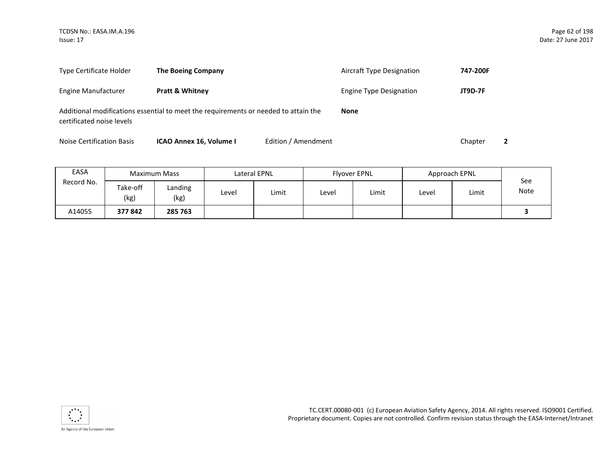TCDSN No.: EASA.IM.A.196 Page 62 of 198 Issue: 17 Date: 27 June 2017

| Type Certificate Holder   | The Boeing Company                                                                  |                     | Aircraft Type Designation | 747-200F |  |
|---------------------------|-------------------------------------------------------------------------------------|---------------------|---------------------------|----------|--|
| Engine Manufacturer       | <b>Pratt &amp; Whitney</b>                                                          |                     | Engine Type Designation   | JT9D-7F  |  |
| certificated noise levels | Additional modifications essential to meet the requirements or needed to attain the |                     | <b>None</b>               |          |  |
| Noise Certification Basis | <b>ICAO Annex 16, Volume I</b>                                                      | Edition / Amendment |                           | Chapter  |  |

| EASA       | <b>Maximum Mass</b> |                 | Lateral EPNL |       | Flyover EPNL |       | Approach EPNL |       |                    |
|------------|---------------------|-----------------|--------------|-------|--------------|-------|---------------|-------|--------------------|
| Record No. | Take-off<br>(kg)    | Landing<br>(kg) | Level        | Limit | Level        | Limit | Level         | Limit | See<br><b>Note</b> |
| A14055     | 377842              | 285 763         |              |       |              |       |               |       |                    |

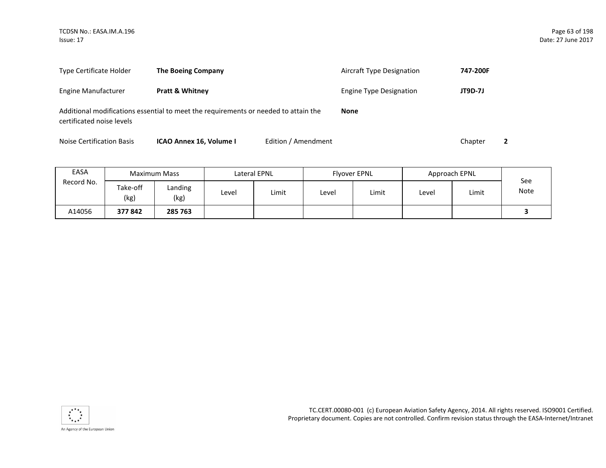TCDSN No.: EASA.IM.A.196 Page 63 of 198 Issue: 17 Date: 27 June 2017

| Type Certificate Holder   | <b>The Boeing Company</b>                                                           |                     | <b>Aircraft Type Designation</b> | 747-200F |  |
|---------------------------|-------------------------------------------------------------------------------------|---------------------|----------------------------------|----------|--|
| Engine Manufacturer       | <b>Pratt &amp; Whitney</b>                                                          |                     | Engine Type Designation          | JT9D-7J  |  |
| certificated noise levels | Additional modifications essential to meet the requirements or needed to attain the |                     | None                             |          |  |
| Noise Certification Basis | <b>ICAO Annex 16, Volume I</b>                                                      | Edition / Amendment |                                  | Chapter  |  |

| EASA       | <b>Maximum Mass</b> |                 | Lateral EPNL |       | <b>Flyover EPNL</b> |       | Approach EPNL |       |             |
|------------|---------------------|-----------------|--------------|-------|---------------------|-------|---------------|-------|-------------|
| Record No. | Take-off<br>(kg)    | Landing<br>(kg) | Level        | Limit | Level               | Limit | Level         | Limit | See<br>Note |
| A14056     | 377 842             | 285 763         |              |       |                     |       |               |       |             |

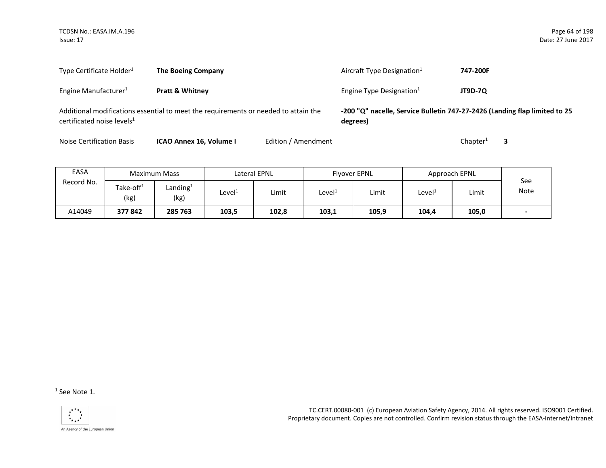TCDSN No.: EASA.IM.A.196 Page 64 of 198 Issue: 17 Date: 27 June 2017

| Type Certificate Holder <sup>1</sup>   | <b>The Boeing Company</b>                                                           |                     | Aircraft Type Designation <sup>1</sup>                                                 | 747-200F             |  |
|----------------------------------------|-------------------------------------------------------------------------------------|---------------------|----------------------------------------------------------------------------------------|----------------------|--|
| Engine Manufacturer <sup>1</sup>       | <b>Pratt &amp; Whitney</b>                                                          |                     | Engine Type Designation $1$                                                            | JT9D-7Q              |  |
| certificated noise levels <sup>1</sup> | Additional modifications essential to meet the requirements or needed to attain the |                     | -200 "Q" nacelle, Service Bulletin 747-27-2426 (Landing flap limited to 25<br>degrees) |                      |  |
| Noise Certification Basis              | <b>ICAO Annex 16, Volume I</b>                                                      | Edition / Amendment |                                                                                        | Chapter <sup>1</sup> |  |

| EASA       | <b>Maximum Mass</b>   |                                 | Lateral EPNL     |       | Flyover EPNL |       | Approach EPNL |       |                    |
|------------|-----------------------|---------------------------------|------------------|-------|--------------|-------|---------------|-------|--------------------|
| Record No. | Take-off $^1$<br>(kg) | $L$ anding <sup>1</sup><br>(kg) | Level $^{\rm 1}$ | Limit | Level $^1$   | Limit | Level $^1$    | Limit | See<br><b>Note</b> |
| A14049     | 377842                | 285 763                         | 103,5            | 102,8 | 103,1        | 105,9 | 104,4         | 105,0 |                    |

 $1$  See Note 1.

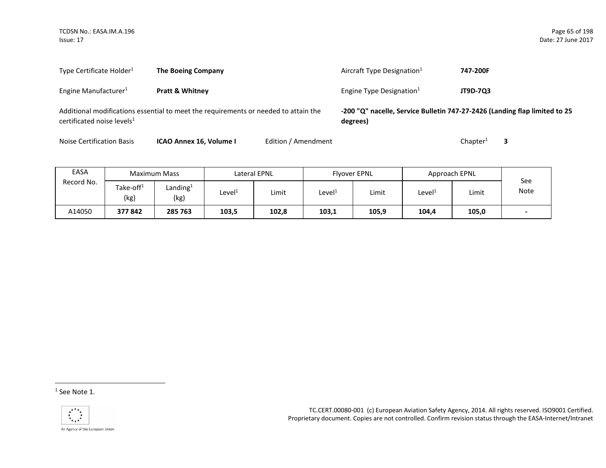TCDSN No.: EASA.IM.A.196 Page 65 of 198 Issue: 17 Date: 27 June 2017

| Type Certificate Holder <sup>1</sup>   | <b>The Boeing Company</b>                                                           |                     | Aircraft Type Designation <sup>1</sup>                                                 | 747-200F             |  |
|----------------------------------------|-------------------------------------------------------------------------------------|---------------------|----------------------------------------------------------------------------------------|----------------------|--|
| Engine Manufacturer <sup>1</sup>       | <b>Pratt &amp; Whitney</b>                                                          |                     | Engine Type Designation <sup>1</sup>                                                   | JT9D-7Q3             |  |
| certificated noise levels <sup>1</sup> | Additional modifications essential to meet the requirements or needed to attain the |                     | -200 "Q" nacelle, Service Bulletin 747-27-2426 (Landing flap limited to 25<br>degrees) |                      |  |
| Noise Certification Basis              | <b>ICAO Annex 16, Volume I</b>                                                      | Edition / Amendment |                                                                                        | Chapter <sup>1</sup> |  |

| EASA       | <b>Maximum Mass</b>           |                     | Lateral EPNL     |       | Flyover EPNL |       | Approach EPNL      |       |                    |
|------------|-------------------------------|---------------------|------------------|-------|--------------|-------|--------------------|-------|--------------------|
| Record No. | Take-off <sup>1</sup><br>(kg) | Landing $1$<br>(kg) | Level $^{\rm 1}$ | Limit | Level $^1$   | Limit | Level <sup>1</sup> | Limit | See<br><b>Note</b> |
| A14050     | 377842                        | 285 763             | 103,5            | 102,8 | 103,1        | 105,9 | 104,4              | 105,0 |                    |

 $1$  See Note 1.



TC.CERT.00080-001 (c) European Aviation Safety Agency, 2014. All rights reserved. ISO9001 Certified. Proprietary document. Copies are not controlled. Confirm revision status through the EASA-Internet/Intranet

An Agency of the European Union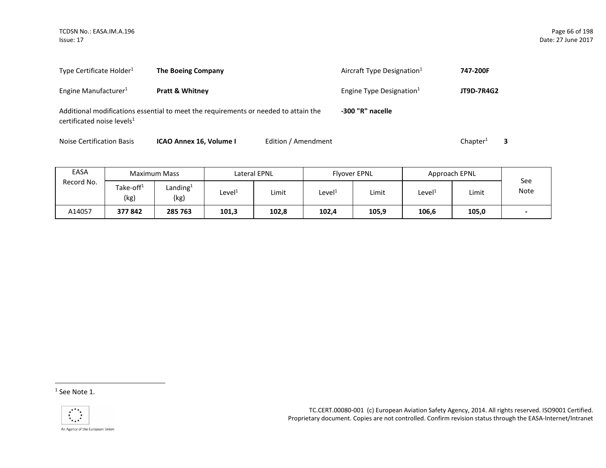TCDSN No.: EASA.IM.A.196 Page 66 of 198 Issue: 17 Date: 27 June 2017

| Type Certificate Holder <sup>1</sup>   | <b>The Boeing Company</b>                                                           |                     | Aircraft Type Designation <sup>1</sup> | 747-200F             |  |
|----------------------------------------|-------------------------------------------------------------------------------------|---------------------|----------------------------------------|----------------------|--|
| Engine Manufacturer <sup>1</sup>       | <b>Pratt &amp; Whitney</b>                                                          |                     | Engine Type Designation $1$            | <b>JT9D-7R4G2</b>    |  |
| certificated noise levels <sup>1</sup> | Additional modifications essential to meet the requirements or needed to attain the |                     | -300 "R" nacelle                       |                      |  |
| Noise Certification Basis              | <b>ICAO Annex 16, Volume I</b>                                                      | Edition / Amendment |                                        | Chapter <sup>1</sup> |  |

| EASA       | <b>Maximum Mass</b>           |                              | Lateral EPNL       |       | <b>Flyover EPNL</b> |       | Approach EPNL                   |       | See         |
|------------|-------------------------------|------------------------------|--------------------|-------|---------------------|-------|---------------------------------|-------|-------------|
| Record No. | Take-off <sup>1</sup><br>(kg) | Landing <sup>1</sup><br>(kg) | Level <sup>1</sup> | Limit | Level $^1$          | Limit | Level $^{\scriptscriptstyle 1}$ | Limit | <b>Note</b> |
| A14057     | 377842                        | 285 763                      | 101,3              | 102,8 | 102,4               | 105,9 | 106,6                           | 105,0 |             |

 $1$  See Note 1.

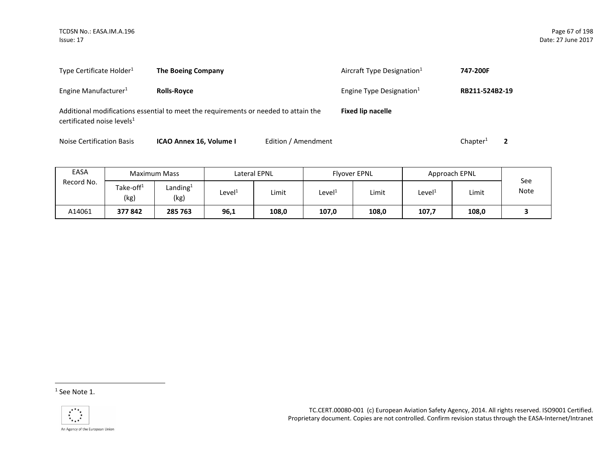TCDSN No.: EASA.IM.A.196 Page 67 of 198 Issue: 17 Date: 27 June 2017

| Type Certificate Holder <sup>1</sup>                   | The Boeing Company                                                                  |                     | Aircraft Type Designation <sup>1</sup> | 747-200F             |
|--------------------------------------------------------|-------------------------------------------------------------------------------------|---------------------|----------------------------------------|----------------------|
| Engine Manufacturer <sup>1</sup><br><b>Rolls-Royce</b> |                                                                                     |                     | Engine Type Designation <sup>1</sup>   | RB211-524B2-19       |
| certificated noise levels <sup>1</sup>                 | Additional modifications essential to meet the requirements or needed to attain the |                     | <b>Fixed lip nacelle</b>               |                      |
| Noise Certification Basis                              | <b>ICAO Annex 16, Volume I</b>                                                      | Edition / Amendment |                                        | Chapter <sup>1</sup> |

| EASA       | <b>Maximum Mass</b>  |                              | Lateral EPNL |       | Flyover EPNL       |       | Approach EPNL |       |                    |
|------------|----------------------|------------------------------|--------------|-------|--------------------|-------|---------------|-------|--------------------|
| Record No. | Take-off $1$<br>(kg) | Landing <sup>1</sup><br>(kg) | Level'       | Limit | Level <del>'</del> | Limit | Level'        | Limit | See<br><b>Note</b> |
| A14061     | 377842               | 285 763                      | 96,1         | 108,0 | 107,0              | 108,0 | 107,7         | 108,0 |                    |

 $1$  See Note 1.

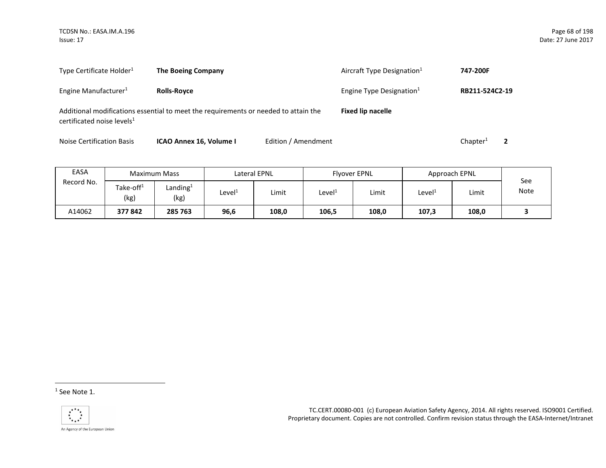TCDSN No.: EASA.IM.A.196 Page 68 of 198 Issue: 17 Date: 27 June 2017

| Type Certificate Holder <sup>1</sup>   | The Boeing Company                                                                  |                     | Aircraft Type Designation <sup>1</sup> | 747-200F             |  |
|----------------------------------------|-------------------------------------------------------------------------------------|---------------------|----------------------------------------|----------------------|--|
| Engine Manufacturer <sup>1</sup>       | <b>Rolls-Royce</b>                                                                  |                     | Engine Type Designation <sup>1</sup>   | RB211-524C2-19       |  |
| certificated noise levels <sup>1</sup> | Additional modifications essential to meet the requirements or needed to attain the |                     | <b>Fixed lip nacelle</b>               |                      |  |
| Noise Certification Basis              | <b>ICAO Annex 16, Volume I</b>                                                      | Edition / Amendment |                                        | Chapter <sup>1</sup> |  |

| EASA       | <b>Maximum Mass</b>  |                              | Lateral EPNL |       | Flyover EPNL       |       | Approach EPNL |       |                    |
|------------|----------------------|------------------------------|--------------|-------|--------------------|-------|---------------|-------|--------------------|
| Record No. | Take-off $1$<br>(kg) | Landing <sup>1</sup><br>(kg) | Level'       | Limit | Level <del>'</del> | Limit | Level'        | Limit | See<br><b>Note</b> |
| A14062     | 377842               | 285 763                      | 96,6         | 108,0 | 106,5              | 108,0 | 107,3         | 108,0 |                    |

 $1$  See Note 1.

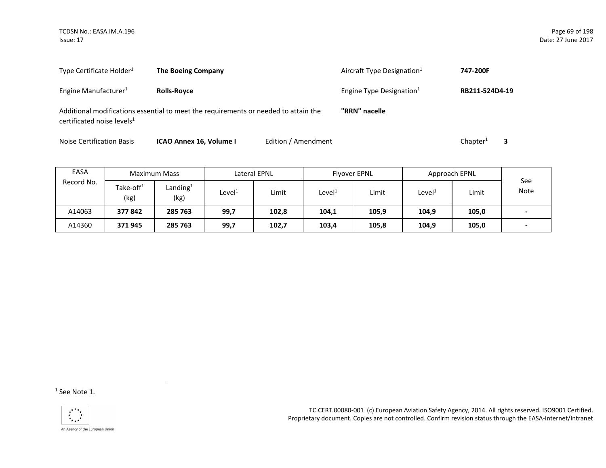TCDSN No.: EASA.IM.A.196 Page 69 of 198 Issue: 17 Date: 27 June 2017

| Type Certificate Holder <sup>1</sup>   | The Boeing Company                                                                  | Aircraft Type Designation <sup>1</sup> | 747-200F       |
|----------------------------------------|-------------------------------------------------------------------------------------|----------------------------------------|----------------|
| Engine Manufacturer <sup>1</sup>       | <b>Rolls-Royce</b>                                                                  | Engine Type Designation <sup>1</sup>   | RB211-524D4-19 |
| certificated noise levels <sup>1</sup> | Additional modifications essential to meet the requirements or needed to attain the | "RRN" nacelle                          |                |

Noise Certification Basis **ICAO Annex 16, Volume I Edition / Amendment** Chapter<sup>1</sup> **3** 

| EASA       |                               | Maximum Mass                 |           | Lateral EPNL | <b>Flyover EPNL</b> |       | Approach EPNL |       |                    |
|------------|-------------------------------|------------------------------|-----------|--------------|---------------------|-------|---------------|-------|--------------------|
| Record No. | Take-off <sup>1</sup><br>(kg) | Landing <sup>1</sup><br>(kg) | Level $1$ | Limit        | Level <sup>1</sup>  | Limit | Level $^1$    | Limit | See<br><b>Note</b> |
| A14063     | 377842                        | 285 763                      | 99,7      | 102,8        | 104,1               | 105,9 | 104,9         | 105,0 |                    |
| A14360     | 371945                        | 285 763                      | 99,7      | 102,7        | 103,4               | 105,8 | 104,9         | 105,0 |                    |

 $1$  See Note 1.



TC.CERT.00080-001 (c) European Aviation Safety Agency, 2014. All rights reserved. ISO9001 Certified. Proprietary document. Copies are not controlled. Confirm revision status through the EASA-Internet/Intranet

An Agency of the European Union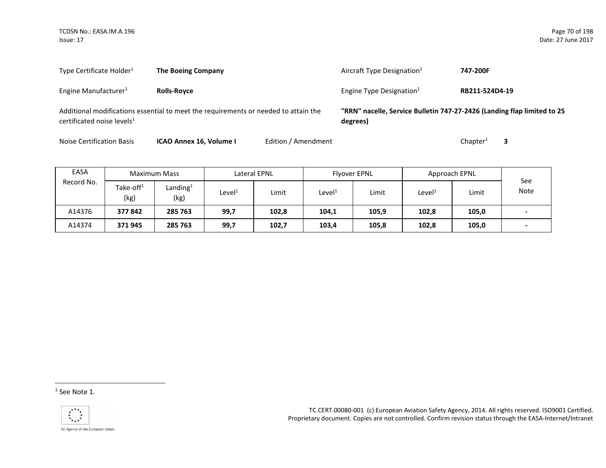TCDSN No.: EASA.IM.A.196 Page 70 of 198 Issue: 17 Date: 27 June 2017

| Type Certificate Holder <sup>1</sup><br><b>The Boeing Company</b> |                                                                                     |                     | Aircraft Type Designation <sup>1</sup><br>747-200F                                  |                      |  |
|-------------------------------------------------------------------|-------------------------------------------------------------------------------------|---------------------|-------------------------------------------------------------------------------------|----------------------|--|
| Engine Manufacturer <sup>1</sup>                                  | <b>Rolls-Royce</b>                                                                  |                     | Engine Type Designation $1$                                                         | RB211-524D4-19       |  |
| certificated noise levels <sup>1</sup>                            | Additional modifications essential to meet the requirements or needed to attain the |                     | "RRN" nacelle, Service Bulletin 747-27-2426 (Landing flap limited to 25<br>degrees) |                      |  |
| Noise Certification Basis                                         | <b>ICAO Annex 16, Volume I</b>                                                      | Edition / Amendment |                                                                                     | Chapter <sup>1</sup> |  |

| EASA       |                      | <b>Maximum Mass</b> |                    | Lateral EPNL | <b>Flyover EPNL</b> |       | Approach EPNL    |       |                    |
|------------|----------------------|---------------------|--------------------|--------------|---------------------|-------|------------------|-------|--------------------|
| Record No. | Take-off $1$<br>(kg) | Landing $1$<br>(kg) | Level <sup>1</sup> | Limit        | Level <sup>1</sup>  | Limit | Level $^{\rm 1}$ | Limit | See<br><b>Note</b> |
| A14376     | 377842               | 285 763             | 99,7               | 102,8        | 104,1               | 105,9 | 102,8            | 105,0 |                    |
| A14374     | 371945               | 285 763             | 99,7               | 102,7        | 103,4               | 105,8 | 102,8            | 105,0 |                    |

<sup>1</sup> See Note 1.

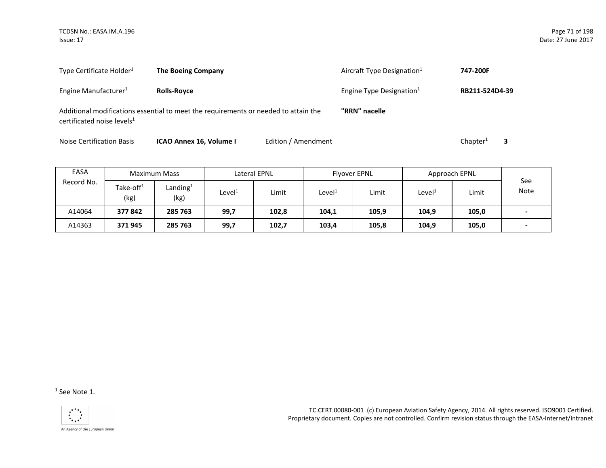TCDSN No.: EASA.IM.A.196 Page 71 of 198 Issue: 17 Date: 27 June 2017

| Type Certificate Holder <sup>1</sup>   | The Boeing Company                                                                  | Aircraft Type Designation <sup>1</sup> | 747-200F       |
|----------------------------------------|-------------------------------------------------------------------------------------|----------------------------------------|----------------|
| Engine Manufacturer <sup>1</sup>       | <b>Rolls-Royce</b>                                                                  | Engine Type Designation <sup>1</sup>   | RB211-524D4-39 |
| certificated noise levels <sup>1</sup> | Additional modifications essential to meet the requirements or needed to attain the | "RRN" nacelle                          |                |

Noise Certification Basis **ICAO Annex 16, Volume I Edition / Amendment** Chapter<sup>1</sup> **3** 

| EASA       |                               | Maximum Mass                 |           | Lateral EPNL | <b>Flyover EPNL</b> |       | Approach EPNL |       |                    |
|------------|-------------------------------|------------------------------|-----------|--------------|---------------------|-------|---------------|-------|--------------------|
| Record No. | Take-off <sup>1</sup><br>(kg) | Landing <sup>1</sup><br>(kg) | Level $1$ | Limit        | Level <sup>1</sup>  | Limit | Level $^1$    | Limit | See<br><b>Note</b> |
| A14064     | 377842                        | 285 763                      | 99,7      | 102,8        | 104,1               | 105,9 | 104,9         | 105,0 |                    |
| A14363     | 371945                        | 285 763                      | 99,7      | 102,7        | 103,4               | 105,8 | 104,9         | 105,0 |                    |

 $1$  See Note 1.



An Agency of the European Union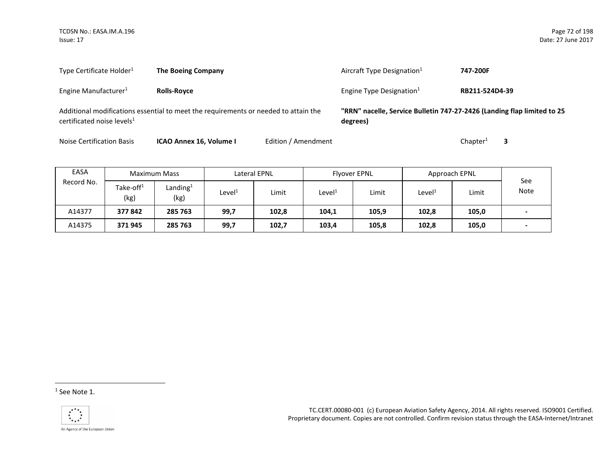TCDSN No.: EASA.IM.A.196 Page 72 of 198 Issue: 17 Date: 27 June 2017

| Type Certificate Holder <sup>1</sup><br><b>The Boeing Company</b> |                                                                                     |                     | Aircraft Type Designation <sup>1</sup>                                              | 747-200F             |  |
|-------------------------------------------------------------------|-------------------------------------------------------------------------------------|---------------------|-------------------------------------------------------------------------------------|----------------------|--|
| Engine Manufacturer <sup>1</sup>                                  | <b>Rolls-Royce</b>                                                                  |                     | Engine Type Designation $1$                                                         | RB211-524D4-39       |  |
| certificated noise levels <sup>1</sup>                            | Additional modifications essential to meet the requirements or needed to attain the |                     | "RRN" nacelle, Service Bulletin 747-27-2426 (Landing flap limited to 25<br>degrees) |                      |  |
| Noise Certification Basis                                         | <b>ICAO Annex 16, Volume I</b>                                                      | Edition / Amendment |                                                                                     | Chapter <sup>1</sup> |  |

| EASA       |                       | Maximum Mass        |           | Lateral EPNL | <b>Flyover EPNL</b> |       | Approach EPNL |       |                    |
|------------|-----------------------|---------------------|-----------|--------------|---------------------|-------|---------------|-------|--------------------|
| Record No. | Take-off $^1$<br>(kg) | Landing $1$<br>(kg) | Level $1$ | Limit        | Level <sup>1</sup>  | Limit | Level $^1$    | Limit | See<br><b>Note</b> |
| A14377     | 377842                | 285 763             | 99,7      | 102,8        | 104,1               | 105,9 | 102,8         | 105,0 |                    |
| A14375     | 371945                | 285 763             | 99,7      | 102,7        | 103,4               | 105,8 | 102,8         | 105,0 |                    |

<sup>1</sup> See Note 1.

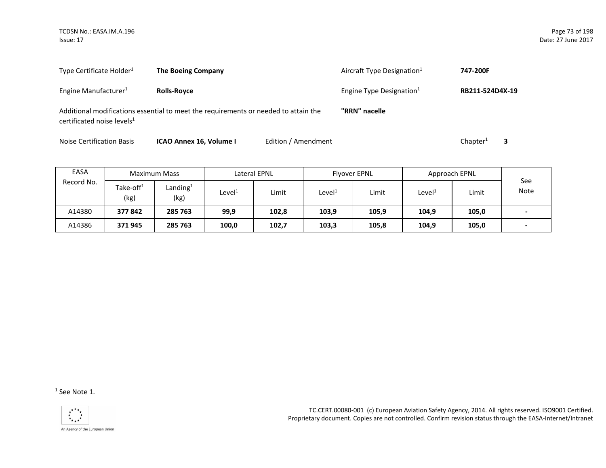TCDSN No.: EASA.IM.A.196 Page 73 of 198 Issue: 17 Date: 27 June 2017

| Type Certificate Holder <sup>1</sup>   | <b>The Boeing Company</b>                                                           | Aircraft Type Designation <sup>1</sup> | 747-200F        |
|----------------------------------------|-------------------------------------------------------------------------------------|----------------------------------------|-----------------|
| Engine Manufacturer <sup>1</sup>       | <b>Rolls-Royce</b>                                                                  | Engine Type Designation $1$            | RB211-524D4X-19 |
| certificated noise levels <sup>1</sup> | Additional modifications essential to meet the requirements or needed to attain the | "RRN" nacelle                          |                 |

Noise Certification Basis **ICAO Annex 16, Volume I Edition / Amendment** Chapter<sup>1</sup> **3** 

| EASA       | Maximum Mass                  |                              | Lateral EPNL     |       | <b>Flyover EPNL</b> |       | Approach EPNL |       |                    |
|------------|-------------------------------|------------------------------|------------------|-------|---------------------|-------|---------------|-------|--------------------|
| Record No. | Take-off <sup>1</sup><br>(kg) | Landing <sup>1</sup><br>(kg) | Level $^{\rm 1}$ | Limit | Level <sup>1</sup>  | Limit | Level $^1$    | Limit | See<br><b>Note</b> |
| A14380     | 377842                        | 285 763                      | 99,9             | 102,8 | 103,9               | 105,9 | 104,9         | 105,0 |                    |
| A14386     | 371945                        | 285 763                      | 100,0            | 102,7 | 103,3               | 105,8 | 104,9         | 105,0 |                    |

 $1$  See Note 1.



TC.CERT.00080-001 (c) European Aviation Safety Agency, 2014. All rights reserved. ISO9001 Certified. Proprietary document. Copies are not controlled. Confirm revision status through the EASA-Internet/Intranet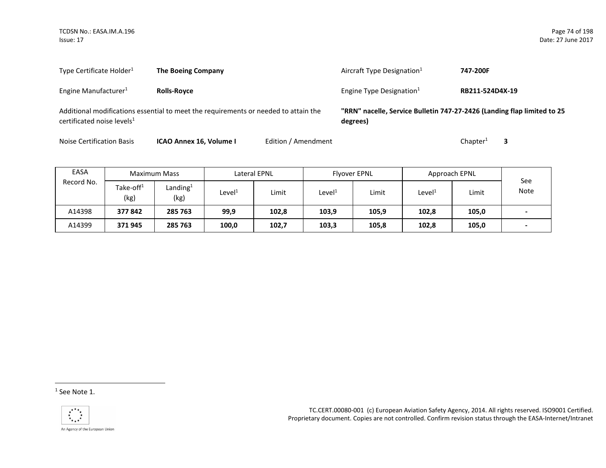TCDSN No.: EASA.IM.A.196 Page 74 of 198 Issue: 17 Date: 27 June 2017

| Type Certificate Holder <sup>1</sup><br><b>The Boeing Company</b> |                                                                                     |                     | Aircraft Type Designation <sup>1</sup>                                              | 747-200F             |
|-------------------------------------------------------------------|-------------------------------------------------------------------------------------|---------------------|-------------------------------------------------------------------------------------|----------------------|
| Engine Manufacturer <sup>1</sup>                                  | <b>Rolls-Rovce</b>                                                                  |                     | Engine Type Designation $1$                                                         | RB211-524D4X-19      |
| certificated noise levels <sup>1</sup>                            | Additional modifications essential to meet the requirements or needed to attain the |                     | "RRN" nacelle, Service Bulletin 747-27-2426 (Landing flap limited to 25<br>degrees) |                      |
| Noise Certification Basis                                         | <b>ICAO Annex 16, Volume I</b>                                                      | Edition / Amendment |                                                                                     | Chapter <sup>1</sup> |

| EASA       | <b>Maximum Mass</b>           |                              | Lateral EPNL |       | <b>Flyover EPNL</b> |       | Approach EPNL |       |                    |
|------------|-------------------------------|------------------------------|--------------|-------|---------------------|-------|---------------|-------|--------------------|
| Record No. | Take-off <sup>1</sup><br>(kg) | Landing <sup>1</sup><br>(kg) | Level $^1$   | Limit | Level <sup>1</sup>  | Limit | Level $^1$    | Limit | See<br><b>Note</b> |
| A14398     | 377842                        | 285 763                      | 99,9         | 102,8 | 103,9               | 105,9 | 102,8         | 105,0 |                    |
| A14399     | 371945                        | 285 763                      | 100,0        | 102,7 | 103,3               | 105,8 | 102,8         | 105,0 |                    |

<sup>1</sup> See Note 1.

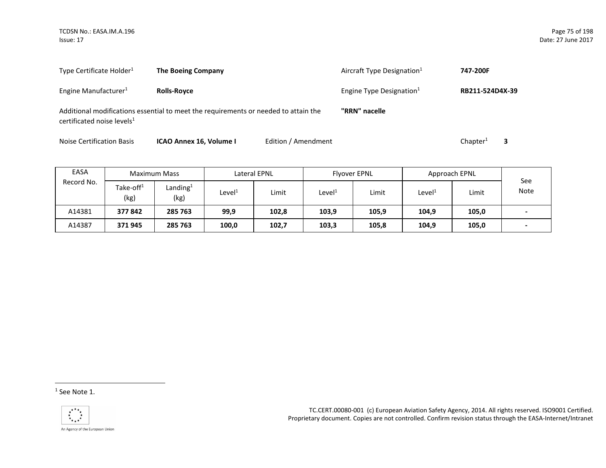TCDSN No.: EASA.IM.A.196 Page 75 of 198 Issue: 17 Date: 27 June 2017

| Type Certificate Holder <sup>1</sup>   | <b>The Boeing Company</b>                                                           | Aircraft Type Designation <sup>1</sup> | 747-200F        |
|----------------------------------------|-------------------------------------------------------------------------------------|----------------------------------------|-----------------|
| Engine Manufacturer <sup>1</sup>       | <b>Rolls-Royce</b>                                                                  | Engine Type Designation <sup>1</sup>   | RB211-524D4X-39 |
| certificated noise levels <sup>1</sup> | Additional modifications essential to meet the requirements or needed to attain the | "RRN" nacelle                          |                 |

Noise Certification Basis **ICAO Annex 16, Volume I Edition / Amendment** Chapter<sup>1</sup> **3** 

| EASA       | Maximum Mass                  |                              | Lateral EPNL     |       | <b>Flyover EPNL</b> |       | Approach EPNL |       |                    |
|------------|-------------------------------|------------------------------|------------------|-------|---------------------|-------|---------------|-------|--------------------|
| Record No. | Take-off <sup>1</sup><br>(kg) | Landing <sup>1</sup><br>(kg) | Level $^{\rm 1}$ | Limit | Level <sup>1</sup>  | Limit | Level $^1$    | Limit | See<br><b>Note</b> |
| A14381     | 377842                        | 285 763                      | 99,9             | 102,8 | 103,9               | 105,9 | 104,9         | 105,0 |                    |
| A14387     | 371945                        | 285 763                      | 100,0            | 102,7 | 103,3               | 105,8 | 104,9         | 105,0 |                    |

 $1$  See Note 1.



TC.CERT.00080-001 (c) European Aviation Safety Agency, 2014. All rights reserved. ISO9001 Certified. Proprietary document. Copies are not controlled. Confirm revision status through the EASA-Internet/Intranet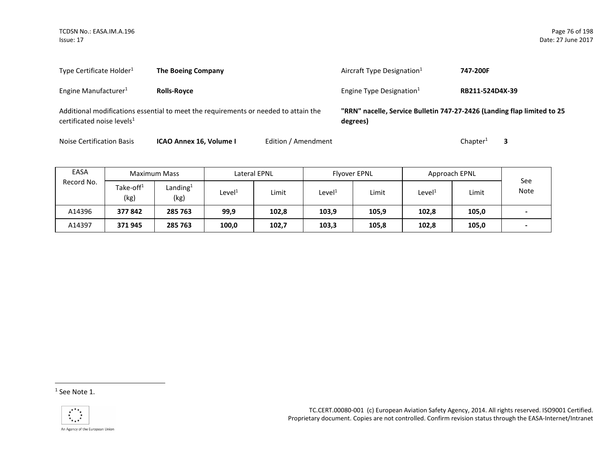TCDSN No.: EASA.IM.A.196 Page 76 of 198 Issue: 17 Date: 27 June 2017

| Type Certificate Holder <sup>1</sup><br><b>The Boeing Company</b> |                                                                                     |                     | Aircraft Type Designation <sup>1</sup>                                              | 747-200F             |  |
|-------------------------------------------------------------------|-------------------------------------------------------------------------------------|---------------------|-------------------------------------------------------------------------------------|----------------------|--|
| Engine Manufacturer <sup>1</sup>                                  | <b>Rolls-Rovce</b>                                                                  |                     | Engine Type Designation $1$                                                         | RB211-524D4X-39      |  |
| certificated noise levels <sup>1</sup>                            | Additional modifications essential to meet the requirements or needed to attain the |                     | "RRN" nacelle, Service Bulletin 747-27-2426 (Landing flap limited to 25<br>degrees) |                      |  |
| Noise Certification Basis                                         | <b>ICAO Annex 16, Volume I</b>                                                      | Edition / Amendment |                                                                                     | Chapter <sup>1</sup> |  |

| EASA       | <b>Maximum Mass</b>  |                     | Lateral EPNL |       | <b>Flyover EPNL</b> |       | Approach EPNL    |       |                    |
|------------|----------------------|---------------------|--------------|-------|---------------------|-------|------------------|-------|--------------------|
| Record No. | Take-off $1$<br>(kg) | Landing $1$<br>(kg) | Level $^1$   | Limit | Level <sup>1</sup>  | Limit | Level $^{\rm 1}$ | Limit | See<br><b>Note</b> |
| A14396     | 377842               | 285 763             | 99,9         | 102,8 | 103,9               | 105,9 | 102,8            | 105,0 |                    |
| A14397     | 371945               | 285 763             | 100,0        | 102,7 | 103,3               | 105,8 | 102,8            | 105,0 |                    |

<sup>1</sup> See Note 1.

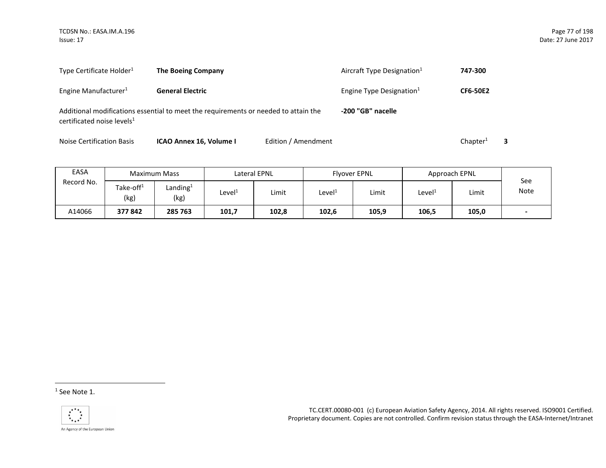TCDSN No.: EASA.IM.A.196 Page 77 of 198 Issue: 17 Date: 27 June 2017

| Type Certificate Holder <sup>1</sup>   | <b>The Boeing Company</b>                                                           |                     | Aircraft Type Designation <sup>1</sup> | 747-300              |   |
|----------------------------------------|-------------------------------------------------------------------------------------|---------------------|----------------------------------------|----------------------|---|
| Engine Manufacturer <sup>1</sup>       | <b>General Electric</b>                                                             |                     | Engine Type Designation <sup>1</sup>   | <b>CF6-50E2</b>      |   |
| certificated noise levels <sup>1</sup> | Additional modifications essential to meet the requirements or needed to attain the |                     | -200 "GB" nacelle                      |                      |   |
| Noise Certification Basis              | <b>ICAO Annex 16, Volume I</b>                                                      | Edition / Amendment |                                        | Chapter <sup>1</sup> | 3 |

| EASA       | <b>Maximum Mass</b>           |                              | Lateral EPNL     |       | Flyover EPNL     |       | Approach EPNL |       |                    |
|------------|-------------------------------|------------------------------|------------------|-------|------------------|-------|---------------|-------|--------------------|
| Record No. | Take-off <sup>1</sup><br>(kg) | Landing <sup>1</sup><br>(kg) | Level $^{\rm 1}$ | Limit | Level $^{\rm 1}$ | Limit | Level'        | Limit | See<br><b>Note</b> |
| A14066     | 377 842                       | 285 763                      | 101,7            | 102,8 | 102,6            | 105,9 | 106,5         | 105,0 |                    |

 $1$  See Note 1.

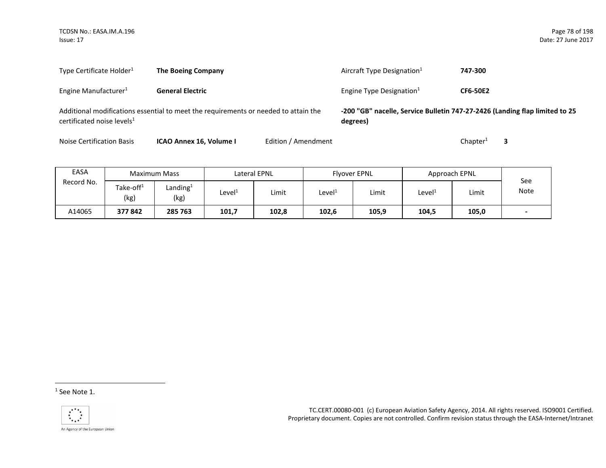TCDSN No.: EASA.IM.A.196 Page 78 of 198 Issue: 17 Date: 27 June 2017

| Type Certificate Holder <sup>1</sup><br>The Boeing Company |                                                                                     |                     | Aircraft Type Designation <sup>1</sup>                                                  |                      |  |
|------------------------------------------------------------|-------------------------------------------------------------------------------------|---------------------|-----------------------------------------------------------------------------------------|----------------------|--|
| Engine Manufacturer <sup>1</sup>                           | <b>General Electric</b>                                                             |                     | Engine Type Designation $1$                                                             | <b>CF6-50E2</b>      |  |
| certificated noise levels <sup>1</sup>                     | Additional modifications essential to meet the requirements or needed to attain the |                     | -200 "GB" nacelle, Service Bulletin 747-27-2426 (Landing flap limited to 25<br>degrees) |                      |  |
| Noise Certification Basis                                  | ICAO Annex 16, Volume I                                                             | Edition / Amendment |                                                                                         | Chapter <sup>1</sup> |  |

| EASA       | <b>Maximum Mass</b>  |                     | Lateral EPNL       |       | Flyover EPNL |       | Approach EPNL |       |                    |
|------------|----------------------|---------------------|--------------------|-------|--------------|-------|---------------|-------|--------------------|
| Record No. | Take-off $1$<br>(kg) | Landing $1$<br>(kg) | Level <sup>1</sup> | Limit | Level $^1$   | Limit | Level'        | Limit | See<br><b>Note</b> |
| A14065     | 377842               | 285 763             | 101,7              | 102,8 | 102,6        | 105,9 | 104,5         | 105,0 |                    |

 $1$  See Note 1.

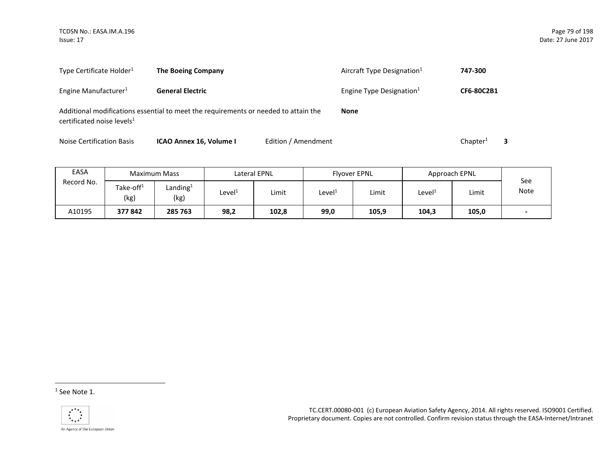TCDSN No.: EASA.IM.A.196 Page 79 of 198 Issue: 17 Date: 27 June 2017

| Type Certificate Holder <sup>1</sup>   | <b>The Boeing Company</b>                                                           |                     | Aircraft Type Designation <sup>1</sup> | 747-300              |  |
|----------------------------------------|-------------------------------------------------------------------------------------|---------------------|----------------------------------------|----------------------|--|
| Engine Manufacturer <sup>1</sup>       | <b>General Electric</b>                                                             |                     | Engine Type Designation $1$            | CF6-80C2B1           |  |
| certificated noise levels <sup>1</sup> | Additional modifications essential to meet the requirements or needed to attain the |                     | <b>None</b>                            |                      |  |
| Noise Certification Basis              | <b>ICAO Annex 16, Volume I</b>                                                      | Edition / Amendment |                                        | Chapter <sup>1</sup> |  |

| EASA       |                               | <b>Maximum Mass</b> | Lateral EPNL     |       | Flyover EPNL |       | Approach EPNL |       |                    |
|------------|-------------------------------|---------------------|------------------|-------|--------------|-------|---------------|-------|--------------------|
| Record No. | Take-off <sup>1</sup><br>(kg) | Landing $1$<br>(kg) | Level $^{\rm 1}$ | Limit | Level $^1$   | Limit | Level'        | Limit | See<br><b>Note</b> |
| A10195     | 377842                        | 285 763             | 98,2             | 102,8 | 99,0         | 105,9 | 104,3         | 105,0 |                    |

<sup>1</sup> See Note 1.

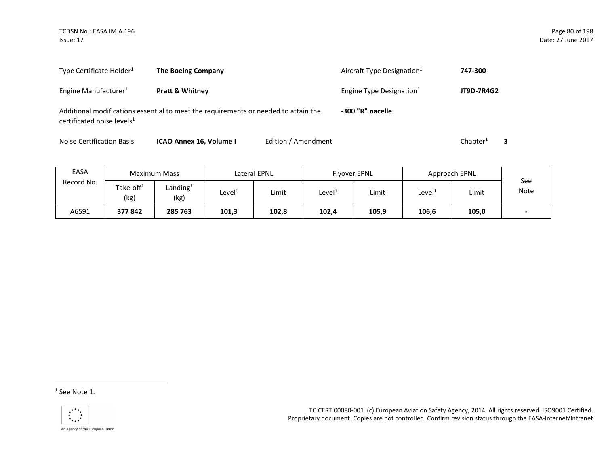TCDSN No.: EASA.IM.A.196 Page 80 of 198 Issue: 17 Date: 27 June 2017

| Type Certificate Holder <sup>1</sup>   | The Boeing Company                                                                  |                     | Aircraft Type Designation <sup>1</sup> | 747-300              |  |
|----------------------------------------|-------------------------------------------------------------------------------------|---------------------|----------------------------------------|----------------------|--|
| Engine Manufacturer <sup>1</sup>       | <b>Pratt &amp; Whitney</b>                                                          |                     | Engine Type Designation <sup>1</sup>   | <b>JT9D-7R4G2</b>    |  |
| certificated noise levels <sup>1</sup> | Additional modifications essential to meet the requirements or needed to attain the |                     | -300 "R" nacelle                       |                      |  |
| Noise Certification Basis              | <b>ICAO Annex 16, Volume I</b>                                                      | Edition / Amendment |                                        | Chapter <sup>1</sup> |  |

| EASA       |                      | <b>Maximum Mass</b>          |        | Lateral EPNL<br>Flyover EPNL |            | Approach EPNL |        |       |                    |
|------------|----------------------|------------------------------|--------|------------------------------|------------|---------------|--------|-------|--------------------|
| Record No. | Take-off $1$<br>(kg) | Landing <sup>1</sup><br>(kg) | Level' | Limit                        | Level $^1$ | Limit         | Level' | Limit | See<br><b>Note</b> |
| A6591      | 377842               | 285 763                      | 101,3  | 102,8                        | 102,4      | 105,9         | 106,6  | 105,0 |                    |

 $1$  See Note 1.

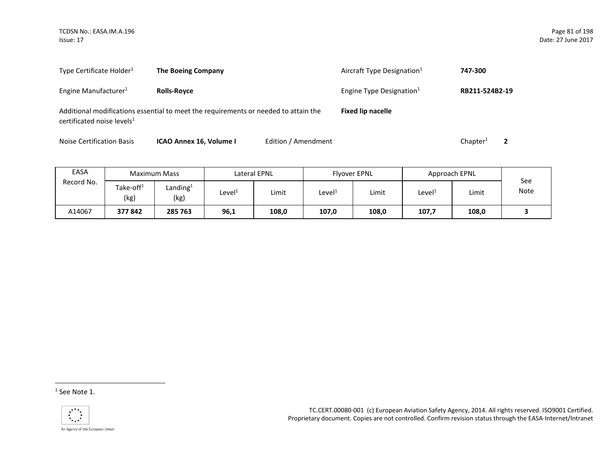TCDSN No.: EASA.IM.A.196 Page 81 of 198 Issue: 17 Date: 27 June 2017

| Type Certificate Holder <sup>1</sup>   | The Boeing Company                                                                  |                             | Aircraft Type Designation <sup>1</sup> | 747-300              |  |
|----------------------------------------|-------------------------------------------------------------------------------------|-----------------------------|----------------------------------------|----------------------|--|
| Engine Manufacturer <sup>1</sup>       | <b>Rolls-Royce</b>                                                                  | Engine Type Designation $1$ |                                        | RB211-524B2-19       |  |
| certificated noise levels <sup>1</sup> | Additional modifications essential to meet the requirements or needed to attain the |                             | <b>Fixed lip nacelle</b>               |                      |  |
| Noise Certification Basis              | <b>ICAO Annex 16, Volume I</b>                                                      | Edition / Amendment         |                                        | Chapter <sup>1</sup> |  |

| EASA       | <b>Maximum Mass</b>   |                              |                    | Lateral EPNL |            | Flyover EPNL | Approach EPNL                   |       | See         |
|------------|-----------------------|------------------------------|--------------------|--------------|------------|--------------|---------------------------------|-------|-------------|
| Record No. | Take-off $^1$<br>(kg) | Landing <sup>1</sup><br>(kg) | Level <del>'</del> | Limit        | Level $^1$ | Limit        | Level $^{\scriptscriptstyle 1}$ | Limit | <b>Note</b> |
| A14067     | 377842                | 285 763                      | 96,1               | 108,0        | 107,0      | 108,0        | 107,7                           | 108,0 |             |

 $1$  See Note 1.

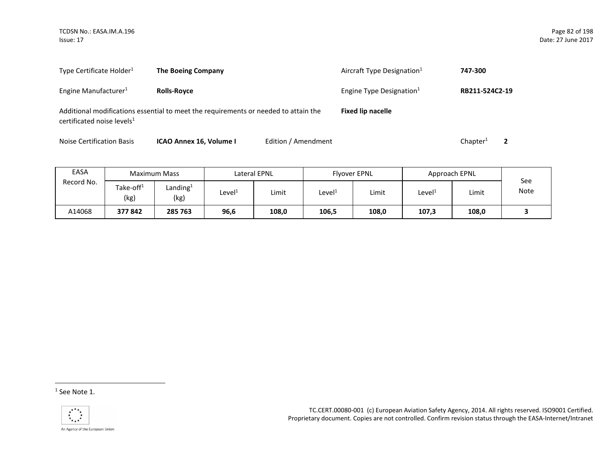TCDSN No.: EASA.IM.A.196 Page 82 of 198 Issue: 17 Date: 27 June 2017

| Type Certificate Holder <sup>1</sup>   | The Boeing Company                                                                  |                             | Aircraft Type Designation <sup>1</sup> | 747-300              |  |
|----------------------------------------|-------------------------------------------------------------------------------------|-----------------------------|----------------------------------------|----------------------|--|
| Engine Manufacturer <sup>1</sup>       | <b>Rolls-Royce</b>                                                                  | Engine Type Designation $1$ |                                        | RB211-524C2-19       |  |
| certificated noise levels <sup>1</sup> | Additional modifications essential to meet the requirements or needed to attain the |                             | <b>Fixed lip nacelle</b>               |                      |  |
| Noise Certification Basis              | <b>ICAO Annex 16, Volume I</b>                                                      | Edition / Amendment         |                                        | Chapter <sup>1</sup> |  |

| EASA       |                               | <b>Maximum Mass</b>          | Lateral EPNL     |       | <b>Flyover EPNL</b> |       | Approach EPNL |       | See         |
|------------|-------------------------------|------------------------------|------------------|-------|---------------------|-------|---------------|-------|-------------|
| Record No. | Take-off <sup>1</sup><br>(kg) | Landing <sup>1</sup><br>(kg) | Level $^{\rm 1}$ | Limit | Level <sup>1</sup>  | Limit | Level'        | Limit | <b>Note</b> |
| A14068     | 377842                        | 285 763                      | 96,6             | 108,0 | 106,5               | 108,0 | 107,3         | 108,0 |             |

 $1$  See Note 1.

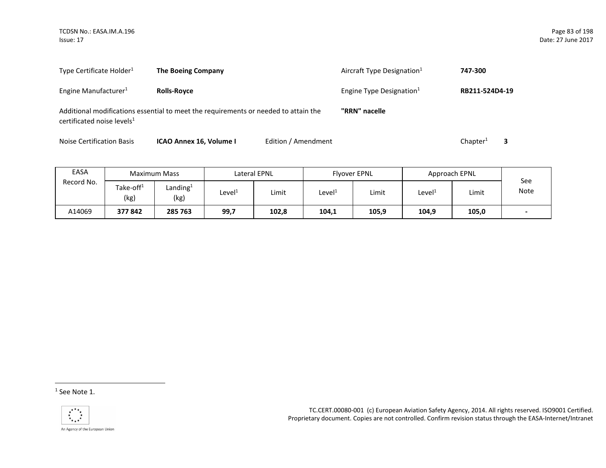TCDSN No.: EASA.IM.A.196 Page 83 of 198 Issue: 17 Date: 27 June 2017

| Type Certificate Holder <sup>1</sup>   | The Boeing Company                                                                  |                     | Aircraft Type Designation <sup>1</sup> | 747-300              |
|----------------------------------------|-------------------------------------------------------------------------------------|---------------------|----------------------------------------|----------------------|
| Engine Manufacturer <sup>1</sup>       | Engine Type Designation $1$<br><b>Rolls-Royce</b>                                   |                     |                                        | RB211-524D4-19       |
| certificated noise levels <sup>1</sup> | Additional modifications essential to meet the requirements or needed to attain the |                     | "RRN" nacelle                          |                      |
| <b>Noise Certification Basis</b>       | <b>ICAO Annex 16, Volume I</b>                                                      | Edition / Amendment |                                        | Chapter <sup>1</sup> |

| EASA       |                               | <b>Maximum Mass</b>  |                  | Lateral EPNL<br><b>Flyover EPNL</b> |            | Approach EPNL |                  | See   |             |
|------------|-------------------------------|----------------------|------------------|-------------------------------------|------------|---------------|------------------|-------|-------------|
| Record No. | Take-off <sup>1</sup><br>(kg) | Landing $^1$<br>(kg) | Level $^{\rm l}$ | Limit                               | Level $^1$ | Limit         | Level $^{\rm 1}$ | Limit | <b>Note</b> |
| A14069     | 377842                        | 285 763              | 99,7             | 102,8                               | 104,1      | 105,9         | 104,9            | 105,0 | -           |

 $1$  See Note 1.

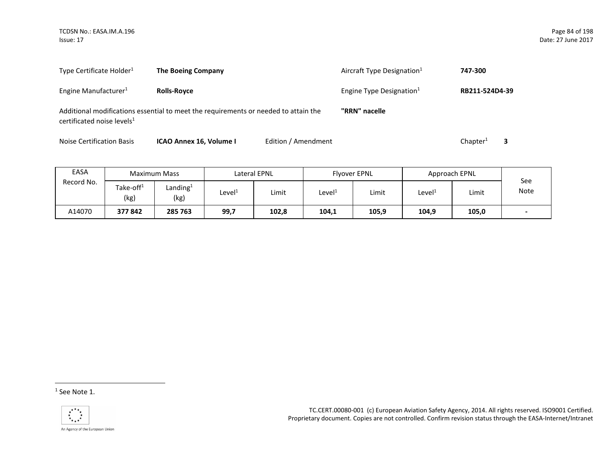TCDSN No.: EASA.IM.A.196 Page 84 of 198 Issue: 17 Date: 27 June 2017

| Type Certificate Holder <sup>1</sup>   | The Boeing Company                                                                  |                             | Aircraft Type Designation <sup>1</sup> | 747-300              |
|----------------------------------------|-------------------------------------------------------------------------------------|-----------------------------|----------------------------------------|----------------------|
| Engine Manufacturer <sup>1</sup>       | <b>Rolls-Royce</b>                                                                  | Engine Type Designation $1$ | RB211-524D4-39                         |                      |
| certificated noise levels <sup>1</sup> | Additional modifications essential to meet the requirements or needed to attain the |                             | "RRN" nacelle                          |                      |
| <b>Noise Certification Basis</b>       | ICAO Annex 16, Volume I                                                             | Edition / Amendment         |                                        | Chapter <sup>1</sup> |

| EASA       |                      | <b>Maximum Mass</b> |                  | Lateral EPNL<br><b>Flyover EPNL</b> |            | Approach EPNL |        |       |                    |
|------------|----------------------|---------------------|------------------|-------------------------------------|------------|---------------|--------|-------|--------------------|
| Record No. | Take-off $1$<br>(kg) | Landing $1$<br>(kg) | Level $^{\rm 1}$ | Limit                               | Level $^1$ | Limit         | Level' | Limit | See<br><b>Note</b> |
| A14070     | 377842               | 285 763             | 99,7             | 102,8                               | 104,1      | 105,9         | 104,9  | 105,0 |                    |

 $1$  See Note 1.

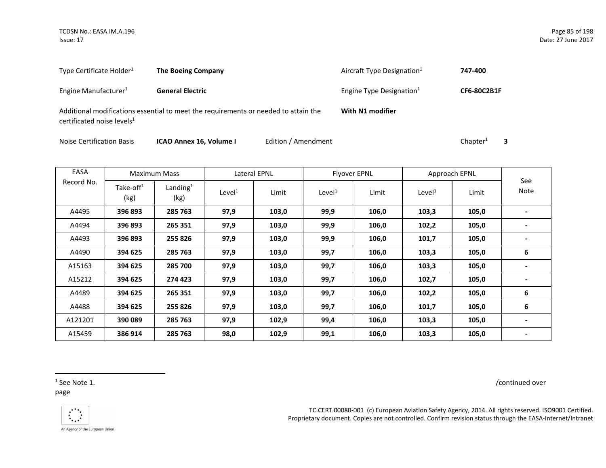TCDSN No.: EASA.IM.A.196 Page 85 of 198 Issue: 17 Date: 27 June 2017

| Type Certificate Holder <sup>1</sup>   | <b>The Boeing Company</b>                                                           | Aircraft Type Designation <sup>1</sup> | 747-400            |
|----------------------------------------|-------------------------------------------------------------------------------------|----------------------------------------|--------------------|
| Engine Manufacturer <sup>1</sup>       | <b>General Electric</b>                                                             | Engine Type Designation <sup>1</sup>   | <b>CF6-80C2B1F</b> |
| certificated noise levels <sup>1</sup> | Additional modifications essential to meet the requirements or needed to attain the | With N1 modifier                       |                    |

Noise Certification Basis **ICAO Annex 16, Volume I Edition / Amendment** Chapter<sup>1</sup> **3** 

| EASA       | <b>Maximum Mass</b>           |                     | Lateral EPNL |       | <b>Flyover EPNL</b> |       | Approach EPNL |       |             |
|------------|-------------------------------|---------------------|--------------|-------|---------------------|-------|---------------|-------|-------------|
| Record No. | Take-off <sup>1</sup><br>(kg) | Landing $1$<br>(kg) | Level $1$    | Limit | Level <sup>1</sup>  | Limit | Level $1$     | Limit | See<br>Note |
| A4495      | 396 893                       | 285 763             | 97,9         | 103,0 | 99,9                | 106,0 | 103,3         | 105,0 |             |
| A4494      | 396 893                       | 265 351             | 97,9         | 103,0 | 99,9                | 106,0 | 102,2         | 105,0 |             |
| A4493      | 396 893                       | 255 826             | 97,9         | 103,0 | 99,9                | 106,0 | 101,7         | 105,0 |             |
| A4490      | 394 625                       | 285 763             | 97,9         | 103,0 | 99,7                | 106,0 | 103,3         | 105,0 | 6           |
| A15163     | 394 625                       | 285 700             | 97,9         | 103,0 | 99,7                | 106,0 | 103,3         | 105,0 |             |
| A15212     | 394 625                       | 274 423             | 97,9         | 103,0 | 99,7                | 106,0 | 102,7         | 105,0 |             |
| A4489      | 394 625                       | 265 351             | 97,9         | 103,0 | 99,7                | 106,0 | 102,2         | 105,0 | 6           |
| A4488      | 394 625                       | 255 826             | 97,9         | 103,0 | 99,7                | 106,0 | 101,7         | 105,0 | 6           |
| A121201    | 390 089                       | 285 763             | 97,9         | 102,9 | 99,4                | 106,0 | 103,3         | 105,0 |             |
| A15459     | 386 914                       | 285 763             | 98,0         | 102,9 | 99,1                | 106,0 | 103,3         | 105,0 |             |

 $1$  See Note 1.  $/$ continued over

page

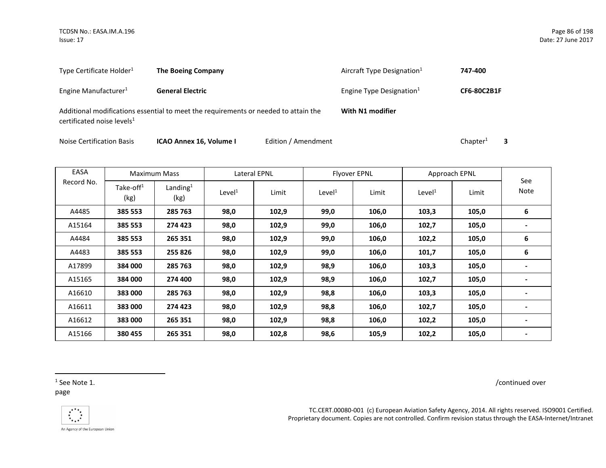TCDSN No.: EASA.IM.A.196 Page 86 of 198 Issue: 17 Date: 27 June 2017

| Type Certificate Holder <sup>1</sup>   | <b>The Boeing Company</b>                                                           | Aircraft Type Designation <sup>1</sup> | 747-400            |
|----------------------------------------|-------------------------------------------------------------------------------------|----------------------------------------|--------------------|
| Engine Manufacturer <sup>1</sup>       | <b>General Electric</b>                                                             | Engine Type Designation <sup>1</sup>   | <b>CF6-80C2B1F</b> |
| certificated noise levels <sup>1</sup> | Additional modifications essential to meet the requirements or needed to attain the | With N1 modifier                       |                    |

Noise Certification Basis **ICAO Annex 16, Volume I Edition / Amendment** Chapter<sup>1</sup> **3** 

| EASA       | <b>Maximum Mass</b>           |                     | <b>Lateral EPNL</b> |       | <b>Flyover EPNL</b> |       | Approach EPNL      |       |                    |
|------------|-------------------------------|---------------------|---------------------|-------|---------------------|-------|--------------------|-------|--------------------|
| Record No. | Take-off <sup>1</sup><br>(kg) | Landing $1$<br>(kg) | Level <sup>1</sup>  | Limit | Level <sup>1</sup>  | Limit | Level <sup>1</sup> | Limit | See<br><b>Note</b> |
| A4485      | 385 553                       | 285 763             | 98,0                | 102,9 | 99,0                | 106,0 | 103,3              | 105,0 | 6                  |
| A15164     | 385 553                       | 274 423             | 98,0                | 102,9 | 99,0                | 106,0 | 102,7              | 105,0 |                    |
| A4484      | 385 553                       | 265 351             | 98,0                | 102,9 | 99,0                | 106,0 | 102,2              | 105,0 | 6                  |
| A4483      | 385 553                       | 255 826             | 98,0                | 102,9 | 99,0                | 106,0 | 101,7              | 105,0 | 6                  |
| A17899     | 384 000                       | 285 763             | 98,0                | 102,9 | 98,9                | 106,0 | 103,3              | 105,0 |                    |
| A15165     | 384 000                       | 274 400             | 98,0                | 102,9 | 98,9                | 106,0 | 102,7              | 105,0 |                    |
| A16610     | 383 000                       | 285 763             | 98,0                | 102,9 | 98,8                | 106,0 | 103,3              | 105,0 |                    |
| A16611     | 383 000                       | 274 423             | 98,0                | 102,9 | 98,8                | 106,0 | 102,7              | 105,0 |                    |
| A16612     | 383 000                       | 265 351             | 98,0                | 102,9 | 98,8                | 106,0 | 102,2              | 105,0 |                    |
| A15166     | 380 455                       | 265 351             | 98,0                | 102,8 | 98,6                | 105,9 | 102,2              | 105,0 | -                  |

 $1$  See Note 1.  $/$ continued over

page

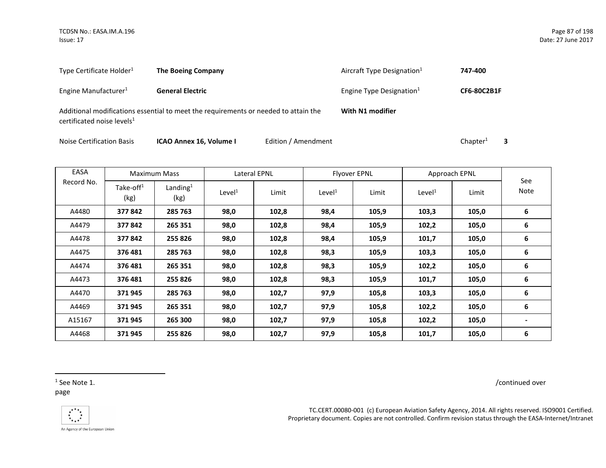TCDSN No.: EASA.IM.A.196 Page 87 of 198 Issue: 17 Date: 27 June 2017

| Type Certificate Holder <sup>1</sup>   | <b>The Boeing Company</b>                                                           | Aircraft Type Designation <sup>1</sup> | 747-400            |
|----------------------------------------|-------------------------------------------------------------------------------------|----------------------------------------|--------------------|
| Engine Manufacturer <sup>1</sup>       | <b>General Electric</b>                                                             | Engine Type Designation $1$            | <b>CF6-80C2B1F</b> |
| certificated noise levels <sup>1</sup> | Additional modifications essential to meet the requirements or needed to attain the | With N1 modifier                       |                    |

Noise Certification Basis **ICAO Annex 16, Volume I Edition / Amendment** Chapter Chapter<sup>1</sup> 3

EASA Record No. Maximum Mass **Lateral EPNL** Flyover EPNL Approach EPNL See Note Take-off<sup>1</sup> (kg) Landing $1$  $(kg)$  Level<sup>1</sup> Limit Level<sup>1</sup> Limit Limit Level<sup>1</sup> Limit A4480 **377 842 285 763 98,0 102,8 98,4 105,9 103,3 105,0 6**A4479 **377 842 265 351 98,0 102,8 98,4 105,9 102,2 105,0 6**A4478 **377 842 255 826 98,0 102,8 98,4 105,9 101,7 105,0 6**A4475 **376 481 285 763 98,0 102,8 98,3 105,9 103,3 105,0 6**A4474 **376 481 265 351 98,0 102,8 98,3 105,9 102,2 105,0 6**A4473 **376 481 255 826 98,0 102,8 98,3 105,9 101,7 105,0 6**A4470 | **371 945 | 285 763 | 98,0 | 102,7 | 97,9 | 105,8 | 103,3 | 105,0 | 6** A4469 **371 945 265 351 98,0 102,7 97,9 105,8 102,2 105,0 6**A15167 **371 945 265 300 98,0 102,7 97,9 105,8 102,2 105,0 -**A4468 **371 945 255 826 98,0 102,7 97,9 105,8 101,7 105,0 6**

### $\frac{1}{2}$  See Note 1.  $\frac{1}{2}$  /continued over

page

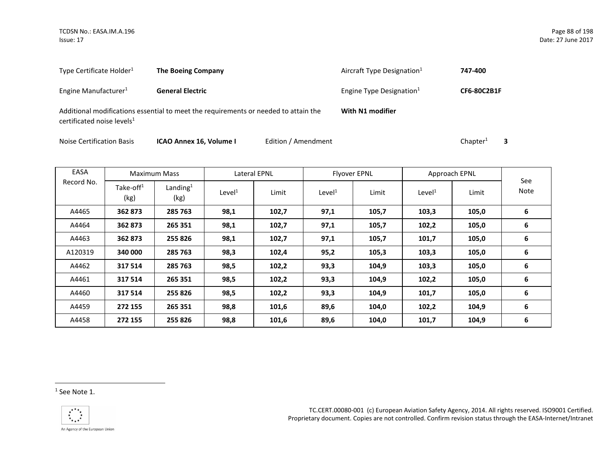TCDSN No.: EASA.IM.A.196 Page 88 of 198 Issue: 17 Date: 27 June 2017

| Type Certificate Holder <sup>1</sup>   | <b>The Boeing Company</b>                                                           | Aircraft Type Designation <sup>1</sup> | 747-400            |
|----------------------------------------|-------------------------------------------------------------------------------------|----------------------------------------|--------------------|
| Engine Manufacturer <sup>1</sup>       | <b>General Electric</b>                                                             | Engine Type Designation <sup>1</sup>   | <b>CF6-80C2B1F</b> |
| certificated noise levels <sup>1</sup> | Additional modifications essential to meet the requirements or needed to attain the | With N1 modifier                       |                    |

Noise Certification Basis **ICAO Annex 16, Volume I Edition / Amendment** Chapter Chapter<sup>1</sup> 3

EASA Record No. Maximum Mass **Lateral EPNL** Flyover EPNL Approach EPNL See Note Take-off<sup>1</sup> (kg) Landing<sup>1</sup>  $(kg)$  Level<sup>1</sup> Limit Level<sup>1</sup> Limit Limit Level<sup>1</sup> Limit A4465 **362 873 285 763 98,1 102,7 97,1 105,7 103,3 105,0 6**A4464 **362 873 265 351 98,1 102,7 97,1 105,7 102,2 105,0 6**A4463 **362 873 255 826 98,1 102,7 97,1 105,7 101,7 105,0 6**A120319 | **340 000 | 285 763 | 98,3 | 102,4 | 95,2 | 105,3 | 103,3 | 105,0 | 6** A4462 **317 514 285 763 98,5 102,2 93,3 104,9 103,3 105,0 6**A4461 **317 514 265 351 98,5 102,2 93,3 104,9 102,2 105,0 6**A4460 **317 514 255 826 98,5 102,2 93,3 104,9 101,7 105,0 6**A4459 **272 155 265 351 98,8 101,6 89,6 104,0 102,2 104,9 6**A4458 **272 155 255 826 98,8 101,6 89,6 104,0 101,7 104,9 6**

<sup>1</sup> See Note 1.

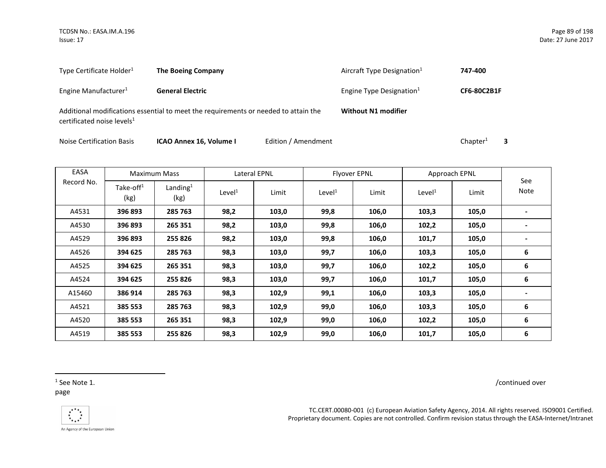TCDSN No.: EASA.IM.A.196 Page 89 of 198 Issue: 17 Date: 27 June 2017

| Type Certificate Holder <sup>1</sup>   | The Boeing Company                                                                  | Aircraft Type Designation <sup>1</sup> | 747-400            |
|----------------------------------------|-------------------------------------------------------------------------------------|----------------------------------------|--------------------|
| Engine Manufacturer <sup>1</sup>       | <b>General Electric</b>                                                             | Engine Type Designation <sup>1</sup>   | <b>CF6-80C2B1F</b> |
| certificated noise levels <sup>1</sup> | Additional modifications essential to meet the requirements or needed to attain the | <b>Without N1 modifier</b>             |                    |

Noise Certification Basis **ICAO Annex 16, Volume I Edition / Amendment** Chapter<sup>1</sup> **3** 

| EASA       | <b>Maximum Mass</b>           |                     | <b>Lateral EPNL</b> |       | <b>Flyover EPNL</b> |       | Approach EPNL      |       |             |
|------------|-------------------------------|---------------------|---------------------|-------|---------------------|-------|--------------------|-------|-------------|
| Record No. | Take-off <sup>1</sup><br>(kg) | Landing $1$<br>(kg) | Level $1$           | Limit | Level <sup>1</sup>  | Limit | Level <sup>1</sup> | Limit | See<br>Note |
| A4531      | 396 893                       | 285 763             | 98,2                | 103,0 | 99,8                | 106,0 | 103,3              | 105,0 |             |
| A4530      | 396 893                       | 265 351             | 98,2                | 103,0 | 99,8                | 106,0 | 102,2              | 105,0 |             |
| A4529      | 396 893                       | 255 826             | 98,2                | 103,0 | 99,8                | 106,0 | 101,7              | 105,0 |             |
| A4526      | 394 625                       | 285 763             | 98,3                | 103,0 | 99,7                | 106,0 | 103,3              | 105,0 | 6           |
| A4525      | 394 625                       | 265 351             | 98,3                | 103,0 | 99,7                | 106,0 | 102,2              | 105,0 | 6           |
| A4524      | 394 625                       | 255 826             | 98,3                | 103,0 | 99,7                | 106,0 | 101,7              | 105,0 | 6           |
| A15460     | 386 914                       | 285 763             | 98,3                | 102,9 | 99,1                | 106,0 | 103,3              | 105,0 |             |
| A4521      | 385 553                       | 285 763             | 98,3                | 102,9 | 99,0                | 106,0 | 103,3              | 105,0 | 6           |
| A4520      | 385 553                       | 265 351             | 98,3                | 102,9 | 99,0                | 106,0 | 102,2              | 105,0 | 6           |
| A4519      | 385 553                       | 255 826             | 98,3                | 102,9 | 99,0                | 106,0 | 101,7              | 105,0 | 6           |

# $1$  See Note 1.  $/$ continued over

page

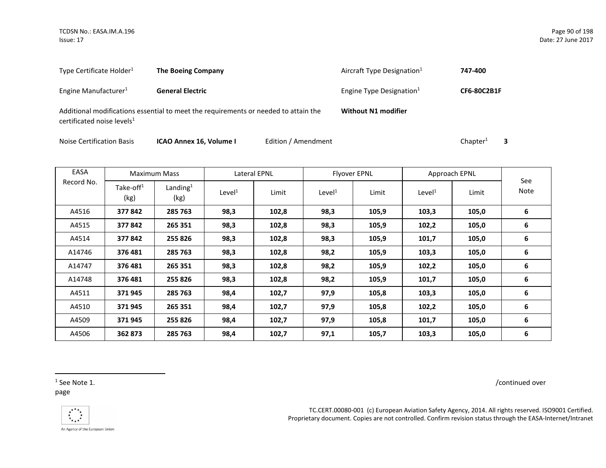TCDSN No.: EASA.IM.A.196 Page 90 of 198 Issue: 17 Date: 27 June 2017

| Type Certificate Holder <sup>1</sup>   | <b>The Boeing Company</b>                                                           | Aircraft Type Designation <sup>1</sup> | 747-400            |
|----------------------------------------|-------------------------------------------------------------------------------------|----------------------------------------|--------------------|
| Engine Manufacturer <sup>1</sup>       | <b>General Electric</b>                                                             | Engine Type Designation <sup>1</sup>   | <b>CF6-80C2B1F</b> |
| certificated noise levels <sup>1</sup> | Additional modifications essential to meet the requirements or needed to attain the | <b>Without N1 modifier</b>             |                    |

Noise Certification Basis **ICAO Annex 16, Volume I Edition / Amendment** Chapter Chapter<sup>1</sup> 3

EASA Record No. Maximum Mass **Lateral EPNL** Flyover EPNL Approach EPNL See Note Take-off<sup>1</sup> (kg) Landing $1$  $(kg)$  Level<sup>1</sup> Limit Level<sup>1</sup> Limit Limit Level<sup>1</sup> Limit A4516 **377 842 285 763 98,3 102,8 98,3 105,9 103,3 105,0 6**A4515 **377 842 265 351 98,3 102,8 98,3 105,9 102,2 105,0 6**A4514 **377 842 255 826 98,3 102,8 98,3 105,9 101,7 105,0 6**A14746 **376 481 285 763 98,3 102,8 98,2 105,9 103,3 105,0 6**A14747 **376 481 265 351 98,3 102,8 98,2 105,9 102,2 105,0 6**A14748 **376 481 255 826 98,3 102,8 98,2 105,9 101,7 105,0 6**A4511 **371 945 285 763 98,4 102,7 97,9 105,8 103,3 105,0 6**A4510 **371 945 265 351 98,4 102,7 97,9 105,8 102,2 105,0 6**A4509 **371 945 255 826 98,4 102,7 97,9 105,8 101,7 105,0 6**A4506 **362 873 285 763 98,4 102,7 97,1 105,7 103,3 105,0 6**

page

An Agency of the European Union

TC.CERT.00080-001 (c) European Aviation Safety Agency, 2014. All rights reserved. ISO9001 Certified. Proprietary document. Copies are not controlled. Confirm revision status through the EASA-Internet/Intranet

 $\frac{1}{2}$  See Note 1.  $\frac{1}{2}$  /continued over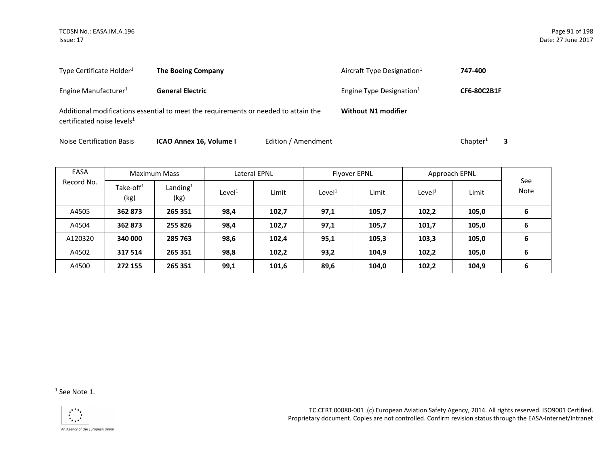TCDSN No.: EASA.IM.A.196 Page 91 of 198 Issue: 17 Date: 27 June 2017

| Type Certificate Holder <sup>1</sup>   | The Boeing Company                                                                  | Aircraft Type Designation <sup>1</sup> | 747-400            |
|----------------------------------------|-------------------------------------------------------------------------------------|----------------------------------------|--------------------|
| Engine Manufacturer <sup>1</sup>       | <b>General Electric</b>                                                             | Engine Type Designation <sup>1</sup>   | <b>CF6-80C2B1F</b> |
| certificated noise levels <sup>1</sup> | Additional modifications essential to meet the requirements or needed to attain the | <b>Without N1 modifier</b>             |                    |

Noise Certification Basis **ICAO Annex 16, Volume I Edition / Amendment** Chapter<sup>1</sup> **3** 

| EASA<br>Record No. | <b>Maximum Mass</b>           |                     | Lateral EPNL       |       | <b>Flyover EPNL</b> |       | Approach EPNL      |       |                    |
|--------------------|-------------------------------|---------------------|--------------------|-------|---------------------|-------|--------------------|-------|--------------------|
|                    | Take-off <sup>1</sup><br>(kg) | Landing $1$<br>(kg) | Level <sup>1</sup> | Limit | Level <sup>1</sup>  | Limit | Level <sup>1</sup> | Limit | See<br><b>Note</b> |
| A4505              | 362 873                       | 265 351             | 98,4               | 102,7 | 97,1                | 105,7 | 102,2              | 105,0 | 6                  |
| A4504              | 362 873                       | 255 826             | 98,4               | 102,7 | 97,1                | 105,7 | 101,7              | 105,0 | 6                  |
| A120320            | 340 000                       | 285 763             | 98,6               | 102,4 | 95,1                | 105,3 | 103,3              | 105,0 | 6                  |
| A4502              | 317 514                       | 265 351             | 98,8               | 102,2 | 93,2                | 104,9 | 102,2              | 105,0 | 6                  |
| A4500              | 272 155                       | 265 351             | 99,1               | 101,6 | 89,6                | 104,0 | 102,2              | 104,9 | 6                  |

 $1$  See Note 1.



TC.CERT.00080-001 (c) European Aviation Safety Agency, 2014. All rights reserved. ISO9001 Certified. Proprietary document. Copies are not controlled. Confirm revision status through the EASA-Internet/Intranet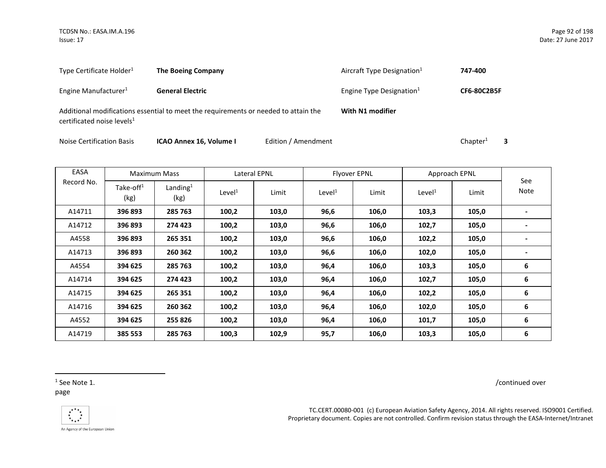TCDSN No.: EASA.IM.A.196 Page 92 of 198 Issue: 17 Date: 27 June 2017

| Type Certificate Holder <sup>1</sup>   | The Boeing Company                                                                  | Aircraft Type Designation <sup>1</sup> | 747-400            |
|----------------------------------------|-------------------------------------------------------------------------------------|----------------------------------------|--------------------|
| Engine Manufacturer <sup>1</sup>       | <b>General Electric</b>                                                             | Engine Type Designation <sup>1</sup>   | <b>CF6-80C2B5F</b> |
| certificated noise levels <sup>1</sup> | Additional modifications essential to meet the requirements or needed to attain the | With N1 modifier                       |                    |

Noise Certification Basis **ICAO Annex 16, Volume I Edition / Amendment** Chapter<sup>1</sup> **3** 

| EASA       | <b>Maximum Mass</b>           |                              | Lateral EPNL       |       | <b>Flyover EPNL</b> |       | Approach EPNL      |       |             |
|------------|-------------------------------|------------------------------|--------------------|-------|---------------------|-------|--------------------|-------|-------------|
| Record No. | Take-off <sup>1</sup><br>(kg) | Landing <sup>1</sup><br>(kg) | Level <sup>1</sup> | Limit | Level <sup>1</sup>  | Limit | Level <sup>1</sup> | Limit | See<br>Note |
| A14711     | 396 893                       | 285 763                      | 100,2              | 103,0 | 96,6                | 106,0 | 103,3              | 105,0 |             |
| A14712     | 396 893                       | 274 423                      | 100,2              | 103,0 | 96,6                | 106,0 | 102,7              | 105,0 |             |
| A4558      | 396 893                       | 265 351                      | 100,2              | 103,0 | 96,6                | 106,0 | 102,2              | 105,0 |             |
| A14713     | 396 893                       | 260 362                      | 100,2              | 103,0 | 96,6                | 106,0 | 102,0              | 105,0 |             |
| A4554      | 394 625                       | 285 763                      | 100,2              | 103,0 | 96,4                | 106,0 | 103,3              | 105,0 | 6           |
| A14714     | 394 625                       | 274 423                      | 100,2              | 103,0 | 96,4                | 106,0 | 102,7              | 105,0 | 6           |
| A14715     | 394 625                       | 265 351                      | 100,2              | 103,0 | 96,4                | 106,0 | 102,2              | 105,0 | 6           |
| A14716     | 394 625                       | 260 362                      | 100,2              | 103,0 | 96,4                | 106,0 | 102,0              | 105,0 | 6           |
| A4552      | 394 625                       | 255 826                      | 100,2              | 103,0 | 96,4                | 106,0 | 101,7              | 105,0 | 6           |
| A14719     | 385 553                       | 285 763                      | 100,3              | 102,9 | 95,7                | 106,0 | 103,3              | 105,0 | 6           |

 $1$  See Note 1.  $/$ continued over

page

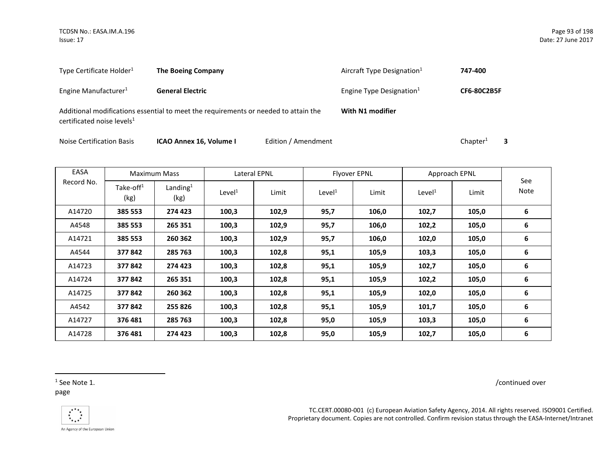TCDSN No.: EASA.IM.A.196 Page 93 of 198 Issue: 17 Date: 27 June 2017

| Type Certificate Holder <sup>1</sup>   | <b>The Boeing Company</b>                                                           | Aircraft Type Designation <sup>1</sup> | 747-400            |
|----------------------------------------|-------------------------------------------------------------------------------------|----------------------------------------|--------------------|
| Engine Manufacturer <sup>1</sup>       | <b>General Electric</b>                                                             | Engine Type Designation $1$            | <b>CF6-80C2B5F</b> |
| certificated noise levels <sup>1</sup> | Additional modifications essential to meet the requirements or needed to attain the | With N1 modifier                       |                    |

Noise Certification Basis **ICAO Annex 16, Volume I Edition / Amendment** Chapter<sup>1</sup> **3** 

| EASA       | <b>Maximum Mass</b>           |                              | Lateral EPNL       |       | <b>Flyover EPNL</b> |       | Approach EPNL      |       |                    |
|------------|-------------------------------|------------------------------|--------------------|-------|---------------------|-------|--------------------|-------|--------------------|
| Record No. | Take-off <sup>1</sup><br>(kg) | Landing <sup>1</sup><br>(kg) | Level <sup>1</sup> | Limit | Level <sup>1</sup>  | Limit | Level <sup>1</sup> | Limit | See<br><b>Note</b> |
| A14720     | 385 553                       | 274 423                      | 100,3              | 102,9 | 95,7                | 106,0 | 102,7              | 105,0 | 6                  |
| A4548      | 385 553                       | 265 351                      | 100,3              | 102,9 | 95,7                | 106,0 | 102,2              | 105,0 | 6                  |
| A14721     | 385 553                       | 260 362                      | 100,3              | 102,9 | 95,7                | 106,0 | 102,0              | 105,0 | 6                  |
| A4544      | 377 842                       | 285 763                      | 100,3              | 102,8 | 95,1                | 105,9 | 103,3              | 105,0 | 6                  |
| A14723     | 377842                        | 274 423                      | 100,3              | 102,8 | 95,1                | 105,9 | 102,7              | 105,0 | 6                  |
| A14724     | 377842                        | 265 351                      | 100,3              | 102,8 | 95,1                | 105,9 | 102,2              | 105,0 | 6                  |
| A14725     | 377842                        | 260 362                      | 100,3              | 102,8 | 95,1                | 105,9 | 102,0              | 105,0 | 6                  |
| A4542      | 377 842                       | 255 826                      | 100,3              | 102,8 | 95,1                | 105,9 | 101,7              | 105,0 | 6                  |
| A14727     | 376 481                       | 285 763                      | 100,3              | 102,8 | 95,0                | 105,9 | 103,3              | 105,0 | 6                  |
| A14728     | 376 481                       | 274 423                      | 100,3              | 102,8 | 95,0                | 105,9 | 102,7              | 105,0 | 6                  |

 $1$  See Note 1.  $/$ continued over

page

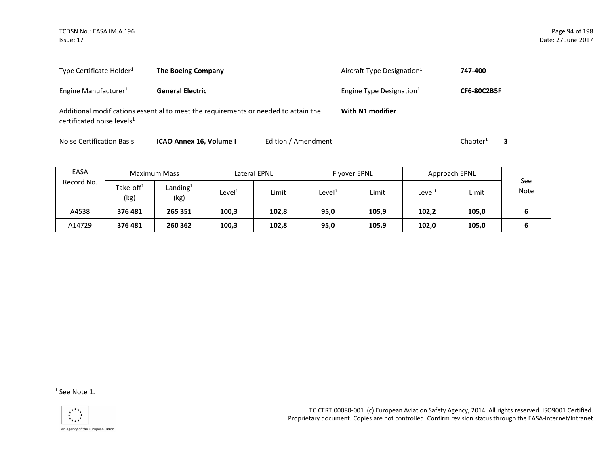TCDSN No.: EASA.IM.A.196 Page 94 of 198 Issue: 17 Date: 27 June 2017

| Type Certificate Holder <sup>1</sup>   | The Boeing Company                                                                  | Aircraft Type Designation <sup>1</sup> | 747-400            |
|----------------------------------------|-------------------------------------------------------------------------------------|----------------------------------------|--------------------|
| Engine Manufacturer <sup>1</sup>       | <b>General Electric</b>                                                             | Engine Type Designation <sup>1</sup>   | <b>CF6-80C2B5F</b> |
| certificated noise levels <sup>1</sup> | Additional modifications essential to meet the requirements or needed to attain the | With N1 modifier                       |                    |

| Noise Certification Basis<br><b>ICAO Annex 16. Volume I</b> | Edition / Amendment | Chapter $1$ |
|-------------------------------------------------------------|---------------------|-------------|
|-------------------------------------------------------------|---------------------|-------------|

| EASA       | <b>Maximum Mass</b>           |                              | Lateral EPNL       |       | <b>Flyover EPNL</b> |       | Approach EPNL |       |                    |
|------------|-------------------------------|------------------------------|--------------------|-------|---------------------|-------|---------------|-------|--------------------|
| Record No. | Take-off <sup>1</sup><br>(kg) | Landing <sup>1</sup><br>(kg) | Level <sup>1</sup> | Limit | Level <sup>1</sup>  | Limit | Level $^1$    | Limit | See<br><b>Note</b> |
| A4538      | 376 481                       | 265 351                      | 100,3              | 102,8 | 95,0                | 105,9 | 102,2         | 105,0 |                    |
| A14729     | 376 481                       | 260 362                      | 100,3              | 102,8 | 95,0                | 105,9 | 102,0         | 105,0 |                    |

 $1$  See Note 1.



An Agency of the European Union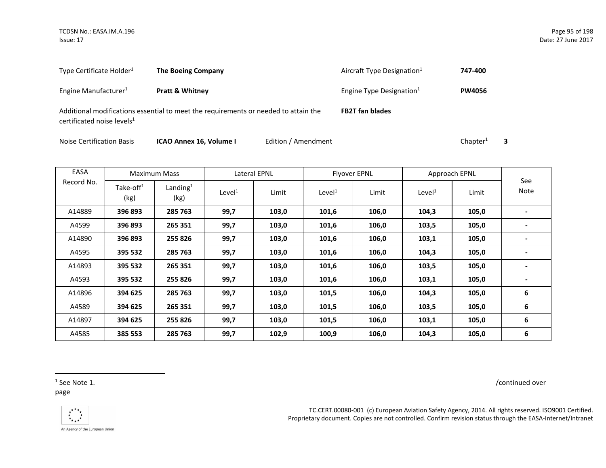| Type Certificate Holder <sup>1</sup>   | <b>The Boeing Company</b>                                                           | Aircraft Type Designation <sup>1</sup> | 747-400       |
|----------------------------------------|-------------------------------------------------------------------------------------|----------------------------------------|---------------|
| Engine Manufacturer <sup>1</sup>       | <b>Pratt &amp; Whitney</b>                                                          | Engine Type Designation <sup>1</sup>   | <b>PW4056</b> |
| certificated noise levels <sup>1</sup> | Additional modifications essential to meet the requirements or needed to attain the | <b>FB2T</b> fan blades                 |               |

Noise Certification Basis **ICAO Annex 16, Volume I Edition / Amendment** Chapter Chapter<sup>1</sup> 3

EASA Record No. Maximum Mass **Lateral EPNL** Flyover EPNL Approach EPNL See Note Take-off<sup>1</sup> (kg) Landing $1$  $(kg)$  Level<sup>1</sup> Limit Level<sup>1</sup> Limit Limit Level<sup>1</sup> Limit A14889 | **396 893 | 285 763 | 99,7 | 103,0 | 101,6 | 106,0 | 104,3 | 105,0 | -**A4599 **396 893 265 351 99,7 103,0 101,6 106,0 103,5 105,0 -** A14890 **396 893 255 826 99,7 103,0 101,6 106,0 103,1 105,0 -** A4595 | **395 532 | 285 763 | 99,7 | 103,0 | 101,6 | 106,0 | 104,3 | 105,0 | -**A14893 **395 532 265 351 99,7 103,0 101,6 106,0 103,5 105,0 -** A4593 **395 532 255 826 99,7 103,0 101,6 106,0 103,1 105,0 -** A14896 **394 625 285 763 99,7 103,0 101,5 106,0 104,3 105,0 6** A4589 | **394 625 | 265 351 | 99,7 | 103,0 | 101,5 | 106,0 | 103,5 | 105,0 | 6** A14897 **394 625 255 826 99,7 103,0 101,5 106,0 103,1 105,0 6** A4585 **385 553 285 763 99,7 102,9 100,9 106,0 104,3 105,0 6** 

## $\frac{1}{2}$  See Note 1.  $\frac{1}{2}$  /continued over

page

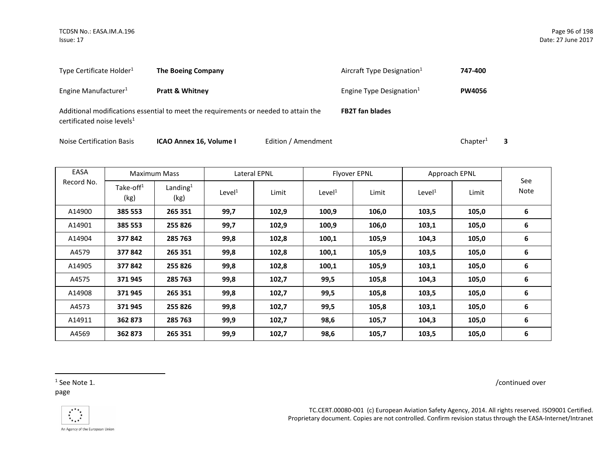TCDSN No.: EASA.IM.A.196 Page 96 of 198 Issue: 17 Date: 27 June 2017

| Type Certificate Holder <sup>1</sup>   | <b>The Boeing Company</b>                                                           | Aircraft Type Designation <sup>1</sup> | 747-400       |
|----------------------------------------|-------------------------------------------------------------------------------------|----------------------------------------|---------------|
| Engine Manufacturer <sup>1</sup>       | <b>Pratt &amp; Whitney</b>                                                          | Engine Type Designation <sup>1</sup>   | <b>PW4056</b> |
| certificated noise levels <sup>1</sup> | Additional modifications essential to meet the requirements or needed to attain the | <b>FB2T</b> fan blades                 |               |

Noise Certification Basis **ICAO Annex 16, Volume I Edition / Amendment** Chapter Chapter<sup>1</sup> 3

EASA Record No. Maximum Mass **Lateral EPNL** Flyover EPNL Approach EPNL See Note Take-off<sup>1</sup> (kg) Landing $1$  $(kg)$  Level<sup>1</sup> Limit Level<sup>1</sup> Limit Limit Level<sup>1</sup> Limit A14900 **385 553 265 351 99,7 102,9 100,9 106,0 103,5 105,0 6** A14901 **385 553 255 826 99,7 102,9 100,9 106,0 103,1 105,0 6** A14904 **377 842 285 763 99,8 102,8 100,1 105,9 104,3 105,0 6** A4579 | **377 842** | **265 351 | 99,8 | 102,8 | 100,1 | 105,9 | 103,5 | 105,0 | 6** A14905 **377 842 255 826 99,8 102,8 100,1 105,9 103,1 105,0 6** A4575 **371 945 285 763 99,8 102,7 99,5 105,8 104,3 105,0 6**A14908 | **371 945 | 265 351 | 99,8 | 102,7 | 99,5 | 105,8 | 103,5 | 105,0 | 6** A4573 **371 945 255 826 99,8 102,7 99,5 105,8 103,1 105,0 6**A14911 **362 873 285 763 99,9 102,7 98,6 105,7 104,3 105,0 6**A4569 **362 873 265 351 99,9 102,7 98,6 105,7 103,5 105,0 6**

 $\frac{1}{2}$  See Note 1.  $\frac{1}{2}$  /continued over

page

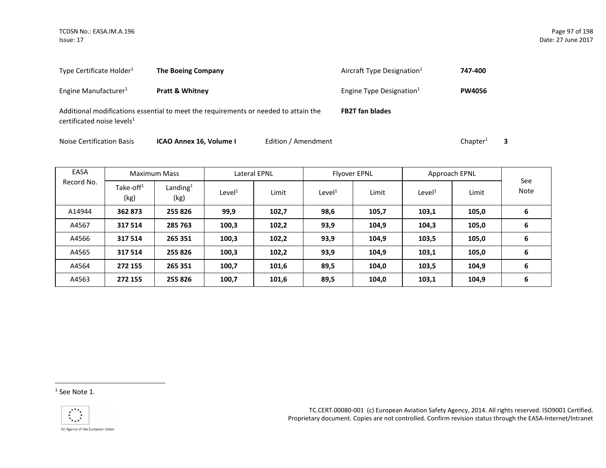TCDSN No.: EASA.IM.A.196 Page 97 of 198 Issue: 17 Date: 27 June 2017

| Type Certificate Holder <sup>1</sup>   | The Boeing Company                                                                  | Aircraft Type Designation <sup>1</sup> | 747-400       |
|----------------------------------------|-------------------------------------------------------------------------------------|----------------------------------------|---------------|
| Engine Manufacturer <sup>1</sup>       | <b>Pratt &amp; Whitney</b>                                                          | Engine Type Designation <sup>1</sup>   | <b>PW4056</b> |
| certificated noise levels <sup>1</sup> | Additional modifications essential to meet the requirements or needed to attain the | <b>FB2T</b> fan blades                 |               |

Noise Certification Basis **ICAO Annex 16, Volume I Edition / Amendment** Chapter<sup>1</sup> **3** 

| EASA       |                               | <b>Maximum Mass</b> |                    | <b>Lateral EPNL</b> | <b>Flyover EPNL</b> |       |                    | Approach EPNL |                    |
|------------|-------------------------------|---------------------|--------------------|---------------------|---------------------|-------|--------------------|---------------|--------------------|
| Record No. | Take-off <sup>1</sup><br>(kg) | Landing $1$<br>(kg) | Level <sup>1</sup> | Limit               | Level <sup>1</sup>  | Limit | Level <sup>1</sup> | Limit         | See<br><b>Note</b> |
| A14944     | 362 873                       | 255 826             | 99,9               | 102,7               | 98,6                | 105,7 | 103,1              | 105,0         | 6                  |
| A4567      | 317 514                       | 285 763             | 100,3              | 102,2               | 93,9                | 104,9 | 104,3              | 105,0         | 6                  |
| A4566      | 317 514                       | 265 351             | 100,3              | 102,2               | 93,9                | 104,9 | 103,5              | 105,0         | 6                  |
| A4565      | 317 514                       | 255 826             | 100,3              | 102,2               | 93,9                | 104,9 | 103,1              | 105,0         | 6                  |
| A4564      | 272 155                       | 265 351             | 100,7              | 101,6               | 89,5                | 104,0 | 103,5              | 104,9         | 6                  |
| A4563      | 272 155                       | 255 826             | 100,7              | 101,6               | 89,5                | 104,0 | 103,1              | 104,9         | 6                  |

 $1$  See Note 1.



TC.CERT.00080-001 (c) European Aviation Safety Agency, 2014. All rights reserved. ISO9001 Certified. Proprietary document. Copies are not controlled. Confirm revision status through the EASA-Internet/Intranet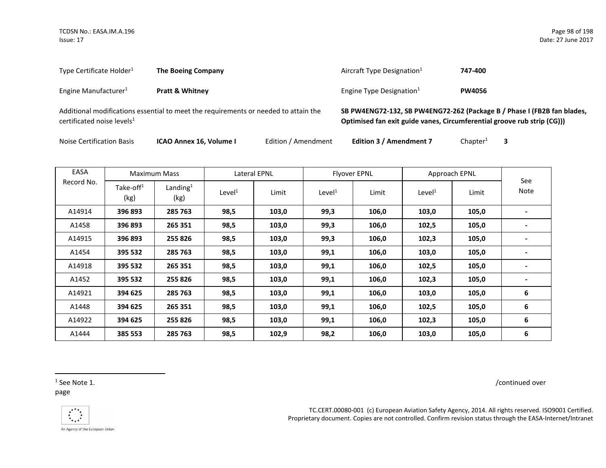| Type Certificate Holder <sup>1</sup>   | The Boeing Company                                                                  | Aircraft Type Designation <sup>1</sup>                                  | 747-400                                                                 |
|----------------------------------------|-------------------------------------------------------------------------------------|-------------------------------------------------------------------------|-------------------------------------------------------------------------|
| Engine Manufacturer <sup>1</sup>       | <b>Pratt &amp; Whitney</b>                                                          | Engine Type Designation <sup>1</sup>                                    | <b>PW4056</b>                                                           |
| certificated noise levels <sup>1</sup> | Additional modifications essential to meet the requirements or needed to attain the | Optimised fan exit guide vanes, Circumferential groove rub strip (CG))) | SB PW4ENG72-132, SB PW4ENG72-262 (Package B / Phase I (FB2B fan blades, |

EASA Record No. Maximum Mass **Lateral EPNL** Flyover EPNL Approach EPNL See Note Take-off<sup>1</sup> (kg) Landing $1$  $(kg)$  Level<sup>1</sup> Limit Level<sup>1</sup> Limit Limit Level<sup>1</sup> Limit A14914 **396 893 285 763 98,5 103,0 99,3 106,0 103,0 105,0 -**A1458 **396 893 265 351 98,5 103,0 99,3 106,0 102,5 105,0 -**A14915 **396 893 255 826 98,5 103,0 99,3 106,0 102,3 105,0 -**A1454 **395 532 285 763 98,5 103,0 99,1 106,0 103,0 105,0 -**A14918 **395 532 265 351 98,5 103,0 99,1 106,0 102,5 105,0 -**A1452 **395 532 255 826 98,5 103,0 99,1 106,0 102,3 105,0 -**A14921 | **394 625 | 285 763 | 98,5 | 103,0 | 99,1 | 106,0 | 103,0 | 105,0 | 6** A1448 | **394 625 | 265 351 | 98,5 | 103,0 | 99,1 | 106,0 | 102,5 | 105,0 | 6** A14922 **394 625 255 826 98,5 103,0 99,1 106,0 102,3 105,0 6**A1444 **385 553 285 763 98,5 102,9 98,2 106,0 103,0 105,0 6**

Noise Certification Basis **ICAO Annex 16, Volume I** Edition / Amendment **Edition 3 / Amendment 7** Chapter<sup>1</sup> **<sup>3</sup>**

 $\frac{1}{2}$  See Note 1.  $\frac{1}{2}$  /continued over

page

An Agency of the European Union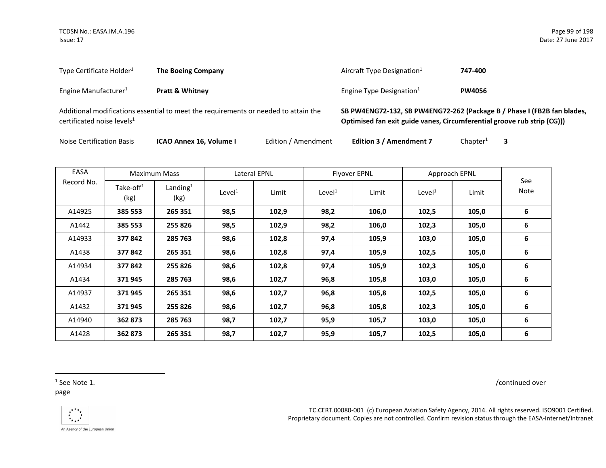| Type Certificate Holder <sup>1</sup>   | The Boeing Company                                                                  | Aircraft Type Designation <sup>1</sup>                                  | 747-400                                                                 |
|----------------------------------------|-------------------------------------------------------------------------------------|-------------------------------------------------------------------------|-------------------------------------------------------------------------|
| Engine Manufacturer <sup>1</sup>       | <b>Pratt &amp; Whitney</b>                                                          | Engine Type Designation <sup>1</sup>                                    | <b>PW4056</b>                                                           |
| certificated noise levels <sup>1</sup> | Additional modifications essential to meet the requirements or needed to attain the | Optimised fan exit guide vanes, Circumferential groove rub strip (CG))) | SB PW4ENG72-132, SB PW4ENG72-262 (Package B / Phase I (FB2B fan blades, |

EASA Record No. Maximum Mass **Lateral EPNL** Flyover EPNL Approach EPNL See Note Take-off<sup>1</sup> (kg) Landing $1$  $(kg)$  Level<sup>1</sup> Limit Level<sup>1</sup> Limit Limit Level<sup>1</sup> Limit A14925 | **385 553 | 265 351 | 98,5 | 102,9 | 98,2 | 106,0 | 102,5 | 105,0 | 6** A1442 **385 553 255 826 98,5 102,9 98,2 106,0 102,3 105,0 6**A14933 **377 842 285 763 98,6 102,8 97,4 105,9 103,0 105,0 6**A1438 **377 842 265 351 98,6 102,8 97,4 105,9 102,5 105,0 6**A14934 **377 842 255 826 98,6 102,8 97,4 105,9 102,3 105,0 6**A1434 **371 945 285 763 98,6 102,7 96,8 105,8 103,0 105,0 6**A14937 | **371** 945 | 265 351 | 98,6 | 102,7 | 96,8 | 105,8 | 102,5 | 105,0 | 6 A1432 **371 945 255 826 98,6 102,7 96,8 105,8 102,3 105,0 6**A14940 **362 873 285 763 98,7 102,7 95,9 105,7 103,0 105,0 6**A1428 **362 873 265 351 98,7 102,7 95,9 105,7 102,5 105,0 6**

Noise Certification Basis **ICAO Annex 16, Volume I** Edition / Amendment **Edition 3 / Amendment 7** Chapter<sup>1</sup> **<sup>3</sup>**

 $\frac{1}{2}$  See Note 1.  $\frac{1}{2}$  /continued over

page

An Agency of the European Union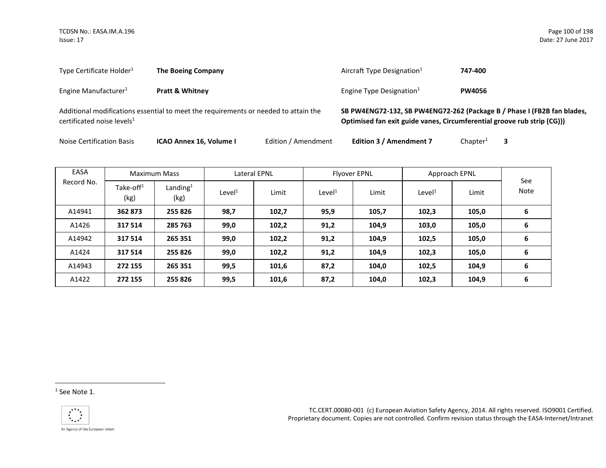TCDSN No.: EASA.IM.A.196 Page 100 of 198 Issue: 17 Date: 27 June 2017

| Type Certificate Holder <sup>1</sup>   | The Boeing Company                                                                  | Aircraft Type Designation <sup>1</sup>                                  | 747-400                                                                 |
|----------------------------------------|-------------------------------------------------------------------------------------|-------------------------------------------------------------------------|-------------------------------------------------------------------------|
| Engine Manufacturer <sup>1</sup>       | <b>Pratt &amp; Whitney</b>                                                          | Engine Type Designation <sup>1</sup>                                    | <b>PW4056</b>                                                           |
| certificated noise levels <sup>1</sup> | Additional modifications essential to meet the requirements or needed to attain the | Optimised fan exit guide vanes, Circumferential groove rub strip (CG))) | SB PW4ENG72-132, SB PW4ENG72-262 (Package B / Phase I (FB2B fan blades, |

EASA Record No. Maximum Mass  $\overline{L}$  Lateral EPNL Flyover EPNL Approach EPNL See Note Take-off<sup>1</sup> (kg) Landing<sup>1</sup>  $(kg)$  Level<sup>1</sup> Limit Level<sup>1</sup> Limit Limit Level<sup>1</sup> Limit A14941 **362 873 255 826 98,7 102,7 95,9 105,7 102,3 105,0 6**A1426 **317 514 285 763 99,0 102,2 91,2 104,9 103,0 105,0 6**A14942 **317 514 265 351 99,0 102,2 91,2 104,9 102,5 105,0 6**A1424 **317 514 255 826 99,0 102,2 91,2 104,9 102,3 105,0 6**A14943 **272 155 265 351 99,5 101,6 87,2 104,0 102,5 104,9 6**A1422 **272 155 255 826 99,5 101,6 87,2 104,0 102,3 104,9 6**

Noise Certification Basis **ICAO Annex 16, Volume I** Edition / Amendment **Edition 3 / Amendment 7** Chapter<sup>1</sup> **<sup>3</sup>**

<sup>1</sup> See Note 1.



TC.CERT.00080-001 (c) European Aviation Safety Agency, 2014. All rights reserved. ISO9001 Certified. Proprietary document. Copies are not controlled. Confirm revision status through the EASA-Internet/Intranet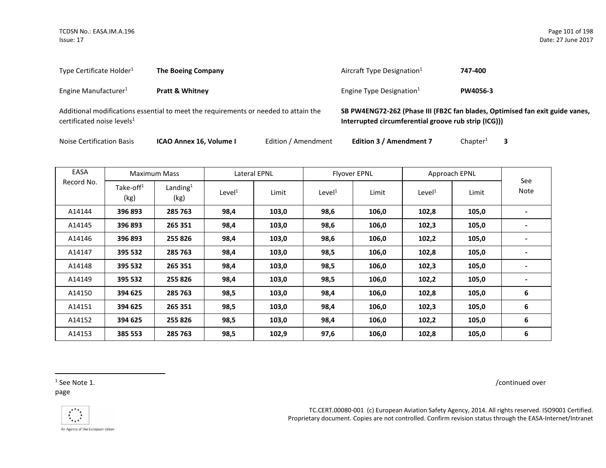| Type Certificate Holder <sup>1</sup>   | The Boeing Company                                                                  | Aircraft Type Designation <sup>1</sup>               | 747-400                                                                      |
|----------------------------------------|-------------------------------------------------------------------------------------|------------------------------------------------------|------------------------------------------------------------------------------|
| Engine Manufacturer <sup>1</sup>       | <b>Pratt &amp; Whitney</b>                                                          | Engine Type Designation <sup>1</sup>                 | PW4056-3                                                                     |
| certificated noise levels <sup>1</sup> | Additional modifications essential to meet the requirements or needed to attain the | Interrupted circumferential groove rub strip (ICG))) | SB PW4ENG72-262 (Phase III (FB2C fan blades, Optimised fan exit guide vanes, |

EASA Record No. Maximum Mass **Lateral EPNL** Flyover EPNL Approach EPNL See Note Take-off<sup>1</sup> (kg) Landing $1$  $(kg)$  Level<sup>1</sup> Limit Level<sup>1</sup> Limit Limit Level<sup>1</sup> Limit A14144 **396 893 285 763 98,4 103,0 98,6 106,0 102,8 105,0 -**A14145 **396 893 265 351 98,4 103,0 98,6 106,0 102,3 105,0 -**A14146 **396 893 255 826 98,4 103,0 98,6 106,0 102,2 105,0 -**A14147 **395 532 285 763 98,4 103,0 98,5 106,0 102,8 105,0 -**A14148 **395 532 265 351 98,4 103,0 98,5 106,0 102,3 105,0 -**A14149 **395 532 255 826 98,4 103,0 98,5 106,0 102,2 105,0 -**A14150 | **394 625 | 285 763 | 98,5 | 103,0 | 98,4 | 106,0 | 102,8 | 105,0 | 6** A14151 | **394 625 | 265 351 | 98,5 | 103,0 | 98,4 | 106,0 | 102,3 | 105,0 | 6** A14152 **394 625 255 826 98,5 103,0 98,4 106,0 102,2 105,0 6**A14153 **385 553 285 763 98,5 102,9 97,6 106,0 102,8 105,0 6**

Noise Certification Basis **ICAO Annex 16, Volume I** Edition / Amendment **Edition 3 / Amendment 7** Chapter<sup>1</sup> **<sup>3</sup>**

 $\frac{1}{2}$  See Note 1.  $\frac{1}{2}$  /continued over

page

An Agency of the European Union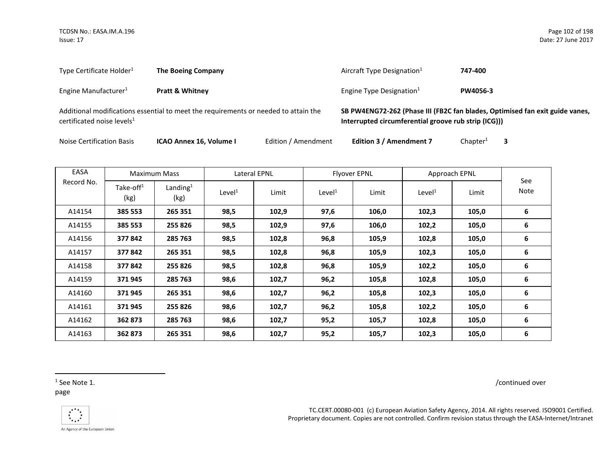| Type Certificate Holder <sup>1</sup>   | The Boeing Company                                                                  | Aircraft Type Designation <sup>1</sup>               | 747-400                                                                      |
|----------------------------------------|-------------------------------------------------------------------------------------|------------------------------------------------------|------------------------------------------------------------------------------|
| Engine Manufacturer <sup>1</sup>       | <b>Pratt &amp; Whitney</b>                                                          | Engine Type Designation <sup>1</sup>                 | PW4056-3                                                                     |
| certificated noise levels <sup>1</sup> | Additional modifications essential to meet the requirements or needed to attain the | Interrupted circumferential groove rub strip (ICG))) | SB PW4ENG72-262 (Phase III (FB2C fan blades, Optimised fan exit guide vanes, |

EASA Record No. Maximum Mass **Lateral EPNL** Flyover EPNL Approach EPNL See Note Take-off<sup>1</sup> (kg) Landing $1$  $(kg)$  Level<sup>1</sup> Limit Level<sup>1</sup> Limit Limit Level<sup>1</sup> Limit A14154 | **385 553 | 265 351 | 98,5 | 102,9 | 97,6 | 106,0 | 102,3 | 105,0 | 6** A14155 **385 553 255 826 98,5 102,9 97,6 106,0 102,2 105,0 6**A14156 **377 842 285 763 98,5 102,8 96,8 105,9 102,8 105,0 6**A14157 | **377 842** | **265 351 | 98,5 | 102,8 | 96,8 | 105,9 | 102,3 | 105,0 | 6** A14158 **377 842 255 826 98,5 102,8 96,8 105,9 102,2 105,0 6**A14159 **371 945 285 763 98,6 102,7 96,2 105,8 102,8 105,0 6**A14160 | **371** 945 | 265 351 | 98,6 | 102,7 | 96,2 | 105,8 | 102,3 | 105,0 | 6 A14161 **371 945 255 826 98,6 102,7 96,2 105,8 102,2 105,0 6**A14162 **362 873 285 763 98,6 102,7 95,2 105,7 102,8 105,0 6**A14163 **362 873 265 351 98,6 102,7 95,2 105,7 102,3 105,0 6**

Noise Certification Basis **ICAO Annex 16, Volume I** Edition / Amendment **Edition 3 / Amendment 7** Chapter<sup>1</sup> **<sup>3</sup>**

 $\frac{1}{2}$  See Note 1.  $\frac{1}{2}$  /continued over

page

An Agency of the European Union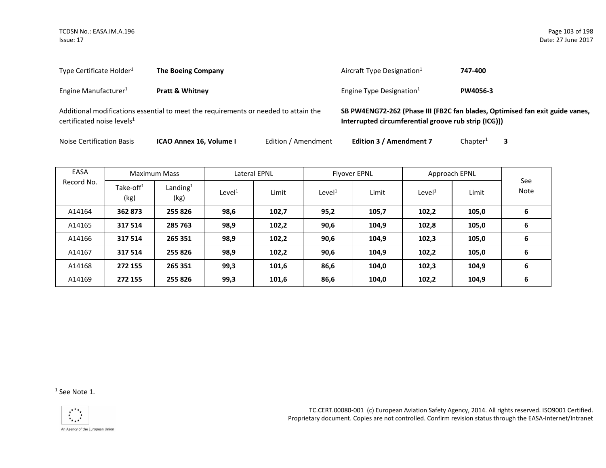TCDSN No.: EASA.IM.A.196 Page 103 of 198 Issue: 17 Date: 27 June 2017

| Type Certificate Holder <sup>1</sup>   | The Boeing Company                                                                  | Aircraft Type Designation $1$                       | 747-400                                                                      |
|----------------------------------------|-------------------------------------------------------------------------------------|-----------------------------------------------------|------------------------------------------------------------------------------|
| Engine Manufacturer <sup>1</sup>       | <b>Pratt &amp; Whitney</b>                                                          | Engine Type Designation <sup>1</sup>                | PW4056-3                                                                     |
| certificated noise levels <sup>1</sup> | Additional modifications essential to meet the requirements or needed to attain the | Interrupted circumferential groove rub strip (ICG)) | SB PW4ENG72-262 (Phase III (FB2C fan blades, Optimised fan exit guide vanes, |

EASA Record No. Maximum Mass  $\overline{L}$  Lateral EPNL Flyover EPNL Approach EPNL See Note Take-off<sup>1</sup> (kg) Landing<sup>1</sup>  $(kg)$  Level<sup>1</sup> Limit Level<sup>1</sup> Limit Limit Level<sup>1</sup> Limit A14164 **362 873 255 826 98,6 102,7 95,2 105,7 102,2 105,0 6**A14165 | **317 514 | 285 763 | 98,9 | 102,2 | 90,6 | 104,9 | 102,8 | 105,0 | 6** A14166 **317 514 265 351 98,9 102,2 90,6 104,9 102,3 105,0 6**A14167 | **317 514 | 255 826 | 98,9 | 102,2 | 90,6 | 104,9 | 102,2 | 105,0 | 6** A14168 | **272** 155 | 265 351 | 99,3 | 101,6 | 86,6 | 104,0 | 102,3 | 104,9 | 6 A14169 **272 155 255 826 99,3 101,6 86,6 104,0 102,2 104,9 6**

Noise Certification Basis **ICAO Annex 16, Volume I** Edition / Amendment **Edition 3 / Amendment 7** Chapter<sup>1</sup> **<sup>3</sup>**

<sup>1</sup> See Note 1.



TC.CERT.00080-001 (c) European Aviation Safety Agency, 2014. All rights reserved. ISO9001 Certified. Proprietary document. Copies are not controlled. Confirm revision status through the EASA-Internet/Intranet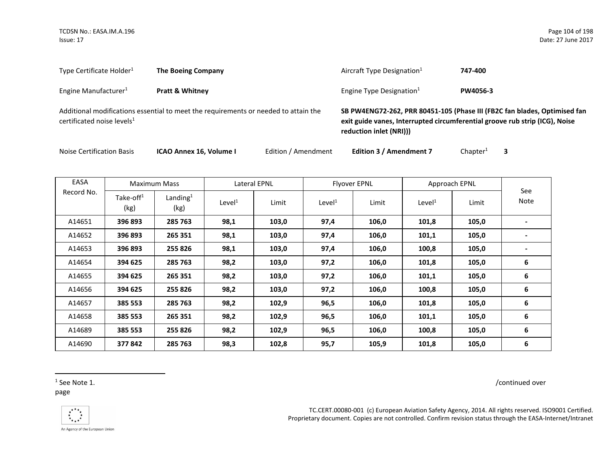| Type Certificate Holder <sup>1</sup>   | <b>The Boeing Company</b>                                                           |                     | Aircraft Type Designation <sup>1</sup>  | 747-400                                                                                                                                                  |  |  |  |
|----------------------------------------|-------------------------------------------------------------------------------------|---------------------|-----------------------------------------|----------------------------------------------------------------------------------------------------------------------------------------------------------|--|--|--|
| Engine Manufacturer <sup>1</sup>       | <b>Pratt &amp; Whitney</b>                                                          |                     | Engine Type Designation $1$<br>PW4056-3 |                                                                                                                                                          |  |  |  |
| certificated noise levels <sup>1</sup> | Additional modifications essential to meet the requirements or needed to attain the |                     | reduction inlet (NRI)))                 | SB PW4ENG72-262, PRR 80451-105 (Phase III (FB2C fan blades, Optimised fan<br>exit guide vanes, Interrupted circumferential groove rub strip (ICG), Noise |  |  |  |
| Noise Certification Basis              | <b>ICAO Annex 16, Volume I</b>                                                      | Edition / Amendment | Edition 3 / Amendment 7                 | Chapter <sup>1</sup>                                                                                                                                     |  |  |  |

| EASA       | <b>Maximum Mass</b>   |                     |                    | Lateral EPNL | <b>Flyover EPNL</b> |       | Approach EPNL      |       |             |
|------------|-----------------------|---------------------|--------------------|--------------|---------------------|-------|--------------------|-------|-------------|
| Record No. | Take-off $^1$<br>(kg) | Landing $1$<br>(kg) | Level <sup>1</sup> | Limit        | Level <sup>1</sup>  | Limit | Level <sup>1</sup> | Limit | See<br>Note |
| A14651     | 396 893               | 285 763             | 98,1               | 103,0        | 97,4                | 106,0 | 101,8              | 105,0 |             |
| A14652     | 396 893               | 265 351             | 98,1               | 103,0        | 97,4                | 106,0 | 101,1              | 105,0 |             |
| A14653     | 396 893               | 255 826             | 98,1               | 103,0        | 97,4                | 106,0 | 100,8              | 105,0 |             |
| A14654     | 394 625               | 285 763             | 98,2               | 103,0        | 97,2                | 106,0 | 101,8              | 105,0 | 6           |
| A14655     | 394 625               | 265 351             | 98,2               | 103,0        | 97,2                | 106,0 | 101,1              | 105,0 | 6           |
| A14656     | 394 625               | 255 826             | 98,2               | 103,0        | 97,2                | 106,0 | 100,8              | 105,0 | 6           |
| A14657     | 385 553               | 285 763             | 98,2               | 102,9        | 96,5                | 106,0 | 101,8              | 105,0 | 6           |
| A14658     | 385 553               | 265 351             | 98,2               | 102,9        | 96,5                | 106,0 | 101,1              | 105,0 | 6           |
| A14689     | 385 553               | 255 826             | 98,2               | 102,9        | 96,5                | 106,0 | 100,8              | 105,0 | 6           |
| A14690     | 377842                | 285 763             | 98,3               | 102,8        | 95,7                | 105,9 | 101,8              | 105,0 | 6           |

# $1$  See Note 1.  $/$ continued over

page

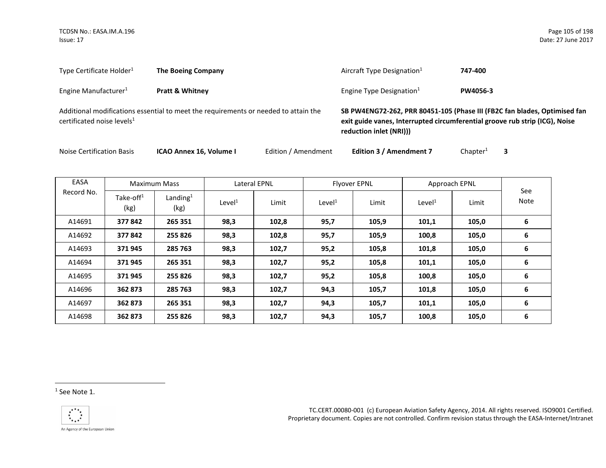| Type Certificate Holder <sup>1</sup>   | The Boeing Company                                                                  |                     | Aircraft Type Designation <sup>1</sup> | 747-400                                                                                                                                                  |  |  |
|----------------------------------------|-------------------------------------------------------------------------------------|---------------------|----------------------------------------|----------------------------------------------------------------------------------------------------------------------------------------------------------|--|--|
| Engine Manufacturer <sup>1</sup>       | <b>Pratt &amp; Whitney</b>                                                          |                     | Engine Type Designation $1$            |                                                                                                                                                          |  |  |
| certificated noise levels <sup>1</sup> | Additional modifications essential to meet the requirements or needed to attain the |                     | reduction inlet (NRI)))                | SB PW4ENG72-262, PRR 80451-105 (Phase III (FB2C fan blades, Optimised fan<br>exit guide vanes, Interrupted circumferential groove rub strip (ICG), Noise |  |  |
| Noise Certification Basis              | <b>ICAO Annex 16, Volume I</b>                                                      | Edition / Amendment | Edition 3 / Amendment 7                | Chapter <sup>1</sup>                                                                                                                                     |  |  |

| EASA       |                      | <b>Maximum Mass</b> |                    | <b>Lateral EPNL</b> |                    | <b>Flyover EPNL</b> | Approach EPNL      |       |                    |
|------------|----------------------|---------------------|--------------------|---------------------|--------------------|---------------------|--------------------|-------|--------------------|
| Record No. | Take-off $1$<br>(kg) | Landing $1$<br>(kg) | Level <sup>1</sup> | Limit               | Level <sup>1</sup> | Limit               | Level <sup>1</sup> | Limit | See<br><b>Note</b> |
| A14691     | 377842               | 265 351             | 98,3               | 102,8               | 95,7               | 105,9               | 101,1              | 105,0 | 6                  |
| A14692     | 377842               | 255 826             | 98,3               | 102,8               | 95,7               | 105,9               | 100,8              | 105,0 | 6                  |
| A14693     | 371945               | 285 763             | 98,3               | 102,7               | 95,2               | 105,8               | 101,8              | 105,0 | 6                  |
| A14694     | 371945               | 265 351             | 98,3               | 102,7               | 95,2               | 105,8               | 101,1              | 105,0 | 6                  |
| A14695     | 371945               | 255 826             | 98,3               | 102,7               | 95,2               | 105,8               | 100,8              | 105,0 | 6                  |
| A14696     | 362 873              | 285 763             | 98,3               | 102,7               | 94,3               | 105,7               | 101,8              | 105,0 | 6                  |
| A14697     | 362 873              | 265 351             | 98,3               | 102,7               | 94,3               | 105,7               | 101,1              | 105,0 | 6                  |
| A14698     | 362 873              | 255 826             | 98,3               | 102,7               | 94,3               | 105,7               | 100,8              | 105,0 | 6                  |

<sup>1</sup> See Note 1.



TC.CERT.00080-001 (c) European Aviation Safety Agency, 2014. All rights reserved. ISO9001 Certified. Proprietary document. Copies are not controlled. Confirm revision status through the EASA-Internet/Intranet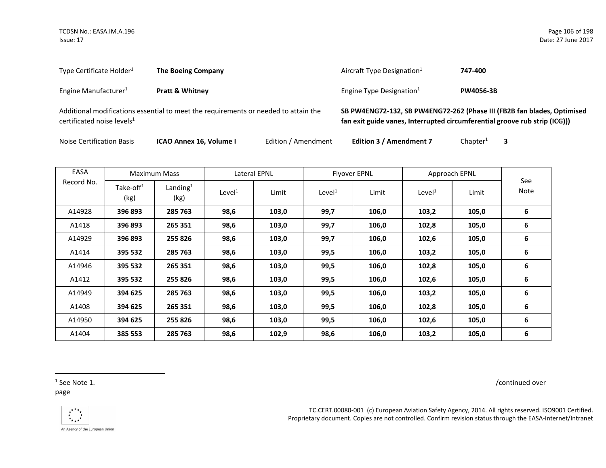| Type Certificate Holder <sup>1</sup>   | The Boeing Company                                                                  | Aircraft Type Designation <sup>1</sup>                                     | 747-400                                                                 |
|----------------------------------------|-------------------------------------------------------------------------------------|----------------------------------------------------------------------------|-------------------------------------------------------------------------|
| Engine Manufacturer <sup>1</sup>       | <b>Pratt &amp; Whitney</b>                                                          | Engine Type Designation <sup>1</sup>                                       | <b>PW4056-3B</b>                                                        |
| certificated noise levels <sup>1</sup> | Additional modifications essential to meet the requirements or needed to attain the | fan exit guide vanes, Interrupted circumferential groove rub strip (ICG))) | SB PW4ENG72-132, SB PW4ENG72-262 (Phase III (FB2B fan blades, Optimised |

Noise Certification Basis **ICAO Annex 16, Volume I** Edition / Amendment **Edition 3 / Amendment 7** Chapter<sup>1</sup> **<sup>3</sup>**

| EASA       |                               | <b>Maximum Mass</b> | Lateral EPNL<br><b>Flyover EPNL</b> |       | Approach EPNL      |       | See                |       |             |
|------------|-------------------------------|---------------------|-------------------------------------|-------|--------------------|-------|--------------------|-------|-------------|
| Record No. | Take-off <sup>1</sup><br>(kg) | Landing $1$<br>(kg) | Level <sup>1</sup>                  | Limit | Level <sup>1</sup> | Limit | Level <sup>1</sup> | Limit | <b>Note</b> |
| A14928     | 396 893                       | 285 763             | 98,6                                | 103,0 | 99,7               | 106,0 | 103,2              | 105,0 | 6           |
| A1418      | 396 893                       | 265 351             | 98,6                                | 103,0 | 99,7               | 106,0 | 102,8              | 105,0 | 6           |
| A14929     | 396 893                       | 255 826             | 98,6                                | 103,0 | 99,7               | 106,0 | 102,6              | 105,0 | 6           |
| A1414      | 395 532                       | 285 763             | 98,6                                | 103,0 | 99,5               | 106,0 | 103,2              | 105,0 | 6           |
| A14946     | 395 532                       | 265 351             | 98,6                                | 103,0 | 99,5               | 106,0 | 102,8              | 105,0 | 6           |
| A1412      | 395 532                       | 255 826             | 98,6                                | 103,0 | 99,5               | 106,0 | 102,6              | 105,0 | 6           |
| A14949     | 394 625                       | 285 763             | 98,6                                | 103,0 | 99,5               | 106,0 | 103,2              | 105,0 | 6           |
| A1408      | 394 625                       | 265 351             | 98,6                                | 103,0 | 99,5               | 106,0 | 102,8              | 105,0 | 6           |
| A14950     | 394 625                       | 255 826             | 98,6                                | 103,0 | 99,5               | 106,0 | 102,6              | 105,0 | 6           |
| A1404      | 385 553                       | 285 763             | 98,6                                | 102,9 | 98,6               | 106,0 | 103,2              | 105,0 | 6           |

 $1$  See Note 1.  $/$ continued over

page

 $\stackrel{\star}{\tilde{K}}\stackrel{\star}{\tilde{K}}\stackrel{\star}{\tilde{K}}$ An Agency of the European Union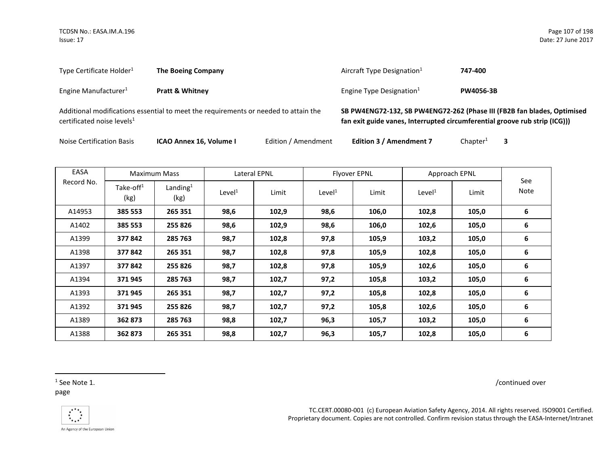| certificated noise levels <sup>1</sup> | Additional modifications essential to meet the requirements or needed to attain the | fan exit guide vanes, Interrupted circumferential groove rub strip (ICG))) | SB PW4ENG72-132, SB PW4ENG72-262 (Phase III (FB2B fan blades, Optimised |
|----------------------------------------|-------------------------------------------------------------------------------------|----------------------------------------------------------------------------|-------------------------------------------------------------------------|
| Engine Manufacturer <sup>1</sup>       | <b>Pratt &amp; Whitney</b>                                                          | Engine Type Designation <sup>1</sup>                                       | <b>PW4056-3B</b>                                                        |
| Type Certificate Holder <sup>1</sup>   | The Boeing Company                                                                  | Aircraft Type Designation <sup>1</sup>                                     | 747-400                                                                 |

Noise Certification Basis **ICAO Annex 16, Volume I** Edition / Amendment **Edition 3 / Amendment 7** Chapter<sup>1</sup> **<sup>3</sup>**

| EASA       |                               | <b>Maximum Mass</b> |                    | <b>Lateral EPNL</b> | <b>Flyover EPNL</b> |       | Approach EPNL      |       | See  |
|------------|-------------------------------|---------------------|--------------------|---------------------|---------------------|-------|--------------------|-------|------|
| Record No. | Take-off <sup>1</sup><br>(kg) | Landing $1$<br>(kg) | Level <sup>1</sup> | Limit               | Level <sup>1</sup>  | Limit | Level <sup>1</sup> | Limit | Note |
| A14953     | 385 553                       | 265 351             | 98,6               | 102,9               | 98,6                | 106,0 | 102,8              | 105,0 | 6    |
| A1402      | 385 553                       | 255 826             | 98,6               | 102,9               | 98,6                | 106,0 | 102,6              | 105,0 | 6    |
| A1399      | 377842                        | 285 763             | 98,7               | 102,8               | 97,8                | 105,9 | 103,2              | 105,0 | 6    |
| A1398      | 377 842                       | 265 351             | 98,7               | 102,8               | 97,8                | 105,9 | 102,8              | 105,0 | 6    |
| A1397      | 377842                        | 255 826             | 98,7               | 102,8               | 97,8                | 105,9 | 102,6              | 105,0 | 6    |
| A1394      | 371945                        | 285 763             | 98,7               | 102,7               | 97,2                | 105,8 | 103,2              | 105,0 | 6    |
| A1393      | 371945                        | 265 351             | 98,7               | 102,7               | 97,2                | 105,8 | 102,8              | 105,0 | 6    |
| A1392      | 371945                        | 255 826             | 98,7               | 102,7               | 97,2                | 105,8 | 102,6              | 105,0 | 6    |
| A1389      | 362 873                       | 285 763             | 98,8               | 102,7               | 96,3                | 105,7 | 103,2              | 105,0 | 6    |
| A1388      | 362 873                       | 265 351             | 98,8               | 102,7               | 96,3                | 105,7 | 102,8              | 105,0 | 6    |

# $1$  See Note 1.  $/$ continued over

page

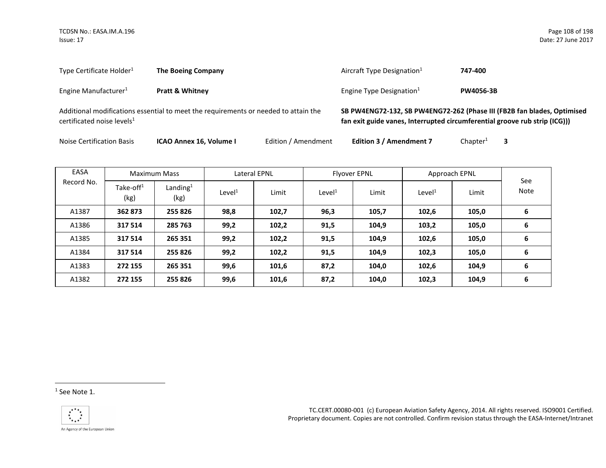TCDSN No.: EASA.IM.A.196 Page 108 of 198 Issue: 17 Date: 27 June 2017

| Type Certificate Holder <sup>1</sup>   | The Boeing Company                                                                  | Aircraft Type Designation <sup>1</sup>                                                                                                               | 747-400          |  |  |
|----------------------------------------|-------------------------------------------------------------------------------------|------------------------------------------------------------------------------------------------------------------------------------------------------|------------------|--|--|
| Engine Manufacturer <sup>1</sup>       | <b>Pratt &amp; Whitney</b>                                                          | Engine Type Designation <sup>1</sup>                                                                                                                 | <b>PW4056-3B</b> |  |  |
| certificated noise levels <sup>1</sup> | Additional modifications essential to meet the requirements or needed to attain the | SB PW4ENG72-132, SB PW4ENG72-262 (Phase III (FB2B fan blades, Optimised<br>fan exit guide vanes, Interrupted circumferential groove rub strip (ICG)) |                  |  |  |

Noise Certification Basis **ICAO Annex 16, Volume I** Edition / Amendment **Edition 3 / Amendment 7** Chapter<sup>1</sup> **<sup>3</sup>**

| EASA<br>Record No. | <b>Maximum Mass</b>           |                     | Lateral EPNL       |       | <b>Flyover EPNL</b> |       | Approach EPNL      |       |                    |
|--------------------|-------------------------------|---------------------|--------------------|-------|---------------------|-------|--------------------|-------|--------------------|
|                    | Take-off <sup>1</sup><br>(kg) | Landing $1$<br>(kg) | Level <sup>1</sup> | Limit | Level <sup>1</sup>  | Limit | Level <sup>1</sup> | Limit | See<br><b>Note</b> |
| A1387              | 362 873                       | 255 826             | 98,8               | 102,7 | 96,3                | 105,7 | 102,6              | 105,0 | 6                  |
| A1386              | 317 514                       | 285 763             | 99,2               | 102,2 | 91,5                | 104,9 | 103,2              | 105,0 | 6                  |
| A1385              | 317 514                       | 265 351             | 99,2               | 102,2 | 91,5                | 104,9 | 102,6              | 105,0 | 6                  |
| A1384              | 317 514                       | 255 826             | 99,2               | 102,2 | 91,5                | 104.9 | 102,3              | 105,0 | 6                  |
| A1383              | 272 155                       | 265 351             | 99,6               | 101,6 | 87,2                | 104,0 | 102,6              | 104,9 | 6                  |
| A1382              | 272 155                       | 255 826             | 99,6               | 101,6 | 87,2                | 104,0 | 102,3              | 104,9 | 6                  |

 $1$  See Note 1.



TC.CERT.00080-001 (c) European Aviation Safety Agency, 2014. All rights reserved. ISO9001 Certified. Proprietary document. Copies are not controlled. Confirm revision status through the EASA-Internet/Intranet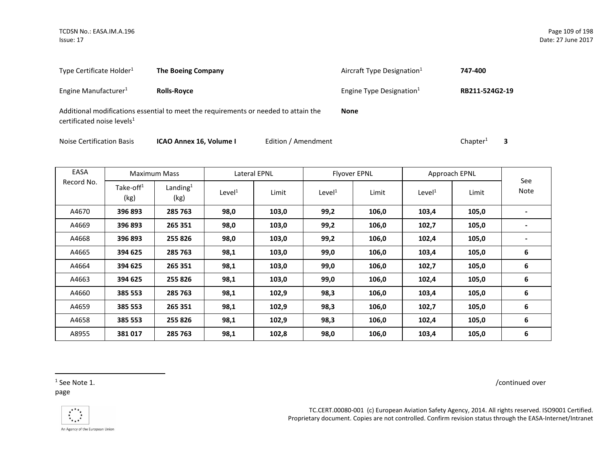TCDSN No.: EASA.IM.A.196 Page 109 of 198 Issue: 17 Date: 27 June 2017

| Type Certificate Holder <sup>1</sup>                                                                                          | <b>The Boeing Company</b> | Aircraft Type Designation <sup>1</sup> | 747-400        |
|-------------------------------------------------------------------------------------------------------------------------------|---------------------------|----------------------------------------|----------------|
| Engine Manufacturer <sup>1</sup>                                                                                              | <b>Rolls-Royce</b>        | Engine Type Designation <sup>1</sup>   | RB211-524G2-19 |
| Additional modifications essential to meet the requirements or needed to attain the<br>certificated noise levels <sup>1</sup> |                           | <b>None</b>                            |                |

Noise Certification Basis **ICAO Annex 16, Volume I Edition / Amendment** Chapter Chapter<sup>1</sup> 3

EASA Record No. Maximum Mass **Lateral EPNL** Flyover EPNL Approach EPNL See Note Take-off<sup>1</sup> (kg) Landing $1$  $(kg)$  Level<sup>1</sup> Limit Level<sup>1</sup> Limit Limit Level<sup>1</sup> Limit A4670 **396 893 285 763 98,0 103,0 99,2 106,0 103,4 105,0 -**A4669 **396 893 265 351 98,0 103,0 99,2 106,0 102,7 105,0 -**A4668 **396 893 255 826 98,0 103,0 99,2 106,0 102,4 105,0 -**A4665 **394 625 285 763 98,1 103,0 99,0 106,0 103,4 105,0 6**A4664 **394 625 265 351 98,1 103,0 99,0 106,0 102,7 105,0 6**A4663 **394 625 255 826 98,1 103,0 99,0 106,0 102,4 105,0 6**A4660 **385 553 285 763 98,1 102,9 98,3 106,0 103,4 105,0 6**A4659 **385 553 265 351 98,1 102,9 98,3 106,0 102,7 105,0 6**A4658 **385 553 255 826 98,1 102,9 98,3 106,0 102,4 105,0 6**A8955 **381 017 285 763 98,1 102,8 98,0 106,0 103,4 105,0 6**

 $\frac{1}{2}$  See Note 1.  $\frac{1}{2}$  /continued over

page

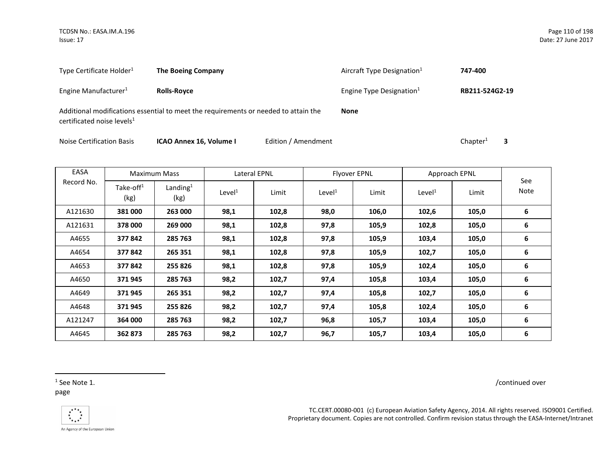TCDSN No.: EASA.IM.A.196 Page 110 of 198 Issue: 17 Date: 27 June 2017

| Type Certificate Holder <sup>1</sup>                                                                                          | <b>The Boeing Company</b> | Aircraft Type Designation <sup>1</sup> | 747-400        |
|-------------------------------------------------------------------------------------------------------------------------------|---------------------------|----------------------------------------|----------------|
| Engine Manufacturer <sup>1</sup>                                                                                              | <b>Rolls-Royce</b>        | Engine Type Designation <sup>1</sup>   | RB211-524G2-19 |
| Additional modifications essential to meet the requirements or needed to attain the<br>certificated noise levels <sup>1</sup> |                           | <b>None</b>                            |                |

Noise Certification Basis **ICAO Annex 16, Volume I Edition / Amendment** Chapter<sup>1</sup> **3** 

| EASA       | <b>Maximum Mass</b>           |                              | Lateral EPNL |       | <b>Flyover EPNL</b> |       | Approach EPNL      |       | See         |
|------------|-------------------------------|------------------------------|--------------|-------|---------------------|-------|--------------------|-------|-------------|
| Record No. | Take-off <sup>1</sup><br>(kg) | Landing <sup>1</sup><br>(kg) | Level $1$    | Limit | Level <sup>1</sup>  | Limit | Level <sup>1</sup> | Limit | <b>Note</b> |
| A121630    | 381 000                       | 263 000                      | 98,1         | 102,8 | 98,0                | 106,0 | 102,6              | 105,0 | 6           |
| A121631    | 378 000                       | 269 000                      | 98,1         | 102,8 | 97,8                | 105,9 | 102,8              | 105,0 | 6           |
| A4655      | 377842                        | 285 763                      | 98,1         | 102,8 | 97,8                | 105,9 | 103,4              | 105,0 | 6           |
| A4654      | 377842                        | 265 351                      | 98,1         | 102,8 | 97,8                | 105,9 | 102,7              | 105,0 | 6           |
| A4653      | 377842                        | 255 826                      | 98,1         | 102,8 | 97,8                | 105,9 | 102,4              | 105,0 | 6           |
| A4650      | 371945                        | 285 763                      | 98,2         | 102,7 | 97,4                | 105,8 | 103,4              | 105,0 | 6           |
| A4649      | 371945                        | 265 351                      | 98,2         | 102,7 | 97,4                | 105,8 | 102,7              | 105,0 | 6           |
| A4648      | 371945                        | 255 826                      | 98,2         | 102,7 | 97,4                | 105,8 | 102,4              | 105,0 | 6           |
| A121247    | 364 000                       | 285 763                      | 98,2         | 102,7 | 96,8                | 105,7 | 103,4              | 105,0 | 6           |
| A4645      | 362 873                       | 285 763                      | 98,2         | 102,7 | 96,7                | 105,7 | 103,4              | 105,0 | 6           |

 $1$  See Note 1.  $/$ continued over

page

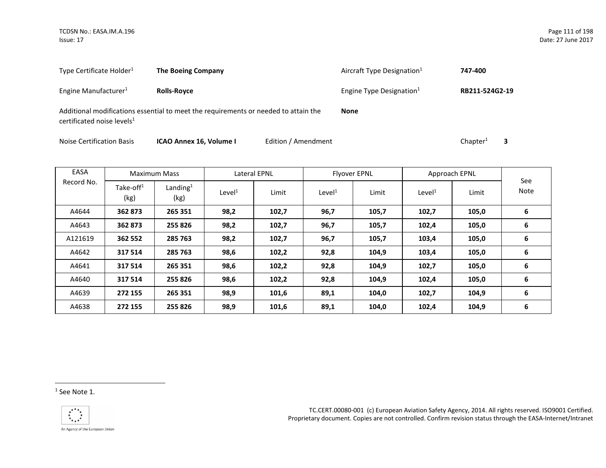TCDSN No.: EASA.IM.A.196 Page 111 of 198 Issue: 17 Date: 27 June 2017

| Type Certificate Holder <sup>1</sup>   | <b>The Boeing Company</b>                                                           | Aircraft Type Designation <sup>1</sup> | 747-400        |
|----------------------------------------|-------------------------------------------------------------------------------------|----------------------------------------|----------------|
| Engine Manufacturer <sup>1</sup>       | <b>Rolls-Royce</b>                                                                  | Engine Type Designation <sup>1</sup>   | RB211-524G2-19 |
| certificated noise levels <sup>1</sup> | Additional modifications essential to meet the requirements or needed to attain the | <b>None</b>                            |                |

Noise Certification Basis **ICAO Annex 16, Volume I Edition / Amendment** Chapter<sup>1</sup> **3** 

| EASA       | <b>Maximum Mass</b>           |                     | <b>Lateral EPNL</b> |       | <b>Flyover EPNL</b> |       | Approach EPNL      |       |             |
|------------|-------------------------------|---------------------|---------------------|-------|---------------------|-------|--------------------|-------|-------------|
| Record No. | Take-off <sup>1</sup><br>(kg) | Landing $1$<br>(kg) | Level <sup>1</sup>  | Limit | Level <sup>1</sup>  | Limit | Level <sup>1</sup> | Limit | See<br>Note |
| A4644      | 362 873                       | 265 351             | 98,2                | 102,7 | 96,7                | 105,7 | 102,7              | 105,0 | 6           |
| A4643      | 362 873                       | 255 826             | 98,2                | 102,7 | 96,7                | 105,7 | 102,4              | 105,0 | 6           |
| A121619    | 362 552                       | 285 763             | 98,2                | 102,7 | 96,7                | 105,7 | 103,4              | 105,0 | 6           |
| A4642      | 317 514                       | 285 763             | 98,6                | 102,2 | 92,8                | 104,9 | 103,4              | 105,0 | 6           |
| A4641      | 317 514                       | 265 351             | 98,6                | 102,2 | 92,8                | 104,9 | 102,7              | 105,0 | 6           |
| A4640      | 317 514                       | 255 826             | 98,6                | 102,2 | 92,8                | 104,9 | 102,4              | 105,0 | 6           |
| A4639      | 272 155                       | 265 351             | 98,9                | 101,6 | 89,1                | 104,0 | 102,7              | 104,9 | 6           |
| A4638      | 272 155                       | 255 826             | 98,9                | 101,6 | 89,1                | 104,0 | 102,4              | 104,9 | 6           |

 $1$  See Note 1.



TC.CERT.00080-001 (c) European Aviation Safety Agency, 2014. All rights reserved. ISO9001 Certified. Proprietary document. Copies are not controlled. Confirm revision status through the EASA-Internet/Intranet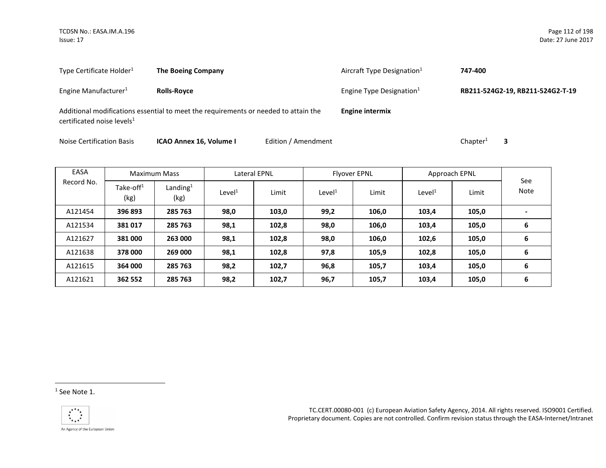TCDSN No.: EASA.IM.A.196 Page 112 of 198 Issue: 17 Date: 27 June 2017

| Type Certificate Holder <sup>1</sup>   | The Boeing Company                                                                  | Aircraft Type Designation <sup>1</sup> | 747-400                          |
|----------------------------------------|-------------------------------------------------------------------------------------|----------------------------------------|----------------------------------|
| Engine Manufacturer <sup>1</sup>       | <b>Rolls-Royce</b>                                                                  | Engine Type Designation $1$            | RB211-524G2-19, RB211-524G2-T-19 |
| certificated noise levels <sup>1</sup> | Additional modifications essential to meet the requirements or needed to attain the | <b>Engine intermix</b>                 |                                  |

Noise Certification Basis **ICAO Annex 16, Volume I Edition / Amendment** Chapter<sup>1</sup> **3** 

| EASA<br>Record No. | <b>Maximum Mass</b>           |                     | Lateral EPNL       |       | <b>Flyover EPNL</b> |       | Approach EPNL      |       | See  |
|--------------------|-------------------------------|---------------------|--------------------|-------|---------------------|-------|--------------------|-------|------|
|                    | Take-off <sup>1</sup><br>(kg) | Landing $1$<br>(kg) | Level <sup>1</sup> | Limit | Level <sup>1</sup>  | Limit | Level <sup>1</sup> | Limit | Note |
| A121454            | 396 893                       | 285 763             | 98,0               | 103,0 | 99,2                | 106,0 | 103,4              | 105,0 |      |
| A121534            | 381 017                       | 285 763             | 98,1               | 102,8 | 98,0                | 106,0 | 103,4              | 105,0 | 6    |
| A121627            | 381 000                       | 263 000             | 98,1               | 102,8 | 98,0                | 106,0 | 102,6              | 105,0 | 6    |
| A121638            | 378 000                       | 269 000             | 98,1               | 102,8 | 97,8                | 105.9 | 102,8              | 105,0 | 6    |
| A121615            | 364 000                       | 285 763             | 98,2               | 102,7 | 96,8                | 105,7 | 103,4              | 105,0 | 6    |
| A121621            | 362 552                       | 285 763             | 98,2               | 102,7 | 96,7                | 105,7 | 103,4              | 105,0 | 6    |

 $1$  See Note 1.



TC.CERT.00080-001 (c) European Aviation Safety Agency, 2014. All rights reserved. ISO9001 Certified. Proprietary document. Copies are not controlled. Confirm revision status through the EASA-Internet/Intranet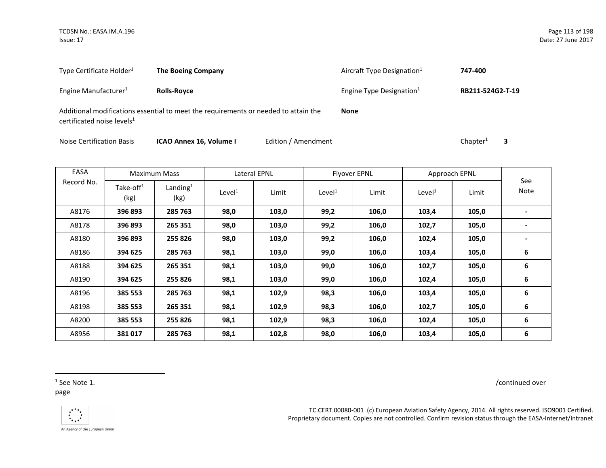TCDSN No.: EASA.IM.A.196 Page 113 of 198 Issue: 17 Date: 27 June 2017

| Type Certificate Holder <sup>1</sup>   | The Boeing Company                                                                  | Aircraft Type Designation <sup>1</sup> | 747-400          |
|----------------------------------------|-------------------------------------------------------------------------------------|----------------------------------------|------------------|
| Engine Manufacturer <sup>1</sup>       | <b>Rolls-Royce</b>                                                                  | Engine Type Designation <sup>1</sup>   | RB211-524G2-T-19 |
| certificated noise levels <sup>1</sup> | Additional modifications essential to meet the requirements or needed to attain the | <b>None</b>                            |                  |

Noise Certification Basis **ICAO Annex 16, Volume I Edition / Amendment** Chapter Chapter<sup>1</sup> 3

EASA Record No. Maximum Mass **Lateral EPNL** Flyover EPNL Approach EPNL See Note Take-off<sup>1</sup> (kg) Landing $1$  $(kg)$  Level<sup>1</sup> Limit Level<sup>1</sup> Limit Limit Level<sup>1</sup> Limit A8176 **396 893 285 763 98,0 103,0 99,2 106,0 103,4 105,0 -**A8178 **396 893 265 351 98,0 103,0 99,2 106,0 102,7 105,0 -**A8180 **396 893 255 826 98,0 103,0 99,2 106,0 102,4 105,0 -**A8186 **394 625 285 763 98,1 103,0 99,0 106,0 103,4 105,0 6**A8188 **394 625 265 351 98,1 103,0 99,0 106,0 102,7 105,0 6**A8190 **394 625 255 826 98,1 103,0 99,0 106,0 102,4 105,0 6**A8196 **385 553 285 763 98,1 102,9 98,3 106,0 103,4 105,0 6**A8198 **385 553 265 351 98,1 102,9 98,3 106,0 102,7 105,0 6**A8200 **385 553 255 826 98,1 102,9 98,3 106,0 102,4 105,0 6**A8956 **381 017 285 763 98,1 102,8 98,0 106,0 103,4 105,0 6**

# $\frac{1}{2}$  See Note 1.  $\frac{1}{2}$  /continued over

page

An Agency of the European Union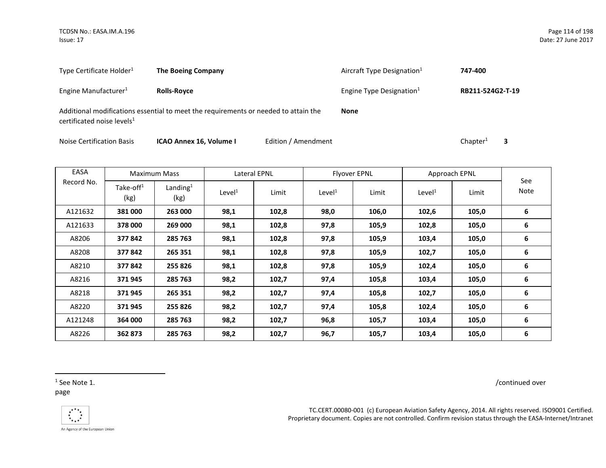TCDSN No.: EASA.IM.A.196 Page 114 of 198 Issue: 17 Date: 27 June 2017

| Type Certificate Holder <sup>1</sup>   | The Boeing Company                                                                  | Aircraft Type Designation <sup>1</sup> | 747-400          |
|----------------------------------------|-------------------------------------------------------------------------------------|----------------------------------------|------------------|
| Engine Manufacturer <sup>1</sup>       | <b>Rolls-Royce</b>                                                                  | Engine Type Designation <sup>1</sup>   | RB211-524G2-T-19 |
| certificated noise levels <sup>1</sup> | Additional modifications essential to meet the requirements or needed to attain the | <b>None</b>                            |                  |

Noise Certification Basis **ICAO Annex 16, Volume I Edition / Amendment** Chapter<sup>1</sup> **3** 

| EASA       | <b>Maximum Mass</b>           |                              | <b>Lateral EPNL</b> |       | <b>Flyover EPNL</b> |       | Approach EPNL      |       | See         |
|------------|-------------------------------|------------------------------|---------------------|-------|---------------------|-------|--------------------|-------|-------------|
| Record No. | Take-off <sup>1</sup><br>(kg) | Landing <sup>1</sup><br>(kg) | Level <sup>1</sup>  | Limit | Level $1$           | Limit | Level <sup>1</sup> | Limit | <b>Note</b> |
| A121632    | 381 000                       | 263 000                      | 98,1                | 102,8 | 98,0                | 106,0 | 102,6              | 105,0 | 6           |
| A121633    | 378 000                       | 269 000                      | 98,1                | 102,8 | 97,8                | 105,9 | 102,8              | 105,0 | 6           |
| A8206      | 377842                        | 285 763                      | 98,1                | 102,8 | 97,8                | 105,9 | 103,4              | 105,0 | 6           |
| A8208      | 377 842                       | 265 351                      | 98,1                | 102,8 | 97,8                | 105,9 | 102,7              | 105,0 | 6           |
| A8210      | 377842                        | 255 826                      | 98,1                | 102,8 | 97,8                | 105,9 | 102,4              | 105,0 | 6           |
| A8216      | 371 945                       | 285 763                      | 98,2                | 102,7 | 97,4                | 105,8 | 103,4              | 105,0 | 6           |
| A8218      | 371945                        | 265 351                      | 98,2                | 102,7 | 97,4                | 105,8 | 102,7              | 105,0 | 6           |
| A8220      | 371945                        | 255 826                      | 98,2                | 102,7 | 97,4                | 105,8 | 102,4              | 105,0 | 6           |
| A121248    | 364 000                       | 285 763                      | 98,2                | 102,7 | 96,8                | 105,7 | 103,4              | 105,0 | 6           |
| A8226      | 362 873                       | 285 763                      | 98,2                | 102,7 | 96,7                | 105,7 | 103,4              | 105,0 | 6           |

page

 $1$  See Note 1.  $/$ continued over

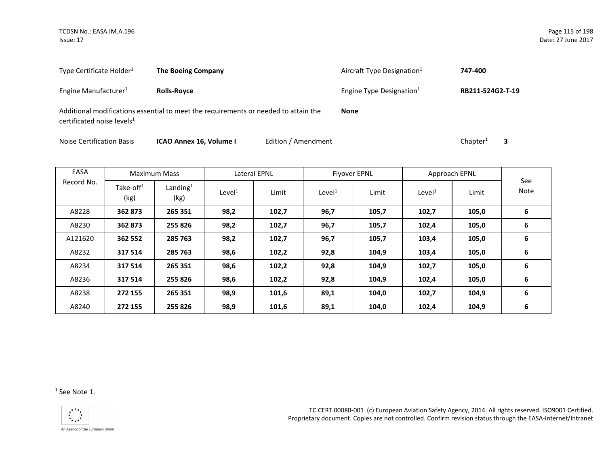TCDSN No.: EASA.IM.A.196 Page 115 of 198 Issue: 17 Date: 27 June 2017

| Type Certificate Holder <sup>1</sup>   | <b>The Boeing Company</b>                                                           | Aircraft Type Designation <sup>1</sup> | 747-400          |
|----------------------------------------|-------------------------------------------------------------------------------------|----------------------------------------|------------------|
| Engine Manufacturer <sup>1</sup>       | <b>Rolls-Royce</b>                                                                  | Engine Type Designation <sup>1</sup>   | RB211-524G2-T-19 |
| certificated noise levels <sup>1</sup> | Additional modifications essential to meet the requirements or needed to attain the | <b>None</b>                            |                  |

Noise Certification Basis **ICAO Annex 16, Volume I Edition / Amendment** Chapter **Chapter**<sup>1</sup> **3** 

EASA Record No. Maximum Mass  $\overline{R}$  Lateral EPNL Flyover EPNL Approach EPNL See Note Take-off<sup>1</sup> (kg) Landing<sup>1</sup>  $(kg)$  Level<sup>1</sup> Limit Level<sup>1</sup> Limit Limit Level<sup>1</sup> Limit A8228 **362 873 265 351 98,2 102,7 96,7 105,7 102,7 105,0 6**A8230 **362 873 255 826 98,2 102,7 96,7 105,7 102,4 105,0 6**A121620 **362 552 285 763 98,2 102,7 96,7 105,7 103,4 105,0 6**A8232 **317 514 285 763 98,6 102,2 92,8 104,9 103,4 105,0 6**A8234 **317 514 265 351 98,6 102,2 92,8 104,9 102,7 105,0 6**A8236 **317 514 255 826 98,6 102,2 92,8 104,9 102,4 105,0 6**A8238 **272 155 265 351 98,9 101,6 89,1 104,0 102,7 104,9 6**A8240 **272 155 255 826 98,9 101,6 89,1 104,0 102,4 104,9 6**

<sup>1</sup> See Note 1.



TC.CERT.00080-001 (c) European Aviation Safety Agency, 2014. All rights reserved. ISO9001 Certified. Proprietary document. Copies are not controlled. Confirm revision status through the EASA-Internet/Intranet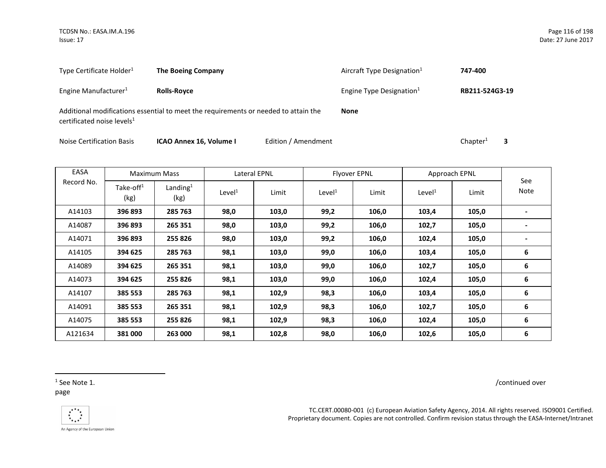TCDSN No.: EASA.IM.A.196 Page 116 of 198 Issue: 17 Date: 27 June 2017

| Type Certificate Holder <sup>1</sup>                                                                                          | <b>The Boeing Company</b> | Aircraft Type Designation <sup>1</sup> | 747-400        |
|-------------------------------------------------------------------------------------------------------------------------------|---------------------------|----------------------------------------|----------------|
| Engine Manufacturer <sup>1</sup>                                                                                              | <b>Rolls-Royce</b>        | Engine Type Designation <sup>1</sup>   | RB211-524G3-19 |
| Additional modifications essential to meet the requirements or needed to attain the<br>certificated noise levels <sup>1</sup> |                           | <b>None</b>                            |                |

Noise Certification Basis **ICAO Annex 16, Volume I Edition / Amendment** Chapter Chapter<sup>1</sup> 3

EASA Record No. Maximum Mass  $Lateral EPNL$  Flyover EPNL Approach EPNL See Note Take-off<sup>1</sup> (kg) Landing $1$  $(kg)$  Level<sup>1</sup> Limit Level<sup>1</sup> Limit Limit Level<sup>1</sup> Limit A14103 **396 893 285 763 98,0 103,0 99,2 106,0 103,4 105,0 -**A14087 **396 893 265 351 98,0 103,0 99,2 106,0 102,7 105,0 -**A14071 **396 893 255 826 98,0 103,0 99,2 106,0 102,4 105,0 -**A14105 **394 625 285 763 98,1 103,0 99,0 106,0 103,4 105,0 6**A14089 **394 625 265 351 98,1 103,0 99,0 106,0 102,7 105,0 6**A14073 **394 625 255 826 98,1 103,0 99,0 106,0 102,4 105,0 6**A14107 | **385 553 | 285 763 | 98,1 | 102,9 | 98,3 | 106,0 | 103,4 | 105,0 | 6** A14091 **385 553 265 351 98,1 102,9 98,3 106,0 102,7 105,0 6**A14075 | **385 553 | 255 826 | 98,1 | 102,9 | 98,3 | 106,0 | 102,4 | 105,0 | 6** A121634 **381 000 263 000 98,1 102,8 98,0 106,0 102,6 105,0 6**

page

 $\frac{1}{2}$  See Note 1.  $\frac{1}{2}$  /continued over

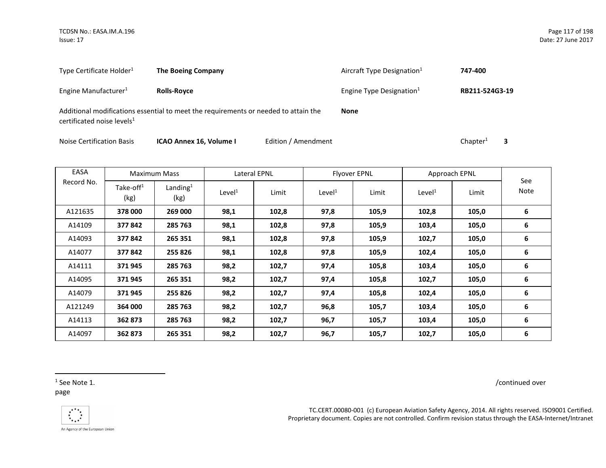TCDSN No.: EASA.IM.A.196 Page 117 of 198 Issue: 17 Date: 27 June 2017

| Type Certificate Holder <sup>1</sup>   | <b>The Boeing Company</b>                                                           | Aircraft Type Designation <sup>1</sup> | 747-400        |
|----------------------------------------|-------------------------------------------------------------------------------------|----------------------------------------|----------------|
| Engine Manufacturer <sup>1</sup>       | <b>Rolls-Royce</b>                                                                  | Engine Type Designation <sup>1</sup>   | RB211-524G3-19 |
| certificated noise levels <sup>1</sup> | Additional modifications essential to meet the requirements or needed to attain the | <b>None</b>                            |                |

Noise Certification Basis **ICAO Annex 16, Volume I Edition / Amendment** Chapter<sup>1</sup> **3** 

| EASA       | <b>Maximum Mass</b>           |                     | <b>Lateral EPNL</b> |       | <b>Flyover EPNL</b> |       | Approach EPNL      |       |                    |
|------------|-------------------------------|---------------------|---------------------|-------|---------------------|-------|--------------------|-------|--------------------|
| Record No. | Take-off <sup>1</sup><br>(kg) | Landing $1$<br>(kg) | Level $1$           | Limit | Level <sup>1</sup>  | Limit | Level <sup>1</sup> | Limit | See<br><b>Note</b> |
| A121635    | 378 000                       | 269 000             | 98,1                | 102,8 | 97,8                | 105,9 | 102,8              | 105,0 | 6                  |
| A14109     | 377842                        | 285 763             | 98,1                | 102,8 | 97,8                | 105,9 | 103,4              | 105,0 | 6                  |
| A14093     | 377842                        | 265 351             | 98,1                | 102,8 | 97,8                | 105,9 | 102,7              | 105,0 | 6                  |
| A14077     | 377842                        | 255 826             | 98,1                | 102,8 | 97,8                | 105,9 | 102,4              | 105,0 | 6                  |
| A14111     | 371945                        | 285 763             | 98,2                | 102,7 | 97,4                | 105,8 | 103,4              | 105,0 | 6                  |
| A14095     | 371945                        | 265 351             | 98,2                | 102,7 | 97,4                | 105,8 | 102,7              | 105,0 | 6                  |
| A14079     | 371945                        | 255 826             | 98,2                | 102,7 | 97,4                | 105,8 | 102,4              | 105,0 | 6                  |
| A121249    | 364 000                       | 285 763             | 98,2                | 102,7 | 96,8                | 105,7 | 103,4              | 105,0 | 6                  |
| A14113     | 362 873                       | 285 763             | 98,2                | 102,7 | 96,7                | 105,7 | 103,4              | 105,0 | 6                  |
| A14097     | 362 873                       | 265 351             | 98,2                | 102,7 | 96,7                | 105,7 | 102,7              | 105,0 | 6                  |

# $1$  See Note 1.  $/$ continued over

page

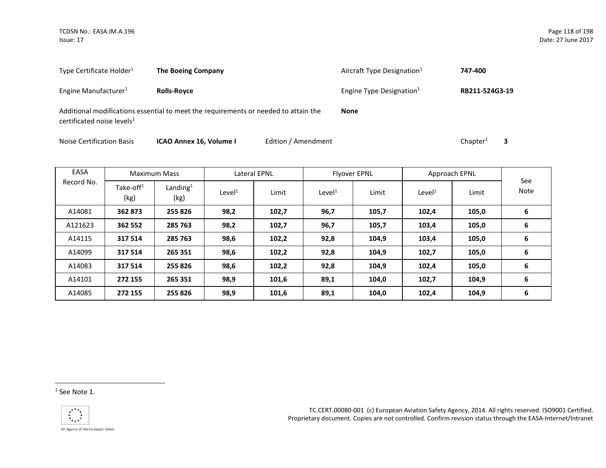TCDSN No.: EASA.IM.A.196 Page 118 of 198 Issue: 17 Date: 27 June 2017

| Type Certificate Holder <sup>1</sup>   | The Boeing Company                                                                  | Aircraft Type Designation <sup>1</sup> | 747-400        |
|----------------------------------------|-------------------------------------------------------------------------------------|----------------------------------------|----------------|
| Engine Manufacturer <sup>1</sup>       | <b>Rolls-Royce</b>                                                                  | Engine Type Designation <sup>1</sup>   | RB211-524G3-19 |
| certificated noise levels <sup>1</sup> | Additional modifications essential to meet the requirements or needed to attain the | <b>None</b>                            |                |

Noise Certification Basis **ICAO Annex 16, Volume I Edition / Amendment** Chapter **Chapter**<sup>1</sup> **3** 

EASA Record No. Maximum Mass  $Lateral EPNL$  Flyover EPNL Approach EPNL See Note Take-off<sup>1</sup> (kg) Landing<sup>1</sup>  $(kg)$  Level<sup>1</sup> Limit Level<sup>1</sup> Limit Limit Level<sup>1</sup> Limit A14081 **362 873 255 826 98,2 102,7 96,7 105,7 102,4 105,0 6**A121623 **362 552 285 763 98,2 102,7 96,7 105,7 103,4 105,0 6**A14115 **317 514 285 763 98,6 102,2 92,8 104,9 103,4 105,0 6**A14099 **317 514 265 351 98,6 102,2 92,8 104,9 102,7 105,0 6**A14083 **317 514 255 826 98,6 102,2 92,8 104,9 102,4 105,0 6**A14101 **272 155 265 351 98,9 101,6 89,1 104,0 102,7 104,9 6**A14085 **272 155 255 826 98,9 101,6 89,1 104,0 102,4 104,9 6**

<sup>1</sup> See Note 1.



TC.CERT.00080-001 (c) European Aviation Safety Agency, 2014. All rights reserved. ISO9001 Certified. Proprietary document. Copies are not controlled. Confirm revision status through the EASA-Internet/Intranet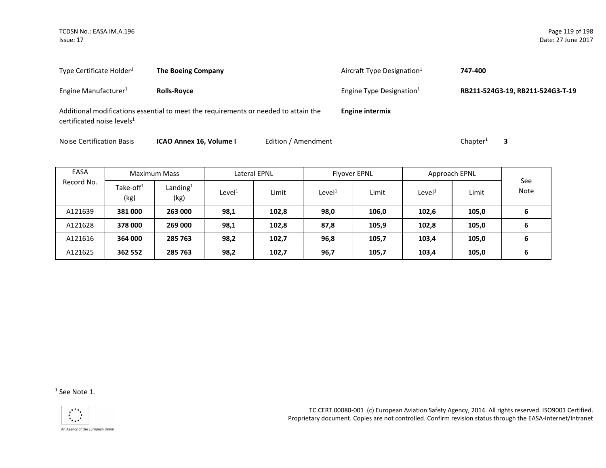TCDSN No.: EASA.IM.A.196 Page 119 of 198 Issue: 17 Date: 27 June 2017

| Type Certificate Holder <sup>1</sup>   | The Boeing Company                                                                  | Aircraft Type Designation <sup>1</sup> | 747-400                          |
|----------------------------------------|-------------------------------------------------------------------------------------|----------------------------------------|----------------------------------|
| Engine Manufacturer <sup>1</sup>       | <b>Rolls-Royce</b>                                                                  | Engine Type Designation <sup>1</sup>   | RB211-524G3-19, RB211-524G3-T-19 |
| certificated noise levels <sup>1</sup> | Additional modifications essential to meet the requirements or needed to attain the | <b>Engine intermix</b>                 |                                  |

Noise Certification Basis **ICAO Annex 16, Volume I Edition / Amendment** Chapter **Chapter**<sup>1</sup> **3** 

EASA Record No. Maximum Mass  $Lateral EPNL$  Flyover EPNL Approach EPNL See Note Take-off<sup>1</sup> (kg) Landing<sup>1</sup>  $(kg)$  Level<sup>1</sup> Limit Level<sup>1</sup> Limit Limit Level<sup>1</sup> Limit A121639 | **381 000 | 263 000 | 98,1 | 102,8 | 98,0 | 106,0 | 102,6 | 105,0 | 6** A121628 **378 000 269 000 98,1 102,8 87,8 105,9 102,8 105,0 6**A121616 **364 000 285 763 98,2 102,7 96,8 105,7 103,4 105,0 6**A121625 **362 552 285 763 98,2 102,7 96,7 105,7 103,4 105,0 6**

<sup>1</sup> See Note 1.



TC.CERT.00080-001 (c) European Aviation Safety Agency, 2014. All rights reserved. ISO9001 Certified. Proprietary document. Copies are not controlled. Confirm revision status through the EASA-Internet/Intranet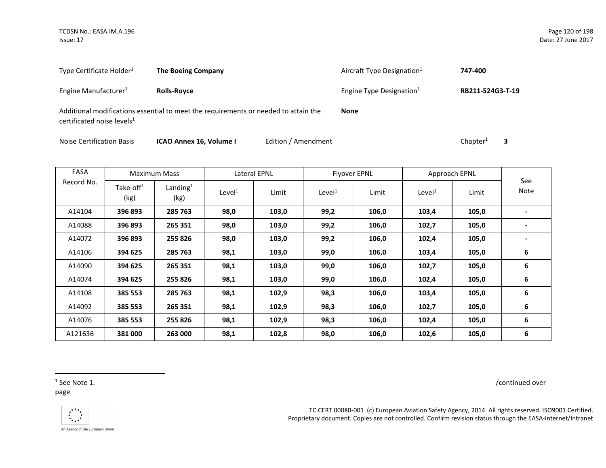TCDSN No.: EASA.IM.A.196 Page 120 of 198 Issue: 17 Date: 27 June 2017

| Type Certificate Holder <sup>1</sup>   | The Boeing Company                                                                  | Aircraft Type Designation $1$        | 747-400          |
|----------------------------------------|-------------------------------------------------------------------------------------|--------------------------------------|------------------|
| Engine Manufacturer <sup>1</sup>       | <b>Rolls-Royce</b>                                                                  | Engine Type Designation <sup>1</sup> | RB211-524G3-T-19 |
| certificated noise levels <sup>1</sup> | Additional modifications essential to meet the requirements or needed to attain the | <b>None</b>                          |                  |

Noise Certification Basis **ICAO Annex 16, Volume I Edition / Amendment** Chapter Chapter<sup>1</sup> 3

EASA Record No. Maximum Mass **Lateral EPNL** Flyover EPNL Approach EPNL See Note Take-off<sup>1</sup> (kg) Landing $1$  $(kg)$  Level<sup>1</sup> Limit Level<sup>1</sup> Limit Limit Level<sup>1</sup> Limit A14104 **396 893 285 763 98,0 103,0 99,2 106,0 103,4 105,0 -**A14088 **396 893 265 351 98,0 103,0 99,2 106,0 102,7 105,0 -**A14072 **396 893 255 826 98,0 103,0 99,2 106,0 102,4 105,0 -**A14106 **394 625 285 763 98,1 103,0 99,0 106,0 103,4 105,0 6**A14090 **394 625 265 351 98,1 103,0 99,0 106,0 102,7 105,0 6**A14074 **394 625 255 826 98,1 103,0 99,0 106,0 102,4 105,0 6**A14108 | **385 553 | 285 763 | 98,1 | 102,9 | 98,3 | 106,0 | 103,4 | 105,0 | 6** A14092 **385 553 265 351 98,1 102,9 98,3 106,0 102,7 105,0 6**A14076 | **385 553 | 255 826 | 98,1 | 102,9 | 98,3 | 106,0 | 102,4 | 105,0 | 6** A121636 **381 000 263 000 98,1 102,8 98,0 106,0 102,6 105,0 6**

 $\frac{1}{2}$  See Note 1.  $\frac{1}{2}$  /continued over

page

An Agency of the European Union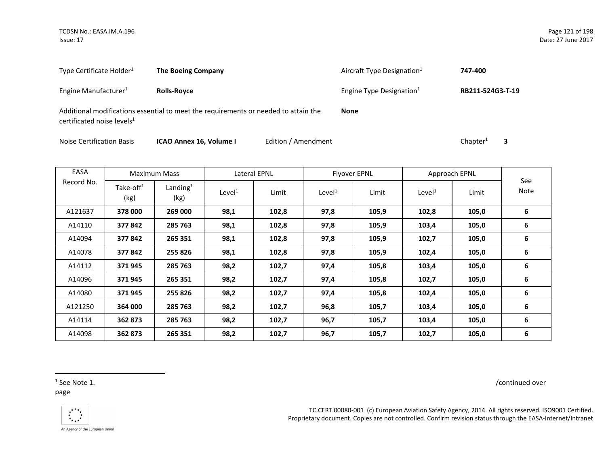TCDSN No.: EASA.IM.A.196 Page 121 of 198 Issue: 17 Date: 27 June 2017

| Type Certificate Holder <sup>1</sup>   | The Boeing Company                                                                  | Aircraft Type Designation <sup>1</sup> | 747-400          |
|----------------------------------------|-------------------------------------------------------------------------------------|----------------------------------------|------------------|
| Engine Manufacturer <sup>1</sup>       | <b>Rolls-Royce</b>                                                                  | Engine Type Designation <sup>1</sup>   | RB211-524G3-T-19 |
| certificated noise levels <sup>1</sup> | Additional modifications essential to meet the requirements or needed to attain the | <b>None</b>                            |                  |

Noise Certification Basis **ICAO Annex 16, Volume I Edition / Amendment** Chapter<sup>1</sup> **3** 

| EASA       | <b>Maximum Mass</b>           |                     | Lateral EPNL       |       | <b>Flyover EPNL</b> |       | Approach EPNL      |       |                    |
|------------|-------------------------------|---------------------|--------------------|-------|---------------------|-------|--------------------|-------|--------------------|
| Record No. | Take-off <sup>1</sup><br>(kg) | Landing $1$<br>(kg) | Level <sup>1</sup> | Limit | Level <sup>1</sup>  | Limit | Level <sup>1</sup> | Limit | See<br><b>Note</b> |
| A121637    | 378 000                       | 269 000             | 98,1               | 102,8 | 97,8                | 105,9 | 102,8              | 105,0 | 6                  |
| A14110     | 377842                        | 285 763             | 98,1               | 102,8 | 97,8                | 105,9 | 103,4              | 105,0 | 6                  |
| A14094     | 377 842                       | 265 351             | 98,1               | 102,8 | 97,8                | 105,9 | 102,7              | 105,0 | 6                  |
| A14078     | 377 842                       | 255 826             | 98,1               | 102,8 | 97,8                | 105,9 | 102,4              | 105,0 | 6                  |
| A14112     | 371945                        | 285 763             | 98,2               | 102,7 | 97,4                | 105,8 | 103,4              | 105,0 | 6                  |
| A14096     | 371945                        | 265 351             | 98,2               | 102,7 | 97,4                | 105,8 | 102,7              | 105,0 | 6                  |
| A14080     | 371945                        | 255 826             | 98,2               | 102,7 | 97,4                | 105,8 | 102,4              | 105,0 | 6                  |
| A121250    | 364 000                       | 285 763             | 98,2               | 102,7 | 96,8                | 105,7 | 103,4              | 105,0 | 6                  |
| A14114     | 362 873                       | 285 763             | 98,2               | 102,7 | 96,7                | 105,7 | 103,4              | 105,0 | 6                  |
| A14098     | 362 873                       | 265 351             | 98,2               | 102,7 | 96,7                | 105,7 | 102,7              | 105,0 | 6                  |

page

 $1$  See Note 1.  $/$ continued over

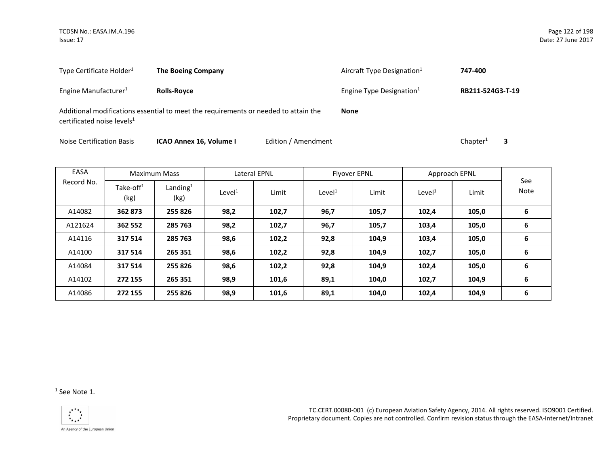TCDSN No.: EASA.IM.A.196 Page 122 of 198 Issue: 17 Date: 27 June 2017

| Type Certificate Holder <sup>1</sup>   | <b>The Boeing Company</b>                                                           | Aircraft Type Designation <sup>1</sup> | 747-400          |
|----------------------------------------|-------------------------------------------------------------------------------------|----------------------------------------|------------------|
| Engine Manufacturer <sup>1</sup>       | <b>Rolls-Royce</b>                                                                  | Engine Type Designation <sup>1</sup>   | RB211-524G3-T-19 |
| certificated noise levels <sup>1</sup> | Additional modifications essential to meet the requirements or needed to attain the | <b>None</b>                            |                  |

Noise Certification Basis **ICAO Annex 16, Volume I Edition / Amendment** Chapter **Chapter**<sup>1</sup> **3** 

EASA Record No. Maximum Mass  $Lateral EPNL$  Flyover EPNL Approach EPNL See Note Take-off<sup>1</sup> (kg) Landing<sup>1</sup>  $(kg)$  Level<sup>1</sup> Limit Level<sup>1</sup> Limit Limit Level<sup>1</sup> Limit A14082 **362 873 255 826 98,2 102,7 96,7 105,7 102,4 105,0 6**A121624 **362 552 285 763 98,2 102,7 96,7 105,7 103,4 105,0 6**A14116 **317 514 285 763 98,6 102,2 92,8 104,9 103,4 105,0 6**A14100 **317 514 265 351 98,6 102,2 92,8 104,9 102,7 105,0 6**A14084 **317 514 255 826 98,6 102,2 92,8 104,9 102,4 105,0 6**A14102 **272 155 265 351 98,9 101,6 89,1 104,0 102,7 104,9 6**A14086 **272 155 255 826 98,9 101,6 89,1 104,0 102,4 104,9 6**

<sup>1</sup> See Note 1.



TC.CERT.00080-001 (c) European Aviation Safety Agency, 2014. All rights reserved. ISO9001 Certified. Proprietary document. Copies are not controlled. Confirm revision status through the EASA-Internet/Intranet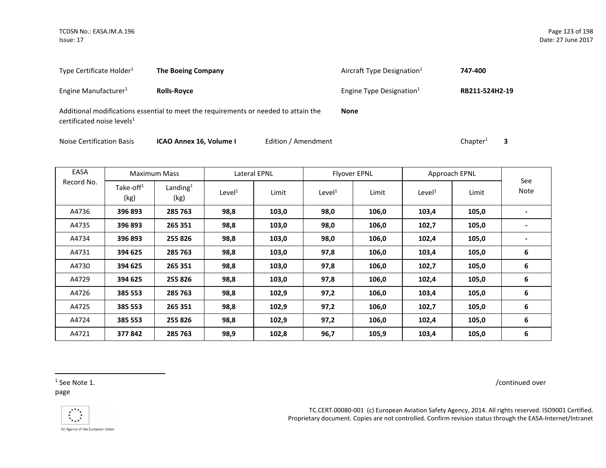TCDSN No.: EASA.IM.A.196 Page 123 of 198 Issue: 17 Date: 27 June 2017

| Type Certificate Holder <sup>1</sup>   | <b>The Boeing Company</b>                                                           | Aircraft Type Designation <sup>1</sup> | 747-400        |
|----------------------------------------|-------------------------------------------------------------------------------------|----------------------------------------|----------------|
| Engine Manufacturer <sup>1</sup>       | <b>Rolls-Royce</b>                                                                  | Engine Type Designation <sup>1</sup>   | RB211-524H2-19 |
| certificated noise levels <sup>1</sup> | Additional modifications essential to meet the requirements or needed to attain the | <b>None</b>                            |                |

Noise Certification Basis **ICAO Annex 16, Volume I Edition / Amendment** Chapter Chapter<sup>1</sup> 3

EASA Record No. Maximum Mass **Lateral EPNL** Flyover EPNL Approach EPNL See Note Take-off<sup>1</sup> (kg) Landing $1$  $(kg)$  Level<sup>1</sup> Limit Level<sup>1</sup> Limit Limit Level<sup>1</sup> Limit A4736 **396 893 285 763 98,8 103,0 98,0 106,0 103,4 105,0 -**A4735 **396 893 265 351 98,8 103,0 98,0 106,0 102,7 105,0 -**A4734 **396 893 255 826 98,8 103,0 98,0 106,0 102,4 105,0 -**A4731 **394 625 285 763 98,8 103,0 97,8 106,0 103,4 105,0 6**A4730 **394 625 265 351 98,8 103,0 97,8 106,0 102,7 105,0 6**A4729 **394 625 255 826 98,8 103,0 97,8 106,0 102,4 105,0 6**A4726 **385 553 285 763 98,8 102,9 97,2 106,0 103,4 105,0 6**A4725 **385 553 265 351 98,8 102,9 97,2 106,0 102,7 105,0 6**A4724 **385 553 255 826 98,8 102,9 97,2 106,0 102,4 105,0 6**A4721 **377 842 285 763 98,9 102,8 96,7 105,9 103,4 105,0 6**

page

 $\frac{1}{2}$  See Note 1.  $\frac{1}{2}$  /continued over

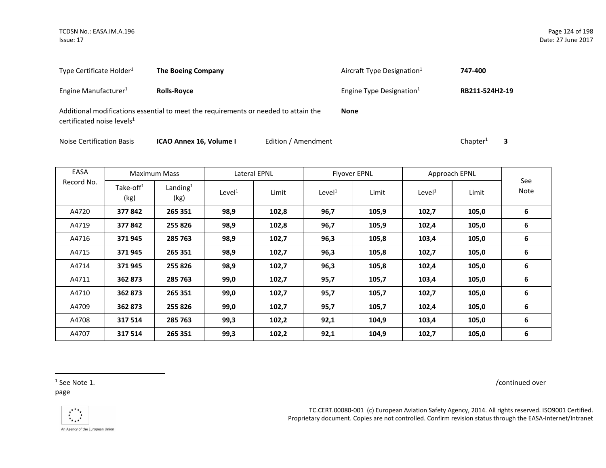TCDSN No.: EASA.IM.A.196 Page 124 of 198 Issue: 17 Date: 27 June 2017

| Type Certificate Holder <sup>1</sup>   | <b>The Boeing Company</b>                                                           | Aircraft Type Designation <sup>1</sup> | 747-400        |
|----------------------------------------|-------------------------------------------------------------------------------------|----------------------------------------|----------------|
| Engine Manufacturer <sup>1</sup>       | <b>Rolls-Royce</b>                                                                  | Engine Type Designation <sup>1</sup>   | RB211-524H2-19 |
| certificated noise levels <sup>1</sup> | Additional modifications essential to meet the requirements or needed to attain the | <b>None</b>                            |                |

Noise Certification Basis **ICAO Annex 16, Volume I Edition / Amendment** Chapter<sup>1</sup> **3** 

| EASA       | <b>Maximum Mass</b>           |                     | Lateral EPNL       |       | <b>Flyover EPNL</b> |       | Approach EPNL |       |             |
|------------|-------------------------------|---------------------|--------------------|-------|---------------------|-------|---------------|-------|-------------|
| Record No. | Take-off <sup>1</sup><br>(kg) | Landing $1$<br>(kg) | Level <sup>1</sup> | Limit | Level $1$           | Limit | Level $^1$    | Limit | See<br>Note |
| A4720      | 377842                        | 265 351             | 98,9               | 102,8 | 96,7                | 105,9 | 102,7         | 105,0 | 6           |
| A4719      | 377842                        | 255 826             | 98,9               | 102,8 | 96,7                | 105,9 | 102,4         | 105,0 | 6           |
| A4716      | 371945                        | 285 763             | 98,9               | 102,7 | 96,3                | 105,8 | 103,4         | 105,0 | 6           |
| A4715      | 371 945                       | 265 351             | 98,9               | 102,7 | 96,3                | 105,8 | 102,7         | 105,0 | 6           |
| A4714      | 371 945                       | 255 826             | 98,9               | 102,7 | 96,3                | 105,8 | 102,4         | 105,0 | 6           |
| A4711      | 362 873                       | 285 763             | 99,0               | 102,7 | 95,7                | 105,7 | 103,4         | 105,0 | 6           |
| A4710      | 362 873                       | 265 351             | 99,0               | 102,7 | 95,7                | 105,7 | 102,7         | 105,0 | 6           |
| A4709      | 362 873                       | 255 826             | 99,0               | 102,7 | 95,7                | 105,7 | 102,4         | 105,0 | 6           |
| A4708      | 317 514                       | 285 763             | 99,3               | 102,2 | 92,1                | 104,9 | 103,4         | 105,0 | 6           |
| A4707      | 317 514                       | 265 351             | 99,3               | 102,2 | 92,1                | 104,9 | 102,7         | 105,0 | 6           |

 $1$  See Note 1.  $/$ continued over

page

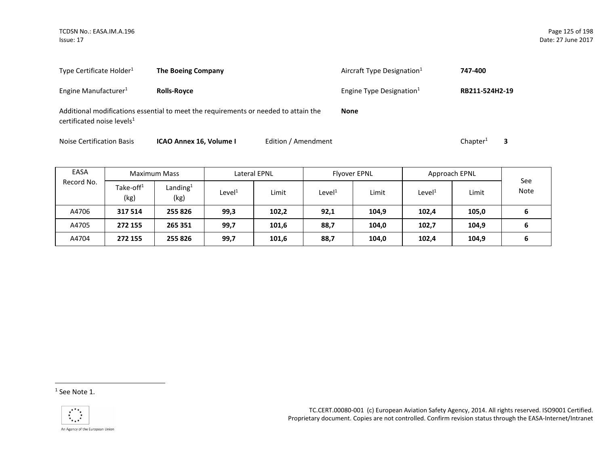TCDSN No.: EASA.IM.A.196 Page 125 of 198 Issue: 17 Date: 27 June 2017

| Type Certificate Holder <sup>1</sup>   | The Boeing Company                                                                  | Aircraft Type Designation <sup>1</sup> | 747-400        |
|----------------------------------------|-------------------------------------------------------------------------------------|----------------------------------------|----------------|
| Engine Manufacturer <sup>1</sup>       | <b>Rolls-Royce</b>                                                                  | Engine Type Designation <sup>1</sup>   | RB211-524H2-19 |
| certificated noise levels <sup>1</sup> | Additional modifications essential to meet the requirements or needed to attain the | <b>None</b>                            |                |

Noise Certification Basis **ICAO Annex 16, Volume I Edition / Amendment** Chapter<sup>1</sup> **3** 

| EASA       | <b>Maximum Mass</b>           |                              | Lateral EPNL |       | <b>Flyover EPNL</b> |       | Approach EPNL |       |                    |
|------------|-------------------------------|------------------------------|--------------|-------|---------------------|-------|---------------|-------|--------------------|
| Record No. | Take-off <sup>1</sup><br>(kg) | Landing <sup>1</sup><br>(kg) | Level $1$    | Limit | Level               | Limit | Level $^1$    | Limit | See<br><b>Note</b> |
| A4706      | 317 514                       | 255 826                      | 99,3         | 102,2 | 92,1                | 104,9 | 102,4         | 105,0 |                    |
| A4705      | 272 155                       | 265 351                      | 99,7         | 101,6 | 88,7                | 104,0 | 102,7         | 104,9 |                    |
| A4704      | 272 155                       | 255 826                      | 99,7         | 101,6 | 88,7                | 104,0 | 102,4         | 104,9 |                    |

 $1$  See Note 1.



TC.CERT.00080-001 (c) European Aviation Safety Agency, 2014. All rights reserved. ISO9001 Certified. Proprietary document. Copies are not controlled. Confirm revision status through the EASA-Internet/Intranet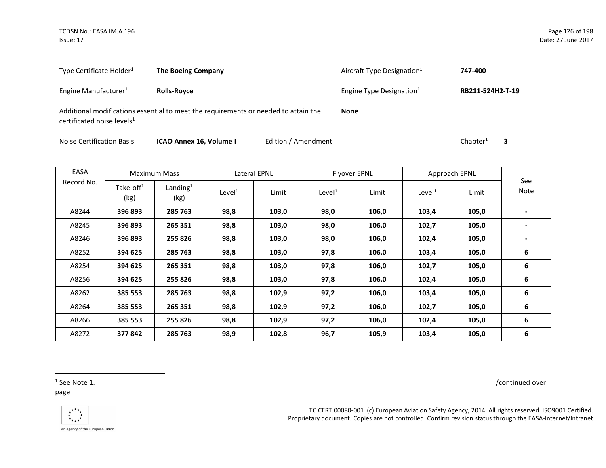TCDSN No.: EASA.IM.A.196 Page 126 of 198 Issue: 17 Date: 27 June 2017

| Type Certificate Holder <sup>1</sup>   | The Boeing Company                                                                  | Aircraft Type Designation $1$        | 747-400          |
|----------------------------------------|-------------------------------------------------------------------------------------|--------------------------------------|------------------|
| Engine Manufacturer <sup>1</sup>       | <b>Rolls-Royce</b>                                                                  | Engine Type Designation <sup>1</sup> | RB211-524H2-T-19 |
| certificated noise levels <sup>1</sup> | Additional modifications essential to meet the requirements or needed to attain the | <b>None</b>                          |                  |

Noise Certification Basis **ICAO Annex 16, Volume I Edition / Amendment** Chapter<sup>1</sup> **3** 

| EASA       | <b>Maximum Mass</b>  |                              | <b>Lateral EPNL</b> |       | <b>Flyover EPNL</b> |       | Approach EPNL      |       |             |
|------------|----------------------|------------------------------|---------------------|-------|---------------------|-------|--------------------|-------|-------------|
| Record No. | Take-off $1$<br>(kg) | Landing <sup>1</sup><br>(kg) | Level <sup>1</sup>  | Limit | Level <sup>1</sup>  | Limit | Level <sup>1</sup> | Limit | See<br>Note |
| A8244      | 396 893              | 285 763                      | 98,8                | 103,0 | 98,0                | 106,0 | 103,4              | 105,0 |             |
| A8245      | 396 893              | 265 351                      | 98,8                | 103,0 | 98,0                | 106,0 | 102,7              | 105,0 |             |
| A8246      | 396 893              | 255 826                      | 98,8                | 103,0 | 98,0                | 106,0 | 102,4              | 105,0 |             |
| A8252      | 394 625              | 285 763                      | 98,8                | 103,0 | 97,8                | 106,0 | 103,4              | 105,0 | 6           |
| A8254      | 394 625              | 265 351                      | 98,8                | 103,0 | 97,8                | 106,0 | 102,7              | 105,0 | 6           |
| A8256      | 394 625              | 255 826                      | 98,8                | 103,0 | 97,8                | 106,0 | 102,4              | 105,0 | 6           |
| A8262      | 385 553              | 285 763                      | 98,8                | 102,9 | 97,2                | 106,0 | 103,4              | 105,0 | 6           |
| A8264      | 385 553              | 265 351                      | 98,8                | 102,9 | 97,2                | 106,0 | 102,7              | 105,0 | 6           |
| A8266      | 385 553              | 255 826                      | 98,8                | 102,9 | 97,2                | 106,0 | 102,4              | 105,0 | 6           |
| A8272      | 377842               | 285 763                      | 98,9                | 102,8 | 96,7                | 105,9 | 103,4              | 105,0 | 6           |

 $1$  See Note 1.  $/$ continued over

page

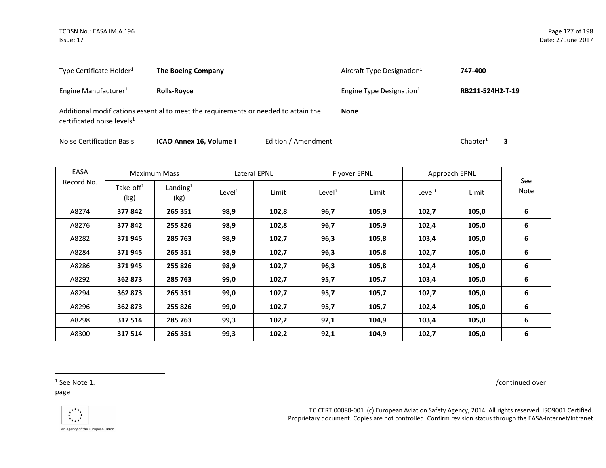TCDSN No.: EASA.IM.A.196 Page 127 of 198 Issue: 17 Date: 27 June 2017

| Type Certificate Holder <sup>1</sup>   | The Boeing Company                                                                  | Aircraft Type Designation <sup>1</sup> | 747-400          |
|----------------------------------------|-------------------------------------------------------------------------------------|----------------------------------------|------------------|
| Engine Manufacturer <sup>1</sup>       | <b>Rolls-Royce</b>                                                                  | Engine Type Designation <sup>1</sup>   | RB211-524H2-T-19 |
| certificated noise levels <sup>1</sup> | Additional modifications essential to meet the requirements or needed to attain the | <b>None</b>                            |                  |

Noise Certification Basis **ICAO Annex 16, Volume I Edition / Amendment** Chapter Chapter<sup>1</sup> 3

EASA Record No. Maximum Mass **Lateral EPNL** Flyover EPNL Approach EPNL See Note Take-off<sup>1</sup> (kg) Landing $1$  $(kg)$  Level<sup>1</sup> Limit Level<sup>1</sup> Limit Limit Level<sup>1</sup> Limit A8274 **377 842 265 351 98,9 102,8 96,7 105,9 102,7 105,0 6**A8276 **377 842 255 826 98,9 102,8 96,7 105,9 102,4 105,0 6**A8282 **371 945 285 763 98,9 102,7 96,3 105,8 103,4 105,0 6**A8284 **371 945 265 351 98,9 102,7 96,3 105,8 102,7 105,0 6**A8286 **371 945 255 826 98,9 102,7 96,3 105,8 102,4 105,0 6**A8292 **362 873 285 763 99,0 102,7 95,7 105,7 103,4 105,0 6**A8294 **362 873 265 351 99,0 102,7 95,7 105,7 102,7 105,0 6**A8296 **362 873 255 826 99,0 102,7 95,7 105,7 102,4 105,0 6**A8298 **317 514 285 763 99,3 102,2 92,1 104,9 103,4 105,0 6**A8300 **317 514 265 351 99,3 102,2 92,1 104,9 102,7 105,0 6**

page

 $\frac{1}{2}$  See Note 1.  $\frac{1}{2}$  /continued over

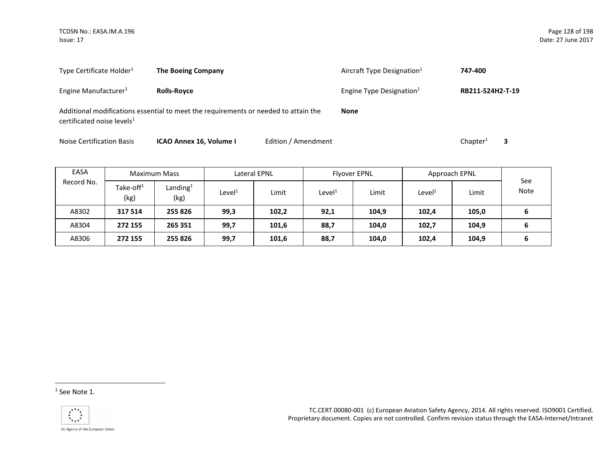TCDSN No.: EASA.IM.A.196 Page 128 of 198 Issue: 17 Date: 27 June 2017

| Type Certificate Holder <sup>1</sup>   | <b>The Boeing Company</b>                                                           | Aircraft Type Designation <sup>1</sup> | 747-400          |
|----------------------------------------|-------------------------------------------------------------------------------------|----------------------------------------|------------------|
| Engine Manufacturer <sup>1</sup>       | <b>Rolls-Royce</b>                                                                  | Engine Type Designation <sup>1</sup>   | RB211-524H2-T-19 |
| certificated noise levels <sup>1</sup> | Additional modifications essential to meet the requirements or needed to attain the | None                                   |                  |

Noise Certification Basis **ICAO Annex 16, Volume I Edition / Amendment** Chapter<sup>1</sup> **3** 

| EASA       | <b>Maximum Mass</b>           |                              | Lateral EPNL |       | <b>Flyover EPNL</b> |       | Approach EPNL |       |                    |
|------------|-------------------------------|------------------------------|--------------|-------|---------------------|-------|---------------|-------|--------------------|
| Record No. | Take-off <sup>1</sup><br>(kg) | Landing <sup>1</sup><br>(kg) | Level $^1$   | Limit | Level $1$           | Limit | Level $^1$    | Limit | See<br><b>Note</b> |
| A8302      | 317 514                       | 255 826                      | 99,3         | 102,2 | 92,1                | 104,9 | 102,4         | 105,0 |                    |
| A8304      | 272 155                       | 265 351                      | 99,7         | 101,6 | 88,7                | 104,0 | 102,7         | 104,9 |                    |
| A8306      | 272 155                       | 255 826                      | 99,7         | 101,6 | 88,7                | 104,0 | 102,4         | 104,9 |                    |

 $1$  See Note 1.



TC.CERT.00080-001 (c) European Aviation Safety Agency, 2014. All rights reserved. ISO9001 Certified. Proprietary document. Copies are not controlled. Confirm revision status through the EASA-Internet/Intranet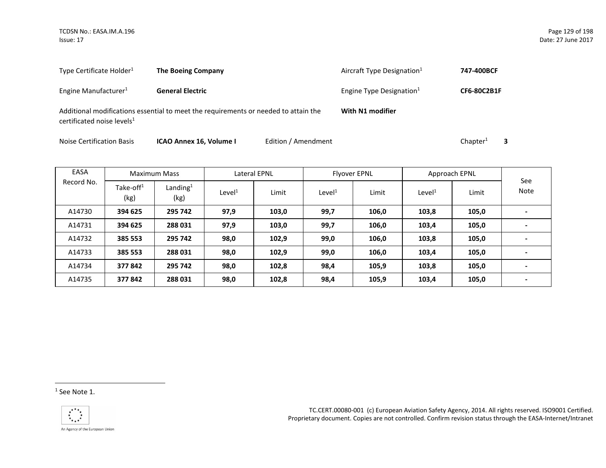TCDSN No.: EASA.IM.A.196 Page 129 of 198 Issue: 17 Date: 27 June 2017

| Type Certificate Holder <sup>1</sup>   | The Boeing Company                                                                  | Aircraft Type Designation <sup>1</sup> | 747-400BCF         |
|----------------------------------------|-------------------------------------------------------------------------------------|----------------------------------------|--------------------|
| Engine Manufacturer <sup>1</sup>       | <b>General Electric</b>                                                             | Engine Type Designation <sup>1</sup>   | <b>CF6-80C2B1F</b> |
| certificated noise levels <sup>1</sup> | Additional modifications essential to meet the requirements or needed to attain the | With N1 modifier                       |                    |

Noise Certification Basis **ICAO Annex 16, Volume I Edition / Amendment** Chapter<sup>1</sup> **3** 

| EASA       | <b>Maximum Mass</b>           |                     | <b>Lateral EPNL</b> |       | <b>Flyover EPNL</b> |       | Approach EPNL      |       |                    |
|------------|-------------------------------|---------------------|---------------------|-------|---------------------|-------|--------------------|-------|--------------------|
| Record No. | Take-off <sup>1</sup><br>(kg) | Landing $1$<br>(kg) | Level <sup>1</sup>  | Limit | Level <sup>1</sup>  | Limit | Level <sup>1</sup> | Limit | See<br><b>Note</b> |
| A14730     | 394 625                       | 295 742             | 97,9                | 103,0 | 99,7                | 106,0 | 103,8              | 105,0 |                    |
| A14731     | 394 625                       | 288 031             | 97,9                | 103,0 | 99,7                | 106,0 | 103,4              | 105,0 |                    |
| A14732     | 385 553                       | 295 742             | 98,0                | 102,9 | 99,0                | 106,0 | 103,8              | 105,0 |                    |
| A14733     | 385 553                       | 288 031             | 98,0                | 102,9 | 99,0                | 106,0 | 103,4              | 105,0 |                    |
| A14734     | 377842                        | 295 742             | 98,0                | 102,8 | 98,4                | 105,9 | 103,8              | 105,0 |                    |
| A14735     | 377842                        | 288 031             | 98,0                | 102,8 | 98,4                | 105,9 | 103,4              | 105,0 |                    |

 $1$  See Note 1.



TC.CERT.00080-001 (c) European Aviation Safety Agency, 2014. All rights reserved. ISO9001 Certified. Proprietary document. Copies are not controlled. Confirm revision status through the EASA-Internet/Intranet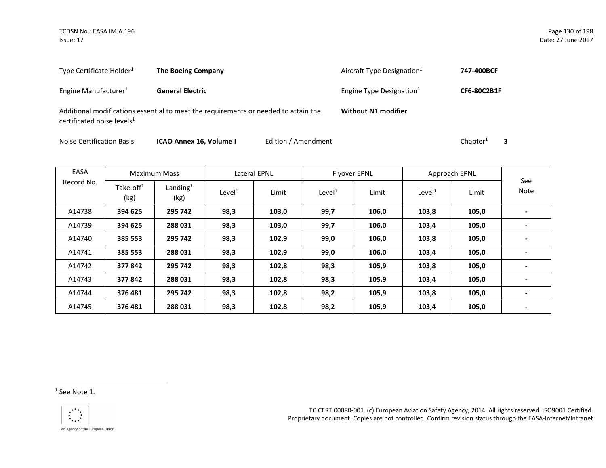TCDSN No.: EASA.IM.A.196 Page 130 of 198 Issue: 17 Date: 27 June 2017

| Type Certificate Holder <sup>1</sup>   | The Boeing Company                                                                  | Aircraft Type Designation <sup>1</sup> | 747-400BCF         |
|----------------------------------------|-------------------------------------------------------------------------------------|----------------------------------------|--------------------|
| Engine Manufacturer <sup>1</sup>       | <b>General Electric</b>                                                             | Engine Type Designation <sup>1</sup>   | <b>CF6-80C2B1F</b> |
| certificated noise levels <sup>1</sup> | Additional modifications essential to meet the requirements or needed to attain the | <b>Without N1 modifier</b>             |                    |

Noise Certification Basis **ICAO Annex 16, Volume I Edition / Amendment** Chapter Chapter<sup>1</sup> 3

EASA Record No. Maximum Mass  $Lateral EPNL$  Flyover EPNL Approach EPNL See Note Take-off<sup>1</sup> (kg) Landing<sup>1</sup>  $(kg)$  Level<sup>1</sup> Limit Level<sup>1</sup> Limit Limit Level<sup>1</sup> Limit A14738 **394 625 295 742 98,3 103,0 99,7 106,0 103,8 105,0 -**A14739 **394 625 288 031 98,3 103,0 99,7 106,0 103,4 105,0 -**A14740 **385 553 295 742 98,3 102,9 99,0 106,0 103,8 105,0 -**A14741 **385 553 288 031 98,3 102,9 99,0 106,0 103,4 105,0 -**A14742 **377 842 295 742 98,3 102,8 98,3 105,9 103,8 105,0 -**A14743 **377 842 288 031 98,3 102,8 98,3 105,9 103,4 105,0 -**A14744 **376 481 295 742 98,3 102,8 98,2 105,9 103,8 105,0 -**A14745 **376 481 288 031 98,3 102,8 98,2 105,9 103,4 105,0 -**

<sup>1</sup> See Note 1.



TC.CERT.00080-001 (c) European Aviation Safety Agency, 2014. All rights reserved. ISO9001 Certified. Proprietary document. Copies are not controlled. Confirm revision status through the EASA-Internet/Intranet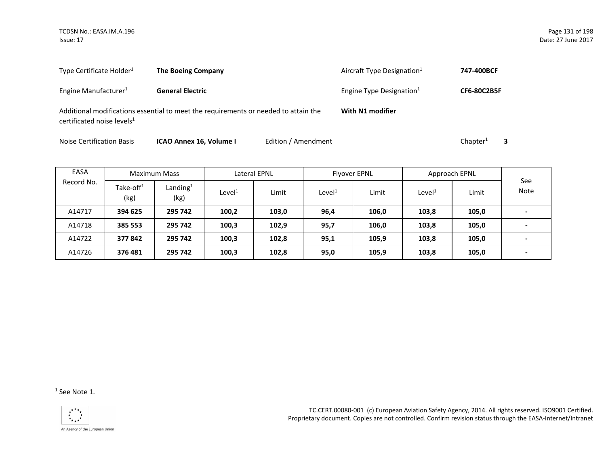TCDSN No.: EASA.IM.A.196 Page 131 of 198 Issue: 17 Date: 27 June 2017

| Type Certificate Holder <sup>1</sup>   | <b>The Boeing Company</b>                                                           | Aircraft Type Designation <sup>1</sup> | 747-400BCF         |
|----------------------------------------|-------------------------------------------------------------------------------------|----------------------------------------|--------------------|
| Engine Manufacturer <sup>1</sup>       | <b>General Electric</b>                                                             | Engine Type Designation <sup>1</sup>   | <b>CF6-80C2B5F</b> |
| certificated noise levels <sup>1</sup> | Additional modifications essential to meet the requirements or needed to attain the | With N1 modifier                       |                    |

Noise Certification Basis **ICAO Annex 16, Volume I Edition / Amendment** Chapter<sup>1</sup> **3** 

| EASA       | <b>Maximum Mass</b>           |                              | Lateral EPNL |       | <b>Flyover EPNL</b> |       | Approach EPNL      |       |                    |
|------------|-------------------------------|------------------------------|--------------|-------|---------------------|-------|--------------------|-------|--------------------|
| Record No. | Take-off <sup>1</sup><br>(kg) | Landing <sup>1</sup><br>(kg) | Level $1$    | Limit | Level <sup>1</sup>  | Limit | Level <sup>1</sup> | Limit | See<br><b>Note</b> |
| A14717     | 394 625                       | 295 742                      | 100,2        | 103,0 | 96,4                | 106,0 | 103,8              | 105,0 |                    |
| A14718     | 385 553                       | 295 742                      | 100,3        | 102,9 | 95,7                | 106,0 | 103,8              | 105,0 |                    |
| A14722     | 377842                        | 295 742                      | 100,3        | 102,8 | 95,1                | 105,9 | 103,8              | 105,0 |                    |
| A14726     | 376 481                       | 295 742                      | 100,3        | 102,8 | 95,0                | 105,9 | 103,8              | 105,0 |                    |

 $1$  See Note 1.



TC.CERT.00080-001 (c) European Aviation Safety Agency, 2014. All rights reserved. ISO9001 Certified. Proprietary document. Copies are not controlled. Confirm revision status through the EASA-Internet/Intranet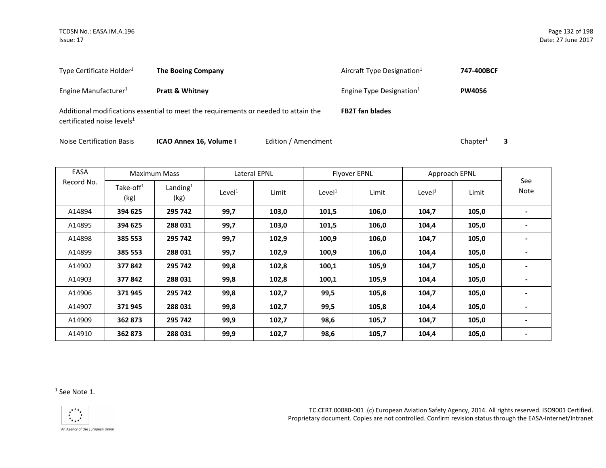TCDSN No.: EASA.IM.A.196 Page 132 of 198 Issue: 17 Date: 27 June 2017

| Type Certificate Holder <sup>1</sup>   | The Boeing Company                                                                  | Aircraft Type Designation <sup>1</sup> | 747-400BCF    |
|----------------------------------------|-------------------------------------------------------------------------------------|----------------------------------------|---------------|
| Engine Manufacturer <sup>1</sup>       | <b>Pratt &amp; Whitney</b>                                                          | Engine Type Designation <sup>1</sup>   | <b>PW4056</b> |
| certificated noise levels <sup>1</sup> | Additional modifications essential to meet the requirements or needed to attain the | <b>FB2T</b> fan blades                 |               |

Noise Certification Basis **ICAO Annex 16, Volume I Edition / Amendment** Chapter Chapter<sup>1</sup> 3

EASA Record No. Maximum Mass **Lateral EPNL** Flyover EPNL Approach EPNL See Note Take-off<sup>1</sup> (kg) Landing<sup>1</sup>  $(kg)$  Level<sup>1</sup> Limit Level<sup>1</sup> Limit Limit Level<sup>1</sup> Limit A14894 **394 625 295 742 99,7 103,0 101,5 106,0 104,7 105,0 -** A14895 **394 625 288 031 99,7 103,0 101,5 106,0 104,4 105,0 -** A14898 **385 553 295 742 99,7 102,9 100,9 106,0 104,7 105,0 -** A14899 **385 553 288 031 99,7 102,9 100,9 106,0 104,4 105,0 -** A14902 **377 842 295 742 99,8 102,8 100,1 105,9 104,7 105,0 -** A14903 **377 842 288 031 99,8 102,8 100,1 105,9 104,4 105,0 -** A14906 **371 945 295 742 99,8 102,7 99,5 105,8 104,7 105,0 -**A14907 | **371 945 | 288 031 | 99,8 | 102,7 | 99,5 | 105,8 | 104,4 | 105,0 | -**A14909 **362 873 295 742 99,9 102,7 98,6 105,7 104,7 105,0 -**A14910 **362 873 288 031 99,9 102,7 98,6 105,7 104,4 105,0 -**

 $1$  See Note 1.

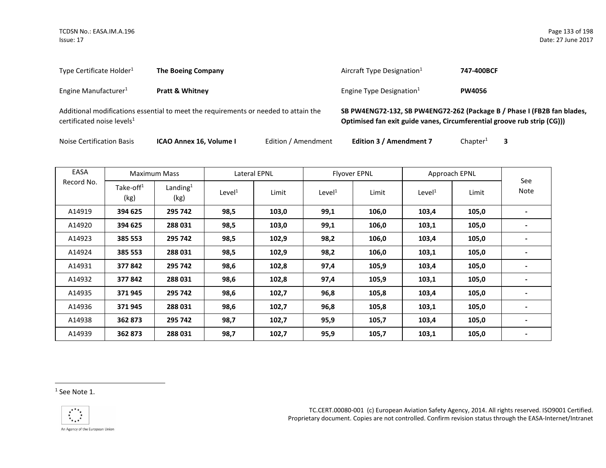| Type Certificate Holder <sup>1</sup>                                                                                          | The Boeing Company         | Aircraft Type Designation <sup>1</sup>                                 | 747-400BCF                                                              |
|-------------------------------------------------------------------------------------------------------------------------------|----------------------------|------------------------------------------------------------------------|-------------------------------------------------------------------------|
| Engine Manufacturer <sup>1</sup>                                                                                              | <b>Pratt &amp; Whitney</b> | Engine Type Designation <sup>1</sup>                                   | <b>PW4056</b>                                                           |
| Additional modifications essential to meet the requirements or needed to attain the<br>certificated noise levels <sup>1</sup> |                            | Optimised fan exit guide vanes, Circumferential groove rub strip (CG)) | SB PW4ENG72-132, SB PW4ENG72-262 (Package B / Phase I (FB2B fan blades, |

| EASA       | <b>Maximum Mass</b>   |                     | Lateral EPNL       |       | <b>Flyover EPNL</b> |       | Approach EPNL      |       |                          |
|------------|-----------------------|---------------------|--------------------|-------|---------------------|-------|--------------------|-------|--------------------------|
| Record No. | Take-off $^1$<br>(kg) | Landing $1$<br>(kg) | Level <sup>1</sup> | Limit | Level <sup>1</sup>  | Limit | Level <sup>1</sup> | Limit | See<br>Note              |
| A14919     | 394 625               | 295 742             | 98,5               | 103,0 | 99,1                | 106,0 | 103,4              | 105,0 | ۰                        |
| A14920     | 394 625               | 288 031             | 98,5               | 103,0 | 99,1                | 106,0 | 103,1              | 105,0 | ۰                        |
| A14923     | 385 553               | 295 742             | 98,5               | 102,9 | 98,2                | 106,0 | 103,4              | 105,0 | $\blacksquare$           |
| A14924     | 385 553               | 288 031             | 98,5               | 102,9 | 98,2                | 106,0 | 103,1              | 105,0 |                          |
| A14931     | 377842                | 295 742             | 98,6               | 102,8 | 97,4                | 105,9 | 103,4              | 105,0 |                          |
| A14932     | 377842                | 288 031             | 98,6               | 102,8 | 97,4                | 105,9 | 103,1              | 105,0 |                          |
| A14935     | 371945                | 295 742             | 98,6               | 102,7 | 96,8                | 105,8 | 103,4              | 105,0 | -                        |
| A14936     | 371945                | 288 031             | 98,6               | 102,7 | 96,8                | 105,8 | 103,1              | 105,0 | $\overline{\phantom{a}}$ |
| A14938     | 362 873               | 295 742             | 98,7               | 102,7 | 95,9                | 105,7 | 103,4              | 105,0 | $\overline{\phantom{a}}$ |
| A14939     | 362 873               | 288 031             | 98,7               | 102,7 | 95,9                | 105,7 | 103,1              | 105,0 | ۰                        |

Noise Certification Basis **ICAO Annex 16, Volume I** Edition / Amendment **Edition 3 / Amendment 7** Chapter<sup>1</sup> **<sup>3</sup>**

 $1$  See Note 1.



TC.CERT.00080-001 (c) European Aviation Safety Agency, 2014. All rights reserved. ISO9001 Certified. Proprietary document. Copies are not controlled. Confirm revision status through the EASA-Internet/Intranet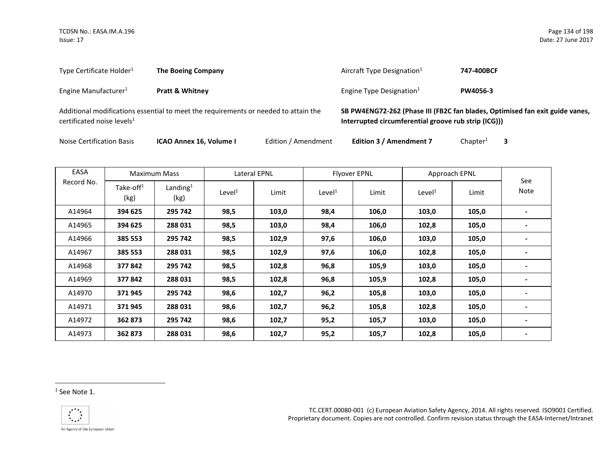| Type Certificate Holder <sup>1</sup>                                                                                          | The Boeing Company         | Aircraft Type Designation <sup>1</sup>                                                                                               | 747-400BCF |  |
|-------------------------------------------------------------------------------------------------------------------------------|----------------------------|--------------------------------------------------------------------------------------------------------------------------------------|------------|--|
| Engine Manufacturer <sup>1</sup>                                                                                              | <b>Pratt &amp; Whitney</b> | Engine Type Designation <sup>1</sup>                                                                                                 | PW4056-3   |  |
| Additional modifications essential to meet the requirements or needed to attain the<br>certificated noise levels <sup>1</sup> |                            | SB PW4ENG72-262 (Phase III (FB2C fan blades, Optimised fan exit guide vanes,<br>Interrupted circumferential groove rub strip (ICG))) |            |  |

EASA Record No. Maximum Mass **Lateral EPNL** Flyover EPNL Approach EPNL See Note Take-off<sup>1</sup> (kg) Landing $1$  $(kg)$  Level<sup>1</sup> Limit Level<sup>1</sup> Limit Limit Level<sup>1</sup> Limit A14964 **394 625 295 742 98,5 103,0 98,4 106,0 103,0 105,0 -**A14965 **394 625 288 031 98,5 103,0 98,4 106,0 102,8 105,0 -**A14966 **385 553 295 742 98,5 102,9 97,6 106,0 103,0 105,0 -**A14967 **385 553 288 031 98,5 102,9 97,6 106,0 102,8 105,0 -**A14968 **377 842 295 742 98,5 102,8 96,8 105,9 103,0 105,0 -**A14969 **377 842 288 031 98,5 102,8 96,8 105,9 102,8 105,0 -**A14970 **371 945 295 742 98,6 102,7 96,2 105,8 103,0 105,0 -**A14971 **371 945 288 031 98,6 102,7 96,2 105,8 102,8 105,0 -**A14972 **362 873 295 742 98,6 102,7 95,2 105,7 103,0 105,0 -**A14973 **362 873 288 031 98,6 102,7 95,2 105,7 102,8 105,0 -**

Noise Certification Basis **ICAO Annex 16, Volume I** Edition / Amendment **Edition 3 / Amendment 7** Chapter<sup>1</sup> **<sup>3</sup>**

 $1$  See Note 1.

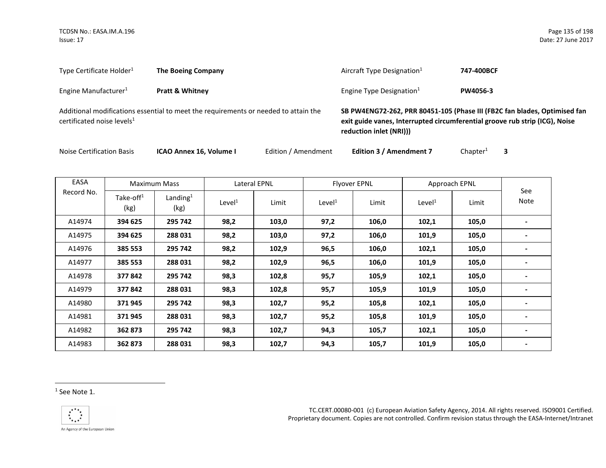| Type Certificate Holder <sup>1</sup>                                                                                          | The Boeing Company         |                                                                                                                                                                                     | Aircraft Type Designation <sup>1</sup> | 747-400BCF           |  |
|-------------------------------------------------------------------------------------------------------------------------------|----------------------------|-------------------------------------------------------------------------------------------------------------------------------------------------------------------------------------|----------------------------------------|----------------------|--|
| Engine Manufacturer <sup>1</sup>                                                                                              | <b>Pratt &amp; Whitney</b> |                                                                                                                                                                                     | Engine Type Designation $1$            | PW4056-3             |  |
| Additional modifications essential to meet the requirements or needed to attain the<br>certificated noise levels <sup>1</sup> |                            | SB PW4ENG72-262, PRR 80451-105 (Phase III (FB2C fan blades, Optimised fan<br>exit guide vanes, Interrupted circumferential groove rub strip (ICG), Noise<br>reduction inlet (NRI))) |                                        |                      |  |
| Noise Certification Basis                                                                                                     | ICAO Annex 16, Volume I    | Edition / Amendment                                                                                                                                                                 | Edition 3 / Amendment 7                | Chapter <sup>1</sup> |  |

| EASA       | <b>Maximum Mass</b>   |                     | <b>Lateral EPNL</b> |       | <b>Flyover EPNL</b> |       | Approach EPNL      |       |             |
|------------|-----------------------|---------------------|---------------------|-------|---------------------|-------|--------------------|-------|-------------|
| Record No. | Take-off $^1$<br>(kg) | Landing $1$<br>(kg) | Level <sup>1</sup>  | Limit | Level <sup>1</sup>  | Limit | Level <sup>1</sup> | Limit | See<br>Note |
| A14974     | 394 625               | 295 742             | 98,2                | 103,0 | 97,2                | 106,0 | 102,1              | 105,0 |             |
| A14975     | 394 625               | 288 031             | 98,2                | 103,0 | 97,2                | 106,0 | 101,9              | 105,0 |             |
| A14976     | 385 553               | 295 742             | 98,2                | 102,9 | 96,5                | 106,0 | 102,1              | 105,0 |             |
| A14977     | 385 553               | 288 031             | 98,2                | 102,9 | 96,5                | 106,0 | 101,9              | 105,0 |             |
| A14978     | 377842                | 295 742             | 98,3                | 102,8 | 95,7                | 105,9 | 102,1              | 105,0 |             |
| A14979     | 377842                | 288 031             | 98,3                | 102,8 | 95,7                | 105,9 | 101,9              | 105,0 |             |
| A14980     | 371945                | 295 742             | 98,3                | 102,7 | 95,2                | 105,8 | 102,1              | 105,0 |             |
| A14981     | 371945                | 288 031             | 98,3                | 102,7 | 95,2                | 105,8 | 101,9              | 105,0 |             |
| A14982     | 362 873               | 295 742             | 98,3                | 102,7 | 94,3                | 105,7 | 102,1              | 105,0 |             |
| A14983     | 362 873               | 288 031             | 98,3                | 102,7 | 94,3                | 105,7 | 101,9              | 105,0 |             |

<sup>1</sup> See Note 1.



TC.CERT.00080-001 (c) European Aviation Safety Agency, 2014. All rights reserved. ISO9001 Certified. Proprietary document. Copies are not controlled. Confirm revision status through the EASA-Internet/Intranet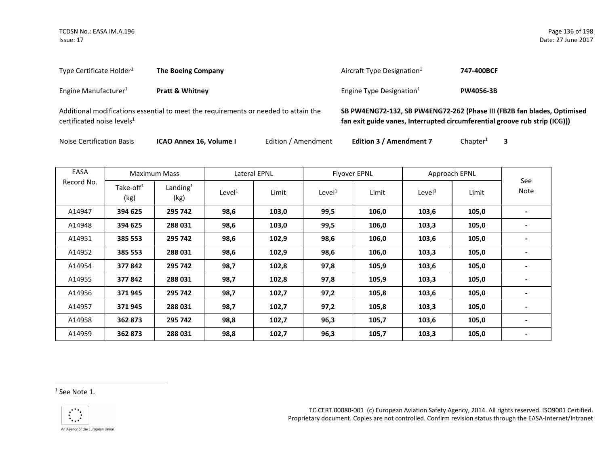| Additional modifications essential to meet the requirements or needed to attain the<br>certificated noise levels <sup>1</sup> |                            | SB PW4ENG72-132, SB PW4ENG72-262 (Phase III (FB2B fan blades, Optimised<br>fan exit guide vanes, Interrupted circumferential groove rub strip (ICG))) |                  |  |
|-------------------------------------------------------------------------------------------------------------------------------|----------------------------|-------------------------------------------------------------------------------------------------------------------------------------------------------|------------------|--|
| Engine Manufacturer <sup>1</sup>                                                                                              | <b>Pratt &amp; Whitney</b> | Engine Type Designation <sup>1</sup>                                                                                                                  | <b>PW4056-3B</b> |  |
| Type Certificate Holder <sup>1</sup>                                                                                          | The Boeing Company         | Aircraft Type Designation <sup>1</sup>                                                                                                                | 747-400BCF       |  |

Noise Certification Basis **ICAO Annex 16, Volume I** Edition / Amendment **Edition 3 / Amendment 7** Chapter<sup>1</sup> **<sup>3</sup>**

| EASA<br><b>Maximum Mass</b> |                               |                     | Lateral EPNL       |       | <b>Flyover EPNL</b> |       | Approach EPNL      |       |                    |
|-----------------------------|-------------------------------|---------------------|--------------------|-------|---------------------|-------|--------------------|-------|--------------------|
| Record No.                  | Take-off <sup>1</sup><br>(kg) | Landing $1$<br>(kg) | Level <sup>1</sup> | Limit | Level <sup>1</sup>  | Limit | Level <sup>1</sup> | Limit | See<br><b>Note</b> |
| A14947                      | 394 625                       | 295 742             | 98,6               | 103,0 | 99,5                | 106,0 | 103,6              | 105,0 |                    |
| A14948                      | 394 625                       | 288 031             | 98,6               | 103,0 | 99,5                | 106,0 | 103,3              | 105,0 |                    |
| A14951                      | 385 553                       | 295 742             | 98,6               | 102,9 | 98,6                | 106,0 | 103,6              | 105,0 |                    |
| A14952                      | 385 553                       | 288 031             | 98,6               | 102,9 | 98,6                | 106,0 | 103,3              | 105,0 |                    |
| A14954                      | 377842                        | 295 742             | 98,7               | 102,8 | 97,8                | 105,9 | 103,6              | 105,0 |                    |
| A14955                      | 377842                        | 288 031             | 98,7               | 102,8 | 97,8                | 105,9 | 103,3              | 105,0 |                    |
| A14956                      | 371945                        | 295 742             | 98,7               | 102,7 | 97,2                | 105,8 | 103,6              | 105,0 |                    |
| A14957                      | 371945                        | 288 031             | 98,7               | 102,7 | 97,2                | 105,8 | 103,3              | 105,0 |                    |
| A14958                      | 362 873                       | 295 742             | 98,8               | 102,7 | 96,3                | 105,7 | 103,6              | 105,0 |                    |
| A14959                      | 362 873                       | 288 031             | 98,8               | 102,7 | 96,3                | 105,7 | 103,3              | 105,0 |                    |

 $1$  See Note 1.



TC.CERT.00080-001 (c) European Aviation Safety Agency, 2014. All rights reserved. ISO9001 Certified. Proprietary document. Copies are not controlled. Confirm revision status through the EASA-Internet/Intranet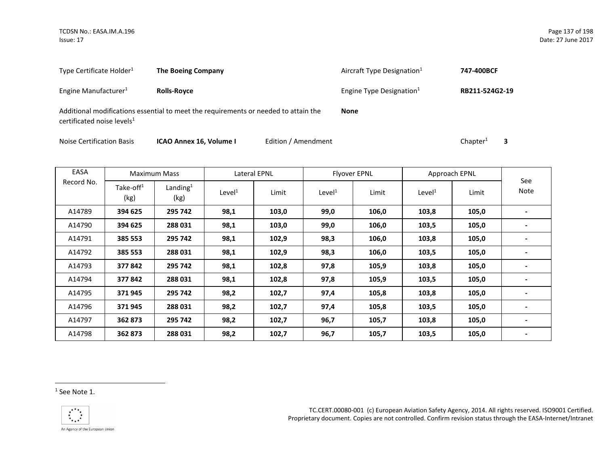TCDSN No.: EASA.IM.A.196 Page 137 of 198 Issue: 17 Date: 27 June 2017

| Type Certificate Holder <sup>1</sup>   | The Boeing Company                                                                  | Aircraft Type Designation <sup>1</sup> | 747-400BCF     |
|----------------------------------------|-------------------------------------------------------------------------------------|----------------------------------------|----------------|
| Engine Manufacturer <sup>1</sup>       | <b>Rolls-Royce</b>                                                                  | Engine Type Designation <sup>1</sup>   | RB211-524G2-19 |
| certificated noise levels <sup>1</sup> | Additional modifications essential to meet the requirements or needed to attain the | <b>None</b>                            |                |

Noise Certification Basis **ICAO Annex 16, Volume I Edition / Amendment** Chapter Chapter<sup>1</sup> 3

EASA Record No. Maximum Mass **Lateral EPNL** Flyover EPNL Approach EPNL See Note Take-off<sup>1</sup> (kg) Landing<sup>1</sup>  $(kg)$  Level<sup>1</sup> Limit Level<sup>1</sup> Limit Limit Level<sup>1</sup> Limit A14789 **394 625 295 742 98,1 103,0 99,0 106,0 103,8 105,0 -**A14790 **394 625 288 031 98,1 103,0 99,0 106,0 103,5 105,0 -**A14791 **385 553 295 742 98,1 102,9 98,3 106,0 103,8 105,0 -**A14792 **385 553 288 031 98,1 102,9 98,3 106,0 103,5 105,0 -**A14793 **377 842 295 742 98,1 102,8 97,8 105,9 103,8 105,0 -**A14794 **377 842 288 031 98,1 102,8 97,8 105,9 103,5 105,0 -**A14795 **371 945 295 742 98,2 102,7 97,4 105,8 103,8 105,0 -**A14796 **371 945 288 031 98,2 102,7 97,4 105,8 103,5 105,0 -**A14797 **362 873 295 742 98,2 102,7 96,7 105,7 103,8 105,0 -**A14798 **362 873 288 031 98,2 102,7 96,7 105,7 103,5 105,0 -**

 $1$  See Note 1.



TC.CERT.00080-001 (c) European Aviation Safety Agency, 2014. All rights reserved. ISO9001 Certified. Proprietary document. Copies are not controlled. Confirm revision status through the EASA-Internet/Intranet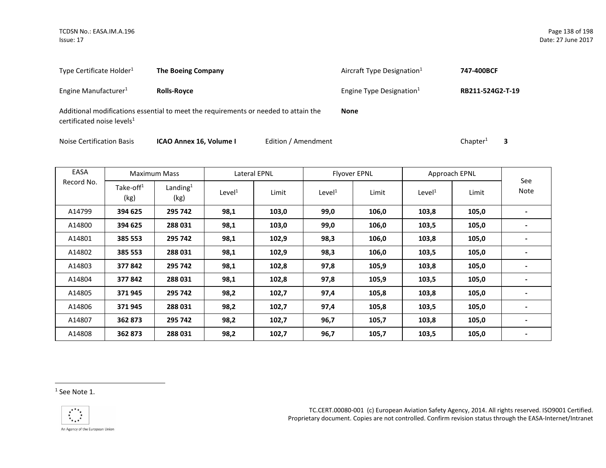TCDSN No.: EASA.IM.A.196 Page 138 of 198 Issue: 17 Date: 27 June 2017

| Type Certificate Holder <sup>1</sup>   | The Boeing Company                                                                  | Aircraft Type Designation <sup>1</sup> | 747-400BCF       |
|----------------------------------------|-------------------------------------------------------------------------------------|----------------------------------------|------------------|
| Engine Manufacturer <sup>1</sup>       | <b>Rolls-Royce</b>                                                                  | Engine Type Designation $1$            | RB211-524G2-T-19 |
| certificated noise levels <sup>1</sup> | Additional modifications essential to meet the requirements or needed to attain the | <b>None</b>                            |                  |

Noise Certification Basis **ICAO Annex 16, Volume I Edition / Amendment** Chapter Chapter<sup>1</sup> 3

EASA Record No. Maximum Mass **Lateral EPNL** Flyover EPNL Approach EPNL See Note Take-off<sup>1</sup> (kg) Landing<sup>1</sup>  $(kg)$  Level<sup>1</sup> Limit Level<sup>1</sup> Limit Limit Level<sup>1</sup> Limit A14799 **394 625 295 742 98,1 103,0 99,0 106,0 103,8 105,0 -**A14800 **394 625 288 031 98,1 103,0 99,0 106,0 103,5 105,0 -**A14801 **385 553 295 742 98,1 102,9 98,3 106,0 103,8 105,0 -**A14802 **385 553 288 031 98,1 102,9 98,3 106,0 103,5 105,0 -**A14803 **377 842 295 742 98,1 102,8 97,8 105,9 103,8 105,0 -**A14804 **377 842 288 031 98,1 102,8 97,8 105,9 103,5 105,0 -**A14805 **371 945 295 742 98,2 102,7 97,4 105,8 103,8 105,0 -**A14806 **371 945 288 031 98,2 102,7 97,4 105,8 103,5 105,0 -**A14807 **362 873 295 742 98,2 102,7 96,7 105,7 103,8 105,0 -**A14808 **362 873 288 031 98,2 102,7 96,7 105,7 103,5 105,0 -**

 $1$  See Note 1.



TC.CERT.00080-001 (c) European Aviation Safety Agency, 2014. All rights reserved. ISO9001 Certified. Proprietary document. Copies are not controlled. Confirm revision status through the EASA-Internet/Intranet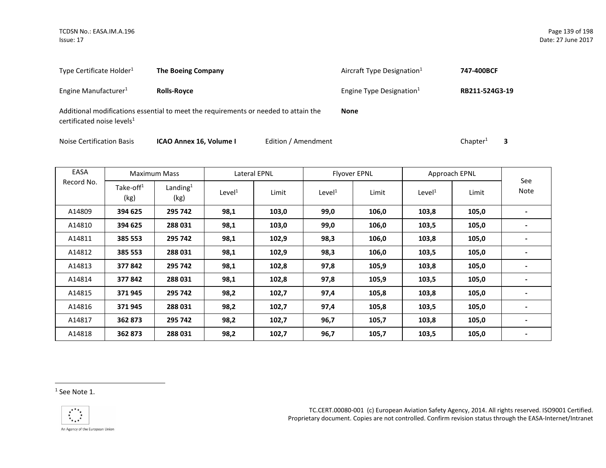TCDSN No.: EASA.IM.A.196 Page 139 of 198 Issue: 17 Date: 27 June 2017

| Type Certificate Holder <sup>1</sup>   | The Boeing Company                                                                  | Aircraft Type Designation <sup>1</sup> | 747-400BCF     |
|----------------------------------------|-------------------------------------------------------------------------------------|----------------------------------------|----------------|
| Engine Manufacturer <sup>1</sup>       | <b>Rolls-Royce</b>                                                                  | Engine Type Designation <sup>1</sup>   | RB211-524G3-19 |
| certificated noise levels <sup>1</sup> | Additional modifications essential to meet the requirements or needed to attain the | <b>None</b>                            |                |

Noise Certification Basis **ICAO Annex 16, Volume I Edition / Amendment** Chapter Chapter<sup>1</sup> **3** 

EASA Record No. Maximum Mass **Lateral EPNL** Flyover EPNL Approach EPNL See Note Take-off<sup>1</sup> (kg) Landing<sup>1</sup>  $(kg)$  Level<sup>1</sup> Limit Level<sup>1</sup> Limit Limit Level<sup>1</sup> Limit A14809 **394 625 295 742 98,1 103,0 99,0 106,0 103,8 105,0 -**A14810 **394 625 288 031 98,1 103,0 99,0 106,0 103,5 105,0 -**A14811 **385 553 295 742 98,1 102,9 98,3 106,0 103,8 105,0 -**A14812 **385 553 288 031 98,1 102,9 98,3 106,0 103,5 105,0 -**A14813 **377 842 295 742 98,1 102,8 97,8 105,9 103,8 105,0 -**A14814 **377 842 288 031 98,1 102,8 97,8 105,9 103,5 105,0 -**A14815 **371 945 295 742 98,2 102,7 97,4 105,8 103,8 105,0 -**A14816 **371 945 288 031 98,2 102,7 97,4 105,8 103,5 105,0 -**A14817 **362 873 295 742 98,2 102,7 96,7 105,7 103,8 105,0 -**A14818 **362 873 288 031 98,2 102,7 96,7 105,7 103,5 105,0 -**

 $1$  See Note 1.



TC.CERT.00080-001 (c) European Aviation Safety Agency, 2014. All rights reserved. ISO9001 Certified. Proprietary document. Copies are not controlled. Confirm revision status through the EASA-Internet/Intranet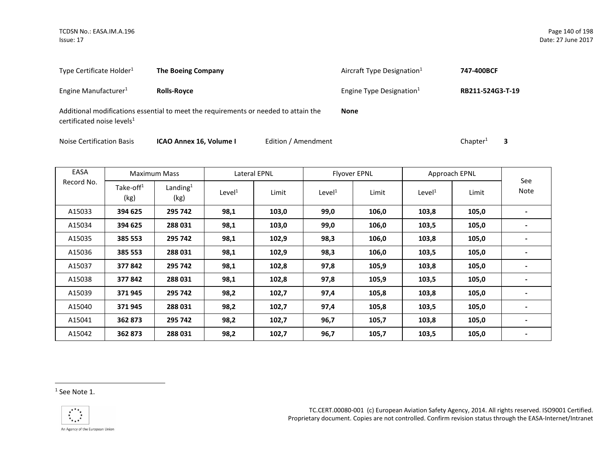TCDSN No.: EASA.IM.A.196 Page 140 of 198 Issue: 17 Date: 27 June 2017

| Type Certificate Holder <sup>1</sup>   | The Boeing Company                                                                  | Aircraft Type Designation <sup>1</sup> | 747-400BCF       |
|----------------------------------------|-------------------------------------------------------------------------------------|----------------------------------------|------------------|
| Engine Manufacturer <sup>1</sup>       | <b>Rolls-Royce</b>                                                                  | Engine Type Designation <sup>1</sup>   | RB211-524G3-T-19 |
| certificated noise levels <sup>1</sup> | Additional modifications essential to meet the requirements or needed to attain the | <b>None</b>                            |                  |

Noise Certification Basis **ICAO Annex 16, Volume I Edition / Amendment** Chapter Chapter<sup>1</sup> **3** 

EASA Record No. Maximum Mass **Lateral EPNL** Flyover EPNL Approach EPNL See Note Take-off<sup>1</sup> (kg) Landing<sup>1</sup>  $(kg)$  Level<sup>1</sup> Limit Level<sup>1</sup> Limit Limit Level<sup>1</sup> Limit A15033 **394 625 295 742 98,1 103,0 99,0 106,0 103,8 105,0 -**A15034 **394 625 288 031 98,1 103,0 99,0 106,0 103,5 105,0 -**A15035 **385 553 295 742 98,1 102,9 98,3 106,0 103,8 105,0 -**A15036 **385 553 288 031 98,1 102,9 98,3 106,0 103,5 105,0 -**A15037 **377 842 295 742 98,1 102,8 97,8 105,9 103,8 105,0 -**A15038 **377 842 288 031 98,1 102,8 97,8 105,9 103,5 105,0 -**A15039 **371 945 295 742 98,2 102,7 97,4 105,8 103,8 105,0 -**A15040 **371 945 288 031 98,2 102,7 97,4 105,8 103,5 105,0 -**A15041 **362 873 295 742 98,2 102,7 96,7 105,7 103,8 105,0 -**A15042 **362 873 288 031 98,2 102,7 96,7 105,7 103,5 105,0 -**

 $1$  See Note 1.



TC.CERT.00080-001 (c) European Aviation Safety Agency, 2014. All rights reserved. ISO9001 Certified. Proprietary document. Copies are not controlled. Confirm revision status through the EASA-Internet/Intranet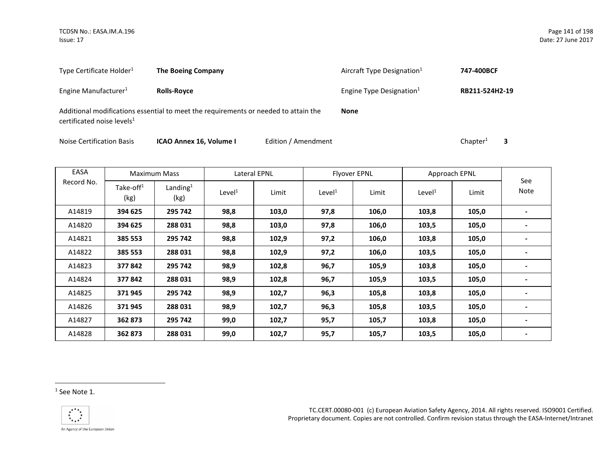TCDSN No.: EASA.IM.A.196 Page 141 of 198 Issue: 17 Date: 27 June 2017

| Type Certificate Holder <sup>1</sup>   | The Boeing Company                                                                  | Aircraft Type Designation <sup>1</sup> | 747-400BCF     |
|----------------------------------------|-------------------------------------------------------------------------------------|----------------------------------------|----------------|
| Engine Manufacturer <sup>1</sup>       | <b>Rolls-Royce</b>                                                                  | Engine Type Designation <sup>1</sup>   | RB211-524H2-19 |
| certificated noise levels <sup>1</sup> | Additional modifications essential to meet the requirements or needed to attain the | <b>None</b>                            |                |

Noise Certification Basis **ICAO Annex 16, Volume I Edition / Amendment** Chapter Chapter<sup>1</sup> **3** 

EASA Record No. Maximum Mass **Lateral EPNL** Flyover EPNL Approach EPNL See Note Take-off<sup>1</sup> (kg) Landing<sup>1</sup>  $(kg)$  Level<sup>1</sup> Limit Level<sup>1</sup> Limit Limit Level<sup>1</sup> Limit A14819 **394 625 295 742 98,8 103,0 97,8 106,0 103,8 105,0 -**A14820 **394 625 288 031 98,8 103,0 97,8 106,0 103,5 105,0 -**A14821 **385 553 295 742 98,8 102,9 97,2 106,0 103,8 105,0 -**A14822 **385 553 288 031 98,8 102,9 97,2 106,0 103,5 105,0 -**A14823 | **377 842** | **295 742** | 98,9 | 102,8 | 96,7 | 105,9 | 103,8 | 105,0 | -A14824 **377 842 288 031 98,9 102,8 96,7 105,9 103,5 105,0 -**A14825 **371 945 295 742 98,9 102,7 96,3 105,8 103,8 105,0 -**A14826 **371 945 288 031 98,9 102,7 96,3 105,8 103,5 105,0 -**A14827 **362 873 295 742 99,0 102,7 95,7 105,7 103,8 105,0 -**A14828 **362 873 288 031 99,0 102,7 95,7 105,7 103,5 105,0 -**

 $1$  See Note 1.



TC.CERT.00080-001 (c) European Aviation Safety Agency, 2014. All rights reserved. ISO9001 Certified. Proprietary document. Copies are not controlled. Confirm revision status through the EASA-Internet/Intranet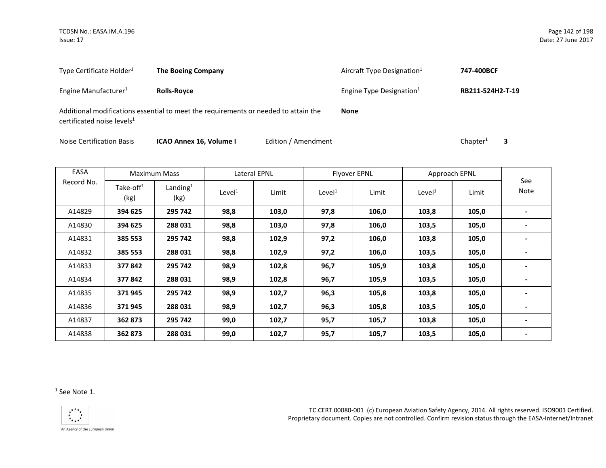TCDSN No.: EASA.IM.A.196 Page 142 of 198 Issue: 17 Date: 27 June 2017

| Type Certificate Holder <sup>1</sup>   | The Boeing Company                                                                  | Aircraft Type Designation <sup>1</sup> | 747-400BCF       |
|----------------------------------------|-------------------------------------------------------------------------------------|----------------------------------------|------------------|
| Engine Manufacturer <sup>1</sup>       | <b>Rolls-Royce</b>                                                                  | Engine Type Designation <sup>1</sup>   | RB211-524H2-T-19 |
| certificated noise levels <sup>1</sup> | Additional modifications essential to meet the requirements or needed to attain the | <b>None</b>                            |                  |

Noise Certification Basis **ICAO Annex 16, Volume I Edition / Amendment** Chapter Chapter<sup>1</sup> **3** 

EASA Record No. Maximum Mass **Lateral EPNL** Flyover EPNL Approach EPNL See Note Take-off<sup>1</sup> (kg) Landing<sup>1</sup>  $(kg)$  Level<sup>1</sup> Limit Level<sup>1</sup> Limit Limit Level<sup>1</sup> Limit A14829 **394 625 295 742 98,8 103,0 97,8 106,0 103,8 105,0 -**A14830 | **394 625 | 288 031 | 98,8 | 103,0 | 97,8 | 106,0 | 103,5 | 105,0 | -**A14831 **385 553 295 742 98,8 102,9 97,2 106,0 103,8 105,0 -**A14832 | **385 553 | 288 031 | 98,8 | 102,9 | 97,2 | 106,0 | 103,5 | 105,0 | -**A14833 | **377 842** | **295 742** | 98,9 | 102,8 | 96,7 | 105,9 | 103,8 | 105,0 | -A14834 | **377 842** | **288 031 | 98,9 | 102,8 | 96,7 | 105,9 | 103,5 | 105,0 | -**A14835 **371 945 295 742 98,9 102,7 96,3 105,8 103,8 105,0 -**A14836 **371 945 288 031 98,9 102,7 96,3 105,8 103,5 105,0 -**A14837 **362 873 295 742 99,0 102,7 95,7 105,7 103,8 105,0 -**A14838 **362 873 288 031 99,0 102,7 95,7 105,7 103,5 105,0 -**

 $1$  See Note 1.



TC.CERT.00080-001 (c) European Aviation Safety Agency, 2014. All rights reserved. ISO9001 Certified. Proprietary document. Copies are not controlled. Confirm revision status through the EASA-Internet/Intranet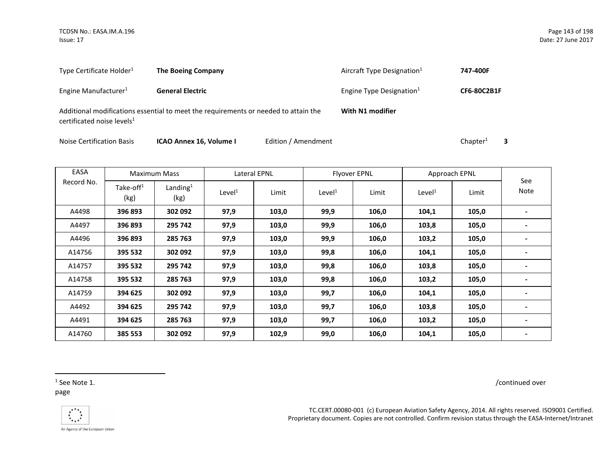TCDSN No.: EASA.IM.A.196 Page 143 of 198 Issue: 17 Date: 27 June 2017

| Type Certificate Holder <sup>1</sup>   | The Boeing Company                                                                  | Aircraft Type Designation <sup>1</sup> | 747-400F           |
|----------------------------------------|-------------------------------------------------------------------------------------|----------------------------------------|--------------------|
| Engine Manufacturer <sup>1</sup>       | <b>General Electric</b>                                                             | Engine Type Designation <sup>1</sup>   | <b>CF6-80C2B1F</b> |
| certificated noise levels <sup>1</sup> | Additional modifications essential to meet the requirements or needed to attain the | With N1 modifier                       |                    |

Noise Certification Basis **ICAO Annex 16, Volume I Edition / Amendment** Chapter Chapter<sup>1</sup> **3** 

EASA Record No. Maximum Mass **Lateral EPNL** Flyover EPNL Approach EPNL See Note Take-off<sup>1</sup> (kg) Landing $1$  $(kg)$  Level<sup>1</sup> Limit Level<sup>1</sup> Limit Limit Level<sup>1</sup> Limit A4498 **396 893 302 092 97,9 103,0 99,9 106,0 104,1 105,0 -**A4497 **396 893 295 742 97,9 103,0 99,9 106,0 103,8 105,0 -**A4496 **396 893 285 763 97,9 103,0 99,9 106,0 103,2 105,0 -**A14756 **395 532 302 092 97,9 103,0 99,8 106,0 104,1 105,0 -**A14757 **395 532 295 742 97,9 103,0 99,8 106,0 103,8 105,0 -**A14758 **395 532 285 763 97,9 103,0 99,8 106,0 103,2 105,0 -**A14759 **394 625 302 092 97,9 103,0 99,7 106,0 104,1 105,0 -**A4492 **394 625 295 742 97,9 103,0 99,7 106,0 103,8 105,0 -**A4491 **394 625 285 763 97,9 103,0 99,7 106,0 103,2 105,0 -**A14760 **385 553 302 092 97,9 102,9 99,0 106,0 104,1 105,0 -**

page

An Agency of the European Union

TC.CERT.00080-001 (c) European Aviation Safety Agency, 2014. All rights reserved. ISO9001 Certified. Proprietary document. Copies are not controlled. Confirm revision status through the EASA-Internet/Intranet

 $\frac{1}{2}$  See Note 1.  $\frac{1}{2}$  /continued over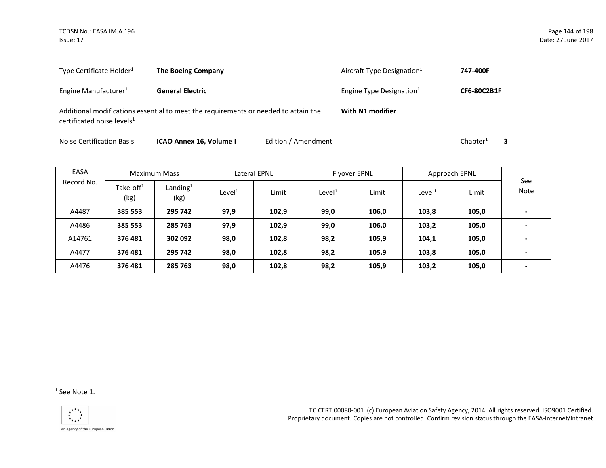TCDSN No.: EASA.IM.A.196 Page 144 of 198 Issue: 17 Date: 27 June 2017

| Type Certificate Holder <sup>1</sup>   | The Boeing Company                                                                  | Aircraft Type Designation <sup>1</sup> | 747-400F           |
|----------------------------------------|-------------------------------------------------------------------------------------|----------------------------------------|--------------------|
| Engine Manufacturer <sup>1</sup>       | <b>General Electric</b>                                                             | Engine Type Designation <sup>1</sup>   | <b>CF6-80C2B1F</b> |
| certificated noise levels <sup>1</sup> | Additional modifications essential to meet the requirements or needed to attain the | With N1 modifier                       |                    |

Noise Certification Basis **ICAO Annex 16, Volume I Edition / Amendment** Chapter<sup>1</sup> **3** 

| EASA<br>Record No. | Maximum Mass                  |                     | Lateral EPNL       |       | <b>Flyover EPNL</b> |       | Approach EPNL |       |                    |
|--------------------|-------------------------------|---------------------|--------------------|-------|---------------------|-------|---------------|-------|--------------------|
|                    | Take-off <sup>1</sup><br>(kg) | Landing $1$<br>(kg) | Level <sup>1</sup> | Limit | Level <sup>1</sup>  | Limit | Level $1$     | Limit | See<br><b>Note</b> |
| A4487              | 385 553                       | 295 742             | 97,9               | 102,9 | 99,0                | 106,0 | 103,8         | 105,0 |                    |
| A4486              | 385 553                       | 285 763             | 97,9               | 102,9 | 99,0                | 106,0 | 103,2         | 105,0 |                    |
| A14761             | 376 481                       | 302 092             | 98,0               | 102,8 | 98,2                | 105,9 | 104,1         | 105,0 |                    |
| A4477              | 376 481                       | 295 742             | 98,0               | 102,8 | 98,2                | 105,9 | 103,8         | 105,0 |                    |
| A4476              | 376 481                       | 285 763             | 98,0               | 102,8 | 98,2                | 105,9 | 103,2         | 105,0 |                    |

 $1$  See Note 1.



TC.CERT.00080-001 (c) European Aviation Safety Agency, 2014. All rights reserved. ISO9001 Certified. Proprietary document. Copies are not controlled. Confirm revision status through the EASA-Internet/Intranet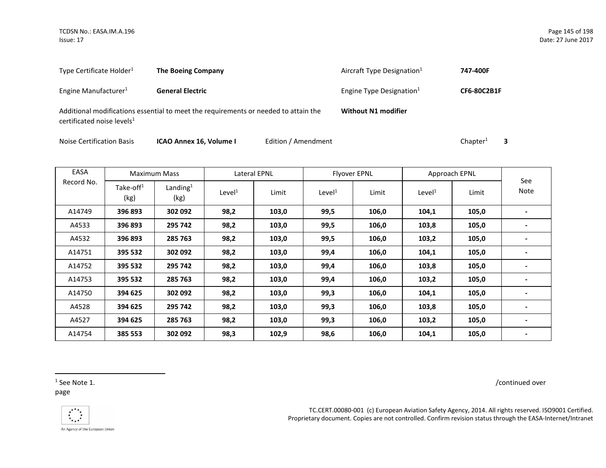TCDSN No.: EASA.IM.A.196 Page 145 of 198 Issue: 17 Date: 27 June 2017

| Type Certificate Holder <sup>1</sup>   | The Boeing Company                                                                  | Aircraft Type Designation <sup>1</sup> | 747-400F           |
|----------------------------------------|-------------------------------------------------------------------------------------|----------------------------------------|--------------------|
| Engine Manufacturer <sup>1</sup>       | <b>General Electric</b>                                                             | Engine Type Designation <sup>1</sup>   | <b>CF6-80C2B1F</b> |
| certificated noise levels <sup>1</sup> | Additional modifications essential to meet the requirements or needed to attain the | <b>Without N1 modifier</b>             |                    |

Noise Certification Basis **ICAO Annex 16, Volume I Edition / Amendment** Chapter Chapter<sup>1</sup> 3

EASA Record No. Maximum Mass **Lateral EPNL** Flyover EPNL Approach EPNL See Note Take-off<sup>1</sup> (kg) Landing $1$  $(kg)$  Level<sup>1</sup> Limit Level<sup>1</sup> Limit Limit Level<sup>1</sup> Limit A14749 **396 893 302 092 98,2 103,0 99,5 106,0 104,1 105,0 -**A4533 **396 893 295 742 98,2 103,0 99,5 106,0 103,8 105,0 -**A4532 **396 893 285 763 98,2 103,0 99,5 106,0 103,2 105,0 -**A14751 **395 532 302 092 98,2 103,0 99,4 106,0 104,1 105,0 -**A14752 **395 532 295 742 98,2 103,0 99,4 106,0 103,8 105,0 -**A14753 **395 532 285 763 98,2 103,0 99,4 106,0 103,2 105,0 -**A14750 **394 625 302 092 98,2 103,0 99,3 106,0 104,1 105,0 -**A4528 **394 625 295 742 98,2 103,0 99,3 106,0 103,8 105,0 -**A4527 **394 625 285 763 98,2 103,0 99,3 106,0 103,2 105,0 -**A14754 **385 553 302 092 98,3 102,9 98,6 106,0 104,1 105,0 -**

page

 $\frac{1}{2}$  See Note 1.  $\frac{1}{2}$  /continued over

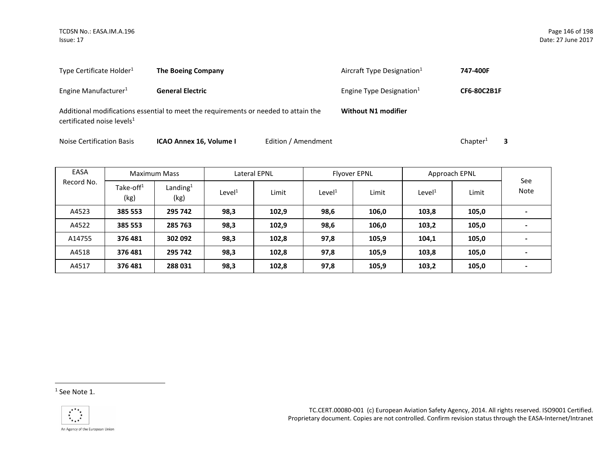TCDSN No.: EASA.IM.A.196 Page 146 of 198 Issue: 17 Date: 27 June 2017

| Type Certificate Holder <sup>1</sup>   | The Boeing Company                                                                  | Aircraft Type Designation <sup>1</sup> | 747-400F           |
|----------------------------------------|-------------------------------------------------------------------------------------|----------------------------------------|--------------------|
| Engine Manufacturer <sup>1</sup>       | <b>General Electric</b>                                                             | Engine Type Designation <sup>1</sup>   | <b>CF6-80C2B1F</b> |
| certificated noise levels <sup>1</sup> | Additional modifications essential to meet the requirements or needed to attain the | <b>Without N1 modifier</b>             |                    |

Noise Certification Basis **ICAO Annex 16, Volume I Edition / Amendment** Chapter<sup>1</sup> **3** 

| EASA<br>Record No. | <b>Maximum Mass</b>           |                     | Lateral EPNL       |       | <b>Flyover EPNL</b> |       | Approach EPNL |       |                    |
|--------------------|-------------------------------|---------------------|--------------------|-------|---------------------|-------|---------------|-------|--------------------|
|                    | Take-off <sup>1</sup><br>(kg) | Landing $1$<br>(kg) | Level <sup>1</sup> | Limit | Level <sup>1</sup>  | Limit | Level $1$     | Limit | See<br><b>Note</b> |
| A4523              | 385 553                       | 295 742             | 98,3               | 102,9 | 98,6                | 106,0 | 103,8         | 105,0 |                    |
| A4522              | 385 553                       | 285 763             | 98,3               | 102,9 | 98,6                | 106,0 | 103,2         | 105,0 |                    |
| A14755             | 376 481                       | 302 092             | 98,3               | 102,8 | 97,8                | 105,9 | 104,1         | 105,0 |                    |
| A4518              | 376 481                       | 295 742             | 98,3               | 102,8 | 97,8                | 105,9 | 103,8         | 105,0 |                    |
| A4517              | 376 481                       | 288 031             | 98,3               | 102,8 | 97,8                | 105,9 | 103,2         | 105,0 |                    |

 $1$  See Note 1.



TC.CERT.00080-001 (c) European Aviation Safety Agency, 2014. All rights reserved. ISO9001 Certified. Proprietary document. Copies are not controlled. Confirm revision status through the EASA-Internet/Intranet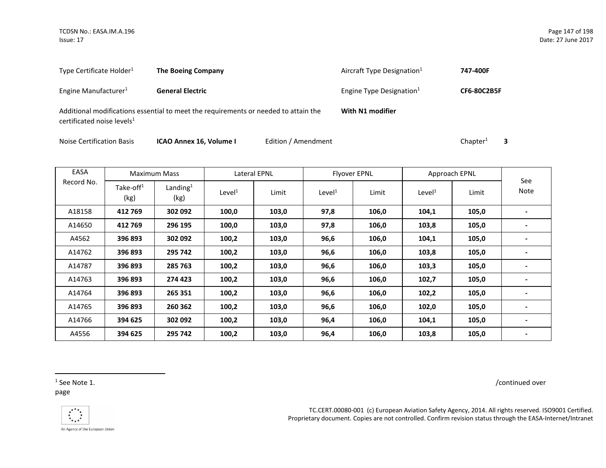TCDSN No.: EASA.IM.A.196 Page 147 of 198 Issue: 17 Date: 27 June 2017

| Type Certificate Holder <sup>1</sup>   | The Boeing Company                                                                  | Aircraft Type Designation <sup>1</sup> | 747-400F           |
|----------------------------------------|-------------------------------------------------------------------------------------|----------------------------------------|--------------------|
| Engine Manufacturer <sup>1</sup>       | <b>General Electric</b>                                                             | Engine Type Designation <sup>1</sup>   | <b>CF6-80C2B5F</b> |
| certificated noise levels <sup>1</sup> | Additional modifications essential to meet the requirements or needed to attain the | With N1 modifier                       |                    |

Noise Certification Basis **ICAO Annex 16, Volume I Edition / Amendment** Chapter Chapter<sup>1</sup> 3

EASA Record No. Maximum Mass **Lateral EPNL** Flyover EPNL Approach EPNL See Note Take-off<sup>1</sup> (kg) Landing $1$  $(kg)$  Level<sup>1</sup> Limit Level<sup>1</sup> Limit Limit Level<sup>1</sup> Limit A18158 **412 769 302 092 100,0 103,0 97,8 106,0 104,1 105,0 -** A14650 | **412 769 | 296 195 | 100,0 | 103,0 | 97,8 | 106,0 | 103,8 | 105,0 | -**A4562 | **396 893 | 302 092 | 100,2 | 103,0 | 96,6 | 106,0 | 104,1 | 105,0 | -**A14762 | **396 893 | 295 742 | 100,2 | 103,0 | 96,6 | 106,0 | 103,8 | 105,0 | -**A14787 | **396 893 | 285 763 | 100,2 | 103,0 | 96,6 | 106,0 | 103,3 | 105,0 | -**A14763 **396 893 274 423 100,2 103,0 96,6 106,0 102,7 105,0 -** A14764 | **396 893 | 265 351 | 100,2 | 103,0 | 96,6 | 106,0 | 102,2 | 105,0 | -**A14765 **396 893 260 362 100,2 103,0 96,6 106,0 102,0 105,0 -** A14766 **394 625 302 092 100,2 103,0 96,4 106,0 104,1 105,0 -** A4556 **394 625 295 742 100,2 103,0 96,4 106,0 103,8 105,0 -** 

page

 $\frac{1}{2}$  See Note 1.  $\frac{1}{2}$  /continued over

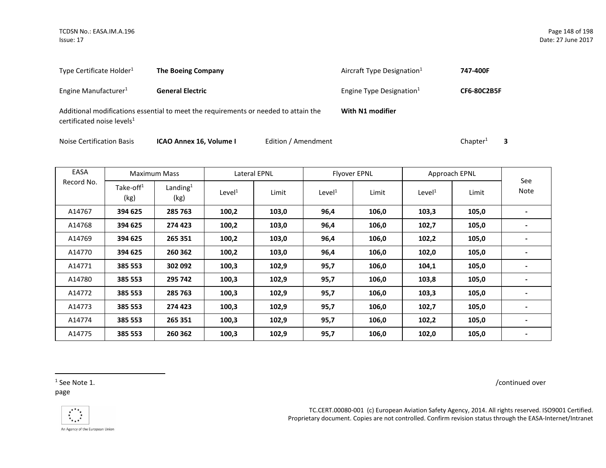TCDSN No.: EASA.IM.A.196 Page 148 of 198 Issue: 17 Date: 27 June 2017

| Type Certificate Holder <sup>1</sup>   | The Boeing Company                                                                  | Aircraft Type Designation <sup>1</sup> | 747-400F           |
|----------------------------------------|-------------------------------------------------------------------------------------|----------------------------------------|--------------------|
| Engine Manufacturer <sup>1</sup>       | <b>General Electric</b>                                                             | Engine Type Designation <sup>1</sup>   | <b>CF6-80C2B5F</b> |
| certificated noise levels <sup>1</sup> | Additional modifications essential to meet the requirements or needed to attain the | With N1 modifier                       |                    |

Noise Certification Basis **ICAO Annex 16, Volume I Edition / Amendment** Chapter<sup>1</sup> **3** 

| EASA       | <b>Maximum Mass</b>           |                     | Lateral EPNL       |       | <b>Flyover EPNL</b> |       | Approach EPNL      |       | See         |
|------------|-------------------------------|---------------------|--------------------|-------|---------------------|-------|--------------------|-------|-------------|
| Record No. | Take-off <sup>1</sup><br>(kg) | Landing $1$<br>(kg) | Level <sup>1</sup> | Limit | Level <sup>1</sup>  | Limit | Level <sup>1</sup> | Limit | <b>Note</b> |
| A14767     | 394 625                       | 285 763             | 100,2              | 103,0 | 96,4                | 106,0 | 103,3              | 105,0 |             |
| A14768     | 394 625                       | 274 423             | 100,2              | 103,0 | 96,4                | 106,0 | 102,7              | 105,0 |             |
| A14769     | 394 625                       | 265 351             | 100,2              | 103,0 | 96,4                | 106,0 | 102,2              | 105,0 |             |
| A14770     | 394 625                       | 260 362             | 100,2              | 103,0 | 96,4                | 106,0 | 102,0              | 105,0 |             |
| A14771     | 385 553                       | 302 092             | 100,3              | 102,9 | 95,7                | 106,0 | 104,1              | 105,0 |             |
| A14780     | 385 553                       | 295 742             | 100,3              | 102,9 | 95,7                | 106,0 | 103,8              | 105,0 |             |
| A14772     | 385 553                       | 285 763             | 100,3              | 102,9 | 95,7                | 106,0 | 103,3              | 105,0 |             |
| A14773     | 385 553                       | 274 423             | 100,3              | 102,9 | 95,7                | 106,0 | 102,7              | 105,0 |             |
| A14774     | 385 553                       | 265 351             | 100,3              | 102,9 | 95,7                | 106,0 | 102,2              | 105,0 |             |
| A14775     | 385 553                       | 260 362             | 100,3              | 102,9 | 95,7                | 106,0 | 102,0              | 105,0 |             |

## $1$  See Note 1.  $/$ continued over

page

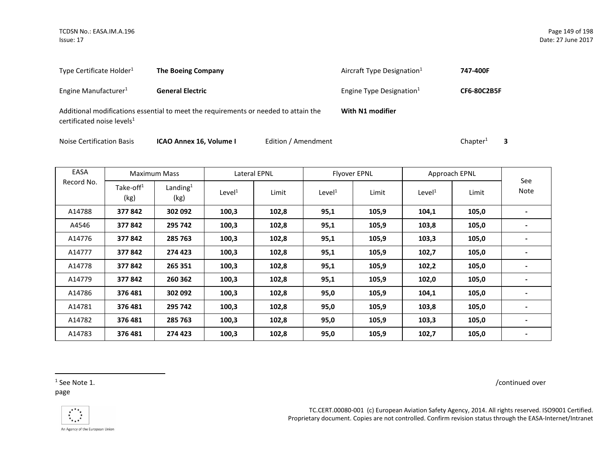TCDSN No.: EASA.IM.A.196 Page 149 of 198 Issue: 17 Date: 27 June 2017

| Type Certificate Holder <sup>1</sup>   | The Boeing Company                                                                  | Aircraft Type Designation <sup>1</sup> | 747-400F           |
|----------------------------------------|-------------------------------------------------------------------------------------|----------------------------------------|--------------------|
| Engine Manufacturer <sup>1</sup>       | <b>General Electric</b>                                                             | Engine Type Designation <sup>1</sup>   | <b>CF6-80C2B5F</b> |
| certificated noise levels <sup>1</sup> | Additional modifications essential to meet the requirements or needed to attain the | With N1 modifier                       |                    |

Noise Certification Basis **ICAO Annex 16, Volume I Edition / Amendment** Chapter Chapter<sup>1</sup> 3

EASA Record No. Maximum Mass **Lateral EPNL** Flyover EPNL Approach EPNL See Note Take-off<sup>1</sup> (kg) Landing $1$  $(kg)$  Level<sup>1</sup> Limit Level<sup>1</sup> Limit Limit Level<sup>1</sup> Limit A14788 **377 842 302 092 100,3 102,8 95,1 105,9 104,1 105,0 -** A4546 **377 842 295 742 100,3 102,8 95,1 105,9 103,8 105,0 -** A14776 | **377 842** | **285 763 | 100,3 | 102,8 | 95,1 | 105,9 | 103,3 | 105,0 | -**A14777 | **377 842 | 274 423 | 100,3 | 102,8 | 95,1 | 105,9 | 102,7 | 105,0 | -**A14778 **377 842 265 351 100,3 102,8 95,1 105,9 102,2 105,0 -** A14779 **377 842 260 362 100,3 102,8 95,1 105,9 102,0 105,0 -** A14786 **376 481 302 092 100,3 102,8 95,0 105,9 104,1 105,0 -** A14781 **376 481 295 742 100,3 102,8 95,0 105,9 103,8 105,0 -** A14782 **376 481 285 763 100,3 102,8 95,0 105,9 103,3 105,0 -** A14783 **376 481 274 423 100,3 102,8 95,0 105,9 102,7 105,0 -** 

page

 $\frac{1}{2}$  See Note 1.  $\frac{1}{2}$  /continued over

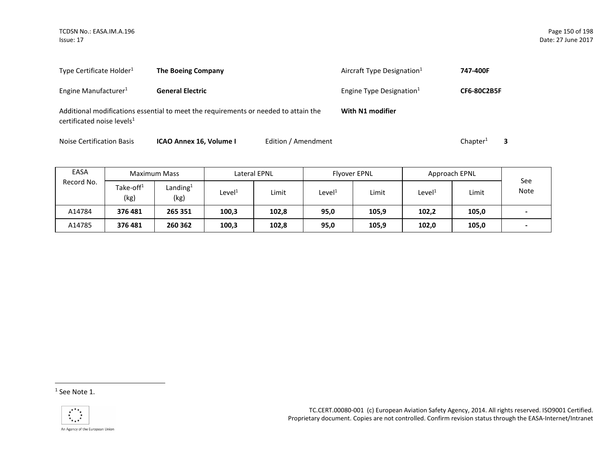TCDSN No.: EASA.IM.A.196 Page 150 of 198 Issue: 17 Date: 27 June 2017

| Type Certificate Holder <sup>1</sup>   | The Boeing Company                                                                  | Aircraft Type Designation <sup>1</sup> | 747-400F           |
|----------------------------------------|-------------------------------------------------------------------------------------|----------------------------------------|--------------------|
| Engine Manufacturer <sup>1</sup>       | <b>General Electric</b>                                                             | Engine Type Designation <sup>1</sup>   | <b>CF6-80C2B5F</b> |
| certificated noise levels <sup>1</sup> | Additional modifications essential to meet the requirements or needed to attain the | With N1 modifier                       |                    |

Noise Certification Basis **ICAO Annex 16, Volume I Edition / Amendment** Chapter<sup>1</sup> **3** 

| EASA       | <b>Maximum Mass</b>           |                              | Lateral EPNL       |       | <b>Flyover EPNL</b> |       | Approach EPNL      |       |                    |
|------------|-------------------------------|------------------------------|--------------------|-------|---------------------|-------|--------------------|-------|--------------------|
| Record No. | Take-off <sup>1</sup><br>(kg) | Landing <sup>1</sup><br>(kg) | Level <sup>1</sup> | Limit | Level $^1$          | Limit | Level <sup>1</sup> | Limit | See<br><b>Note</b> |
| A14784     | 376 481                       | 265 351                      | 100,3              | 102,8 | 95,0                | 105,9 | 102,2              | 105,0 |                    |
| A14785     | 376 481                       | 260 362                      | 100,3              | 102,8 | 95,0                | 105,9 | 102,0              | 105,0 |                    |

 $1$  See Note 1.

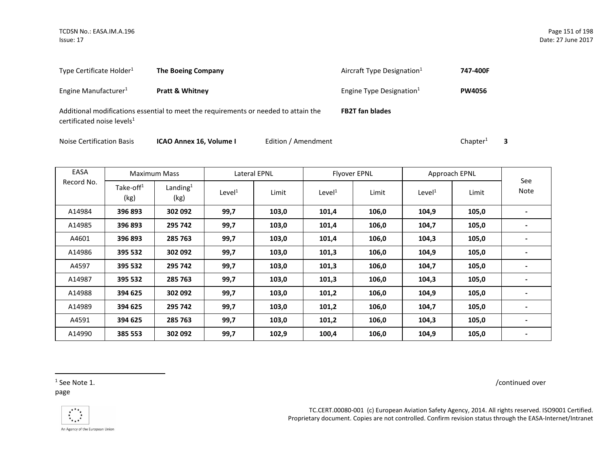| Type Certificate Holder <sup>1</sup>   | <b>The Boeing Company</b>                                                           | Aircraft Type Designation <sup>1</sup> | 747-400F      |
|----------------------------------------|-------------------------------------------------------------------------------------|----------------------------------------|---------------|
| Engine Manufacturer <sup>1</sup>       | <b>Pratt &amp; Whitney</b>                                                          | Engine Type Designation <sup>1</sup>   | <b>PW4056</b> |
| certificated noise levels <sup>1</sup> | Additional modifications essential to meet the requirements or needed to attain the | <b>FB2T</b> fan blades                 |               |

Noise Certification Basis **ICAO Annex 16, Volume I Edition / Amendment** Chapter Chapter<sup>1</sup> 3

EASA Record No. Maximum Mass  $Lateral EPNL$  Flyover EPNL Approach EPNL See Note Take-off<sup>1</sup> (kg) Landing $1$  $(kg)$  Level<sup>1</sup> Limit Level<sup>1</sup> Limit Limit Level<sup>1</sup> Limit A14984 **396 893 302 092 99,7 103,0 101,4 106,0 104,9 105,0 -** A14985 **396 893 295 742 99,7 103,0 101,4 106,0 104,7 105,0 -** A4601 **396 893 285 763 99,7 103,0 101,4 106,0 104,3 105,0 -** A14986 **395 532 302 092 99,7 103,0 101,3 106,0 104,9 105,0 -** A4597 **395 532 295 742 99,7 103,0 101,3 106,0 104,7 105,0 -** A14987 **395 532 285 763 99,7 103,0 101,3 106,0 104,3 105,0 -** A14988 **394 625 302 092 99,7 103,0 101,2 106,0 104,9 105,0 -** A14989 **394 625 295 742 99,7 103,0 101,2 106,0 104,7 105,0 -** A4591 **394 625 285 763 99,7 103,0 101,2 106,0 104,3 105,0 -** A14990 **385 553 302 092 99,7 102,9 100,4 106,0 104,9 105,0 -** 

 $\frac{1}{2}$  See Note 1.  $\frac{1}{2}$  /continued over

page

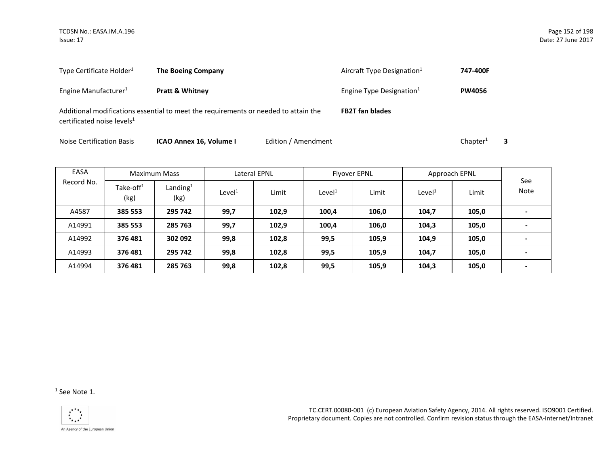TCDSN No.: EASA.IM.A.196 Page 152 of 198 Issue: 17 Date: 27 June 2017

| Type Certificate Holder <sup>1</sup>   | <b>The Boeing Company</b>                                                           | Aircraft Type Designation <sup>1</sup> | 747-400F      |
|----------------------------------------|-------------------------------------------------------------------------------------|----------------------------------------|---------------|
| Engine Manufacturer <sup>1</sup>       | <b>Pratt &amp; Whitney</b>                                                          | Engine Type Designation <sup>1</sup>   | <b>PW4056</b> |
| certificated noise levels <sup>1</sup> | Additional modifications essential to meet the requirements or needed to attain the | <b>FB2T</b> fan blades                 |               |

Noise Certification Basis **ICAO Annex 16, Volume I Edition / Amendment** Chapter<sup>1</sup> **3** 

| EASA<br>Record No. | Maximum Mass                  |                     | Lateral EPNL       |       | <b>Flyover EPNL</b> |       | Approach EPNL |       |                    |
|--------------------|-------------------------------|---------------------|--------------------|-------|---------------------|-------|---------------|-------|--------------------|
|                    | Take-off <sup>1</sup><br>(kg) | Landing $1$<br>(kg) | Level <sup>1</sup> | Limit | Level <sup>1</sup>  | Limit | Level $1$     | Limit | See<br><b>Note</b> |
| A4587              | 385 553                       | 295 742             | 99,7               | 102,9 | 100,4               | 106,0 | 104,7         | 105,0 |                    |
| A14991             | 385 553                       | 285 763             | 99,7               | 102,9 | 100,4               | 106,0 | 104,3         | 105,0 |                    |
| A14992             | 376 481                       | 302 092             | 99,8               | 102,8 | 99,5                | 105,9 | 104,9         | 105,0 |                    |
| A14993             | 376 481                       | 295 742             | 99,8               | 102,8 | 99,5                | 105,9 | 104,7         | 105,0 |                    |
| A14994             | 376 481                       | 285 763             | 99,8               | 102,8 | 99,5                | 105,9 | 104,3         | 105,0 |                    |

 $1$  See Note 1.



TC.CERT.00080-001 (c) European Aviation Safety Agency, 2014. All rights reserved. ISO9001 Certified. Proprietary document. Copies are not controlled. Confirm revision status through the EASA-Internet/Intranet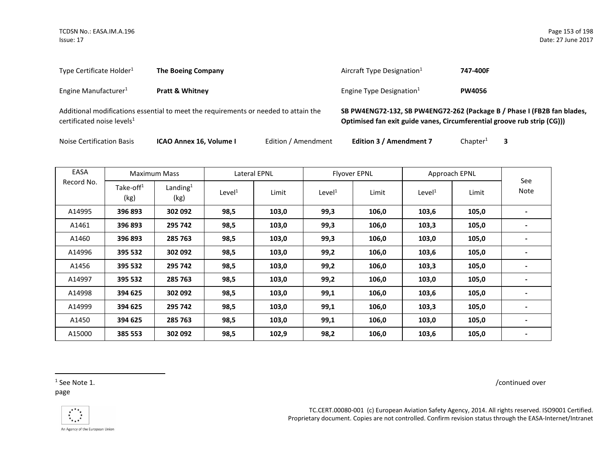| Type Certificate Holder <sup>1</sup>   | The Boeing Company                                                                  | Aircraft Type Designation <sup>1</sup>                                 | 747-400F                                                                |  |  |
|----------------------------------------|-------------------------------------------------------------------------------------|------------------------------------------------------------------------|-------------------------------------------------------------------------|--|--|
| Engine Manufacturer <sup>1</sup>       | <b>Pratt &amp; Whitney</b>                                                          | Engine Type Designation <sup>1</sup>                                   | <b>PW4056</b>                                                           |  |  |
| certificated noise levels <sup>1</sup> | Additional modifications essential to meet the requirements or needed to attain the | Optimised fan exit guide vanes, Circumferential groove rub strip (CG)) | SB PW4ENG72-132, SB PW4ENG72-262 (Package B / Phase I (FB2B fan blades, |  |  |

EASA Record No. Maximum Mass  $Lateral EPNL$  Flyover EPNL Approach EPNL See Note Take-off<sup>1</sup> (kg) Landing $1$  $(kg)$  Level<sup>1</sup> Limit Level<sup>1</sup> Limit Limit Level<sup>1</sup> Limit A14995 | **396 893 | 302 092 | 98,5 | 103,0 | 99,3 | 106,0 | 103,6 | 105,0 | -**A1461 **396 893 295 742 98,5 103,0 99,3 106,0 103,3 105,0 -**A1460 **396 893 285 763 98,5 103,0 99,3 106,0 103,0 105,0 -**A14996 **395 532 302 092 98,5 103,0 99,2 106,0 103,6 105,0 -**A1456 **395 532 295 742 98,5 103,0 99,2 106,0 103,3 105,0 -**A14997 **395 532 285 763 98,5 103,0 99,2 106,0 103,0 105,0 -**A14998 **394 625 302 092 98,5 103,0 99,1 106,0 103,6 105,0 -**A14999 **394 625 295 742 98,5 103,0 99,1 106,0 103,3 105,0 -**A1450 **394 625 285 763 98,5 103,0 99,1 106,0 103,0 105,0 -**A15000 **385 553 302 092 98,5 102,9 98,2 106,0 103,6 105,0 -**

Noise Certification Basis **ICAO Annex 16, Volume I** Edition / Amendment **Edition 3 / Amendment 7** Chapter<sup>1</sup> **<sup>3</sup>**

 $\frac{1}{2}$  See Note 1.  $\frac{1}{2}$  /continued over

page

An Agency of the European Union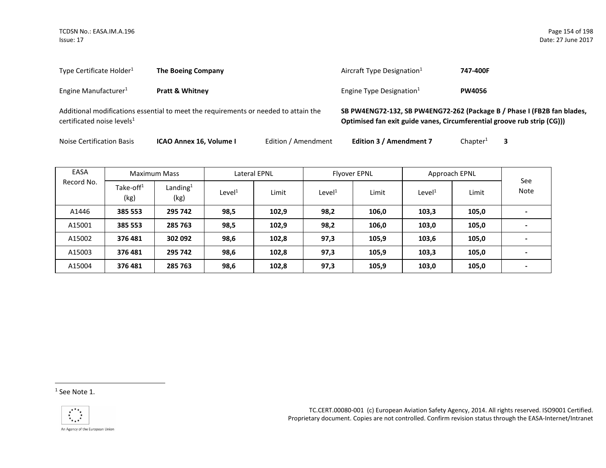TCDSN No.: EASA.IM.A.196 Page 154 of 198 Issue: 17 Date: 27 June 2017

| Type Certificate Holder <sup>1</sup>   | The Boeing Company                                                                  |                     | Aircraft Type Designation <sup>1</sup>                                                                                                            | 747-400F             |  |  |  |
|----------------------------------------|-------------------------------------------------------------------------------------|---------------------|---------------------------------------------------------------------------------------------------------------------------------------------------|----------------------|--|--|--|
| Engine Manufacturer <sup>1</sup>       | <b>Pratt &amp; Whitney</b>                                                          |                     | Engine Type Designation $1$                                                                                                                       | <b>PW4056</b>        |  |  |  |
| certificated noise levels <sup>1</sup> | Additional modifications essential to meet the requirements or needed to attain the |                     | SB PW4ENG72-132, SB PW4ENG72-262 (Package B / Phase I (FB2B fan blades,<br>Optimised fan exit guide vanes, Circumferential groove rub strip (CG)) |                      |  |  |  |
| Noise Certification Basis              | ICAO Annex 16, Volume I                                                             | Edition / Amendment | Edition 3 / Amendment 7                                                                                                                           | Chapter <sup>1</sup> |  |  |  |

| EASA       |                               | Maximum Mass        |                    | Lateral EPNL |                    | <b>Flyover EPNL</b> |                    | Approach EPNL |                    |
|------------|-------------------------------|---------------------|--------------------|--------------|--------------------|---------------------|--------------------|---------------|--------------------|
| Record No. | Take-off <sup>1</sup><br>(kg) | Landing $1$<br>(kg) | Level <sup>1</sup> | Limit        | Level <sup>1</sup> | Limit               | Level <sup>1</sup> | Limit         | See<br><b>Note</b> |
| A1446      | 385 553                       | 295 742             | 98,5               | 102,9        | 98,2               | 106,0               | 103,3              | 105,0         |                    |
| A15001     | 385 553                       | 285 763             | 98,5               | 102,9        | 98,2               | 106,0               | 103,0              | 105,0         |                    |
| A15002     | 376 481                       | 302 092             | 98,6               | 102,8        | 97,3               | 105,9               | 103,6              | 105,0         |                    |
| A15003     | 376 481                       | 295 742             | 98,6               | 102,8        | 97,3               | 105,9               | 103,3              | 105,0         |                    |
| A15004     | 376 481                       | 285 763             | 98,6               | 102,8        | 97,3               | 105,9               | 103,0              | 105,0         |                    |

 $1$  See Note 1.



TC.CERT.00080-001 (c) European Aviation Safety Agency, 2014. All rights reserved. ISO9001 Certified. Proprietary document. Copies are not controlled. Confirm revision status through the EASA-Internet/Intranet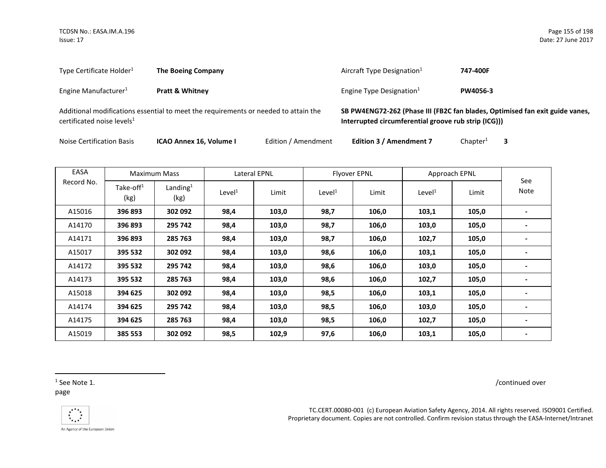| Type Certificate Holder <sup>1</sup>   | The Boeing Company                                                                  | Aircraft Type Designation <sup>1</sup>               | 747-400F                                                                     |  |
|----------------------------------------|-------------------------------------------------------------------------------------|------------------------------------------------------|------------------------------------------------------------------------------|--|
| Engine Manufacturer <sup>1</sup>       | <b>Pratt &amp; Whitney</b>                                                          | Engine Type Designation <sup>1</sup>                 | PW4056-3                                                                     |  |
| certificated noise levels <sup>1</sup> | Additional modifications essential to meet the requirements or needed to attain the | Interrupted circumferential groove rub strip (ICG))) | SB PW4ENG72-262 (Phase III (FB2C fan blades, Optimised fan exit guide vanes, |  |

EASA Record No. Maximum Mass  $Lateral EPNL$  Flyover EPNL Approach EPNL See Note Take-off<sup>1</sup> (kg) Landing $1$  $(kg)$  Level<sup>1</sup> Limit Level<sup>1</sup> Limit Limit Level<sup>1</sup> Limit A15016 **396 893 302 092 98,4 103,0 98,7 106,0 103,1 105,0 -**A14170 **396 893 295 742 98,4 103,0 98,7 106,0 103,0 105,0 -**A14171 **396 893 285 763 98,4 103,0 98,7 106,0 102,7 105,0 -**A15017 **395 532 302 092 98,4 103,0 98,6 106,0 103,1 105,0 -**A14172 **395 532 295 742 98,4 103,0 98,6 106,0 103,0 105,0 -**A14173 **395 532 285 763 98,4 103,0 98,6 106,0 102,7 105,0 -**A15018 **394 625 302 092 98,4 103,0 98,5 106,0 103,1 105,0 -**A14174 **394 625 295 742 98,4 103,0 98,5 106,0 103,0 105,0 -**A14175 **394 625 285 763 98,4 103,0 98,5 106,0 102,7 105,0 -**A15019 **385 553 302 092 98,5 102,9 97,6 106,0 103,1 105,0 -**

Noise Certification Basis **ICAO Annex 16, Volume I** Edition / Amendment **Edition 3 / Amendment 7** Chapter<sup>1</sup> **<sup>3</sup>**

 $\frac{1}{2}$  See Note 1.  $\frac{1}{2}$  /continued over

page

An Agency of the European Union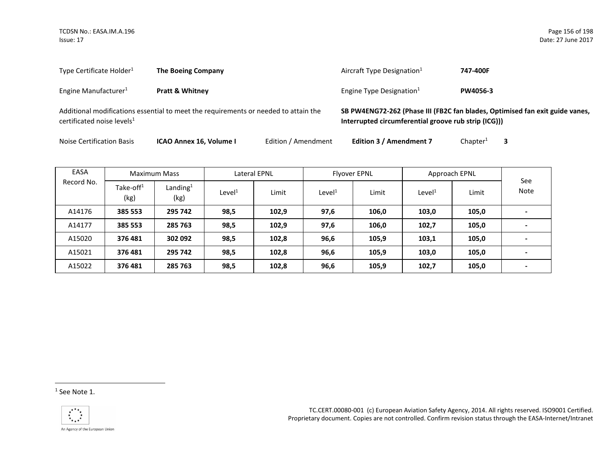TCDSN No.: EASA.IM.A.196 Page 156 of 198 Issue: 17 Date: 27 June 2017

| Type Certificate Holder <sup>1</sup>   | The Boeing Company                                                                  |                     | Aircraft Type Designation <sup>1</sup>                                                                                              | 747-400F    |  |  |
|----------------------------------------|-------------------------------------------------------------------------------------|---------------------|-------------------------------------------------------------------------------------------------------------------------------------|-------------|--|--|
| Engine Manufacturer <sup>1</sup>       | <b>Pratt &amp; Whitney</b>                                                          |                     | Engine Type Designation <sup>1</sup><br>PW4056-3                                                                                    |             |  |  |
| certificated noise levels <sup>1</sup> | Additional modifications essential to meet the requirements or needed to attain the |                     | SB PW4ENG72-262 (Phase III (FB2C fan blades, Optimised fan exit guide vanes,<br>Interrupted circumferential groove rub strip (ICG)) |             |  |  |
| Noise Certification Basis              | ICAO Annex 16, Volume I                                                             | Edition / Amendment | Edition 3 / Amendment 7                                                                                                             | Chapter $1$ |  |  |

| EASA       | <b>Maximum Mass</b>           |                     | Lateral EPNL       |       | <b>Flyover EPNL</b> |       | Approach EPNL      |       | See            |
|------------|-------------------------------|---------------------|--------------------|-------|---------------------|-------|--------------------|-------|----------------|
| Record No. | Take-off <sup>1</sup><br>(kg) | Landing $1$<br>(kg) | Level <sup>1</sup> | Limit | Level <sup>1</sup>  | Limit | Level <sup>1</sup> | Limit | <b>Note</b>    |
| A14176     | 385 553                       | 295 742             | 98,5               | 102,9 | 97,6                | 106,0 | 103,0              | 105,0 | $\blacksquare$ |
| A14177     | 385 553                       | 285 763             | 98,5               | 102,9 | 97,6                | 106,0 | 102,7              | 105,0 |                |
| A15020     | 376 481                       | 302 092             | 98,5               | 102,8 | 96,6                | 105,9 | 103,1              | 105,0 |                |
| A15021     | 376 481                       | 295 742             | 98,5               | 102,8 | 96,6                | 105,9 | 103,0              | 105,0 |                |
| A15022     | 376 481                       | 285 763             | 98,5               | 102,8 | 96,6                | 105,9 | 102,7              | 105,0 |                |

 $1$  See Note 1.



TC.CERT.00080-001 (c) European Aviation Safety Agency, 2014. All rights reserved. ISO9001 Certified. Proprietary document. Copies are not controlled. Confirm revision status through the EASA-Internet/Intranet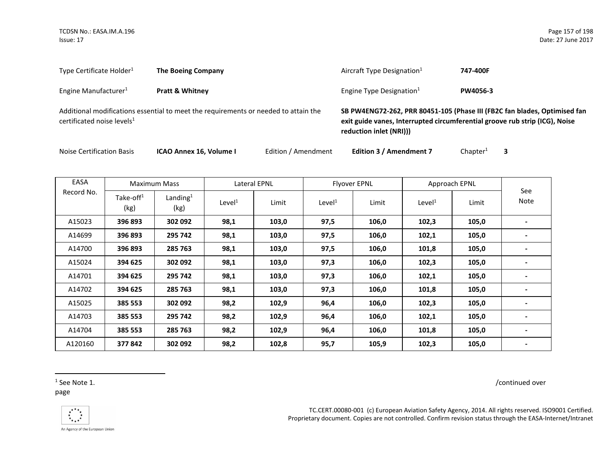| Type Certificate Holder <sup>1</sup>                                                                                          | The Boeing Company         |                     | Aircraft Type Designation <sup>1</sup>                                                                                                                                              | 747-400F             |  |  |  |
|-------------------------------------------------------------------------------------------------------------------------------|----------------------------|---------------------|-------------------------------------------------------------------------------------------------------------------------------------------------------------------------------------|----------------------|--|--|--|
| Engine Manufacturer <sup>1</sup>                                                                                              | <b>Pratt &amp; Whitney</b> |                     | Engine Type Designation $1$                                                                                                                                                         | PW4056-3             |  |  |  |
| Additional modifications essential to meet the requirements or needed to attain the<br>certificated noise levels <sup>1</sup> |                            |                     | SB PW4ENG72-262, PRR 80451-105 (Phase III (FB2C fan blades, Optimised fan<br>exit guide vanes, Interrupted circumferential groove rub strip (ICG), Noise<br>reduction inlet (NRI))) |                      |  |  |  |
| Noise Certification Basis                                                                                                     | ICAO Annex 16, Volume I    | Edition / Amendment | Edition 3 / Amendment 7                                                                                                                                                             | Chapter <sup>1</sup> |  |  |  |

| EASA       | <b>Maximum Mass</b>           |                     | Lateral EPNL       |       | <b>Flyover EPNL</b> |       | Approach EPNL |       |             |
|------------|-------------------------------|---------------------|--------------------|-------|---------------------|-------|---------------|-------|-------------|
| Record No. | Take-off <sup>1</sup><br>(kg) | Landing $1$<br>(kg) | Level <sup>1</sup> | Limit | Level <sup>1</sup>  | Limit | Level $1$     | Limit | See<br>Note |
| A15023     | 396 893                       | 302 092             | 98,1               | 103,0 | 97,5                | 106,0 | 102,3         | 105,0 |             |
| A14699     | 396 893                       | 295 742             | 98,1               | 103,0 | 97,5                | 106,0 | 102,1         | 105,0 |             |
| A14700     | 396 893                       | 285 763             | 98,1               | 103,0 | 97,5                | 106,0 | 101,8         | 105,0 |             |
| A15024     | 394 625                       | 302 092             | 98,1               | 103,0 | 97,3                | 106,0 | 102,3         | 105,0 |             |
| A14701     | 394 625                       | 295 742             | 98,1               | 103,0 | 97,3                | 106,0 | 102,1         | 105,0 |             |
| A14702     | 394 625                       | 285 763             | 98,1               | 103,0 | 97,3                | 106,0 | 101,8         | 105,0 |             |
| A15025     | 385 553                       | 302 092             | 98,2               | 102,9 | 96,4                | 106,0 | 102,3         | 105,0 |             |
| A14703     | 385 553                       | 295 742             | 98,2               | 102,9 | 96,4                | 106,0 | 102,1         | 105,0 |             |
| A14704     | 385 553                       | 285 763             | 98,2               | 102,9 | 96,4                | 106,0 | 101,8         | 105,0 |             |
| A120160    | 377842                        | 302 092             | 98,2               | 102,8 | 95,7                | 105,9 | 102,3         | 105,0 |             |

 $1$  See Note 1.  $/$ continued over

page

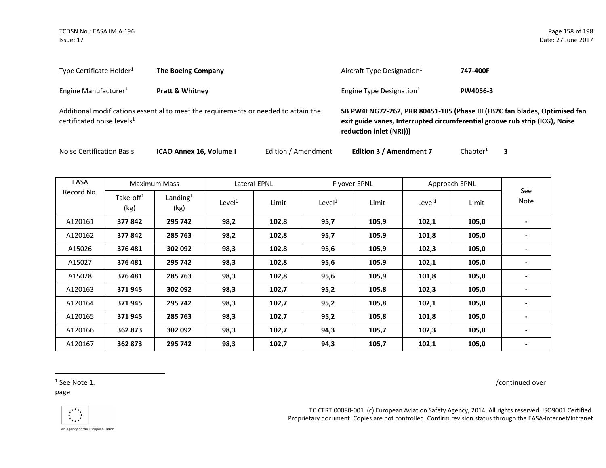| Type Certificate Holder <sup>1</sup>                                                                                          | The Boeing Company         |                     | Aircraft Type Designation <sup>1</sup>                                                                                                                                              | 747-400F             |  |  |  |
|-------------------------------------------------------------------------------------------------------------------------------|----------------------------|---------------------|-------------------------------------------------------------------------------------------------------------------------------------------------------------------------------------|----------------------|--|--|--|
| Engine Manufacturer <sup>1</sup>                                                                                              | <b>Pratt &amp; Whitney</b> |                     | Engine Type Designation $1$                                                                                                                                                         | PW4056-3             |  |  |  |
| Additional modifications essential to meet the requirements or needed to attain the<br>certificated noise levels <sup>1</sup> |                            |                     | SB PW4ENG72-262, PRR 80451-105 (Phase III (FB2C fan blades, Optimised fan<br>exit guide vanes, Interrupted circumferential groove rub strip (ICG), Noise<br>reduction inlet (NRI))) |                      |  |  |  |
| Noise Certification Basis                                                                                                     | ICAO Annex 16, Volume I    | Edition / Amendment | Edition 3 / Amendment 7                                                                                                                                                             | Chapter <sup>1</sup> |  |  |  |

| EASA       | <b>Maximum Mass</b>           |                     | Lateral EPNL       |       | <b>Flyover EPNL</b> |       | Approach EPNL |       | See  |
|------------|-------------------------------|---------------------|--------------------|-------|---------------------|-------|---------------|-------|------|
| Record No. | Take-off <sup>1</sup><br>(kg) | Landing $1$<br>(kg) | Level <sup>1</sup> | Limit | Level <sup>1</sup>  | Limit | Level $1$     | Limit | Note |
| A120161    | 377842                        | 295 742             | 98,2               | 102,8 | 95,7                | 105,9 | 102,1         | 105,0 |      |
| A120162    | 377842                        | 285 763             | 98,2               | 102,8 | 95,7                | 105,9 | 101,8         | 105,0 |      |
| A15026     | 376 481                       | 302 092             | 98,3               | 102,8 | 95,6                | 105,9 | 102,3         | 105,0 |      |
| A15027     | 376 481                       | 295 742             | 98,3               | 102,8 | 95,6                | 105,9 | 102,1         | 105,0 |      |
| A15028     | 376 481                       | 285 763             | 98,3               | 102,8 | 95,6                | 105,9 | 101,8         | 105,0 |      |
| A120163    | 371945                        | 302 092             | 98,3               | 102,7 | 95,2                | 105,8 | 102,3         | 105,0 |      |
| A120164    | 371945                        | 295 742             | 98,3               | 102,7 | 95,2                | 105,8 | 102,1         | 105,0 |      |
| A120165    | 371945                        | 285 763             | 98,3               | 102,7 | 95,2                | 105,8 | 101,8         | 105,0 |      |
| A120166    | 362 873                       | 302 092             | 98,3               | 102,7 | 94,3                | 105,7 | 102,3         | 105,0 |      |
| A120167    | 362 873                       | 295 742             | 98,3               | 102,7 | 94,3                | 105,7 | 102,1         | 105,0 |      |

 $1$  See Note 1.  $/$ continued over

page

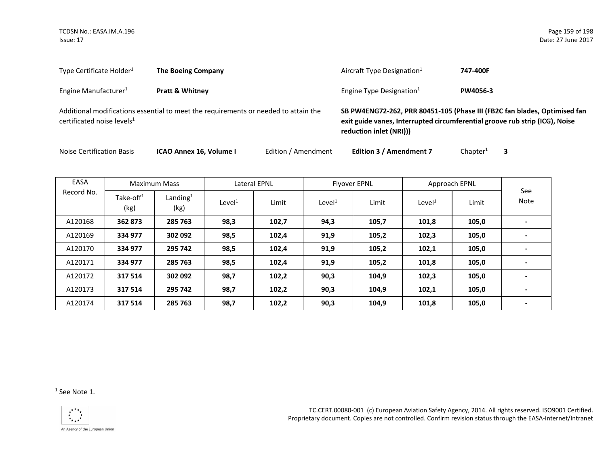| Type Certificate Holder <sup>1</sup>                                                                                          | The Boeing Company         |                     | Aircraft Type Designation <sup>1</sup>                                                                                                                                              | 747-400F             |  |  |  |
|-------------------------------------------------------------------------------------------------------------------------------|----------------------------|---------------------|-------------------------------------------------------------------------------------------------------------------------------------------------------------------------------------|----------------------|--|--|--|
| Engine Manufacturer <sup>1</sup>                                                                                              | <b>Pratt &amp; Whitney</b> |                     | Engine Type Designation $1$                                                                                                                                                         | PW4056-3             |  |  |  |
| Additional modifications essential to meet the requirements or needed to attain the<br>certificated noise levels <sup>1</sup> |                            |                     | SB PW4ENG72-262, PRR 80451-105 (Phase III (FB2C fan blades, Optimised fan<br>exit guide vanes, Interrupted circumferential groove rub strip (ICG), Noise<br>reduction inlet (NRI))) |                      |  |  |  |
| Noise Certification Basis                                                                                                     | ICAO Annex 16, Volume I    | Edition / Amendment | Edition 3 / Amendment 7                                                                                                                                                             | Chapter <sup>1</sup> |  |  |  |

| EASA<br><b>Maximum Mass</b> |                               |                     | <b>Lateral EPNL</b> |       | <b>Flyover EPNL</b> |       | Approach EPNL      |       | See         |
|-----------------------------|-------------------------------|---------------------|---------------------|-------|---------------------|-------|--------------------|-------|-------------|
| Record No.                  | Take-off <sup>1</sup><br>(kg) | Landing $1$<br>(kg) | Level <sup>1</sup>  | Limit | Level <sup>1</sup>  | Limit | Level <sup>1</sup> | Limit | <b>Note</b> |
| A120168                     | 362 873                       | 285 763             | 98,3                | 102,7 | 94,3                | 105,7 | 101,8              | 105,0 |             |
| A120169                     | 334 977                       | 302 092             | 98,5                | 102,4 | 91,9                | 105,2 | 102,3              | 105,0 |             |
| A120170                     | 334 977                       | 295 742             | 98,5                | 102,4 | 91,9                | 105,2 | 102,1              | 105,0 | -           |
| A120171                     | 334 977                       | 285 763             | 98,5                | 102,4 | 91,9                | 105,2 | 101,8              | 105,0 |             |
| A120172                     | 317 514                       | 302 092             | 98,7                | 102,2 | 90,3                | 104,9 | 102,3              | 105,0 |             |
| A120173                     | 317 514                       | 295 742             | 98,7                | 102,2 | 90,3                | 104,9 | 102,1              | 105,0 |             |
| A120174                     | 317 514                       | 285 763             | 98,7                | 102,2 | 90,3                | 104,9 | 101,8              | 105,0 |             |

<sup>1</sup> See Note 1.



TC.CERT.00080-001 (c) European Aviation Safety Agency, 2014. All rights reserved. ISO9001 Certified. Proprietary document. Copies are not controlled. Confirm revision status through the EASA-Internet/Intranet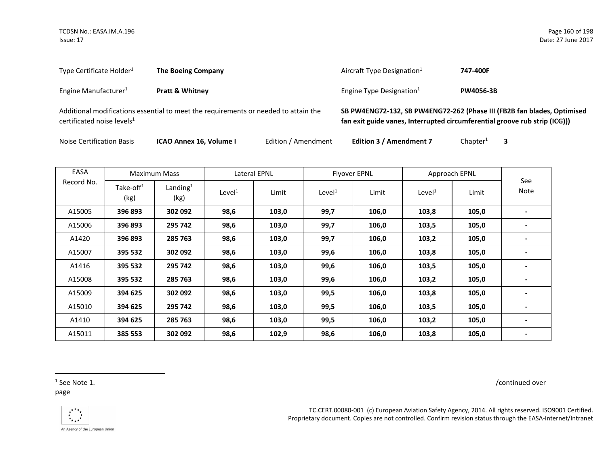| Type Certificate Holder <sup>1</sup>   | The Boeing Company                                                                  | Aircraft Type Designation <sup>1</sup>                                    | 747-400F                                                                |
|----------------------------------------|-------------------------------------------------------------------------------------|---------------------------------------------------------------------------|-------------------------------------------------------------------------|
| Engine Manufacturer <sup>1</sup>       | <b>Pratt &amp; Whitney</b>                                                          | Engine Type Designation <sup>1</sup>                                      | <b>PW4056-3B</b>                                                        |
| certificated noise levels <sup>1</sup> | Additional modifications essential to meet the requirements or needed to attain the | fan exit guide vanes, Interrupted circumferential groove rub strip (ICG)) | SB PW4ENG72-132, SB PW4ENG72-262 (Phase III (FB2B fan blades, Optimised |

EASA Record No. Maximum Mass  $Lateral EPNL$  Flyover EPNL Approach EPNL See Note Take-off<sup>1</sup> (kg) Landing $1$  $(kg)$  Level<sup>1</sup> Limit Level<sup>1</sup> Limit Limit Level<sup>1</sup> Limit A15005 | **396 893 | 302 092 | 98,6 | 103,0 | 99,7 | 106,0 | 103,8 | 105,0 | -**A15006 **396 893 295 742 98,6 103,0 99,7 106,0 103,5 105,0 -**A1420 **396 893 285 763 98,6 103,0 99,7 106,0 103,2 105,0 -**A15007 | **395 532 | 302 092 | 98,6 | 103,0 | 99,6 | 106,0 | 103,8 | 105,0 | -**A1416 **395 532 295 742 98,6 103,0 99,6 106,0 103,5 105,0 -**A15008 **395 532 285 763 98,6 103,0 99,6 106,0 103,2 105,0 -**A15009 | **394 625 | 302 092 | 98,6 | 103,0 | 99,5 | 106,0 | 103,8 | 105,0 | -**A15010 **394 625 295 742 98,6 103,0 99,5 106,0 103,5 105,0 -**A1410 **394 625 285 763 98,6 103,0 99,5 106,0 103,2 105,0 -**A15011 | **385 553 | 302 092 | 98,6 | 102,9 | 98,6 | 106,0 | 103,8 | 105,0 | -**

Noise Certification Basis **ICAO Annex 16, Volume I** Edition / Amendment **Edition 3 / Amendment 7** Chapter<sup>1</sup> **<sup>3</sup>**

 $\frac{1}{2}$  See Note 1.  $\frac{1}{2}$  /continued over

page

An Agency of the European Union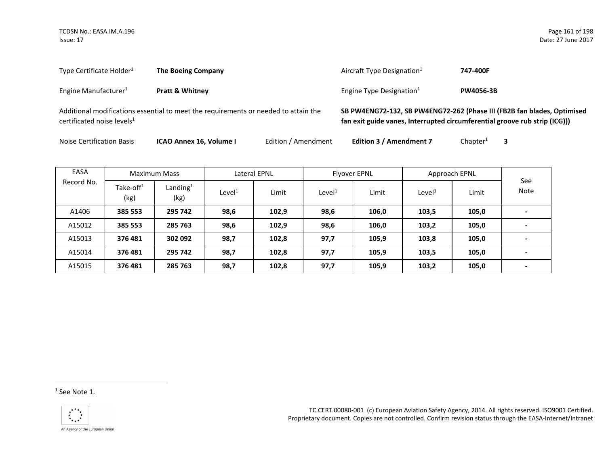TCDSN No.: EASA.IM.A.196 Page 161 of 198 Issue: 17 Date: 27 June 2017

| Type Certificate Holder <sup>1</sup>                                                                                          | The Boeing Company         | Aircraft Type Designation <sup>1</sup> | 747-400F                                                                                                                                              |
|-------------------------------------------------------------------------------------------------------------------------------|----------------------------|----------------------------------------|-------------------------------------------------------------------------------------------------------------------------------------------------------|
| Engine Manufacturer <sup>1</sup>                                                                                              | <b>Pratt &amp; Whitney</b> | Engine Type Designation <sup>1</sup>   | <b>PW4056-3B</b>                                                                                                                                      |
| Additional modifications essential to meet the requirements or needed to attain the<br>certificated noise levels <sup>1</sup> |                            |                                        | SB PW4ENG72-132, SB PW4ENG72-262 (Phase III (FB2B fan blades, Optimised<br>fan exit guide vanes, Interrupted circumferential groove rub strip (ICG))) |

EASA Record No. Maximum Mass  $\overline{L}$  Lateral EPNL Flyover EPNL Approach EPNL See Note Take-off<sup>1</sup> (kg) Landing<sup>1</sup>  $(kg)$  Level<sup>1</sup> Limit Level<sup>1</sup> Limit Limit Level<sup>1</sup> Limit A1406 **385 553 295 742 98,6 102,9 98,6 106,0 103,5 105,0 -**A15012 **385 553 285 763 98,6 102,9 98,6 106,0 103,2 105,0 -**A15013 **376 481 302 092 98,7 102,8 97,7 105,9 103,8 105,0 -**A15014 **376 481 295 742 98,7 102,8 97,7 105,9 103,5 105,0 -**A15015 **376 481 285 763 98,7 102,8 97,7 105,9 103,2 105,0 -**

Noise Certification Basis **ICAO Annex 16, Volume I** Edition / Amendment **Edition 3 / Amendment 7** Chapter<sup>1</sup> **<sup>3</sup>**

<sup>1</sup> See Note 1.



TC.CERT.00080-001 (c) European Aviation Safety Agency, 2014. All rights reserved. ISO9001 Certified. Proprietary document. Copies are not controlled. Confirm revision status through the EASA-Internet/Intranet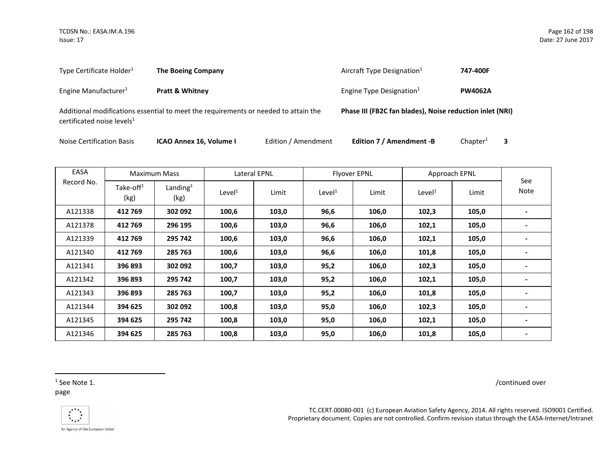| Type Certificate Holder <sup>1</sup>   | The Boeing Company                                                                  | Aircraft Type Designation <sup>1</sup>                   | 747-400F       |
|----------------------------------------|-------------------------------------------------------------------------------------|----------------------------------------------------------|----------------|
| Engine Manufacturer <sup>1</sup>       | <b>Pratt &amp; Whitney</b>                                                          | Engine Type Designation <sup>1</sup>                     | <b>PW4062A</b> |
| certificated noise levels <sup>1</sup> | Additional modifications essential to meet the requirements or needed to attain the | Phase III (FB2C fan blades), Noise reduction inlet (NRI) |                |

Noise Certification Basis **ICAO Annex 16, Volume I** Edition / Amendment **Edition 7 / Amendment -B** Chapter<sup>1</sup> **<sup>3</sup>**

| EASA       | <b>Maximum Mass</b>   |                     | Lateral EPNL       |       | <b>Flyover EPNL</b> |       | Approach EPNL      |       |                    |
|------------|-----------------------|---------------------|--------------------|-------|---------------------|-------|--------------------|-------|--------------------|
| Record No. | Take-off $^1$<br>(kg) | Landing $1$<br>(kg) | Level <sup>1</sup> | Limit | Level <sup>1</sup>  | Limit | Level <sup>1</sup> | Limit | See<br><b>Note</b> |
| A121338    | 412 769               | 302 092             | 100,6              | 103,0 | 96,6                | 106,0 | 102,3              | 105,0 |                    |
| A121378    | 412 769               | 296 195             | 100,6              | 103,0 | 96,6                | 106,0 | 102,1              | 105,0 |                    |
| A121339    | 412 769               | 295 742             | 100,6              | 103,0 | 96,6                | 106,0 | 102,1              | 105,0 |                    |
| A121340    | 412 769               | 285 763             | 100,6              | 103,0 | 96,6                | 106,0 | 101,8              | 105,0 |                    |
| A121341    | 396 893               | 302 092             | 100,7              | 103,0 | 95,2                | 106,0 | 102,3              | 105,0 |                    |
| A121342    | 396 893               | 295 742             | 100,7              | 103,0 | 95,2                | 106,0 | 102,1              | 105,0 |                    |
| A121343    | 396 893               | 285 763             | 100,7              | 103,0 | 95,2                | 106,0 | 101,8              | 105,0 |                    |
| A121344    | 394 625               | 302 092             | 100,8              | 103,0 | 95,0                | 106,0 | 102,3              | 105,0 |                    |
| A121345    | 394 625               | 295 742             | 100,8              | 103,0 | 95,0                | 106,0 | 102,1              | 105,0 |                    |
| A121346    | 394 625               | 285 763             | 100,8              | 103,0 | 95,0                | 106,0 | 101,8              | 105,0 |                    |

 $1$  See Note 1.  $/$ continued over

page

 $\stackrel{\star}{\tilde{K}}\stackrel{\star}{\tilde{K}}\stackrel{\star}{\tilde{K}}$ An Agency of the European Union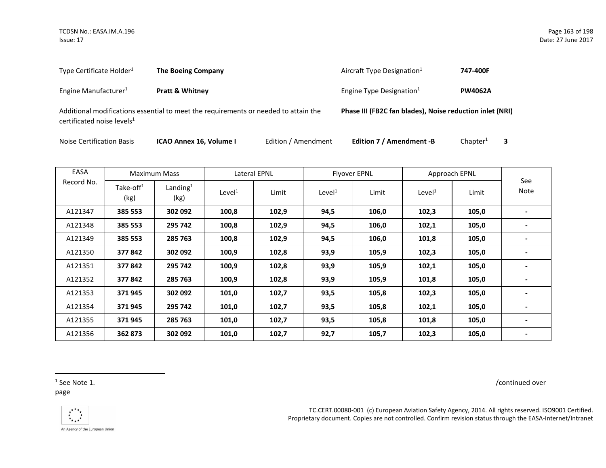| Type Certificate Holder <sup>1</sup>   | The Boeing Company                                                                  | Aircraft Type Designation <sup>1</sup>                   | 747-400F       |
|----------------------------------------|-------------------------------------------------------------------------------------|----------------------------------------------------------|----------------|
| Engine Manufacturer <sup>1</sup>       | <b>Pratt &amp; Whitney</b>                                                          | Engine Type Designation <sup>1</sup>                     | <b>PW4062A</b> |
| certificated noise levels <sup>1</sup> | Additional modifications essential to meet the requirements or needed to attain the | Phase III (FB2C fan blades), Noise reduction inlet (NRI) |                |

Noise Certification Basis **ICAO Annex 16, Volume I** Edition / Amendment **Edition 7 / Amendment -B** Chapter<sup>1</sup> **<sup>3</sup>**

| EASA<br><b>Maximum Mass</b> |                       |                     | Lateral EPNL       |       | <b>Flyover EPNL</b> |       | Approach EPNL      |       |                    |
|-----------------------------|-----------------------|---------------------|--------------------|-------|---------------------|-------|--------------------|-------|--------------------|
| Record No.                  | Take-off $^1$<br>(kg) | Landing $1$<br>(kg) | Level <sup>1</sup> | Limit | Level <sup>1</sup>  | Limit | Level <sup>1</sup> | Limit | See<br><b>Note</b> |
| A121347                     | 385 553               | 302 092             | 100,8              | 102,9 | 94,5                | 106,0 | 102,3              | 105,0 |                    |
| A121348                     | 385 553               | 295 742             | 100,8              | 102,9 | 94,5                | 106,0 | 102,1              | 105,0 |                    |
| A121349                     | 385 553               | 285 763             | 100,8              | 102,9 | 94,5                | 106,0 | 101,8              | 105,0 |                    |
| A121350                     | 377842                | 302 092             | 100,9              | 102,8 | 93,9                | 105,9 | 102,3              | 105,0 |                    |
| A121351                     | 377842                | 295 742             | 100,9              | 102,8 | 93,9                | 105,9 | 102,1              | 105,0 |                    |
| A121352                     | 377842                | 285 763             | 100,9              | 102,8 | 93,9                | 105,9 | 101,8              | 105,0 |                    |
| A121353                     | 371945                | 302 092             | 101,0              | 102,7 | 93,5                | 105,8 | 102,3              | 105,0 |                    |
| A121354                     | 371945                | 295 742             | 101,0              | 102,7 | 93,5                | 105,8 | 102,1              | 105,0 |                    |
| A121355                     | 371945                | 285 763             | 101,0              | 102,7 | 93,5                | 105,8 | 101,8              | 105,0 |                    |
| A121356                     | 362 873               | 302 092             | 101,0              | 102,7 | 92,7                | 105,7 | 102,3              | 105,0 |                    |

 $1$  See Note 1.  $/$ continued over

page

 $\stackrel{\star}{\tilde{K}}\stackrel{\star}{\tilde{K}}\stackrel{\star}{\tilde{K}}$ An Agency of the European Union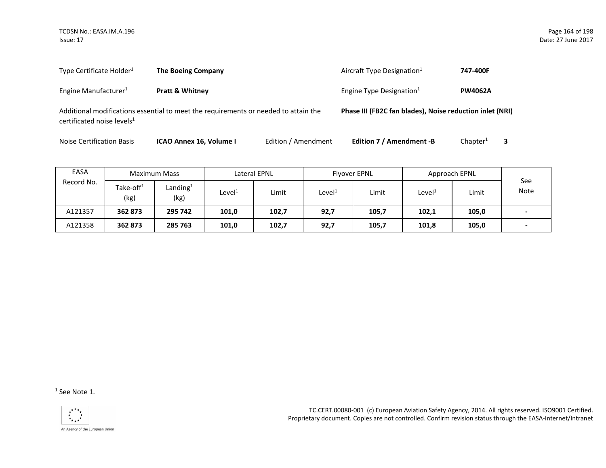TCDSN No.: EASA.IM.A.196 Page 164 of 198 Issue: 17 Date: 27 June 2017

| Type Certificate Holder <sup>1</sup>   | <b>The Boeing Company</b>                                                           |                                                          | Aircraft Type Designation $1$ | 747-400F             |
|----------------------------------------|-------------------------------------------------------------------------------------|----------------------------------------------------------|-------------------------------|----------------------|
| Engine Manufacturer <sup>1</sup>       | <b>Pratt &amp; Whitney</b>                                                          |                                                          | Engine Type Designation $1$   | <b>PW4062A</b>       |
| certificated noise levels <sup>1</sup> | Additional modifications essential to meet the requirements or needed to attain the | Phase III (FB2C fan blades), Noise reduction inlet (NRI) |                               |                      |
| Noise Certification Basis              | <b>ICAO Annex 16, Volume I</b>                                                      | Edition / Amendment                                      | Edition 7 / Amendment -B      | Chapter <sup>1</sup> |

| EASA       |                               | <b>Maximum Mass</b>  | Lateral EPNL |       | <b>Flyover EPNL</b> |       | Approach EPNL |       |                    |
|------------|-------------------------------|----------------------|--------------|-------|---------------------|-------|---------------|-------|--------------------|
| Record No. | Take-off <sup>1</sup><br>(kg) | Landing $^1$<br>(kg) | Level $^1$   | Limit | Level <sup>1</sup>  | Limit | Level $^1$    | Limit | See<br><b>Note</b> |
| A121357    | 362 873                       | 295 742              | 101,0        | 102,7 | 92,7                | 105,7 | 102,1         | 105,0 |                    |
| A121358    | 362 873                       | 285 763              | 101,0        | 102,7 | 92,7                | 105,7 | 101,8         | 105,0 |                    |

 $1$  See Note 1.



TC.CERT.00080-001 (c) European Aviation Safety Agency, 2014. All rights reserved. ISO9001 Certified. Proprietary document. Copies are not controlled. Confirm revision status through the EASA-Internet/Intranet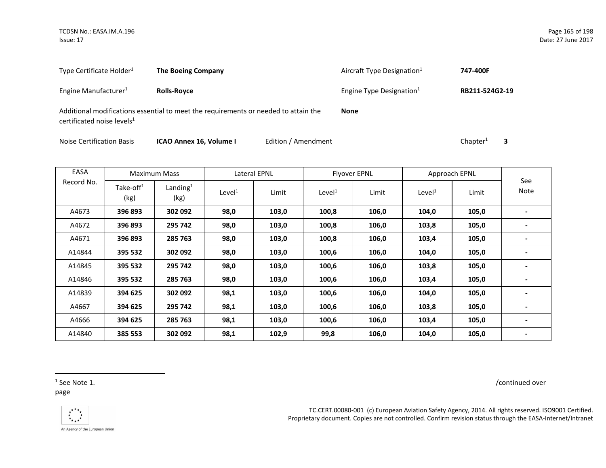TCDSN No.: EASA.IM.A.196 Page 165 of 198 Issue: 17 Date: 27 June 2017

| Type Certificate Holder <sup>1</sup>   | <b>The Boeing Company</b>                                                           | Aircraft Type Designation <sup>1</sup> | 747-400F       |
|----------------------------------------|-------------------------------------------------------------------------------------|----------------------------------------|----------------|
| Engine Manufacturer <sup>1</sup>       | <b>Rolls-Royce</b>                                                                  | Engine Type Designation <sup>1</sup>   | RB211-524G2-19 |
| certificated noise levels <sup>1</sup> | Additional modifications essential to meet the requirements or needed to attain the | <b>None</b>                            |                |

Noise Certification Basis **ICAO Annex 16, Volume I Edition / Amendment** Chapter Chapter<sup>1</sup> 3

EASA Record No. Maximum Mass **Lateral EPNL** Flyover EPNL Approach EPNL See Note Take-off<sup>1</sup> (kg) Landing $1$  $(kg)$  Level<sup>1</sup> Limit Level<sup>1</sup> Limit Limit Level<sup>1</sup> Limit A4673 **396 893 302 092 98,0 103,0 100,8 106,0 104,0 105,0 -** A4672 **396 893 295 742 98,0 103,0 100,8 106,0 103,8 105,0 -** A4671 **396 893 285 763 98,0 103,0 100,8 106,0 103,4 105,0 -** A14844 | **395 532 | 302 092 | 98,0 | 103,0 | 100,6 | 106,0 | 104,0 | 105,0 | -**A14845 **395 532 295 742 98,0 103,0 100,6 106,0 103,8 105,0 -** A14846 **395 532 285 763 98,0 103,0 100,6 106,0 103,4 105,0 -** A14839 | **394 625 | 302 092 | 98,1 | 103,0 | 100,6 | 106,0 | 104,0 | 105,0 | -**A4667 **394 625 295 742 98,1 103,0 100,6 106,0 103,8 105,0 -** A4666 **394 625 285 763 98,1 103,0 100,6 106,0 103,4 105,0 -** A14840 | **385 553 | 302 092 | 98,1 | 102,9 | 99,8 | 106,0 | 104,0 | 105,0 | -**

 $\frac{1}{2}$  See Note 1.  $\frac{1}{2}$  /continued over

page

An Agency of the European Union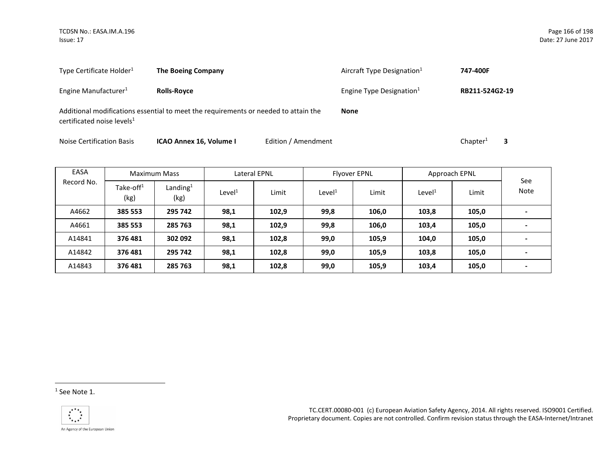TCDSN No.: EASA.IM.A.196 Page 166 of 198 Issue: 17 Date: 27 June 2017

| Type Certificate Holder <sup>1</sup>                                                                                          | The Boeing Company | Aircraft Type Designation <sup>1</sup> | 747-400F       |
|-------------------------------------------------------------------------------------------------------------------------------|--------------------|----------------------------------------|----------------|
| Engine Manufacturer <sup>1</sup>                                                                                              | <b>Rolls-Royce</b> | Engine Type Designation <sup>1</sup>   | RB211-524G2-19 |
| Additional modifications essential to meet the requirements or needed to attain the<br>certificated noise levels <sup>1</sup> |                    | <b>None</b>                            |                |

Noise Certification Basis **ICAO Annex 16, Volume I Edition / Amendment** Chapter **Chapter**<sup>1</sup> **3** 

EASA Record No. Maximum Mass  $\overline{L}$  Lateral EPNL Flyover EPNL Approach EPNL See Note Take-off<sup>1</sup> (kg) Landing<sup>1</sup>  $(kg)$  Level<sup>1</sup> Limit Level<sup>1</sup> Limit Limit Level<sup>1</sup> Limit A4662 **385 553 295 742 98,1 102,9 99,8 106,0 103,8 105,0 -**A4661 **385 553 285 763 98,1 102,9 99,8 106,0 103,4 105,0 -**A14841 **376 481 302 092 98,1 102,8 99,0 105,9 104,0 105,0 -**A14842 **376 481 295 742 98,1 102,8 99,0 105,9 103,8 105,0 -**A14843 **376 481 285 763 98,1 102,8 99,0 105,9 103,4 105,0 -**

<sup>1</sup> See Note 1.



TC.CERT.00080-001 (c) European Aviation Safety Agency, 2014. All rights reserved. ISO9001 Certified. Proprietary document. Copies are not controlled. Confirm revision status through the EASA-Internet/Intranet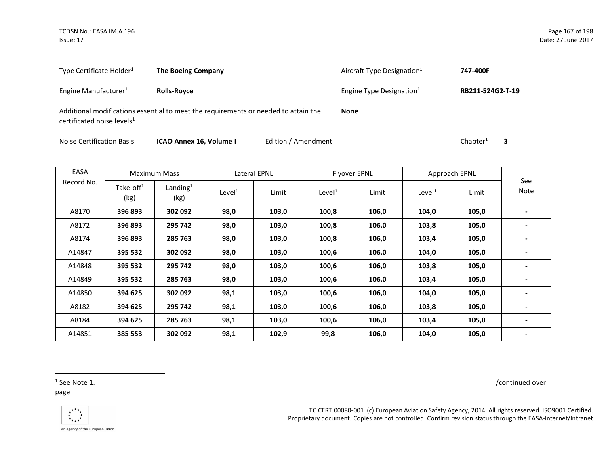TCDSN No.: EASA.IM.A.196 Page 167 of 198 Issue: 17 Date: 27 June 2017

| Type Certificate Holder <sup>1</sup>   | The Boeing Company                                                                  | Aircraft Type Designation $1$        | 747-400F         |
|----------------------------------------|-------------------------------------------------------------------------------------|--------------------------------------|------------------|
| Engine Manufacturer <sup>1</sup>       | <b>Rolls-Royce</b>                                                                  | Engine Type Designation <sup>1</sup> | RB211-524G2-T-19 |
| certificated noise levels <sup>1</sup> | Additional modifications essential to meet the requirements or needed to attain the | <b>None</b>                          |                  |

Noise Certification Basis **ICAO Annex 16, Volume I Edition / Amendment** Chapter Chapter<sup>1</sup> 3

EASA Record No. Maximum Mass **Lateral EPNL** Flyover EPNL Approach EPNL See Note Take-off<sup>1</sup> (kg) Landing $1$  $(kg)$  Level<sup>1</sup> Limit Level<sup>1</sup> Limit Limit Level<sup>1</sup> Limit A8170 **396 893 302 092 98,0 103,0 100,8 106,0 104,0 105,0 -** A8172 **396 893 295 742 98,0 103,0 100,8 106,0 103,8 105,0 -** A8174 **396 893 285 763 98,0 103,0 100,8 106,0 103,4 105,0 -** A14847 | **395 532 | 302 092 | 98,0 | 103,0 | 100,6 | 106,0 | 104,0 | 105,0 | -**A14848 **395 532 295 742 98,0 103,0 100,6 106,0 103,8 105,0 -** A14849 **395 532 285 763 98,0 103,0 100,6 106,0 103,4 105,0 -** A14850 | **394 625 | 302 092 | 98,1 | 103,0 | 100,6 | 106,0 | 104,0 | 105,0 | -**A8182 **394 625 295 742 98,1 103,0 100,6 106,0 103,8 105,0 -** A8184 **394 625 285 763 98,1 103,0 100,6 106,0 103,4 105,0 -** A14851 | **385 553 | 302 092 | 98,1 | 102,9 | 99,8 | 106,0 | 104,0 | 105,0 | -**

## $\frac{1}{2}$  See Note 1.  $\frac{1}{2}$  /continued over

page

An Agency of the European Union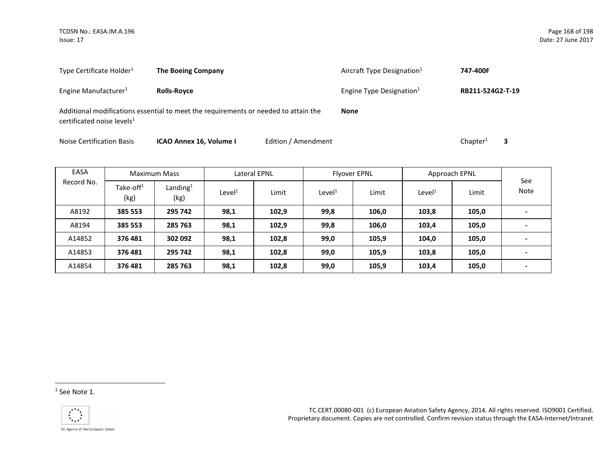TCDSN No.: EASA.IM.A.196 Page 168 of 198 Issue: 17 Date: 27 June 2017

| Type Certificate Holder <sup>1</sup>                                                                                          | The Boeing Company | Aircraft Type Designation <sup>1</sup> | 747-400F         |
|-------------------------------------------------------------------------------------------------------------------------------|--------------------|----------------------------------------|------------------|
| Engine Manufacturer <sup>1</sup>                                                                                              | <b>Rolls-Royce</b> | Engine Type Designation <sup>1</sup>   | RB211-524G2-T-19 |
| Additional modifications essential to meet the requirements or needed to attain the<br>certificated noise levels <sup>1</sup> |                    | <b>None</b>                            |                  |

Noise Certification Basis **ICAO Annex 16, Volume I Edition / Amendment** Chapter **Chapter**<sup>1</sup> **3** 

EASA Record No. Maximum Mass  $\overline{L}$  Lateral EPNL Flyover EPNL Approach EPNL See Note Take-off<sup>1</sup> (kg) Landing<sup>1</sup>  $(kg)$  Level<sup>1</sup> Limit Level<sup>1</sup> Limit Limit Level<sup>1</sup> Limit A8192 **385 553 295 742 98,1 102,9 99,8 106,0 103,8 105,0 -**A8194 **385 553 285 763 98,1 102,9 99,8 106,0 103,4 105,0 -**A14852 **376 481 302 092 98,1 102,8 99,0 105,9 104,0 105,0 -**A14853 **376 481 295 742 98,1 102,8 99,0 105,9 103,8 105,0 -**A14854 **376 481 285 763 98,1 102,8 99,0 105,9 103,4 105,0 -**

<sup>1</sup> See Note 1.



TC.CERT.00080-001 (c) European Aviation Safety Agency, 2014. All rights reserved. ISO9001 Certified. Proprietary document. Copies are not controlled. Confirm revision status through the EASA-Internet/Intranet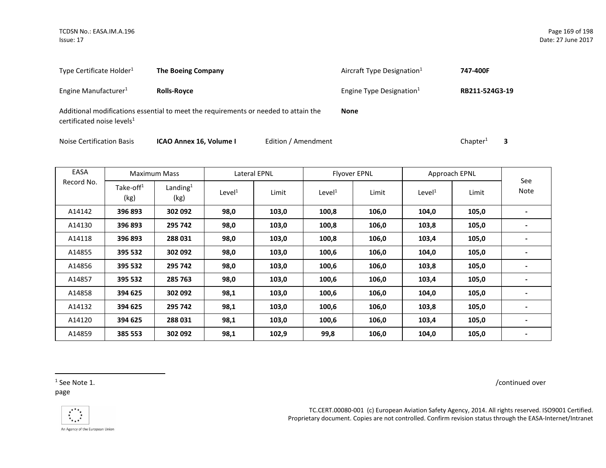TCDSN No.: EASA.IM.A.196 Page 169 of 198 Issue: 17 Date: 27 June 2017

| Type Certificate Holder <sup>1</sup><br><b>The Boeing Company</b>                                                             |                                                            | Aircraft Type Designation <sup>1</sup> | 747-400F       |
|-------------------------------------------------------------------------------------------------------------------------------|------------------------------------------------------------|----------------------------------------|----------------|
| Engine Manufacturer <sup>1</sup>                                                                                              | Engine Type Designation <sup>1</sup><br><b>Rolls-Royce</b> |                                        | RB211-524G3-19 |
| Additional modifications essential to meet the requirements or needed to attain the<br>certificated noise levels <sup>1</sup> |                                                            | <b>None</b>                            |                |

Noise Certification Basis **ICAO Annex 16, Volume I Edition / Amendment** Chapter Chapter<sup>1</sup> 3

EASA Record No. Maximum Mass **Lateral EPNL** Flyover EPNL Approach EPNL See Note Take-off<sup>1</sup> (kg) Landing $1$  $(kg)$  Level<sup>1</sup> Limit Level<sup>1</sup> Limit Limit Level<sup>1</sup> Limit A14142 **396 893 302 092 98,0 103,0 100,8 106,0 104,0 105,0 -** A14130 **396 893 295 742 98,0 103,0 100,8 106,0 103,8 105,0 -** A14118 **396 893 288 031 98,0 103,0 100,8 106,0 103,4 105,0 -** A14855 | **395 532** | **302 092** | 98,0 | 103,0 | 100,6 | 106,0 | 104,0 | 105,0 | -A14856 **395 532 295 742 98,0 103,0 100,6 106,0 103,8 105,0 -** A14857 **395 532 285 763 98,0 103,0 100,6 106,0 103,4 105,0 -** A14858 | **394 625 | 302 092 | 98,1 | 103,0 | 100,6 | 106,0 | 104,0 | 105,0 | -**A14132 | **394 625 | 295 742 | 98,1 | 103,0 | 100,6 | 106,0 | 103,8 | 105,0 | -**A14120 **394 625 288 031 98,1 103,0 100,6 106,0 103,4 105,0 -** A14859 | **385 553 | 302 092 | 98,1 | 102,9 | 99,8 | 106,0 | 104,0 | 105,0 | -**

 $\frac{1}{2}$  See Note 1.  $\frac{1}{2}$  /continued over

page

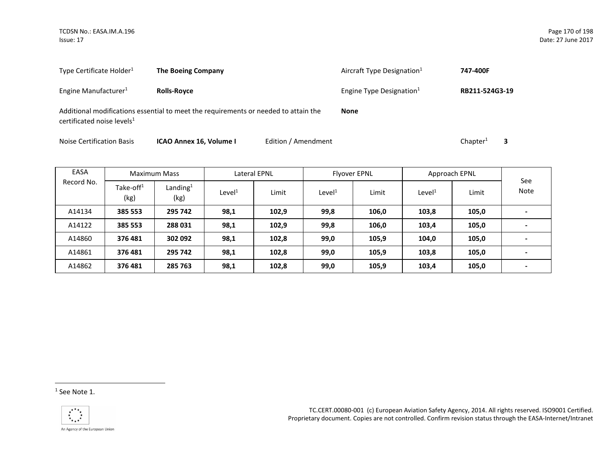TCDSN No.: EASA.IM.A.196 Page 170 of 198 Issue: 17 Date: 27 June 2017

| Type Certificate Holder <sup>1</sup><br>The Boeing Company                                                                    |                                                            | Aircraft Type Designation <sup>1</sup> | 747-400F       |
|-------------------------------------------------------------------------------------------------------------------------------|------------------------------------------------------------|----------------------------------------|----------------|
| Engine Manufacturer <sup>1</sup>                                                                                              | Engine Type Designation <sup>1</sup><br><b>Rolls-Royce</b> |                                        | RB211-524G3-19 |
| Additional modifications essential to meet the requirements or needed to attain the<br>certificated noise levels <sup>1</sup> |                                                            | <b>None</b>                            |                |

Noise Certification Basis **ICAO Annex 16, Volume I Edition / Amendment** Chapter **Chapter**<sup>1</sup> **3** 

EASA Record No. Maximum Mass  $\overline{L}$  Lateral EPNL Flyover EPNL Approach EPNL See Note Take-off<sup>1</sup> (kg) Landing<sup>1</sup>  $(kg)$  Level<sup>1</sup> Limit Level<sup>1</sup> Limit Limit Level<sup>1</sup> Limit A14134 | **385 553 | 295 742 | 98,1 | 102,9 | 99,8 | 106,0 | 103,8 | 105,0 | -**A14122 **385 553 288 031 98,1 102,9 99,8 106,0 103,4 105,0 -**A14860 **376 481 302 092 98,1 102,8 99,0 105,9 104,0 105,0 -**A14861 **376 481 295 742 98,1 102,8 99,0 105,9 103,8 105,0 -**A14862 **376 481 285 763 98,1 102,8 99,0 105,9 103,4 105,0 -**

<sup>1</sup> See Note 1.



TC.CERT.00080-001 (c) European Aviation Safety Agency, 2014. All rights reserved. ISO9001 Certified. Proprietary document. Copies are not controlled. Confirm revision status through the EASA-Internet/Intranet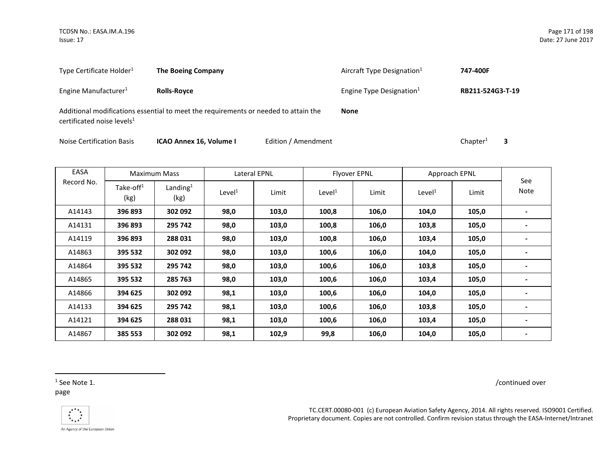TCDSN No.: EASA.IM.A.196 Page 171 of 198 Issue: 17 Date: 27 June 2017

| Type Certificate Holder <sup>1</sup><br>The Boeing Company                                                                    |                    | Aircraft Type Designation <sup>1</sup> | 747-400F         |
|-------------------------------------------------------------------------------------------------------------------------------|--------------------|----------------------------------------|------------------|
| Engine Manufacturer <sup>1</sup>                                                                                              | <b>Rolls-Royce</b> | Engine Type Designation <sup>1</sup>   | RB211-524G3-T-19 |
| Additional modifications essential to meet the requirements or needed to attain the<br>certificated noise levels <sup>1</sup> |                    | <b>None</b>                            |                  |

Noise Certification Basis **ICAO Annex 16, Volume I Edition / Amendment** Chapter Chapter<sup>1</sup> 3

EASA Record No. Maximum Mass **Lateral EPNL** Flyover EPNL Approach EPNL See Note Take-off<sup>1</sup> (kg) Landing $1$  $(kg)$  Level<sup>1</sup> Limit Level<sup>1</sup> Limit Limit Level<sup>1</sup> Limit A14143 **396 893 302 092 98,0 103,0 100,8 106,0 104,0 105,0 -** A14131 **396 893 295 742 98,0 103,0 100,8 106,0 103,8 105,0 -** A14119 **396 893 288 031 98,0 103,0 100,8 106,0 103,4 105,0 -** A14863 | **395 532 | 302 092 | 98,0 | 103,0 | 100,6 | 106,0 | 104,0 | 105,0 | -**A14864 | **395 532 | 295 742 | 98,0 | 103,0 | 100,6 | 106,0 | 103,8 | 105,0 | -**A14865 **395 532 285 763 98,0 103,0 100,6 106,0 103,4 105,0 -** A14866 | **394 625 | 302 092 | 98,1 | 103,0 | 100,6 | 106,0 | 104,0 | 105,0 | -**A14133 | **394 625 | 295 742 | 98,1 | 103,0 | 100,6 | 106,0 | 103,8 | 105,0 | -**A14121 **394 625 288 031 98,1 103,0 100,6 106,0 103,4 105,0 -** A14867 | **385 553 | 302 092 | 98,1 | 102,9 | 99,8 | 106,0 | 104,0 | 105,0 | -**

 $\frac{1}{2}$  See Note 1.  $\frac{1}{2}$  /continued over

page

An Agency of the European Union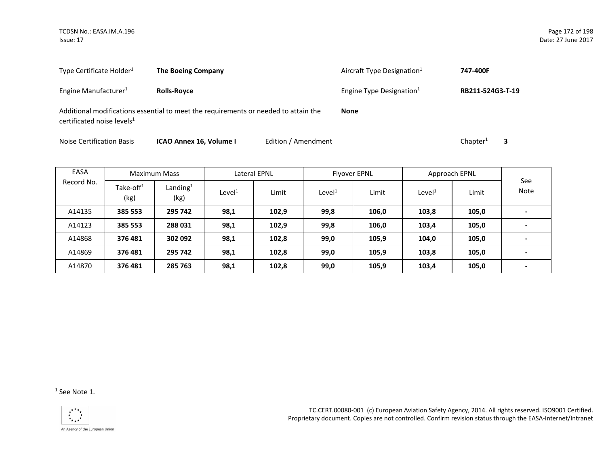TCDSN No.: EASA.IM.A.196 Page 172 of 198 Issue: 17 Date: 27 June 2017

| Type Certificate Holder <sup>1</sup><br>The Boeing Company                                                                    |                    | Aircraft Type Designation <sup>1</sup> | 747-400F         |
|-------------------------------------------------------------------------------------------------------------------------------|--------------------|----------------------------------------|------------------|
| Engine Manufacturer <sup>1</sup>                                                                                              | <b>Rolls-Royce</b> | Engine Type Designation <sup>1</sup>   | RB211-524G3-T-19 |
| Additional modifications essential to meet the requirements or needed to attain the<br>certificated noise levels <sup>1</sup> |                    | <b>None</b>                            |                  |

Noise Certification Basis **ICAO Annex 16, Volume I Edition / Amendment** Chapter **Chapter**<sup>1</sup> **3** 

EASA Record No. Maximum Mass  $\overline{L}$  Lateral EPNL Flyover EPNL Approach EPNL See Note Take-off<sup>1</sup> (kg) Landing<sup>1</sup>  $(kg)$  Level<sup>1</sup> Limit Level<sup>1</sup> Limit Limit Level<sup>1</sup> Limit A14135 | **385 553 | 295 742 | 98,1 | 102,9 | 99,8 | 106,0 | 103,8 | 105,0 | -**A14123 **385 553 288 031 98,1 102,9 99,8 106,0 103,4 105,0 -**A14868 **376 481 302 092 98,1 102,8 99,0 105,9 104,0 105,0 -**A14869 **376 481 295 742 98,1 102,8 99,0 105,9 103,8 105,0 -**A14870 **376 481 285 763 98,1 102,8 99,0 105,9 103,4 105,0 -**

<sup>1</sup> See Note 1.



TC.CERT.00080-001 (c) European Aviation Safety Agency, 2014. All rights reserved. ISO9001 Certified. Proprietary document. Copies are not controlled. Confirm revision status through the EASA-Internet/Intranet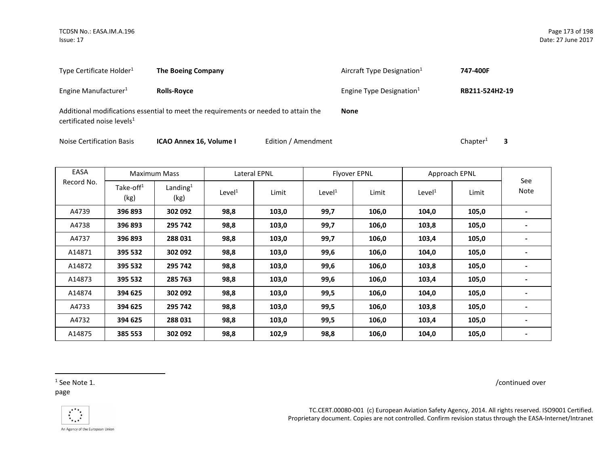TCDSN No.: EASA.IM.A.196 Page 173 of 198 Issue: 17 Date: 27 June 2017

| Type Certificate Holder <sup>1</sup><br>The Boeing Company                                                                    |                    | Aircraft Type Designation <sup>1</sup> | 747-400F       |
|-------------------------------------------------------------------------------------------------------------------------------|--------------------|----------------------------------------|----------------|
| Engine Manufacturer <sup>1</sup>                                                                                              | <b>Rolls-Royce</b> | Engine Type Designation <sup>1</sup>   | RB211-524H2-19 |
| Additional modifications essential to meet the requirements or needed to attain the<br>certificated noise levels <sup>1</sup> |                    | <b>None</b>                            |                |

Noise Certification Basis **ICAO Annex 16, Volume I Edition / Amendment** Chapter Chapter<sup>1</sup> 3

EASA Record No. Maximum Mass **Lateral EPNL** Flyover EPNL Approach EPNL See Note Take-off<sup>1</sup> (kg) Landing $1$  $(kg)$  Level<sup>1</sup> Limit Level<sup>1</sup> Limit Limit Level<sup>1</sup> Limit A4739 **396 893 302 092 98,8 103,0 99,7 106,0 104,0 105,0 -**A4738 **396 893 295 742 98,8 103,0 99,7 106,0 103,8 105,0 -**A4737 **396 893 288 031 98,8 103,0 99,7 106,0 103,4 105,0 -**A14871 **395 532 302 092 98,8 103,0 99,6 106,0 104,0 105,0 -**A14872 **395 532 295 742 98,8 103,0 99,6 106,0 103,8 105,0 -**A14873 **395 532 285 763 98,8 103,0 99,6 106,0 103,4 105,0 -**A14874 **394 625 302 092 98,8 103,0 99,5 106,0 104,0 105,0 -**A4733 **394 625 295 742 98,8 103,0 99,5 106,0 103,8 105,0 -**A4732 **394 625 288 031 98,8 103,0 99,5 106,0 103,4 105,0 -**A14875 | **385 553 | 302 092 | 98,8 | 102,9 | 98,8 | 106,0 | 104,0 | 105,0 | -**

## $\frac{1}{2}$  See Note 1.  $\frac{1}{2}$  /continued over

page

An Agency of the European Union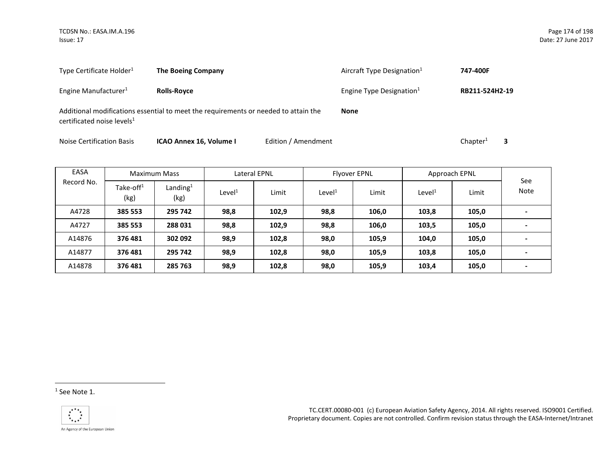TCDSN No.: EASA.IM.A.196 Page 174 of 198 Issue: 17 Date: 27 June 2017

| Type Certificate Holder <sup>1</sup><br>The Boeing Company                                                                    |                    | Aircraft Type Designation $1$        | 747-400F |
|-------------------------------------------------------------------------------------------------------------------------------|--------------------|--------------------------------------|----------|
| Engine Manufacturer <sup>1</sup>                                                                                              | <b>Rolls-Royce</b> | Engine Type Designation <sup>1</sup> |          |
| Additional modifications essential to meet the requirements or needed to attain the<br>certificated noise levels <sup>1</sup> |                    | <b>None</b>                          |          |

Noise Certification Basis **ICAO Annex 16, Volume I Edition / Amendment** Chapter **Chapter**<sup>1</sup> **3** 

EASA Record No. Maximum Mass  $\overline{L}$  Lateral EPNL Flyover EPNL Approach EPNL See Note Take-off<sup>1</sup> (kg) Landing<sup>1</sup>  $(kg)$  Level<sup>1</sup> Limit Level<sup>1</sup> Limit Limit Level<sup>1</sup> Limit A4728 **385 553 295 742 98,8 102,9 98,8 106,0 103,8 105,0 -**A4727 **385 553 288 031 98,8 102,9 98,8 106,0 103,5 105,0 -**A14876 **376 481 302 092 98,9 102,8 98,0 105,9 104,0 105,0 -**A14877 **376 481 295 742 98,9 102,8 98,0 105,9 103,8 105,0 -**A14878 **376 481 285 763 98,9 102,8 98,0 105,9 103,4 105,0 -**

<sup>1</sup> See Note 1.



TC.CERT.00080-001 (c) European Aviation Safety Agency, 2014. All rights reserved. ISO9001 Certified. Proprietary document. Copies are not controlled. Confirm revision status through the EASA-Internet/Intranet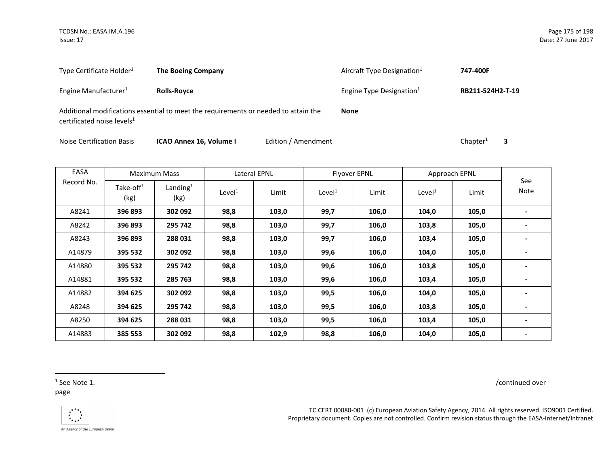TCDSN No.: EASA.IM.A.196 Page 175 of 198 Issue: 17 Date: 27 June 2017

| Type Certificate Holder <sup>1</sup><br>The Boeing Company                                                                    |                    | Aircraft Type Designation <sup>1</sup> | 747-400F         |
|-------------------------------------------------------------------------------------------------------------------------------|--------------------|----------------------------------------|------------------|
| Engine Manufacturer <sup>1</sup>                                                                                              | <b>Rolls-Royce</b> | Engine Type Designation <sup>1</sup>   | RB211-524H2-T-19 |
| Additional modifications essential to meet the requirements or needed to attain the<br>certificated noise levels <sup>1</sup> |                    | <b>None</b>                            |                  |

Noise Certification Basis **ICAO Annex 16, Volume I Edition / Amendment** Chapter<sup>1</sup> **3** 

| EASA       | <b>Maximum Mass</b>  |                              | Lateral EPNL       |       | <b>Flyover EPNL</b> |       | Approach EPNL      |       |                    |  |
|------------|----------------------|------------------------------|--------------------|-------|---------------------|-------|--------------------|-------|--------------------|--|
| Record No. | Take-off $1$<br>(kg) | Landing <sup>1</sup><br>(kg) | Level <sup>1</sup> | Limit | Level <sup>1</sup>  | Limit | Level <sup>1</sup> | Limit | See<br><b>Note</b> |  |
| A8241      | 396 893              | 302 092                      | 98,8               | 103,0 | 99,7                | 106,0 | 104,0              | 105,0 |                    |  |
| A8242      | 396 893              | 295 742                      | 98,8               | 103,0 | 99,7                | 106,0 | 103,8              | 105,0 |                    |  |
| A8243      | 396 893              | 288 031                      | 98,8               | 103,0 | 99,7                | 106,0 | 103,4              | 105,0 |                    |  |
| A14879     | 395 532              | 302 092                      | 98,8               | 103,0 | 99,6                | 106,0 | 104,0              | 105,0 |                    |  |
| A14880     | 395 532              | 295 742                      | 98,8               | 103,0 | 99,6                | 106,0 | 103,8              | 105,0 |                    |  |
| A14881     | 395 532              | 285 763                      | 98,8               | 103,0 | 99,6                | 106,0 | 103,4              | 105,0 |                    |  |
| A14882     | 394 625              | 302 092                      | 98,8               | 103,0 | 99,5                | 106,0 | 104,0              | 105,0 |                    |  |
| A8248      | 394 625              | 295 742                      | 98,8               | 103,0 | 99,5                | 106,0 | 103,8              | 105,0 |                    |  |
| A8250      | 394 625              | 288 031                      | 98,8               | 103,0 | 99,5                | 106,0 | 103,4              | 105,0 |                    |  |
| A14883     | 385 553              | 302 092                      | 98,8               | 102,9 | 98,8                | 106,0 | 104,0              | 105,0 |                    |  |

 $1$  See Note 1.  $/$ continued over

page

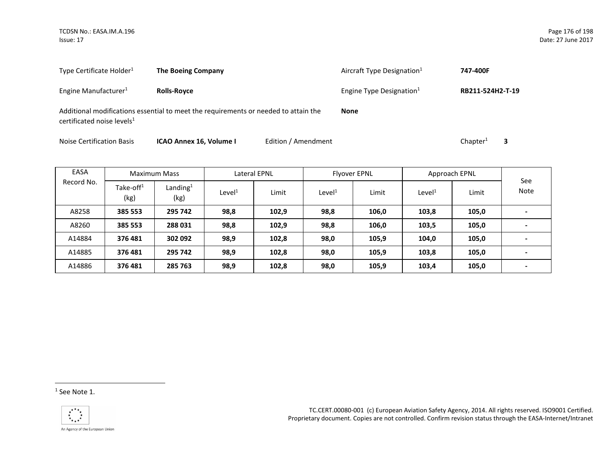TCDSN No.: EASA.IM.A.196 Page 176 of 198 Issue: 17 Date: 27 June 2017

| Type Certificate Holder <sup>1</sup><br>The Boeing Company                                                                    |                    | Aircraft Type Designation <sup>1</sup> | 747-400F         |
|-------------------------------------------------------------------------------------------------------------------------------|--------------------|----------------------------------------|------------------|
| Engine Manufacturer <sup>1</sup>                                                                                              | <b>Rolls-Royce</b> | Engine Type Designation <sup>1</sup>   | RB211-524H2-T-19 |
| Additional modifications essential to meet the requirements or needed to attain the<br>certificated noise levels <sup>1</sup> |                    | <b>None</b>                            |                  |

Noise Certification Basis **ICAO Annex 16, Volume I Edition / Amendment** Chapter **Chapter**<sup>1</sup> **3** 

EASA Record No. Maximum Mass  $\overline{L}$  Lateral EPNL Flyover EPNL Approach EPNL See Note Take-off<sup>1</sup> (kg) Landing<sup>1</sup>  $(kg)$  Level<sup>1</sup> Limit Level<sup>1</sup> Limit Limit Level<sup>1</sup> Limit A8258 **385 553 295 742 98,8 102,9 98,8 106,0 103,8 105,0 -**A8260 **385 553 288 031 98,8 102,9 98,8 106,0 103,5 105,0 -**A14884 **376 481 302 092 98,9 102,8 98,0 105,9 104,0 105,0 -**A14885 **376 481 295 742 98,9 102,8 98,0 105,9 103,8 105,0 -**A14886 **376 481 285 763 98,9 102,8 98,0 105,9 103,4 105,0 -**

<sup>1</sup> See Note 1.



TC.CERT.00080-001 (c) European Aviation Safety Agency, 2014. All rights reserved. ISO9001 Certified. Proprietary document. Copies are not controlled. Confirm revision status through the EASA-Internet/Intranet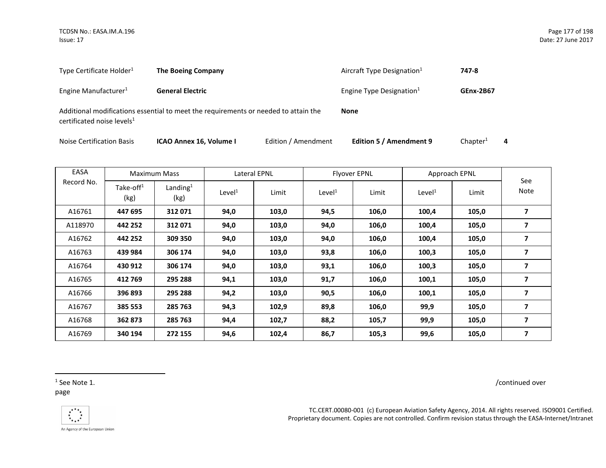| Type Certificate Holder <sup>1</sup><br>The Boeing Company                                                                    |  | Aircraft Type Designation <sup>1</sup>                   | 747-8 |
|-------------------------------------------------------------------------------------------------------------------------------|--|----------------------------------------------------------|-------|
| Engine Manufacturer <sup>1</sup><br><b>General Electric</b>                                                                   |  | Engine Type Designation <sup>1</sup><br><b>GEnx-2B67</b> |       |
| Additional modifications essential to meet the requirements or needed to attain the<br>certificated noise levels <sup>1</sup> |  | <b>None</b>                                              |       |

Noise Certification Basis **ICAO Annex 16, Volume I Edition / Amendment Edition 5 / Amendment 9 Chapter<sup>1</sup> 4** 

| EASA       |                               | <b>Maximum Mass</b> |                    | Lateral EPNL |                    | <b>Flyover EPNL</b> |                    | Approach EPNL |             |
|------------|-------------------------------|---------------------|--------------------|--------------|--------------------|---------------------|--------------------|---------------|-------------|
| Record No. | Take-off <sup>1</sup><br>(kg) | Landing $1$<br>(kg) | Level <sup>1</sup> | Limit        | Level <sup>1</sup> | Limit               | Level <sup>1</sup> | Limit         | See<br>Note |
| A16761     | 447 695                       | 312 071             | 94,0               | 103,0        | 94,5               | 106,0               | 100,4              | 105,0         | 7           |
| A118970    | 442 252                       | 312 071             | 94,0               | 103,0        | 94,0               | 106,0               | 100,4              | 105,0         | 7           |
| A16762     | 442 252                       | 309 350             | 94,0               | 103,0        | 94,0               | 106,0               | 100,4              | 105,0         | 7           |
| A16763     | 439 984                       | 306 174             | 94,0               | 103,0        | 93,8               | 106,0               | 100,3              | 105,0         | 7           |
| A16764     | 430 912                       | 306 174             | 94,0               | 103,0        | 93,1               | 106,0               | 100,3              | 105,0         | 7           |
| A16765     | 412 769                       | 295 288             | 94,1               | 103,0        | 91,7               | 106,0               | 100,1              | 105,0         | 7           |
| A16766     | 396 893                       | 295 288             | 94,2               | 103,0        | 90,5               | 106,0               | 100,1              | 105,0         | 7           |
| A16767     | 385 553                       | 285 763             | 94,3               | 102,9        | 89,8               | 106,0               | 99,9               | 105,0         | 7           |
| A16768     | 362 873                       | 285 763             | 94,4               | 102,7        | 88,2               | 105,7               | 99,9               | 105,0         | 7           |
| A16769     | 340 194                       | 272 155             | 94,6               | 102,4        | 86,7               | 105,3               | 99,6               | 105,0         | 7           |

 $1$  See Note 1.  $/$ continued over

page

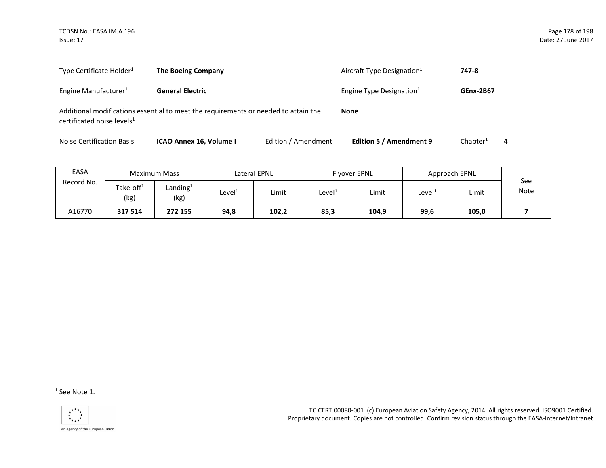TCDSN No.: EASA.IM.A.196 Page 178 of 198 Issue: 17 Date: 27 June 2017

| Type Certificate Holder <sup>1</sup><br><b>The Boeing Company</b> |                                                                                     |                     | Aircraft Type Designation <sup>1</sup> | 747-8                |  |
|-------------------------------------------------------------------|-------------------------------------------------------------------------------------|---------------------|----------------------------------------|----------------------|--|
| Engine Manufacturer <sup>1</sup>                                  | <b>General Electric</b>                                                             |                     | Engine Type Designation <sup>1</sup>   | <b>GEnx-2B67</b>     |  |
| certificated noise levels <sup>1</sup>                            | Additional modifications essential to meet the requirements or needed to attain the | <b>None</b>         |                                        |                      |  |
| Noise Certification Basis                                         | ICAO Annex 16, Volume I                                                             | Edition / Amendment | Edition 5 / Amendment 9                | Chapter <sup>1</sup> |  |

| EASA<br>Record No. | <b>Maximum Mass</b>  |                     | Lateral EPNL     |       | Flyover EPNL |       | Approach EPNL |       |                    |
|--------------------|----------------------|---------------------|------------------|-------|--------------|-------|---------------|-------|--------------------|
|                    | Take-off $1$<br>(kg) | Landing $1$<br>(kg) | Level $^{\rm 1}$ | Limit | Level $^1$   | Limit | Level'        | Limit | See<br><b>Note</b> |
| A16770             | 317 514              | 272 155             | 94,8             | 102,2 | 85,3         | 104,9 | 99,6          | 105,0 |                    |

 $1$  See Note 1.

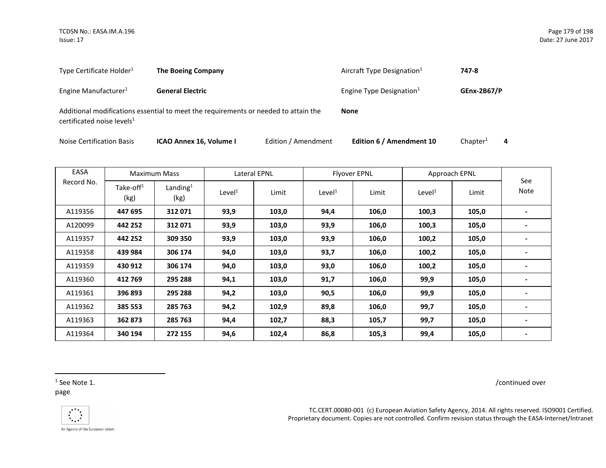| Type Certificate Holder <sup>1</sup>   | The Boeing Company                                                                  | Aircraft Type Designation <sup>1</sup> | 747-8              |
|----------------------------------------|-------------------------------------------------------------------------------------|----------------------------------------|--------------------|
| Engine Manufacturer <sup>1</sup>       | <b>General Electric</b>                                                             | Engine Type Designation $1$            | <b>GEnx-2B67/P</b> |
| certificated noise levels <sup>1</sup> | Additional modifications essential to meet the requirements or needed to attain the | <b>None</b>                            |                    |

Noise Certification Basis **ICAO Annex 16, Volume I** Edition / Amendment **Edition 6 / Amendment 10** Chapter<sup>1</sup> **<sup>4</sup>**

| EASA<br>Record No. | <b>Maximum Mass</b>           |                     | Lateral EPNL       |       | <b>Flyover EPNL</b> |       | Approach EPNL      |       |             |
|--------------------|-------------------------------|---------------------|--------------------|-------|---------------------|-------|--------------------|-------|-------------|
|                    | Take-off <sup>1</sup><br>(kg) | Landing $1$<br>(kg) | Level <sup>1</sup> | Limit | Level <sup>1</sup>  | Limit | Level <sup>1</sup> | Limit | See<br>Note |
| A119356            | 447 695                       | 312 071             | 93,9               | 103,0 | 94,4                | 106,0 | 100,3              | 105,0 |             |
| A120099            | 442 252                       | 312 071             | 93,9               | 103,0 | 93,9                | 106,0 | 100,3              | 105,0 |             |
| A119357            | 442 252                       | 309 350             | 93,9               | 103,0 | 93,9                | 106,0 | 100,2              | 105,0 |             |
| A119358            | 439 984                       | 306 174             | 94,0               | 103,0 | 93,7                | 106,0 | 100,2              | 105,0 |             |
| A119359            | 430 912                       | 306 174             | 94,0               | 103,0 | 93,0                | 106,0 | 100,2              | 105,0 |             |
| A119360            | 412 769                       | 295 288             | 94,1               | 103,0 | 91,7                | 106,0 | 99,9               | 105,0 |             |
| A119361            | 396 893                       | 295 288             | 94,2               | 103,0 | 90,5                | 106,0 | 99,9               | 105,0 |             |
| A119362            | 385 553                       | 285 763             | 94,2               | 102,9 | 89,8                | 106,0 | 99,7               | 105,0 |             |
| A119363            | 362 873                       | 285 763             | 94,4               | 102,7 | 88,3                | 105,7 | 99,7               | 105,0 |             |
| A119364            | 340 194                       | 272 155             | 94,6               | 102,4 | 86,8                | 105,3 | 99,4               | 105,0 |             |

 $1$  See Note 1.  $/$ continued over

page

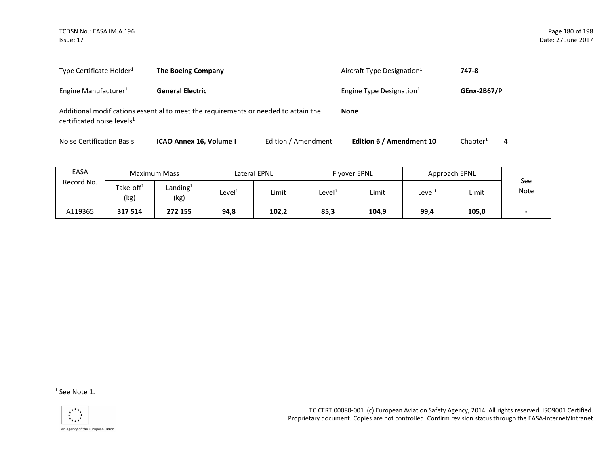TCDSN No.: EASA.IM.A.196 Page 180 of 198 Issue: 17 Date: 27 June 2017

| Type Certificate Holder <sup>1</sup>   | The Boeing Company                                                                  |                                      | Aircraft Type Designation <sup>1</sup> | 747-8                |                    |  |  |
|----------------------------------------|-------------------------------------------------------------------------------------|--------------------------------------|----------------------------------------|----------------------|--------------------|--|--|
| Engine Manufacturer <sup>1</sup>       | <b>General Electric</b>                                                             | Engine Type Designation <sup>1</sup> |                                        |                      | <b>GEnx-2B67/P</b> |  |  |
| certificated noise levels <sup>1</sup> | Additional modifications essential to meet the requirements or needed to attain the | <b>None</b>                          |                                        |                      |                    |  |  |
| Noise Certification Basis              | ICAO Annex 16, Volume I                                                             | Edition / Amendment                  | Edition 6 / Amendment 10               | Chapter <sup>1</sup> | 4                  |  |  |

| EASA<br>Record No. | <b>Maximum Mass</b>  |                              | Lateral EPNL |       | Flyover EPNL |       | Approach EPNL |       |                    |
|--------------------|----------------------|------------------------------|--------------|-------|--------------|-------|---------------|-------|--------------------|
|                    | Take-off $1$<br>(kg) | Landing <sup>1</sup><br>(kg) | Level'       | Limit | Level $^1$   | Limit | Level'        | Limit | See<br><b>Note</b> |
| A119365            | 317 514              | 272 155                      | 94,8         | 102,2 | 85,3         | 104,9 | 99,4          | 105,0 |                    |

 $1$  See Note 1.

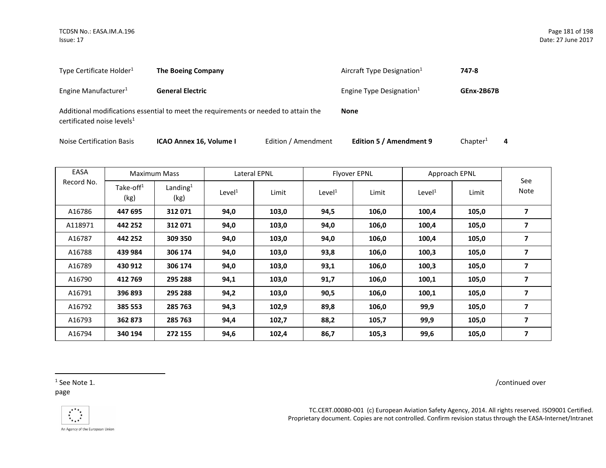| Type Certificate Holder <sup>1</sup>   | <b>The Boeing Company</b>                                                           | Aircraft Type Designation <sup>1</sup> | 747-8      |
|----------------------------------------|-------------------------------------------------------------------------------------|----------------------------------------|------------|
| Engine Manufacturer <sup>1</sup>       | <b>General Electric</b>                                                             | Engine Type Designation <sup>1</sup>   | GEnx-2B67B |
| certificated noise levels <sup>1</sup> | Additional modifications essential to meet the requirements or needed to attain the | <b>None</b>                            |            |

| EASA       | <b>Maximum Mass</b>           |                     | Lateral EPNL       |       | <b>Flyover EPNL</b> |       | Approach EPNL      |       |             |
|------------|-------------------------------|---------------------|--------------------|-------|---------------------|-------|--------------------|-------|-------------|
| Record No. | Take-off <sup>1</sup><br>(kg) | Landing $1$<br>(kg) | Level <sup>1</sup> | Limit | Level <sup>1</sup>  | Limit | Level <sup>1</sup> | Limit | See<br>Note |
| A16786     | 447 695                       | 312 071             | 94,0               | 103,0 | 94,5                | 106,0 | 100,4              | 105,0 | 7           |
| A118971    | 442 252                       | 312 071             | 94,0               | 103,0 | 94,0                | 106,0 | 100,4              | 105,0 | 7           |
| A16787     | 442 252                       | 309 350             | 94,0               | 103,0 | 94,0                | 106,0 | 100,4              | 105,0 | 7           |
| A16788     | 439 984                       | 306 174             | 94,0               | 103,0 | 93,8                | 106,0 | 100,3              | 105,0 | 7           |
| A16789     | 430 912                       | 306 174             | 94,0               | 103,0 | 93,1                | 106,0 | 100,3              | 105,0 | 7           |
| A16790     | 412 769                       | 295 288             | 94,1               | 103,0 | 91,7                | 106,0 | 100,1              | 105,0 | 7           |
| A16791     | 396 893                       | 295 288             | 94,2               | 103,0 | 90,5                | 106,0 | 100,1              | 105,0 | 7           |
| A16792     | 385 553                       | 285 763             | 94,3               | 102,9 | 89,8                | 106,0 | 99,9               | 105,0 | 7           |
| A16793     | 362 873                       | 285 763             | 94,4               | 102,7 | 88,2                | 105,7 | 99,9               | 105,0 | 7           |
| A16794     | 340 194                       | 272 155             | 94,6               | 102,4 | 86,7                | 105,3 | 99,6               | 105,0 | 7           |

 $1$  See Note 1.  $/$ continued over

page

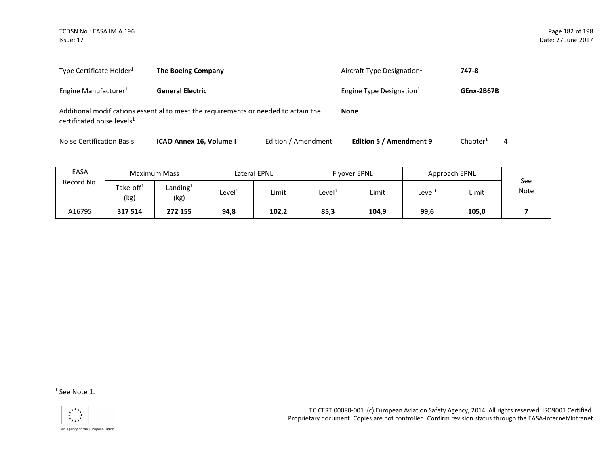TCDSN No.: EASA.IM.A.196 Page 182 of 198 Issue: 17 Date: 27 June 2017

| Type Certificate Holder <sup>1</sup>   | <b>The Boeing Company</b>                                                           |                             | Aircraft Type Designation <sup>1</sup> | 747-8                |            |  |
|----------------------------------------|-------------------------------------------------------------------------------------|-----------------------------|----------------------------------------|----------------------|------------|--|
| Engine Manufacturer <sup>1</sup>       | <b>General Electric</b>                                                             | Engine Type Designation $1$ |                                        |                      | GEnx-2B67B |  |
| certificated noise levels <sup>1</sup> | Additional modifications essential to meet the requirements or needed to attain the | None                        |                                        |                      |            |  |
| Noise Certification Basis              | <b>ICAO Annex 16, Volume I</b>                                                      | Edition / Amendment         | Edition 5 / Amendment 9                | Chapter <sup>1</sup> |            |  |

| EASA<br>Record No. | <b>Maximum Mass</b>  |                              | Lateral EPNL |       | Flyover EPNL |       | Approach EPNL |       |                    |
|--------------------|----------------------|------------------------------|--------------|-------|--------------|-------|---------------|-------|--------------------|
|                    | Take-off $1$<br>(kg) | Landing <sup>1</sup><br>(kg) | Level'       | Limit | Level $^1$   | Limit | Level'        | Limit | See<br><b>Note</b> |
| A16795             | 317 514              | 272 155                      | 94,8         | 102,2 | 85,3         | 104,9 | 99,6          | 105,0 |                    |

 $1$  See Note 1.

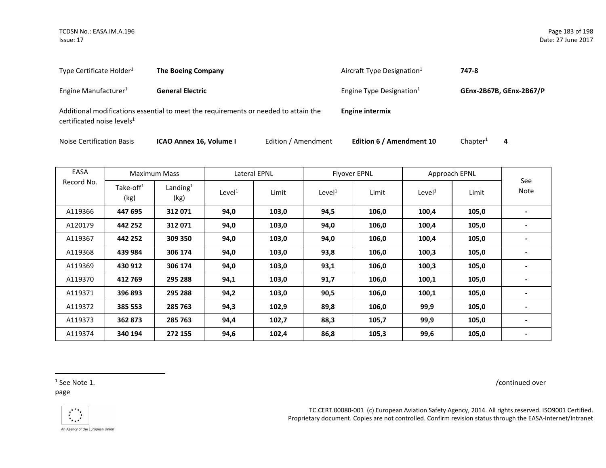| Type Certificate Holder <sup>1</sup>   | The Boeing Company                                                                  | Aircraft Type Designation <sup>1</sup> | 747-8                   |
|----------------------------------------|-------------------------------------------------------------------------------------|----------------------------------------|-------------------------|
| Engine Manufacturer <sup>1</sup>       | <b>General Electric</b>                                                             | Engine Type Designation $1$            | GEnx-2B67B, GEnx-2B67/P |
| certificated noise levels <sup>1</sup> | Additional modifications essential to meet the requirements or needed to attain the | <b>Engine intermix</b>                 |                         |

| EASA       | <b>Maximum Mass</b>           |                     | Lateral EPNL       |       | <b>Flyover EPNL</b> |       | Approach EPNL      |       |                    |
|------------|-------------------------------|---------------------|--------------------|-------|---------------------|-------|--------------------|-------|--------------------|
| Record No. | Take-off <sup>1</sup><br>(kg) | Landing $1$<br>(kg) | Level <sup>1</sup> | Limit | Level <sup>1</sup>  | Limit | Level <sup>1</sup> | Limit | See<br><b>Note</b> |
| A119366    | 447 695                       | 312 071             | 94,0               | 103,0 | 94,5                | 106,0 | 100,4              | 105,0 |                    |
| A120179    | 442 252                       | 312 071             | 94,0               | 103,0 | 94,0                | 106,0 | 100,4              | 105,0 |                    |
| A119367    | 442 252                       | 309 350             | 94,0               | 103,0 | 94,0                | 106,0 | 100,4              | 105,0 |                    |
| A119368    | 439 984                       | 306 174             | 94,0               | 103,0 | 93,8                | 106,0 | 100,3              | 105,0 |                    |
| A119369    | 430 912                       | 306 174             | 94,0               | 103,0 | 93,1                | 106,0 | 100,3              | 105,0 |                    |
| A119370    | 412 769                       | 295 288             | 94,1               | 103,0 | 91,7                | 106,0 | 100,1              | 105,0 |                    |
| A119371    | 396 893                       | 295 288             | 94,2               | 103,0 | 90,5                | 106,0 | 100,1              | 105,0 |                    |
| A119372    | 385 553                       | 285 763             | 94,3               | 102,9 | 89,8                | 106,0 | 99,9               | 105,0 |                    |
| A119373    | 362 873                       | 285 763             | 94,4               | 102,7 | 88,3                | 105,7 | 99,9               | 105,0 |                    |
| A119374    | 340 194                       | 272 155             | 94,6               | 102,4 | 86,8                | 105,3 | 99,6               | 105,0 |                    |

page

 $1$  See Note 1.  $/$ continued over

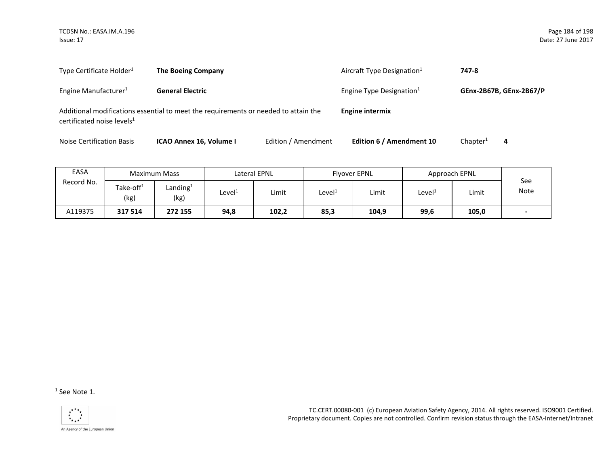TCDSN No.: EASA.IM.A.196 Page 184 of 198 Issue: 17 Date: 27 June 2017

| Type Certificate Holder <sup>1</sup>   | <b>The Boeing Company</b>                                                           |                                      | Aircraft Type Designation <sup>1</sup> | 747-8                     |  |
|----------------------------------------|-------------------------------------------------------------------------------------|--------------------------------------|----------------------------------------|---------------------------|--|
| Engine Manufacturer <sup>1</sup>       | <b>General Electric</b>                                                             | Engine Type Designation <sup>1</sup> | GEnx-2B67B, GEnx-2B67/P                |                           |  |
| certificated noise levels <sup>1</sup> | Additional modifications essential to meet the requirements or needed to attain the |                                      | <b>Engine intermix</b>                 |                           |  |
| Noise Certification Basis              | <b>ICAO Annex 16, Volume I</b>                                                      | Edition / Amendment                  | Edition 6 / Amendment 10               | Chapter <sup>1</sup><br>4 |  |

| EASA       | <b>Maximum Mass</b>           |                              | Lateral EPNL |       | Flyover EPNL |       | Approach EPNL    |       | See         |
|------------|-------------------------------|------------------------------|--------------|-------|--------------|-------|------------------|-------|-------------|
| Record No. | Take-off <sup>1</sup><br>(kg) | Landing <sup>1</sup><br>(kg) | Level $^1$   | Limit | Level $^1$   | Limit | Level $^{\rm 1}$ | Limit | <b>Note</b> |
| A119375    | 317 514                       | 272 155                      | 94,8         | 102,2 | 85,3         | 104,9 | 99,6             | 105,0 |             |

 $1$  See Note 1.



TC.CERT.00080-001 (c) European Aviation Safety Agency, 2014. All rights reserved. ISO9001 Certified. Proprietary document. Copies are not controlled. Confirm revision status through the EASA-Internet/Intranet

An Agency of the European Union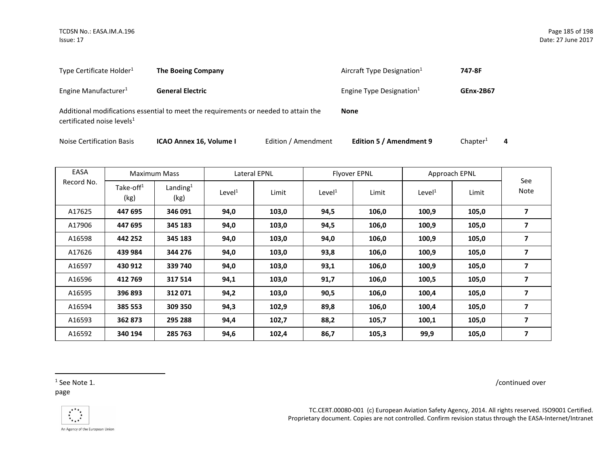| Type Certificate Holder <sup>1</sup>   | <b>The Boeing Company</b>                                                           | Aircraft Type Designation <sup>1</sup> | 747-8F           |
|----------------------------------------|-------------------------------------------------------------------------------------|----------------------------------------|------------------|
| Engine Manufacturer <sup>1</sup>       | <b>General Electric</b>                                                             | Engine Type Designation <sup>1</sup>   | <b>GEnx-2B67</b> |
| certificated noise levels <sup>1</sup> | Additional modifications essential to meet the requirements or needed to attain the | <b>None</b>                            |                  |

| EASA       | <b>Maximum Mass</b>           |                     |                    | Lateral EPNL |           | <b>Flyover EPNL</b> |                    | Approach EPNL |                         |
|------------|-------------------------------|---------------------|--------------------|--------------|-----------|---------------------|--------------------|---------------|-------------------------|
| Record No. | Take-off <sup>1</sup><br>(kg) | Landing $1$<br>(kg) | Level <sup>1</sup> | Limit        | Level $1$ | Limit               | Level <sup>1</sup> | Limit         | See<br><b>Note</b>      |
| A17625     | 447 695                       | 346 091             | 94,0               | 103,0        | 94,5      | 106,0               | 100,9              | 105,0         | $\overline{\mathbf{z}}$ |
| A17906     | 447 695                       | 345 183             | 94,0               | 103,0        | 94,5      | 106,0               | 100,9              | 105,0         | 7                       |
| A16598     | 442 252                       | 345 183             | 94,0               | 103,0        | 94,0      | 106,0               | 100,9              | 105,0         | 7                       |
| A17626     | 439 984                       | 344 276             | 94,0               | 103,0        | 93,8      | 106,0               | 100,9              | 105,0         | 7                       |
| A16597     | 430 912                       | 339 740             | 94,0               | 103,0        | 93,1      | 106,0               | 100,9              | 105,0         | 7                       |
| A16596     | 412 769                       | 317 514             | 94,1               | 103,0        | 91,7      | 106,0               | 100,5              | 105,0         | 7                       |
| A16595     | 396 893                       | 312071              | 94,2               | 103,0        | 90,5      | 106,0               | 100,4              | 105,0         | 7                       |
| A16594     | 385 553                       | 309 350             | 94,3               | 102,9        | 89,8      | 106,0               | 100,4              | 105,0         | 7                       |
| A16593     | 362 873                       | 295 288             | 94,4               | 102,7        | 88,2      | 105,7               | 100,1              | 105,0         | 7                       |
| A16592     | 340 194                       | 285 763             | 94,6               | 102,4        | 86,7      | 105,3               | 99,9               | 105,0         | 7                       |

 $1$  See Note 1.  $/$ continued over

page

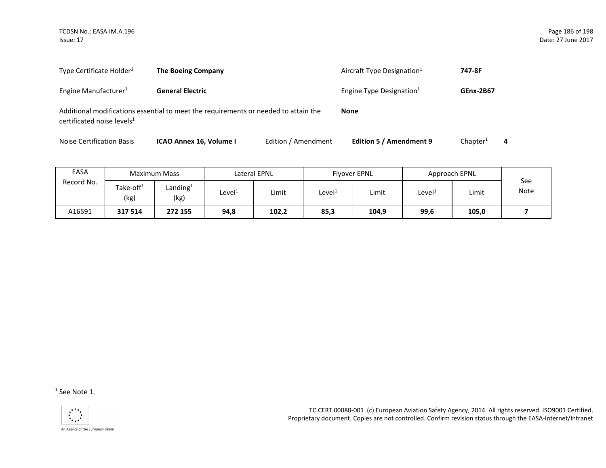TCDSN No.: EASA.IM.A.196 Page 186 of 198 Issue: 17 Date: 27 June 2017

| Type Certificate Holder <sup>1</sup>   | <b>The Boeing Company</b>                                                           |                     | Aircraft Type Designation <sup>1</sup> | 747-8F               |
|----------------------------------------|-------------------------------------------------------------------------------------|---------------------|----------------------------------------|----------------------|
| Engine Manufacturer <sup>1</sup>       | Engine Type Designation <sup>1</sup>                                                | <b>GEnx-2B67</b>    |                                        |                      |
| certificated noise levels <sup>1</sup> | Additional modifications essential to meet the requirements or needed to attain the | None                |                                        |                      |
| Noise Certification Basis              | <b>ICAO Annex 16, Volume I</b>                                                      | Edition / Amendment | Edition 5 / Amendment 9                | Chapter <sup>1</sup> |

| EASA<br>Record No. | <b>Maximum Mass</b>  |                     | Lateral EPNL     |       | Flyover EPNL |       | Approach EPNL |       |                    |
|--------------------|----------------------|---------------------|------------------|-------|--------------|-------|---------------|-------|--------------------|
|                    | Take-off $1$<br>(kg) | Landing $1$<br>(kg) | Level $^{\rm 1}$ | Limit | Level $^1$   | Limit | Level'        | Limit | See<br><b>Note</b> |
| A16591             | 317 514              | 272 155             | 94,8             | 102,2 | 85,3         | 104,9 | 99,6          | 105,0 |                    |

 $1$  See Note 1.

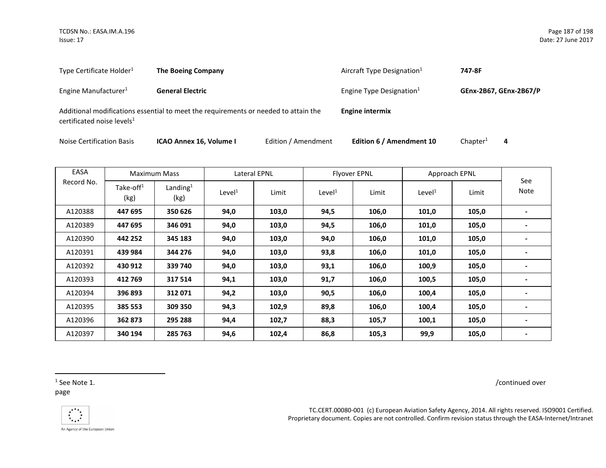| Type Certificate Holder <sup>1</sup>   | The Boeing Company                                                                  | Aircraft Type Designation <sup>1</sup> | 747-8F                 |
|----------------------------------------|-------------------------------------------------------------------------------------|----------------------------------------|------------------------|
| Engine Manufacturer <sup>1</sup>       | <b>General Electric</b>                                                             | Engine Type Designation <sup>1</sup>   | GEnx-2B67, GEnx-2B67/P |
| certificated noise levels <sup>1</sup> | Additional modifications essential to meet the requirements or needed to attain the | <b>Engine intermix</b>                 |                        |

| EASA       | <b>Maximum Mass</b>           |                              | <b>Lateral EPNL</b> |       | <b>Flyover EPNL</b> |       | Approach EPNL      |       |                    |
|------------|-------------------------------|------------------------------|---------------------|-------|---------------------|-------|--------------------|-------|--------------------|
| Record No. | Take-off <sup>1</sup><br>(kg) | Landing <sup>1</sup><br>(kg) | Level <sup>1</sup>  | Limit | Level <sup>1</sup>  | Limit | Level <sup>1</sup> | Limit | See<br><b>Note</b> |
| A120388    | 447 695                       | 350 626                      | 94,0                | 103,0 | 94,5                | 106,0 | 101,0              | 105,0 |                    |
| A120389    | 447 695                       | 346 091                      | 94,0                | 103,0 | 94,5                | 106,0 | 101,0              | 105,0 |                    |
| A120390    | 442 252                       | 345 183                      | 94,0                | 103,0 | 94,0                | 106,0 | 101,0              | 105,0 |                    |
| A120391    | 439 984                       | 344 276                      | 94,0                | 103,0 | 93,8                | 106,0 | 101,0              | 105,0 |                    |
| A120392    | 430 912                       | 339 740                      | 94,0                | 103,0 | 93,1                | 106,0 | 100,9              | 105,0 |                    |
| A120393    | 412 769                       | 317 514                      | 94,1                | 103,0 | 91,7                | 106,0 | 100,5              | 105,0 |                    |
| A120394    | 396 893                       | 312071                       | 94,2                | 103,0 | 90,5                | 106,0 | 100,4              | 105,0 |                    |
| A120395    | 385 553                       | 309 350                      | 94,3                | 102,9 | 89,8                | 106,0 | 100,4              | 105,0 |                    |
| A120396    | 362 873                       | 295 288                      | 94,4                | 102,7 | 88,3                | 105,7 | 100,1              | 105,0 |                    |
| A120397    | 340 194                       | 285 763                      | 94,6                | 102,4 | 86,8                | 105,3 | 99,9               | 105,0 |                    |

page

 $1$  See Note 1.  $/$ continued over

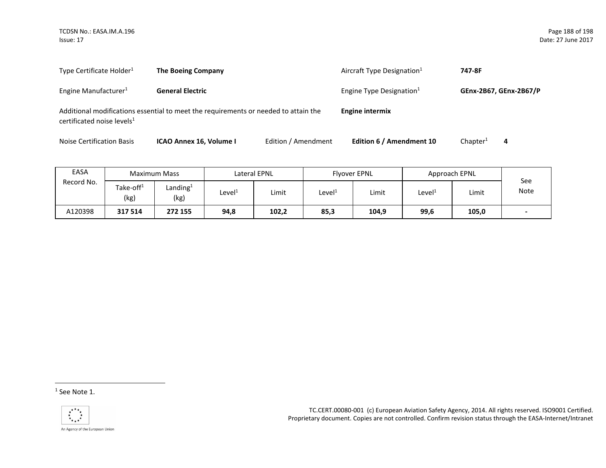TCDSN No.: EASA.IM.A.196 Page 188 of 198 Issue: 17 Date: 27 June 2017

| Type Certificate Holder <sup>1</sup>   | <b>The Boeing Company</b>                                                           |                     | Aircraft Type Designation <sup>1</sup> | 747-8F                 |   |  |
|----------------------------------------|-------------------------------------------------------------------------------------|---------------------|----------------------------------------|------------------------|---|--|
| Engine Manufacturer <sup>1</sup>       | <b>General Electric</b>                                                             |                     | Engine Type Designation <sup>1</sup>   | GEnx-2B67, GEnx-2B67/P |   |  |
| certificated noise levels <sup>1</sup> | Additional modifications essential to meet the requirements or needed to attain the |                     | <b>Engine intermix</b>                 |                        |   |  |
| Noise Certification Basis              | ICAO Annex 16, Volume I                                                             | Edition / Amendment | Edition 6 / Amendment 10               | $Chanter^{\perp}$      | 4 |  |

| EASA<br>Record No. | <b>Maximum Mass</b>           |                              | Lateral EPNL |       | Flyover EPNL |       | Approach EPNL    |       |                    |
|--------------------|-------------------------------|------------------------------|--------------|-------|--------------|-------|------------------|-------|--------------------|
|                    | Take-off <sup>1</sup><br>(kg) | Landing <sup>1</sup><br>(kg) | Level $^1$   | Limit | Level $^1$   | Limit | Level $^{\rm 1}$ | Limit | See<br><b>Note</b> |
| A120398            | 317 514                       | 272 155                      | 94,8         | 102,2 | 85,3         | 104,9 | 99,6             | 105,0 |                    |

 $1$  See Note 1.



Proprietary document. Copies are not controlled. Confirm revision status through the EASA-Internet/Intranet

TC.CERT.00080-001 (c) European Aviation Safety Agency, 2014. All rights reserved. ISO9001 Certified.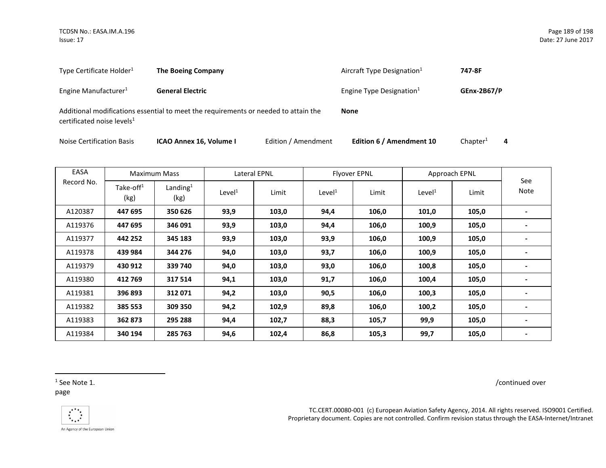| Type Certificate Holder <sup>1</sup>   | <b>The Boeing Company</b>                                                           | Aircraft Type Designation <sup>1</sup> | 747-8F             |
|----------------------------------------|-------------------------------------------------------------------------------------|----------------------------------------|--------------------|
| Engine Manufacturer <sup>1</sup>       | <b>General Electric</b>                                                             | Engine Type Designation <sup>1</sup>   | <b>GEnx-2B67/P</b> |
| certificated noise levels <sup>1</sup> | Additional modifications essential to meet the requirements or needed to attain the | <b>None</b>                            |                    |

| EASA       | <b>Maximum Mass</b>           |                     | Lateral EPNL       |       | <b>Flyover EPNL</b> |       | Approach EPNL      |       |                    |
|------------|-------------------------------|---------------------|--------------------|-------|---------------------|-------|--------------------|-------|--------------------|
| Record No. | Take-off <sup>1</sup><br>(kg) | Landing $1$<br>(kg) | Level <sup>1</sup> | Limit | Level <sup>1</sup>  | Limit | Level <sup>1</sup> | Limit | See<br><b>Note</b> |
| A120387    | 447 695                       | 350 626             | 93,9               | 103,0 | 94,4                | 106,0 | 101,0              | 105,0 |                    |
| A119376    | 447 695                       | 346 091             | 93,9               | 103,0 | 94,4                | 106,0 | 100,9              | 105,0 |                    |
| A119377    | 442 252                       | 345 183             | 93,9               | 103,0 | 93,9                | 106,0 | 100,9              | 105,0 |                    |
| A119378    | 439 984                       | 344 276             | 94,0               | 103,0 | 93,7                | 106,0 | 100,9              | 105,0 |                    |
| A119379    | 430 912                       | 339 740             | 94,0               | 103,0 | 93,0                | 106,0 | 100,8              | 105,0 |                    |
| A119380    | 412 769                       | 317 514             | 94,1               | 103,0 | 91,7                | 106,0 | 100,4              | 105,0 |                    |
| A119381    | 396 893                       | 312 071             | 94,2               | 103,0 | 90,5                | 106,0 | 100,3              | 105,0 |                    |
| A119382    | 385 553                       | 309 350             | 94,2               | 102,9 | 89,8                | 106,0 | 100,2              | 105,0 |                    |
| A119383    | 362 873                       | 295 288             | 94,4               | 102,7 | 88,3                | 105,7 | 99,9               | 105,0 |                    |
| A119384    | 340 194                       | 285 763             | 94,6               | 102,4 | 86,8                | 105,3 | 99,7               | 105,0 |                    |

 $1$  See Note 1.  $/$ continued over

page

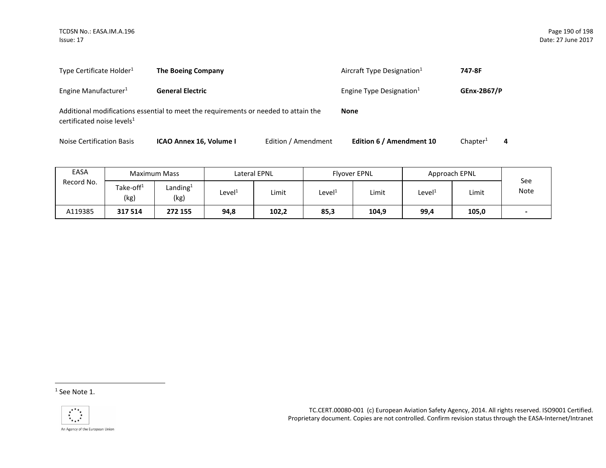TCDSN No.: EASA.IM.A.196 Page 190 of 198 Issue: 17 Date: 27 June 2017

| Type Certificate Holder <sup>1</sup>   | The Boeing Company                                                                  |                     | Aircraft Type Designation <sup>1</sup>            | 747-8F               |   |
|----------------------------------------|-------------------------------------------------------------------------------------|---------------------|---------------------------------------------------|----------------------|---|
| Engine Manufacturer <sup>1</sup>       | <b>General Electric</b>                                                             |                     | Engine Type Designation $1$<br><b>GEnx-2B67/P</b> |                      |   |
| certificated noise levels <sup>1</sup> | Additional modifications essential to meet the requirements or needed to attain the |                     | <b>None</b>                                       |                      |   |
| Noise Certification Basis              | <b>ICAO Annex 16, Volume I</b>                                                      | Edition / Amendment | Edition 6 / Amendment 10                          | Chapter <sup>1</sup> | 4 |

| EASA       | <b>Maximum Mass</b>   |                              | Lateral EPNL       |       | Flyover EPNL |       | Approach EPNL    |       |                    |
|------------|-----------------------|------------------------------|--------------------|-------|--------------|-------|------------------|-------|--------------------|
| Record No. | Take-off $^1$<br>(kg) | Landing <sup>1</sup><br>(kg) | Level <del>'</del> | Limit | Level $^1$   | Limit | Level $^{\rm 1}$ | Limit | See<br><b>Note</b> |
| A119385    | 317 514               | 272 155                      | 94,8               | 102,2 | 85,3         | 104,9 | 99,4             | 105,0 |                    |

 $1$  See Note 1.

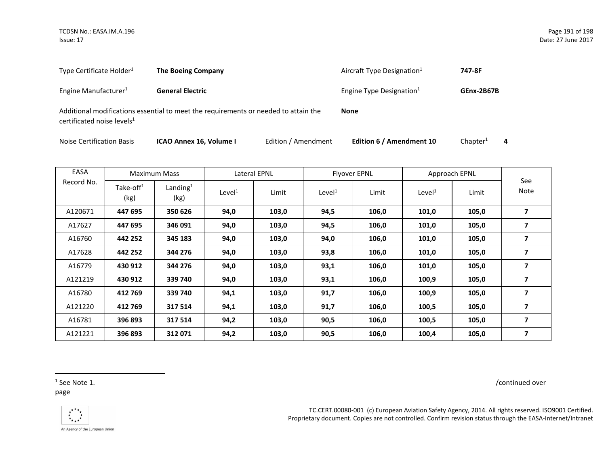| Type Certificate Holder <sup>1</sup>   | <b>The Boeing Company</b>                                                           | Aircraft Type Designation <sup>1</sup> | 747-8F     |
|----------------------------------------|-------------------------------------------------------------------------------------|----------------------------------------|------------|
| Engine Manufacturer <sup>1</sup>       | <b>General Electric</b>                                                             | Engine Type Designation <sup>1</sup>   | GEnx-2B67B |
| certificated noise levels <sup>1</sup> | Additional modifications essential to meet the requirements or needed to attain the | <b>None</b>                            |            |

| EASA       | <b>Maximum Mass</b>           |                     | Lateral EPNL       |       | <b>Flyover EPNL</b> |       | Approach EPNL      |       |             |
|------------|-------------------------------|---------------------|--------------------|-------|---------------------|-------|--------------------|-------|-------------|
| Record No. | Take-off <sup>1</sup><br>(kg) | Landing $1$<br>(kg) | Level <sup>1</sup> | Limit | Level <sup>1</sup>  | Limit | Level <sup>1</sup> | Limit | See<br>Note |
| A120671    | 447 695                       | 350 626             | 94,0               | 103,0 | 94,5                | 106,0 | 101,0              | 105,0 | 7           |
| A17627     | 447 695                       | 346 091             | 94,0               | 103,0 | 94,5                | 106,0 | 101,0              | 105,0 | 7           |
| A16760     | 442 252                       | 345 183             | 94,0               | 103,0 | 94,0                | 106,0 | 101,0              | 105,0 | 7           |
| A17628     | 442 252                       | 344 276             | 94,0               | 103,0 | 93,8                | 106,0 | 101,0              | 105,0 | 7           |
| A16779     | 430 912                       | 344 276             | 94,0               | 103,0 | 93,1                | 106,0 | 101,0              | 105,0 | 7           |
| A121219    | 430 912                       | 339 740             | 94,0               | 103,0 | 93,1                | 106,0 | 100,9              | 105,0 | 7           |
| A16780     | 412 769                       | 339 740             | 94,1               | 103,0 | 91,7                | 106,0 | 100,9              | 105,0 | 7           |
| A121220    | 412 769                       | 317 514             | 94,1               | 103,0 | 91,7                | 106,0 | 100,5              | 105,0 | 7           |
| A16781     | 396 893                       | 317 514             | 94,2               | 103,0 | 90,5                | 106,0 | 100,5              | 105,0 | 7           |
| A121221    | 396 893                       | 312071              | 94,2               | 103,0 | 90,5                | 106,0 | 100,4              | 105,0 | 7           |

 $1$  See Note 1.  $/$ continued over

page

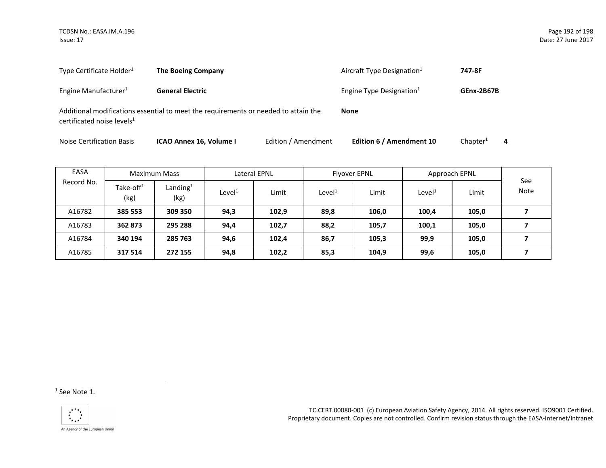TCDSN No.: EASA.IM.A.196 Page 192 of 198 Issue: 17 Date: 27 June 2017

| Type Certificate Holder <sup>1</sup>   | The Boeing Company                                                                  | Aircraft Type Designation <sup>1</sup> | 747-8F     |
|----------------------------------------|-------------------------------------------------------------------------------------|----------------------------------------|------------|
| Engine Manufacturer <sup>1</sup>       | <b>General Electric</b>                                                             | Engine Type Designation <sup>1</sup>   | GEnx-2B67B |
| certificated noise levels <sup>1</sup> | Additional modifications essential to meet the requirements or needed to attain the | <b>None</b>                            |            |

Noise Certification Basis **ICAO Annex 16, Volume I Edition / Amendment <b>Edition 6 / Amendment 10** Chapter<sup>1</sup> 4

| EASA       | Maximum Mass                  |                              | Lateral EPNL       |       | <b>Flyover EPNL</b> |       | Approach EPNL |       | See         |
|------------|-------------------------------|------------------------------|--------------------|-------|---------------------|-------|---------------|-------|-------------|
| Record No. | Take-off <sup>1</sup><br>(kg) | Landing <sup>1</sup><br>(kg) | Level <sup>1</sup> | Limit | Level <sup>1</sup>  | Limit | Level $^1$    | Limit | <b>Note</b> |
| A16782     | 385 553                       | 309 350                      | 94,3               | 102,9 | 89,8                | 106,0 | 100,4         | 105,0 |             |
| A16783     | 362 873                       | 295 288                      | 94,4               | 102,7 | 88,2                | 105,7 | 100,1         | 105,0 |             |
| A16784     | 340 194                       | 285 763                      | 94,6               | 102,4 | 86,7                | 105,3 | 99,9          | 105,0 |             |
| A16785     | 317 514                       | 272 155                      | 94,8               | 102,2 | 85,3                | 104,9 | 99,6          | 105,0 |             |

 $1$  See Note 1.



TC.CERT.00080-001 (c) European Aviation Safety Agency, 2014. All rights reserved. ISO9001 Certified. Proprietary document. Copies are not controlled. Confirm revision status through the EASA-Internet/Intranet

An Agency of the European Union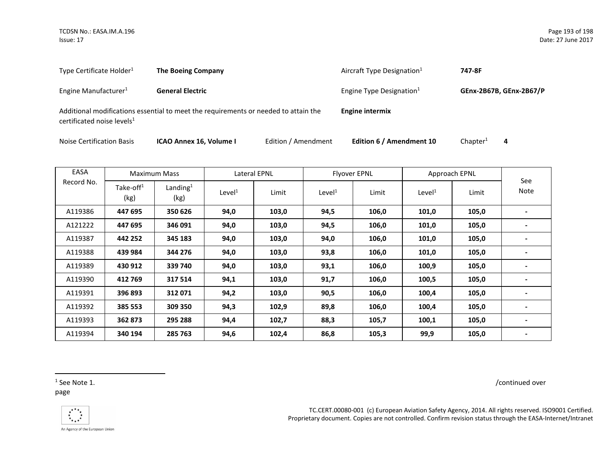| Type Certificate Holder <sup>1</sup>   | The Boeing Company                                                                  | Aircraft Type Designation <sup>1</sup> | 747-8F                  |
|----------------------------------------|-------------------------------------------------------------------------------------|----------------------------------------|-------------------------|
| Engine Manufacturer <sup>1</sup>       | <b>General Electric</b>                                                             | Engine Type Designation $1$            | GEnx-2B67B, GEnx-2B67/P |
| certificated noise levels <sup>1</sup> | Additional modifications essential to meet the requirements or needed to attain the | <b>Engine intermix</b>                 |                         |

| EASA       |                               | <b>Maximum Mass</b> | Lateral EPNL       |       | <b>Flyover EPNL</b> |       | Approach EPNL      |       |                    |
|------------|-------------------------------|---------------------|--------------------|-------|---------------------|-------|--------------------|-------|--------------------|
| Record No. | Take-off <sup>1</sup><br>(kg) | Landing $1$<br>(kg) | Level <sup>1</sup> | Limit | Level <sup>1</sup>  | Limit | Level <sup>1</sup> | Limit | See<br><b>Note</b> |
| A119386    | 447 695                       | 350 626             | 94,0               | 103,0 | 94,5                | 106,0 | 101,0              | 105,0 |                    |
| A121222    | 447 695                       | 346 091             | 94,0               | 103,0 | 94,5                | 106,0 | 101,0              | 105,0 |                    |
| A119387    | 442 252                       | 345 183             | 94,0               | 103,0 | 94,0                | 106,0 | 101,0              | 105,0 |                    |
| A119388    | 439 984                       | 344 276             | 94,0               | 103,0 | 93,8                | 106,0 | 101,0              | 105,0 |                    |
| A119389    | 430 912                       | 339 740             | 94,0               | 103,0 | 93,1                | 106,0 | 100,9              | 105,0 |                    |
| A119390    | 412 769                       | 317 514             | 94,1               | 103,0 | 91,7                | 106,0 | 100,5              | 105,0 |                    |
| A119391    | 396 893                       | 312 071             | 94,2               | 103,0 | 90,5                | 106,0 | 100,4              | 105,0 |                    |
| A119392    | 385 553                       | 309 350             | 94,3               | 102,9 | 89,8                | 106,0 | 100,4              | 105,0 |                    |
| A119393    | 362 873                       | 295 288             | 94,4               | 102,7 | 88,3                | 105,7 | 100,1              | 105,0 |                    |
| A119394    | 340 194                       | 285 763             | 94,6               | 102,4 | 86,8                | 105,3 | 99,9               | 105,0 |                    |

## $1$  See Note 1.  $/$ continued over

page

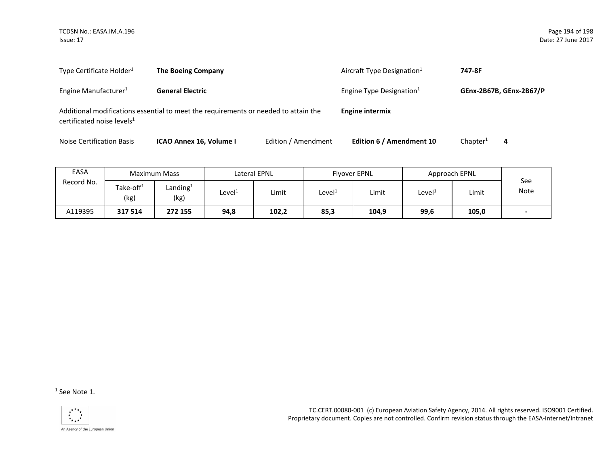TCDSN No.: EASA.IM.A.196 Page 194 of 198 Issue: 17 Date: 27 June 2017

| Type Certificate Holder <sup>1</sup>   | <b>The Boeing Company</b>                                                           |                     | Aircraft Type Designation <sup>1</sup> | 747-8F                    |  |
|----------------------------------------|-------------------------------------------------------------------------------------|---------------------|----------------------------------------|---------------------------|--|
| Engine Manufacturer <sup>1</sup>       | <b>General Electric</b>                                                             |                     | Engine Type Designation <sup>1</sup>   | GEnx-2B67B, GEnx-2B67/P   |  |
| certificated noise levels <sup>1</sup> | Additional modifications essential to meet the requirements or needed to attain the |                     | <b>Engine intermix</b>                 |                           |  |
| Noise Certification Basis              | <b>ICAO Annex 16, Volume I</b>                                                      | Edition / Amendment | Edition 6 / Amendment 10               | Chapter <sup>1</sup><br>4 |  |

| EASA       |                               | <b>Maximum Mass</b>          |            | Lateral EPNL | Flyover EPNL |       | Approach EPNL    |       |                    |
|------------|-------------------------------|------------------------------|------------|--------------|--------------|-------|------------------|-------|--------------------|
| Record No. | Take-off <sup>1</sup><br>(kg) | Landing <sup>1</sup><br>(kg) | Level $^1$ | Limit        | Level $^1$   | Limit | Level $^{\rm 1}$ | Limit | See<br><b>Note</b> |
| A119395    | 317 514                       | 272 155                      | 94,8       | 102,2        | 85,3         | 104,9 | 99,6             | 105,0 |                    |

 $1$  See Note 1.

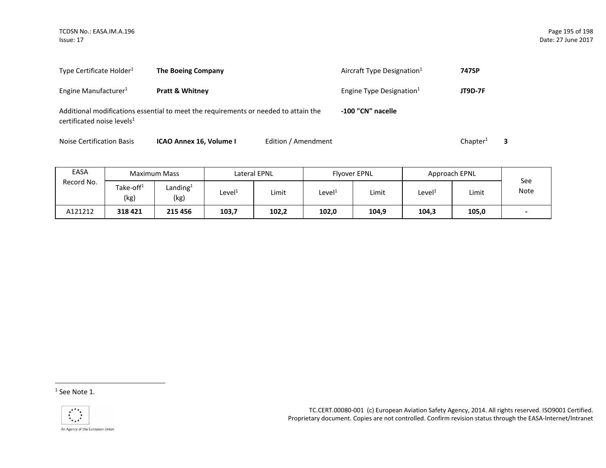TCDSN No.: EASA.IM.A.196 Page 195 of 198 Issue: 17 Date: 27 June 2017

| Type Certificate Holder <sup>1</sup>   | The Boeing Company                                                                  |                     | Aircraft Type Designation <sup>1</sup> | 747SP                |   |
|----------------------------------------|-------------------------------------------------------------------------------------|---------------------|----------------------------------------|----------------------|---|
| Engine Manufacturer <sup>1</sup>       | <b>Pratt &amp; Whitney</b>                                                          |                     | Engine Type Designation $1$            | <b>JT9D-7F</b>       |   |
| certificated noise levels <sup>1</sup> | Additional modifications essential to meet the requirements or needed to attain the |                     | -100 "CN" nacelle                      |                      |   |
| Noise Certification Basis              | <b>ICAO Annex 16, Volume I</b>                                                      | Edition / Amendment |                                        | Chapter <sup>1</sup> | 3 |

| EASA       |                      | <b>Maximum Mass</b> |                  | Lateral EPNL | <b>Flyover EPNL</b> |       | Approach EPNL |       |                    |
|------------|----------------------|---------------------|------------------|--------------|---------------------|-------|---------------|-------|--------------------|
| Record No. | Take-off $1$<br>(kg) | Landing $1$<br>(kg) | Level $^{\rm 1}$ | Limit        | Level $^1$          | Limit | Level'        | Limit | See<br><b>Note</b> |
| A121212    | 318 421              | 215 456             | 103,7            | 102,2        | 102,0               | 104,9 | 104,3         | 105,0 |                    |

 $1$  See Note 1.

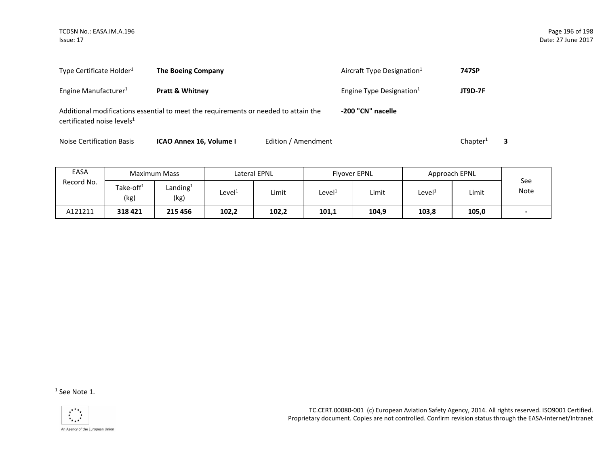TCDSN No.: EASA.IM.A.196 Page 196 of 198 Issue: 17 Date: 27 June 2017

| Type Certificate Holder <sup>1</sup>   | <b>The Boeing Company</b>                                                           |                     | Aircraft Type Designation <sup>1</sup> | 747SP                |   |
|----------------------------------------|-------------------------------------------------------------------------------------|---------------------|----------------------------------------|----------------------|---|
| Engine Manufacturer <sup>1</sup>       | <b>Pratt &amp; Whitney</b>                                                          |                     | Engine Type Designation $1$            | <b>JT9D-7F</b>       |   |
| certificated noise levels <sup>1</sup> | Additional modifications essential to meet the requirements or needed to attain the |                     | -200 "CN" nacelle                      |                      |   |
| Noise Certification Basis              | <b>ICAO Annex 16, Volume I</b>                                                      | Edition / Amendment |                                        | Chapter <sup>1</sup> | 3 |

| EASA       |                      | <b>Maximum Mass</b>          |        | Lateral EPNL | Flyover EPNL |       | Approach EPNL |       |                    |
|------------|----------------------|------------------------------|--------|--------------|--------------|-------|---------------|-------|--------------------|
| Record No. | Take-off $1$<br>(kg) | Landing <sup>1</sup><br>(kg) | Level' | Limit        | Level $^1$   | Limit | Level'        | Limit | See<br><b>Note</b> |
| A121211    | 318 421              | 215 456                      | 102,2  | 102,2        | 101,1        | 104,9 | 103,8         | 105,0 |                    |

 $1$  See Note 1.

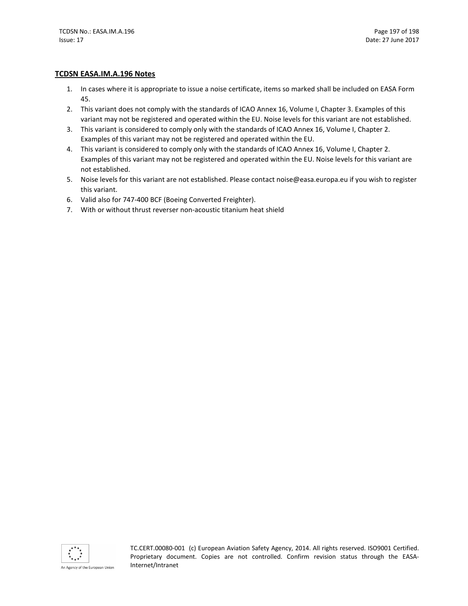## **TCDSN EASA.IM.A.196 Notes**

- 1. In cases where it is appropriate to issue a noise certificate, items so marked shall be included on EASA Form 45.
- 2. This variant does not comply with the standards of ICAO Annex 16, Volume I, Chapter 3. Examples of this variant may not be registered and operated within the EU. Noise levels for this variant are not established.
- 3. This variant is considered to comply only with the standards of ICAO Annex 16, Volume I, Chapter 2. Examples of this variant may not be registered and operated within the EU.
- 4. This variant is considered to comply only with the standards of ICAO Annex 16, Volume I, Chapter 2. Examples of this variant may not be registered and operated within the EU. Noise levels for this variant are not established.
- 5. Noise levels for this variant are not established. Please contact noise@easa.europa.eu if you wish to register this variant.
- 6. Valid also for 747-400 BCF (Boeing Converted Freighter).
- 7. With or without thrust reverser non-acoustic titanium heat shield